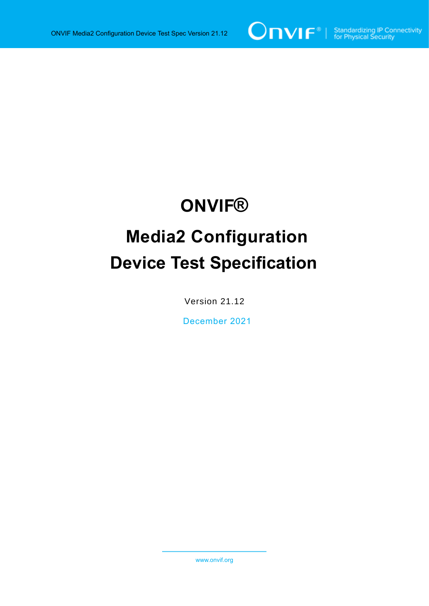

# **ONVIF®**

# **Media2 Configuration Device Test Specification**

Version 21.12

December 2021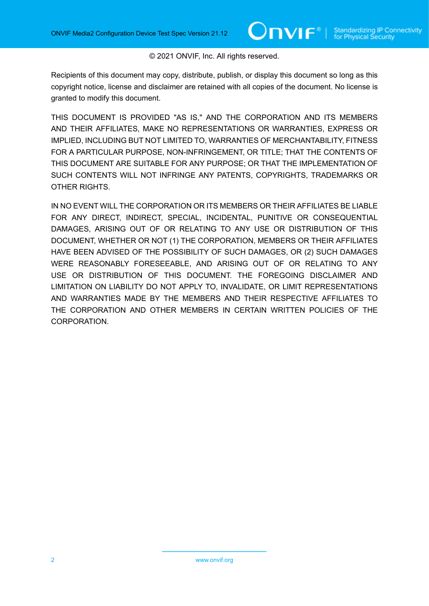#### © 2021 ONVIF, Inc. All rights reserved.

Recipients of this document may copy, distribute, publish, or display this document so long as this copyright notice, license and disclaimer are retained with all copies of the document. No license is granted to modify this document.

THIS DOCUMENT IS PROVIDED "AS IS," AND THE CORPORATION AND ITS MEMBERS AND THEIR AFFILIATES, MAKE NO REPRESENTATIONS OR WARRANTIES, EXPRESS OR IMPLIED, INCLUDING BUT NOT LIMITED TO, WARRANTIES OF MERCHANTABILITY, FITNESS FOR A PARTICULAR PURPOSE, NON-INFRINGEMENT, OR TITLE; THAT THE CONTENTS OF THIS DOCUMENT ARE SUITABLE FOR ANY PURPOSE; OR THAT THE IMPLEMENTATION OF SUCH CONTENTS WILL NOT INFRINGE ANY PATENTS, COPYRIGHTS, TRADEMARKS OR OTHER RIGHTS.

IN NO EVENT WILL THE CORPORATION OR ITS MEMBERS OR THEIR AFFILIATES BE LIABLE FOR ANY DIRECT, INDIRECT, SPECIAL, INCIDENTAL, PUNITIVE OR CONSEQUENTIAL DAMAGES, ARISING OUT OF OR RELATING TO ANY USE OR DISTRIBUTION OF THIS DOCUMENT, WHETHER OR NOT (1) THE CORPORATION, MEMBERS OR THEIR AFFILIATES HAVE BEEN ADVISED OF THE POSSIBILITY OF SUCH DAMAGES, OR (2) SUCH DAMAGES WERE REASONABLY FORESEEABLE, AND ARISING OUT OF OR RELATING TO ANY USE OR DISTRIBUTION OF THIS DOCUMENT. THE FOREGOING DISCLAIMER AND LIMITATION ON LIABILITY DO NOT APPLY TO, INVALIDATE, OR LIMIT REPRESENTATIONS AND WARRANTIES MADE BY THE MEMBERS AND THEIR RESPECTIVE AFFILIATES TO THE CORPORATION AND OTHER MEMBERS IN CERTAIN WRITTEN POLICIES OF THE CORPORATION.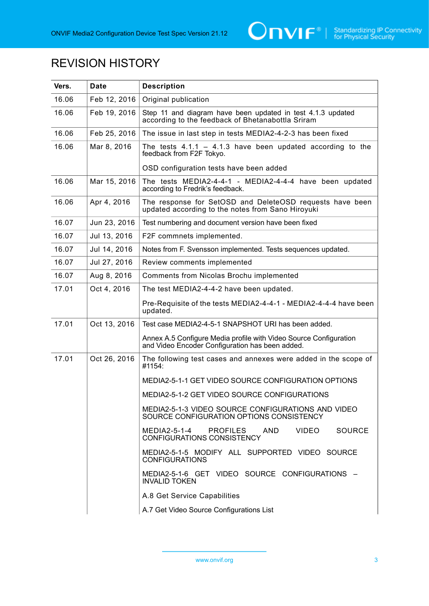

## REVISION HISTORY

| Vers. | <b>Date</b>  | <b>Description</b>                                                                                                   |  |  |
|-------|--------------|----------------------------------------------------------------------------------------------------------------------|--|--|
| 16.06 | Feb 12, 2016 | Original publication                                                                                                 |  |  |
| 16.06 | Feb 19, 2016 | Step 11 and diagram have been updated in test 4.1.3 updated<br>according to the feedback of Bhetanabottla Sriram     |  |  |
| 16.06 | Feb 25, 2016 | The issue in last step in tests MEDIA2-4-2-3 has been fixed                                                          |  |  |
| 16.06 | Mar 8, 2016  | The tests $4.1.1 - 4.1.3$ have been updated according to the<br>feedback from F2F Tokyo.                             |  |  |
|       |              | OSD configuration tests have been added                                                                              |  |  |
| 16.06 | Mar 15, 2016 | The tests MEDIA2-4-4-1 - MEDIA2-4-4-4 have been updated<br>according to Fredrik's feedback.                          |  |  |
| 16.06 | Apr 4, 2016  | The response for SetOSD and DeleteOSD requests have been<br>updated according to the notes from Sano Hiroyuki        |  |  |
| 16.07 | Jun 23, 2016 | Test numbering and document version have been fixed                                                                  |  |  |
| 16.07 | Jul 13, 2016 | F2F commnets implemented.                                                                                            |  |  |
| 16.07 | Jul 14, 2016 | Notes from F. Svensson implemented. Tests sequences updated.                                                         |  |  |
| 16.07 | Jul 27, 2016 | Review comments implemented                                                                                          |  |  |
| 16.07 | Aug 8, 2016  | Comments from Nicolas Brochu implemented                                                                             |  |  |
| 17.01 | Oct 4, 2016  | The test MEDIA2-4-4-2 have been updated.                                                                             |  |  |
|       |              | Pre-Requisite of the tests MEDIA2-4-4-1 - MEDIA2-4-4-4 have been<br>updated.                                         |  |  |
| 17.01 | Oct 13, 2016 | Test case MEDIA2-4-5-1 SNAPSHOT URI has been added.                                                                  |  |  |
|       |              | Annex A.5 Configure Media profile with Video Source Configuration<br>and Video Encoder Configuration has been added. |  |  |
| 17.01 | Oct 26, 2016 | The following test cases and annexes were added in the scope of<br>#1154:                                            |  |  |
|       |              | MEDIA2-5-1-1 GET VIDEO SOURCE CONFIGURATION OPTIONS                                                                  |  |  |
|       |              | MEDIA2-5-1-2 GET VIDEO SOURCE CONFIGURATIONS                                                                         |  |  |
|       |              | MEDIA2-5-1-3 VIDEO SOURCE CONFIGURATIONS AND VIDEO<br>SOURCE CONFIGURATION OPTIONS CONSISTENCY                       |  |  |
|       |              | MEDIA2-5-1-4<br><b>PROFILES</b><br><b>VIDEO</b><br><b>SOURCE</b><br>AND.<br>CONFIGURATIONS CONSISTENCY               |  |  |
|       |              | MEDIA2-5-1-5 MODIFY ALL SUPPORTED VIDEO SOURCE<br><b>CONFIGURATIONS</b>                                              |  |  |
|       |              | MEDIA2-5-1-6 GET VIDEO SOURCE CONFIGURATIONS -<br><b>INVALID TOKEN</b>                                               |  |  |
|       |              | A.8 Get Service Capabilities                                                                                         |  |  |
|       |              | A.7 Get Video Source Configurations List                                                                             |  |  |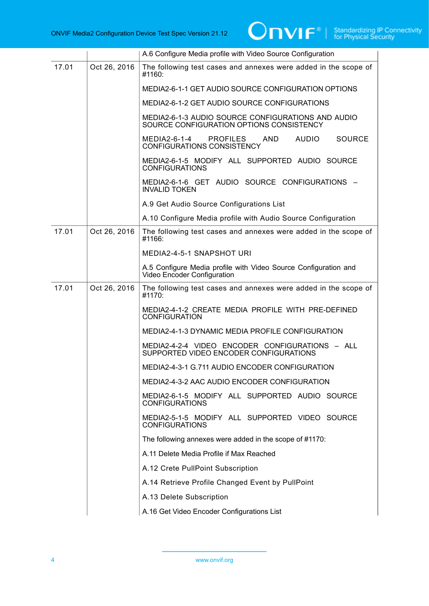|       |              | A.6 Configure Media profile with Video Source Configuration                                        |
|-------|--------------|----------------------------------------------------------------------------------------------------|
| 17.01 | Oct 26, 2016 | The following test cases and annexes were added in the scope of<br>#1160:                          |
|       |              | MEDIA2-6-1-1 GET AUDIO SOURCE CONFIGURATION OPTIONS                                                |
|       |              | MEDIA2-6-1-2 GET AUDIO SOURCE CONFIGURATIONS                                                       |
|       |              | MEDIA2-6-1-3 AUDIO SOURCE CONFIGURATIONS AND AUDIO<br>SOURCE CONFIGURATION OPTIONS CONSISTENCY     |
|       |              | MEDIA2-6-1-4<br><b>AUDIO</b><br><b>SOURCE</b><br>PROFILES AND<br><b>CONFIGURATIONS CONSISTENCY</b> |
|       |              | MEDIA2-6-1-5 MODIFY ALL SUPPORTED AUDIO SOURCE<br><b>CONFIGURATIONS</b>                            |
|       |              | MEDIA2-6-1-6 GET AUDIO SOURCE CONFIGURATIONS -<br><b>INVALID TOKEN</b>                             |
|       |              | A.9 Get Audio Source Configurations List                                                           |
|       |              | A.10 Configure Media profile with Audio Source Configuration                                       |
| 17.01 | Oct 26, 2016 | The following test cases and annexes were added in the scope of<br>#1166:                          |
|       |              | MEDIA2-4-5-1 SNAPSHOT URI                                                                          |
|       |              | A.5 Configure Media profile with Video Source Configuration and<br>Video Encoder Configuration     |
| 17.01 | Oct 26, 2016 | The following test cases and annexes were added in the scope of<br>#1170:                          |
|       |              | MEDIA2-4-1-2 CREATE MEDIA PROFILE WITH PRE-DEFINED<br><b>CONFIGURATION</b>                         |
|       |              | MEDIA2-4-1-3 DYNAMIC MEDIA PROFILE CONFIGURATION                                                   |
|       |              | MEDIA2-4-2-4 VIDEO ENCODER CONFIGURATIONS - ALL<br>SUPPORTED VIDEO ENCODER CONFIGURATIONS          |
|       |              | MEDIA2-4-3-1 G.711 AUDIO ENCODER CONFIGURATION                                                     |
|       |              | MEDIA2-4-3-2 AAC AUDIO ENCODER CONFIGURATION                                                       |
|       |              | MEDIA2-6-1-5 MODIFY ALL SUPPORTED AUDIO SOURCE<br><b>CONFIGURATIONS</b>                            |
|       |              | MEDIA2-5-1-5 MODIFY ALL SUPPORTED VIDEO SOURCE<br><b>CONFIGURATIONS</b>                            |
|       |              | The following annexes were added in the scope of #1170:                                            |
|       |              | A.11 Delete Media Profile if Max Reached                                                           |
|       |              | A.12 Crete PullPoint Subscription                                                                  |
|       |              | A.14 Retrieve Profile Changed Event by PullPoint                                                   |
|       |              | A.13 Delete Subscription                                                                           |
|       |              | A.16 Get Video Encoder Configurations List                                                         |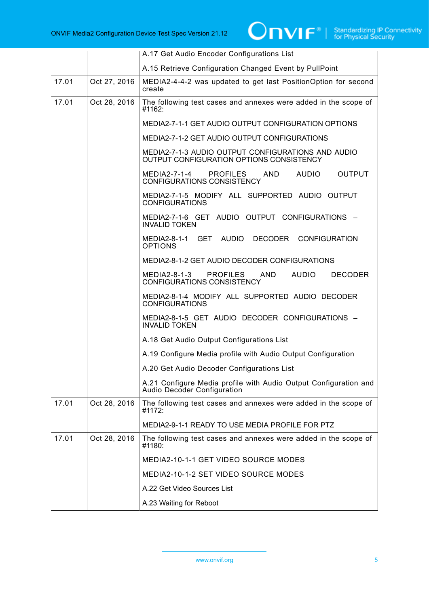|       |              | A.17 Get Audio Encoder Configurations List                                                                    |
|-------|--------------|---------------------------------------------------------------------------------------------------------------|
|       |              | A.15 Retrieve Configuration Changed Event by PullPoint                                                        |
| 17.01 | Oct 27, 2016 | MEDIA2-4-4-2 was updated to get last PositionOption for second<br>create                                      |
| 17.01 | Oct 28, 2016 | The following test cases and annexes were added in the scope of<br>#1162:                                     |
|       |              | MEDIA2-7-1-1 GET AUDIO OUTPUT CONFIGURATION OPTIONS                                                           |
|       |              | MEDIA2-7-1-2 GET AUDIO OUTPUT CONFIGURATIONS                                                                  |
|       |              | MEDIA2-7-1-3 AUDIO OUTPUT CONFIGURATIONS AND AUDIO<br>OUTPUT CONFIGURATION OPTIONS CONSISTENCY                |
|       |              | MEDIA2-7-1-4<br><b>PROFILES</b><br>AUDIO<br><b>OUTPUT</b><br>AND<br><b>CONFIGURATIONS CONSISTENCY</b>         |
|       |              | MEDIA2-7-1-5 MODIFY ALL SUPPORTED AUDIO OUTPUT<br><b>CONFIGURATIONS</b>                                       |
|       |              | MEDIA2-7-1-6 GET AUDIO OUTPUT CONFIGURATIONS -<br><b>INVALID TOKEN</b>                                        |
|       |              | MEDIA2-8-1-1 GET AUDIO DECODER CONFIGURATION<br><b>OPTIONS</b>                                                |
|       |              | MEDIA2-8-1-2 GET AUDIO DECODER CONFIGURATIONS                                                                 |
|       |              | MEDIA2-8-1-3<br><b>PROFILES</b><br>AND<br><b>AUDIO</b><br><b>DECODER</b><br><b>CONFIGURATIONS CONSISTENCY</b> |
|       |              | MEDIA2-8-1-4 MODIFY ALL SUPPORTED AUDIO DECODER<br><b>CONFIGURATIONS</b>                                      |
|       |              | MEDIA2-8-1-5 GET AUDIO DECODER CONFIGURATIONS -<br><b>INVALID TOKEN</b>                                       |
|       |              | A.18 Get Audio Output Configurations List                                                                     |
|       |              | A.19 Configure Media profile with Audio Output Configuration                                                  |
|       |              | A.20 Get Audio Decoder Configurations List                                                                    |
|       |              | A.21 Configure Media profile with Audio Output Configuration and<br>Audio Decoder Configuration               |
| 17.01 | Oct 28, 2016 | The following test cases and annexes were added in the scope of<br>#1172:                                     |
|       |              | MEDIA2-9-1-1 READY TO USE MEDIA PROFILE FOR PTZ                                                               |
| 17.01 | Oct 28, 2016 | The following test cases and annexes were added in the scope of<br>#1180:                                     |
|       |              | MEDIA2-10-1-1 GET VIDEO SOURCE MODES                                                                          |
|       |              | MEDIA2-10-1-2 SET VIDEO SOURCE MODES                                                                          |
|       |              | A.22 Get Video Sources List                                                                                   |
|       |              | A.23 Waiting for Reboot                                                                                       |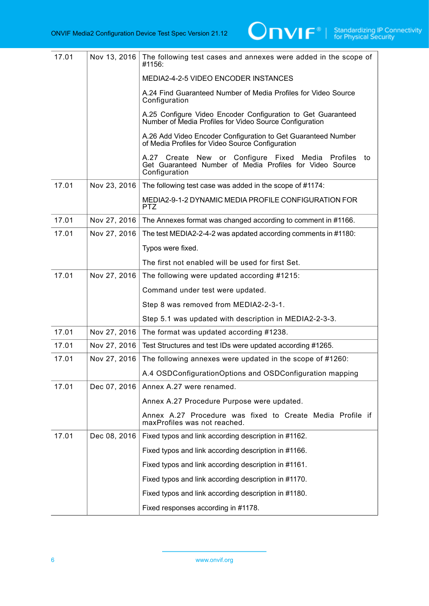

| 17.01 | Nov 13, 2016 | The following test cases and annexes were added in the scope of<br>#1156:                                                            |
|-------|--------------|--------------------------------------------------------------------------------------------------------------------------------------|
|       |              | <b>MEDIA2-4-2-5 VIDEO ENCODER INSTANCES</b>                                                                                          |
|       |              | A.24 Find Guaranteed Number of Media Profiles for Video Source<br>Configuration                                                      |
|       |              | A.25 Configure Video Encoder Configuration to Get Guaranteed<br>Number of Media Profiles for Video Source Configuration              |
|       |              | A.26 Add Video Encoder Configuration to Get Guaranteed Number<br>of Media Profiles for Video Source Configuration                    |
|       |              | A.27 Create New or Configure Fixed Media Profiles<br>to<br>Get Guaranteed Number of Media Profiles for Video Source<br>Configuration |
| 17.01 | Nov 23, 2016 | The following test case was added in the scope of #1174:                                                                             |
|       |              | MEDIA2-9-1-2 DYNAMIC MEDIA PROFILE CONFIGURATION FOR<br>PTZ.                                                                         |
| 17.01 | Nov 27, 2016 | The Annexes format was changed according to comment in #1166.                                                                        |
| 17.01 | Nov 27, 2016 | The test MEDIA2-2-4-2 was apdated according comments in #1180:                                                                       |
|       |              | Typos were fixed.                                                                                                                    |
|       |              | The first not enabled will be used for first Set.                                                                                    |
| 17.01 | Nov 27, 2016 | The following were updated according #1215:                                                                                          |
|       |              | Command under test were updated.                                                                                                     |
|       |              | Step 8 was removed from MEDIA2-2-3-1.                                                                                                |
|       |              | Step 5.1 was updated with description in MEDIA2-2-3-3.                                                                               |
| 17.01 | Nov 27, 2016 | The format was updated according #1238.                                                                                              |
| 17.01 | Nov 27, 2016 | Test Structures and test IDs were updated according #1265.                                                                           |
| 17.01 | Nov 27, 2016 | The following annexes were updated in the scope of #1260:                                                                            |
|       |              | A.4 OSDConfigurationOptions and OSDConfiguration mapping                                                                             |
| 17.01 | Dec 07, 2016 | Annex A.27 were renamed.                                                                                                             |
|       |              | Annex A.27 Procedure Purpose were updated.                                                                                           |
|       |              | Annex A.27 Procedure was fixed to Create Media Profile if<br>maxProfiles was not reached.                                            |
| 17.01 | Dec 08, 2016 | Fixed typos and link according description in #1162.                                                                                 |
|       |              | Fixed typos and link according description in #1166.                                                                                 |
|       |              | Fixed typos and link according description in #1161.                                                                                 |
|       |              | Fixed typos and link according description in #1170.                                                                                 |
|       |              | Fixed typos and link according description in #1180.                                                                                 |
|       |              | Fixed responses according in #1178.                                                                                                  |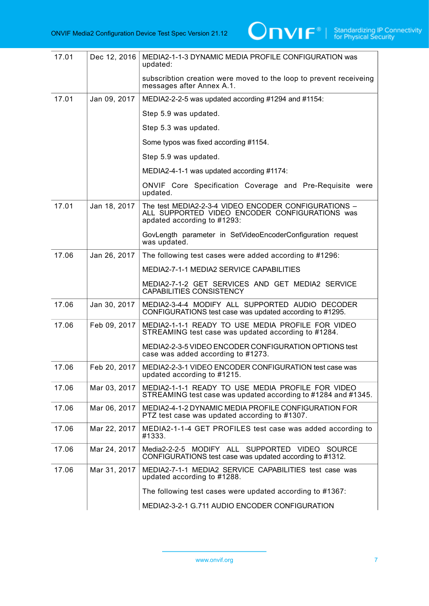

| 17.01 | Dec 12, 2016 | MEDIA2-1-1-3 DYNAMIC MEDIA PROFILE CONFIGURATION was<br>updated:                                                                      |
|-------|--------------|---------------------------------------------------------------------------------------------------------------------------------------|
|       |              | subscribtion creation were moved to the loop to prevent receiveing<br>messages after Annex A.1.                                       |
| 17.01 | Jan 09, 2017 | MEDIA2-2-2-5 was updated according #1294 and #1154:                                                                                   |
|       |              | Step 5.9 was updated.                                                                                                                 |
|       |              | Step 5.3 was updated.                                                                                                                 |
|       |              | Some typos was fixed according #1154.                                                                                                 |
|       |              | Step 5.9 was updated.                                                                                                                 |
|       |              | MEDIA2-4-1-1 was updated according #1174:                                                                                             |
|       |              | ONVIF Core Specification Coverage and Pre-Requisite were<br>updated.                                                                  |
| 17.01 | Jan 18, 2017 | The test MEDIA2-2-3-4 VIDEO ENCODER CONFIGURATIONS -<br>ALL SUPPORTED VIDEO ENCODER CONFIGURATIONS was<br>apdated according to #1293: |
|       |              | GovLength parameter in SetVideoEncoderConfiguration request<br>was updated.                                                           |
| 17.06 | Jan 26, 2017 | The following test cases were added according to #1296:                                                                               |
|       |              | <b>MEDIA2-7-1-1 MEDIA2 SERVICE CAPABILITIES</b>                                                                                       |
|       |              | MEDIA2-7-1-2 GET SERVICES AND GET MEDIA2 SERVICE<br><b>CAPABILITIES CONSISTENCY</b>                                                   |
| 17.06 | Jan 30, 2017 | MEDIA2-3-4-4 MODIFY ALL SUPPORTED AUDIO DECODER<br>CONFIGURATIONS test case was updated according to #1295.                           |
| 17.06 | Feb 09, 2017 | MEDIA2-1-1-1 READY TO USE MEDIA PROFILE FOR VIDEO<br>STREAMING test case was updated according to #1284.                              |
|       |              | MEDIA2-2-3-5 VIDEO ENCODER CONFIGURATION OPTIONS test<br>case was added according to #1273.                                           |
| 17.06 | Feb 20, 2017 | MEDIA2-2-3-1 VIDEO ENCODER CONFIGURATION test case was<br>updated according to $\#1215$ .                                             |
| 17.06 | Mar 03, 2017 | MEDIA2-1-1-1 READY TO USE MEDIA PROFILE FOR VIDEO<br>STREAMING test case was updated according to #1284 and #1345.                    |
| 17.06 | Mar 06, 2017 | MEDIA2-4-1-2 DYNAMIC MEDIA PROFILE CONFIGURATION FOR<br>PTZ test case was updated according to #1307.                                 |
| 17.06 | Mar 22, 2017 | MEDIA2-1-1-4 GET PROFILES test case was added according to<br>#1333.                                                                  |
| 17.06 | Mar 24, 2017 | Media2-2-2-5 MODIFY ALL SUPPORTED VIDEO SOURCE<br>CONFIGURATIONS test case was updated according to #1312.                            |
| 17.06 | Mar 31, 2017 | MEDIA2-7-1-1 MEDIA2 SERVICE CAPABILITIES test case was<br>updated according to #1288.                                                 |
|       |              | The following test cases were updated according to #1367:                                                                             |
|       |              | MEDIA2-3-2-1 G.711 AUDIO ENCODER CONFIGURATION                                                                                        |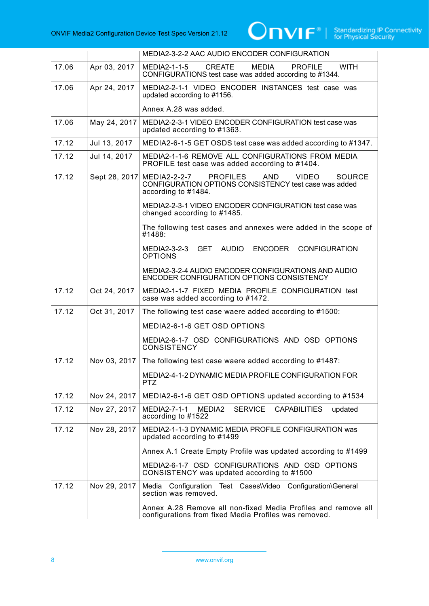

|       |               | MEDIA2-3-2-2 AAC AUDIO ENCODER CONFIGURATION                                                                                                            |
|-------|---------------|---------------------------------------------------------------------------------------------------------------------------------------------------------|
| 17.06 | Apr 03, 2017  | <b>WITH</b><br><b>CREATE</b><br><b>MEDIA</b><br><b>PROFILE</b><br>MEDIA2-1-1-5<br>CONFIGURATIONS test case was added according to #1344.                |
| 17.06 | Apr 24, 2017  | MEDIA2-2-1-1 VIDEO ENCODER INSTANCES test case was<br>updated according to #1156.                                                                       |
|       |               | Annex A.28 was added.                                                                                                                                   |
| 17.06 | May 24, 2017  | MEDIA2-2-3-1 VIDEO ENCODER CONFIGURATION test case was<br>updated according to #1363.                                                                   |
| 17.12 | Jul 13, 2017  | MEDIA2-6-1-5 GET OSDS test case was added according to #1347.                                                                                           |
| 17.12 | Jul 14, 2017  | MEDIA2-1-1-6 REMOVE ALL CONFIGURATIONS FROM MEDIA<br>PROFILE test case was added according to #1404.                                                    |
| 17.12 | Sept 28, 2017 | MEDIA2-2-2-7<br><b>PROFILES</b><br>AND<br><b>VIDEO</b><br><b>SOURCE</b><br>CONFIGURATION OPTIONS CONSISTENCY test case was added<br>according to #1484. |
|       |               | MEDIA2-2-3-1 VIDEO ENCODER CONFIGURATION test case was<br>changed according to #1485.                                                                   |
|       |               | The following test cases and annexes were added in the scope of<br>#1488:                                                                               |
|       |               | AUDIO<br><b>ENCODER</b><br><b>CONFIGURATION</b><br><b>GET</b><br>MEDIA2-3-2-3<br><b>OPTIONS</b>                                                         |
|       |               | MEDIA2-3-2-4 AUDIO ENCODER CONFIGURATIONS AND AUDIO<br><b>ENCODER CONFIGURATION OPTIONS CONSISTENCY</b>                                                 |
| 17.12 | Oct 24, 2017  | MEDIA2-1-1-7 FIXED MEDIA PROFILE CONFIGURATION test<br>case was added according to #1472.                                                               |
| 17.12 | Oct 31, 2017  | The following test case waere added according to #1500:                                                                                                 |
|       |               | MEDIA2-6-1-6 GET OSD OPTIONS                                                                                                                            |
|       |               | MEDIA2-6-1-7 OSD CONFIGURATIONS AND OSD OPTIONS<br><b>CONSISTENCY</b>                                                                                   |
| 17.12 | Nov 03, 2017  | The following test case waere added according to #1487:                                                                                                 |
|       |               | MEDIA2-4-1-2 DYNAMIC MEDIA PROFILE CONFIGURATION FOR<br><b>PTZ</b>                                                                                      |
| 17.12 | Nov 24, 2017  | MEDIA2-6-1-6 GET OSD OPTIONS updated according to #1534                                                                                                 |
| 17.12 | Nov 27, 2017  | <b>SERVICE</b><br>MEDIA2-7-1-1<br>MEDIA2<br><b>CAPABILITIES</b><br>updated<br>according to #1522                                                        |
| 17.12 | Nov 28, 2017  | MEDIA2-1-1-3 DYNAMIC MEDIA PROFILE CONFIGURATION was<br>updated according to #1499                                                                      |
|       |               | Annex A.1 Create Empty Profile was updated according to #1499                                                                                           |
|       |               | MEDIA2-6-1-7 OSD CONFIGURATIONS AND OSD OPTIONS<br>CONSISTENCY was updated according to #1500                                                           |
| 17.12 | Nov 29, 2017  | Test Cases\Video Configuration\General<br>Media<br>Configuration<br>section was removed.                                                                |
|       |               | Annex A.28 Remove all non-fixed Media Profiles and remove all<br>configurations from fixed Media Profiles was removed.                                  |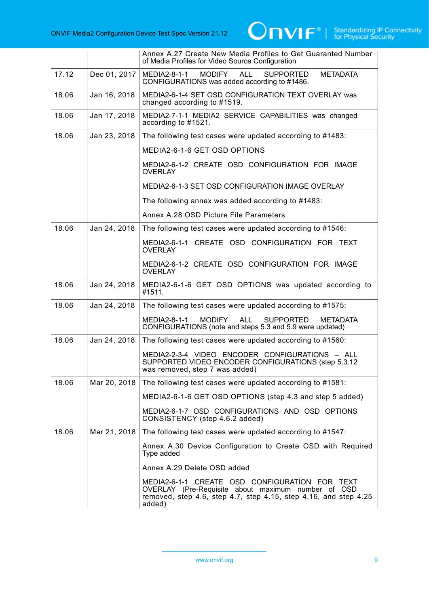

|       |              | Annex A.27 Create New Media Profiles to Get Guaranted Number<br>of Media Profiles for Video Source Configuration                                                                   |
|-------|--------------|------------------------------------------------------------------------------------------------------------------------------------------------------------------------------------|
| 17.12 | Dec 01, 2017 | MEDIA2-8-1-1<br><b>MODIFY</b><br><b>ALL</b><br><b>SUPPORTED</b><br><b>METADATA</b><br>CONFIGURATIONS was added according to #1486.                                                 |
| 18.06 | Jan 16, 2018 | MEDIA2-6-1-4 SET OSD CONFIGURATION TEXT OVERLAY was<br>changed according to #1519.                                                                                                 |
| 18.06 | Jan 17, 2018 | MEDIA2-7-1-1 MEDIA2 SERVICE CAPABILITIES was changed<br>according to #1521.                                                                                                        |
| 18.06 | Jan 23, 2018 | The following test cases were updated according to #1483:                                                                                                                          |
|       |              | MEDIA2-6-1-6 GET OSD OPTIONS                                                                                                                                                       |
|       |              | MEDIA2-6-1-2 CREATE OSD CONFIGURATION FOR IMAGE<br><b>OVERLAY</b>                                                                                                                  |
|       |              | MEDIA2-6-1-3 SET OSD CONFIGURATION IMAGE OVERLAY                                                                                                                                   |
|       |              | The following annex was added according to #1483:                                                                                                                                  |
|       |              | Annex A.28 OSD Picture File Parameters                                                                                                                                             |
| 18.06 | Jan 24, 2018 | The following test cases were updated according to #1546:                                                                                                                          |
|       |              | MEDIA2-6-1-1 CREATE OSD CONFIGURATION FOR TEXT<br><b>OVERLAY</b>                                                                                                                   |
|       |              | MEDIA2-6-1-2 CREATE OSD CONFIGURATION FOR IMAGE<br><b>OVERLAY</b>                                                                                                                  |
| 18.06 | Jan 24, 2018 | MEDIA2-6-1-6 GET OSD OPTIONS was updated according to<br>#1511.                                                                                                                    |
| 18.06 | Jan 24, 2018 | The following test cases were updated according to #1575:                                                                                                                          |
|       |              | <b>MODIFY</b><br>MEDIA2-8-1-1<br><b>ALL</b><br><b>SUPPORTED</b><br><b>METADATA</b><br>CONFIGURATIONS (note and steps 5.3 and 5.9 were updated)                                     |
| 18.06 | Jan 24, 2018 | The following test cases were updated according to #1560:                                                                                                                          |
|       |              | MEDIA2-2-3-4 VIDEO ENCODER CONFIGURATIONS - ALL<br>SUPPORTED VIDEO ENCODER CONFIGURATIONS (step 5.3.12)<br>was removed, step 7 was added)                                          |
| 18.06 | Mar 20, 2018 | The following test cases were updated according to #1581:                                                                                                                          |
|       |              | MEDIA2-6-1-6 GET OSD OPTIONS (step 4.3 and step 5 added)                                                                                                                           |
|       |              | MEDIA2-6-1-7 OSD CONFIGURATIONS AND OSD OPTIONS<br>CONSISTENCY (step 4.6.2 added)                                                                                                  |
| 18.06 | Mar 21, 2018 | The following test cases were updated according to #1547:                                                                                                                          |
|       |              | Annex A.30 Device Configuration to Create OSD with Required<br>Type added                                                                                                          |
|       |              | Annex A.29 Delete OSD added                                                                                                                                                        |
|       |              | MEDIA2-6-1-1 CREATE OSD CONFIGURATION FOR TEXT<br>OVERLAY (Pre-Requisite about maximum number of OSD<br>removed, step 4.6, step 4.7, step 4.15, step 4.16, and step 4.25<br>added) |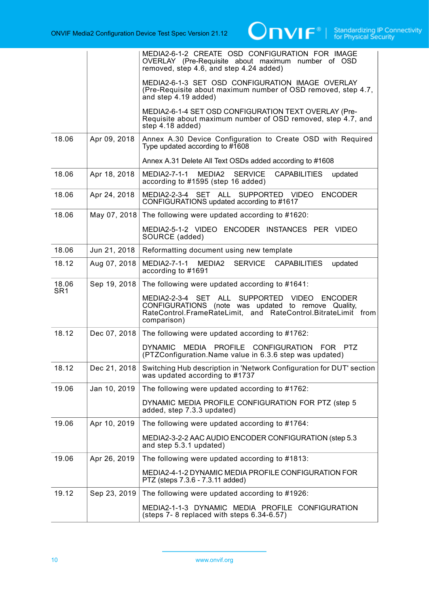|                          |              | MEDIA2-6-1-2 CREATE OSD CONFIGURATION FOR IMAGE<br>OVERLAY (Pre-Requisite about maximum number of OSD<br>removed, step 4.6, and step 4.24 added)                                    |
|--------------------------|--------------|-------------------------------------------------------------------------------------------------------------------------------------------------------------------------------------|
|                          |              | MEDIA2-6-1-3 SET OSD CONFIGURATION IMAGE OVERLAY<br>(Pre-Requisite about maximum number of OSD removed, step 4.7,<br>and step 4.19 added)                                           |
|                          |              | MEDIA2-6-1-4 SET OSD CONFIGURATION TEXT OVERLAY (Pre-<br>Requisite about maximum number of OSD removed, step 4.7, and<br>step 4.18 added)                                           |
| 18.06                    | Apr 09, 2018 | Annex A.30 Device Configuration to Create OSD with Required<br>Type updated according to $\#1608$                                                                                   |
|                          |              | Annex A.31 Delete All Text OSDs added according to #1608                                                                                                                            |
| 18.06                    | Apr 18, 2018 | MEDIA2-7-1-1<br>MEDIA2<br><b>SERVICE</b><br><b>CAPABILITIES</b><br>updated<br>according to #1595 (step 16 added)                                                                    |
| 18.06                    | Apr 24, 2018 | SUPPORTED VIDEO ENCODER<br>MEDIA2-2-3-4 SET ALL<br>CONFIGURATIONS updated according to #1617                                                                                        |
| 18.06                    | May 07, 2018 | The following were updated according to #1620:                                                                                                                                      |
|                          |              | MEDIA2-5-1-2 VIDEO ENCODER INSTANCES PER VIDEO<br>SOURCE (added)                                                                                                                    |
| 18.06                    | Jun 21, 2018 | Reformatting document using new template                                                                                                                                            |
| 18.12                    | Aug 07, 2018 | MEDIA2-7-1-1 MEDIA2<br>SERVICE<br><b>CAPABILITIES</b><br>updated<br>according to #1691                                                                                              |
| 18.06<br>SR <sub>1</sub> | Sep 19, 2018 | The following were updated according to #1641:                                                                                                                                      |
|                          |              | MEDIA2-2-3-4 SET ALL SUPPORTED VIDEO ENCODER<br>CONFIGURATIONS (note was updated to remove Quality,<br>RateControl.FrameRateLimit, and RateControl.BitrateLimit from<br>comparison) |
| 18.12                    | Dec 07, 2018 | The following were updated according to #1762:                                                                                                                                      |
|                          |              | MEDIA PROFILE CONFIGURATION FOR PTZ<br><b>DYNAMIC</b><br>(PTZConfiguration.Name value in 6.3.6 step was updated)                                                                    |
| 18.12                    | Dec 21, 2018 | Switching Hub description in 'Network Configuration for DUT' section<br>was updated according to #1737                                                                              |
| 19.06                    | Jan 10, 2019 | The following were updated according to #1762:                                                                                                                                      |
|                          |              | DYNAMIC MEDIA PROFILE CONFIGURATION FOR PTZ (step 5<br>added, step 7.3.3 updated)                                                                                                   |
| 19.06                    | Apr 10, 2019 | The following were updated according to #1764:                                                                                                                                      |
|                          |              | MEDIA2-3-2-2 AAC AUDIO ENCODER CONFIGURATION (step 5.3<br>and step 5.3.1 updated)                                                                                                   |
| 19.06                    | Apr 26, 2019 | The following were updated according to #1813:                                                                                                                                      |
|                          |              | MEDIA2-4-1-2 DYNAMIC MEDIA PROFILE CONFIGURATION FOR<br>PTZ (steps 7.3.6 - 7.3.11 added)                                                                                            |
| 19.12                    | Sep 23, 2019 | The following were updated according to #1926:                                                                                                                                      |
|                          |              | MEDIA2-1-1-3 DYNAMIC MEDIA PROFILE CONFIGURATION<br>(steps 7-8 replaced with steps 6.34-6.57)                                                                                       |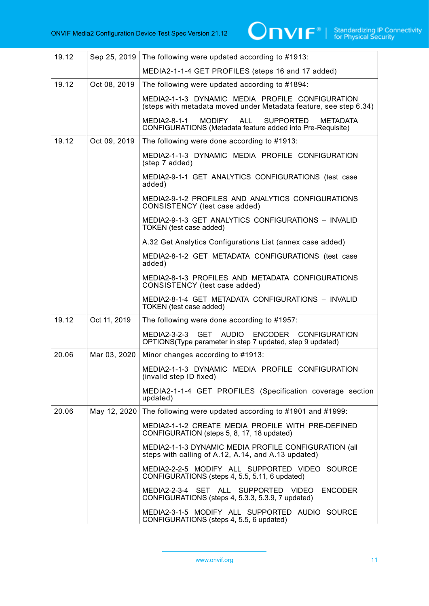| 19.12 | Sep 25, 2019 | The following were updated according to #1913:                                                                                                    |
|-------|--------------|---------------------------------------------------------------------------------------------------------------------------------------------------|
|       |              | MEDIA2-1-1-4 GET PROFILES (steps 16 and 17 added)                                                                                                 |
| 19.12 | Oct 08, 2019 | The following were updated according to #1894:                                                                                                    |
|       |              | MEDIA2-1-1-3 DYNAMIC MEDIA PROFILE CONFIGURATION<br>(steps with metadata moved under Metadata feature, see step 6.34)                             |
|       |              | <b>MODIFY</b><br><b>ALL</b><br>MEDIA2-8-1-1<br><b>SUPPORTED</b><br><b>METADATA</b><br>CONFIGURATIONS (Metadata feature added into Pre-Requisite)  |
| 19.12 | Oct 09, 2019 | The following were done according to #1913:                                                                                                       |
|       |              | MEDIA2-1-1-3 DYNAMIC MEDIA PROFILE CONFIGURATION<br>(step 7 added)                                                                                |
|       |              | MEDIA2-9-1-1 GET ANALYTICS CONFIGURATIONS (test case<br>added)                                                                                    |
|       |              | MEDIA2-9-1-2 PROFILES AND ANALYTICS CONFIGURATIONS<br>CONSISTENCY (test case added)                                                               |
|       |              | MEDIA2-9-1-3 GET ANALYTICS CONFIGURATIONS - INVALID<br>TOKEN (test case added)                                                                    |
|       |              | A.32 Get Analytics Configurations List (annex case added)                                                                                         |
|       |              | MEDIA2-8-1-2 GET METADATA CONFIGURATIONS (test case<br>added)                                                                                     |
|       |              | MEDIA2-8-1-3 PROFILES AND METADATA CONFIGURATIONS<br>CONSISTENCY (test case added)                                                                |
|       |              | MEDIA2-8-1-4 GET METADATA CONFIGURATIONS - INVALID<br>TOKEN (test case added)                                                                     |
| 19.12 | Oct 11, 2019 | The following were done according to #1957:                                                                                                       |
|       |              | <b>ENCODER</b><br>MEDIA2-3-2-3<br><b>GET</b><br><b>AUDIO</b><br><b>CONFIGURATION</b><br>OPTIONS(Type parameter in step 7 updated, step 9 updated) |
| 20.06 | Mar 03, 2020 | Minor changes according to #1913:                                                                                                                 |
|       |              | MEDIA2-1-1-3 DYNAMIC MEDIA PROFILE CONFIGURATION<br>(invalid step ID fixed)                                                                       |
|       |              | MEDIA2-1-1-4 GET PROFILES (Specification coverage section<br>updated)                                                                             |
| 20.06 | May 12, 2020 | The following were updated according to #1901 and #1999:                                                                                          |
|       |              | MEDIA2-1-1-2 CREATE MEDIA PROFILE WITH PRE-DEFINED<br>CONFIGURATION (steps 5, 8, 17, 18 updated)                                                  |
|       |              | MEDIA2-1-1-3 DYNAMIC MEDIA PROFILE CONFIGURATION (all<br>steps with calling of A.12, A.14, and A.13 updated)                                      |
|       |              | MEDIA2-2-2-5 MODIFY ALL SUPPORTED VIDEO SOURCE<br>CONFIGURATIONS (steps 4, 5.5, 5.11, 6 updated)                                                  |
|       |              | MEDIA2-2-3-4 SET ALL SUPPORTED VIDEO<br><b>ENCODER</b><br>CONFIGURATIONS (steps 4, 5.3.3, 5.3.9, 7 updated)                                       |
|       |              | MEDIA2-3-1-5 MODIFY ALL SUPPORTED AUDIO SOURCE<br>CONFIGURATIONS (steps 4, 5.5, 6 updated)                                                        |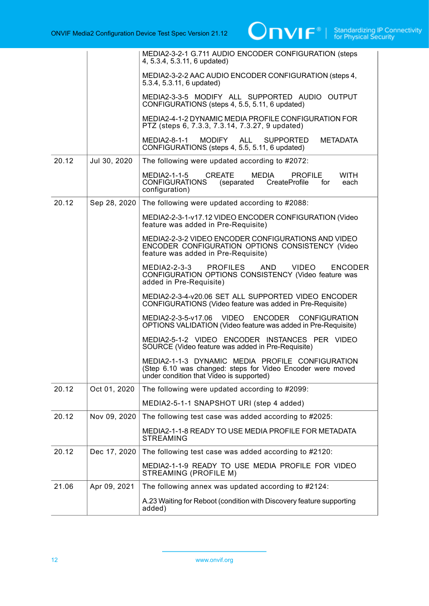|       |              | MEDIA2-3-2-1 G.711 AUDIO ENCODER CONFIGURATION (steps<br>4, 5.3.4, 5.3.11, 6 updated)                                                                      |
|-------|--------------|------------------------------------------------------------------------------------------------------------------------------------------------------------|
|       |              | MEDIA2-3-2-2 AAC AUDIO ENCODER CONFIGURATION (steps 4,<br>5.3.4, 5.3.11, 6 updated)                                                                        |
|       |              | MEDIA2-3-3-5 MODIFY ALL SUPPORTED AUDIO OUTPUT<br>CONFIGURATIONS (steps 4, 5.5, 5.11, 6 updated)                                                           |
|       |              | MEDIA2-4-1-2 DYNAMIC MEDIA PROFILE CONFIGURATION FOR<br>PTZ (steps 6, 7.3.3, 7.3.14, 7.3.27, 9 updated)                                                    |
|       |              | MODIFY ALL SUPPORTED<br><b>METADATA</b><br>MEDIA2-8-1-1<br>CONFIGURATIONS (steps 4, 5.5, 5.11, 6 updated)                                                  |
| 20.12 | Jul 30, 2020 | The following were updated according to #2072:                                                                                                             |
|       |              | MEDIA2-1-1-5<br><b>CREATE</b><br>MEDIA<br><b>WITH</b><br><b>PROFILE</b><br>CONFIGURATIONS<br>(separated CreateProfile<br>each<br>for<br>configuration)     |
| 20.12 | Sep 28, 2020 | The following were updated according to #2088:                                                                                                             |
|       |              | MEDIA2-2-3-1-v17.12 VIDEO ENCODER CONFIGURATION (Video<br>feature was added in Pre-Requisite)                                                              |
|       |              | MEDIA2-2-3-2 VIDEO ENCODER CONFIGURATIONS AND VIDEO<br>ENCODER CONFIGURATION OPTIONS CONSISTENCY (Video<br>feature was added in Pre-Requisite)             |
|       |              | PROFILES AND VIDEO<br>MEDIA2-2-3-3<br><b>ENCODER</b><br>CONFIGURATION OPTIONS CONSISTENCY (Video feature was<br>added in Pre-Requisite)                    |
|       |              | MEDIA2-2-3-4-v20.06 SET ALL SUPPORTED VIDEO ENCODER<br>CONFIGURATIONS (Video feature was added in Pre-Requisite)                                           |
|       |              | MEDIA2-2-3-5-v17.06 VIDEO<br>ENCODER<br><b>CONFIGURATION</b><br>OPTIONS VALIDATION (Video feature was added in Pre-Requisite)                              |
|       |              | MEDIA2-5-1-2 VIDEO ENCODER INSTANCES PER VIDEO<br>SOURCE (Video feature was added in Pre-Requisite)                                                        |
|       |              | MEDIA2-1-1-3 DYNAMIC MEDIA PROFILE CONFIGURATION<br>(Step 6.10 was changed: steps for Video Encoder were moved<br>under condition that Video is supported) |
| 20.12 | Oct 01, 2020 | The following were updated according to #2099:                                                                                                             |
|       |              | MEDIA2-5-1-1 SNAPSHOT URI (step 4 added)                                                                                                                   |
| 20.12 | Nov 09, 2020 | The following test case was added according to #2025:                                                                                                      |
|       |              | MEDIA2-1-1-8 READY TO USE MEDIA PROFILE FOR METADATA<br><b>STREAMING</b>                                                                                   |
| 20.12 | Dec 17, 2020 | The following test case was added according to #2120:                                                                                                      |
|       |              | MEDIA2-1-1-9 READY TO USE MEDIA PROFILE FOR VIDEO<br>STREAMING (PROFILE M)                                                                                 |
| 21.06 | Apr 09, 2021 | The following annex was updated according to #2124:                                                                                                        |
|       |              | A.23 Waiting for Reboot (condition with Discovery feature supporting<br>added)                                                                             |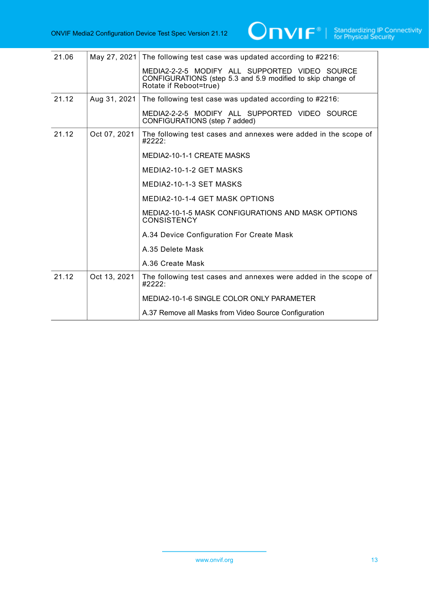| 21.06 | May 27, 2021 | The following test case was updated according to #2216:                                                       |
|-------|--------------|---------------------------------------------------------------------------------------------------------------|
|       |              | MEDIA2-2-2-5 MODIFY ALL SUPPORTED VIDEO SOURCE<br>CONFIGURATIONS (step 5.3 and 5.9 modified to skip change of |
|       |              | Rotate if Reboot=true)                                                                                        |
| 21.12 | Aug 31, 2021 | The following test case was updated according to #2216:                                                       |
|       |              | MEDIA2-2-2-5 MODIFY ALL SUPPORTED VIDEO SOURCE<br>CONFIGURATIONS (step 7 added)                               |
| 21.12 | Oct 07, 2021 | The following test cases and annexes were added in the scope of<br>#2222:                                     |
|       |              | MEDIA2-10-1-1 CREATE MASKS                                                                                    |
|       |              | MEDIA2-10-1-2 GET MASKS                                                                                       |
|       |              | MEDIA2-10-1-3 SET MASKS                                                                                       |
|       |              | MEDIA2-10-1-4 GET MASK OPTIONS                                                                                |
|       |              | MEDIA2-10-1-5 MASK CONFIGURATIONS AND MASK OPTIONS<br><b>CONSISTENCY</b>                                      |
|       |              | A.34 Device Configuration For Create Mask                                                                     |
|       |              | A.35 Delete Mask                                                                                              |
|       |              | A.36 Create Mask                                                                                              |
| 21.12 | Oct 13, 2021 | The following test cases and annexes were added in the scope of<br>#2222:                                     |
|       |              | MEDIA2-10-1-6 SINGLE COLOR ONLY PARAMETER                                                                     |
|       |              | A.37 Remove all Masks from Video Source Configuration                                                         |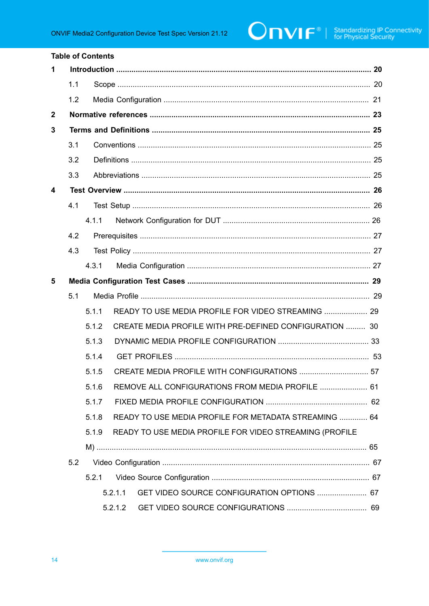|              |         | <b>Table of Contents</b> |                                                         |  |  |  |
|--------------|---------|--------------------------|---------------------------------------------------------|--|--|--|
| 1            |         |                          |                                                         |  |  |  |
|              | 1.1     |                          |                                                         |  |  |  |
|              | 1.2     |                          |                                                         |  |  |  |
| $\mathbf{2}$ |         |                          |                                                         |  |  |  |
| 3            |         |                          |                                                         |  |  |  |
|              | 3.1     |                          |                                                         |  |  |  |
|              | 3.2     |                          |                                                         |  |  |  |
|              | 3.3     |                          |                                                         |  |  |  |
| 4            |         |                          |                                                         |  |  |  |
|              | 4.1     |                          |                                                         |  |  |  |
|              |         | 4.1.1                    |                                                         |  |  |  |
|              | 4.2     |                          |                                                         |  |  |  |
|              | 4.3     |                          |                                                         |  |  |  |
|              |         | 4.3.1                    |                                                         |  |  |  |
| 5            |         |                          |                                                         |  |  |  |
| 5.1          |         |                          |                                                         |  |  |  |
|              |         | 5.1.1                    | READY TO USE MEDIA PROFILE FOR VIDEO STREAMING  29      |  |  |  |
|              |         | 5.1.2                    | CREATE MEDIA PROFILE WITH PRE-DEFINED CONFIGURATION  30 |  |  |  |
|              |         | 5.1.3                    |                                                         |  |  |  |
|              |         | 5.1.4                    |                                                         |  |  |  |
|              |         | 5.1.5                    | CREATE MEDIA PROFILE WITH CONFIGURATIONS  57            |  |  |  |
|              |         | 5.1.6                    | REMOVE ALL CONFIGURATIONS FROM MEDIA PROFILE  61        |  |  |  |
|              |         | 5.1.7                    |                                                         |  |  |  |
|              |         | 5.1.8                    | READY TO USE MEDIA PROFILE FOR METADATA STREAMING  64   |  |  |  |
|              |         | 5.1.9                    | READY TO USE MEDIA PROFILE FOR VIDEO STREAMING (PROFILE |  |  |  |
|              |         |                          |                                                         |  |  |  |
|              | 5.2     |                          |                                                         |  |  |  |
|              |         | 5.2.1                    |                                                         |  |  |  |
|              |         |                          | GET VIDEO SOURCE CONFIGURATION OPTIONS  67<br>5.2.1.1   |  |  |  |
|              | 5.2.1.2 |                          |                                                         |  |  |  |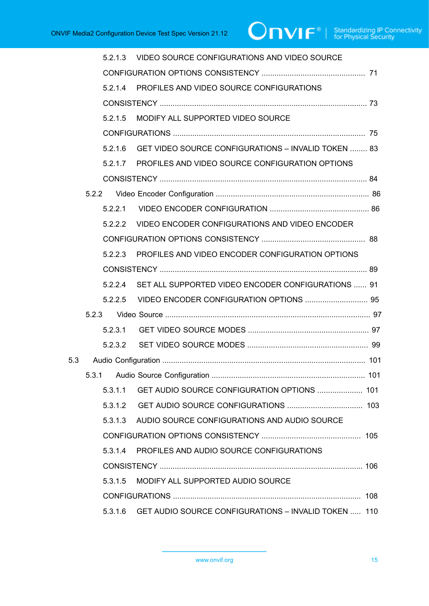|     | 5.2.1.3 | VIDEO SOURCE CONFIGURATIONS AND VIDEO SOURCE                |  |  |
|-----|---------|-------------------------------------------------------------|--|--|
|     |         |                                                             |  |  |
|     |         | 5.2.1.4 PROFILES AND VIDEO SOURCE CONFIGURATIONS            |  |  |
|     |         |                                                             |  |  |
|     | 5.2.1.5 | MODIFY ALL SUPPORTED VIDEO SOURCE                           |  |  |
|     |         |                                                             |  |  |
|     |         | 5.2.1.6 GET VIDEO SOURCE CONFIGURATIONS - INVALID TOKEN  83 |  |  |
|     |         | 5.2.1.7 PROFILES AND VIDEO SOURCE CONFIGURATION OPTIONS     |  |  |
|     |         |                                                             |  |  |
|     |         |                                                             |  |  |
|     |         |                                                             |  |  |
|     |         | 5.2.2.2 VIDEO ENCODER CONFIGURATIONS AND VIDEO ENCODER      |  |  |
|     |         |                                                             |  |  |
|     | 5.2.2.3 | PROFILES AND VIDEO ENCODER CONFIGURATION OPTIONS            |  |  |
|     |         |                                                             |  |  |
|     |         | 5.2.2.4 SET ALL SUPPORTED VIDEO ENCODER CONFIGURATIONS  91  |  |  |
|     |         |                                                             |  |  |
|     |         |                                                             |  |  |
|     |         |                                                             |  |  |
|     |         |                                                             |  |  |
| 5.3 |         |                                                             |  |  |
|     | 5.3.1   |                                                             |  |  |
|     | 5.3.1.1 | GET AUDIO SOURCE CONFIGURATION OPTIONS  101                 |  |  |
|     | 5.3.1.2 |                                                             |  |  |
|     | 5.3.1.3 | AUDIO SOURCE CONFIGURATIONS AND AUDIO SOURCE                |  |  |
|     |         |                                                             |  |  |
|     | 5.3.1.4 | PROFILES AND AUDIO SOURCE CONFIGURATIONS                    |  |  |
|     |         |                                                             |  |  |
|     | 5.3.1.5 | MODIFY ALL SUPPORTED AUDIO SOURCE                           |  |  |
|     |         |                                                             |  |  |
|     | 5.3.1.6 | GET AUDIO SOURCE CONFIGURATIONS - INVALID TOKEN  110        |  |  |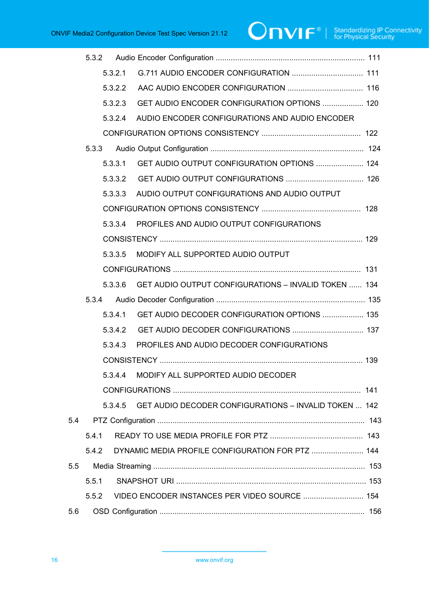# $\boxed{\color{red} \bigcap \textbf{VIF}^{\textcolor{red}{\textcircled{\tiny 8}} \mid \ \text{Standardizing IP Connectivity}}}$

|     | 5.3.2 |         |                                                               |  |
|-----|-------|---------|---------------------------------------------------------------|--|
|     |       | 5.3.2.1 |                                                               |  |
|     |       | 5.3.2.2 |                                                               |  |
|     |       | 5.3.2.3 | GET AUDIO ENCODER CONFIGURATION OPTIONS  120                  |  |
|     |       | 5.3.2.4 | AUDIO ENCODER CONFIGURATIONS AND AUDIO ENCODER                |  |
|     |       |         |                                                               |  |
|     | 5.3.3 |         |                                                               |  |
|     |       | 5.3.3.1 | GET AUDIO OUTPUT CONFIGURATION OPTIONS  124                   |  |
|     |       | 5.3.3.2 |                                                               |  |
|     |       | 5.3.3.3 | AUDIO OUTPUT CONFIGURATIONS AND AUDIO OUTPUT                  |  |
|     |       |         |                                                               |  |
|     |       | 5.3.3.4 | PROFILES AND AUDIO OUTPUT CONFIGURATIONS                      |  |
|     |       |         |                                                               |  |
|     |       | 5.3.3.5 | MODIFY ALL SUPPORTED AUDIO OUTPUT                             |  |
|     |       |         |                                                               |  |
|     |       | 5.3.3.6 | GET AUDIO OUTPUT CONFIGURATIONS - INVALID TOKEN  134          |  |
|     | 5.3.4 |         |                                                               |  |
|     |       | 5.3.4.1 | GET AUDIO DECODER CONFIGURATION OPTIONS  135                  |  |
|     |       | 5.3.4.2 |                                                               |  |
|     |       | 5.3.4.3 | PROFILES AND AUDIO DECODER CONFIGURATIONS                     |  |
|     |       |         |                                                               |  |
|     |       |         | 5.3.4.4 MODIFY ALL SUPPORTED AUDIO DECODER                    |  |
|     |       |         |                                                               |  |
|     |       |         | 5.3.4.5 GET AUDIO DECODER CONFIGURATIONS - INVALID TOKEN  142 |  |
| 5.4 |       |         |                                                               |  |
|     | 5.4.1 |         |                                                               |  |
|     | 5.4.2 |         | DYNAMIC MEDIA PROFILE CONFIGURATION FOR PTZ  144              |  |
| 5.5 |       |         |                                                               |  |
|     | 5.5.1 |         |                                                               |  |
|     | 5.5.2 |         | VIDEO ENCODER INSTANCES PER VIDEO SOURCE  154                 |  |
| 5.6 |       |         |                                                               |  |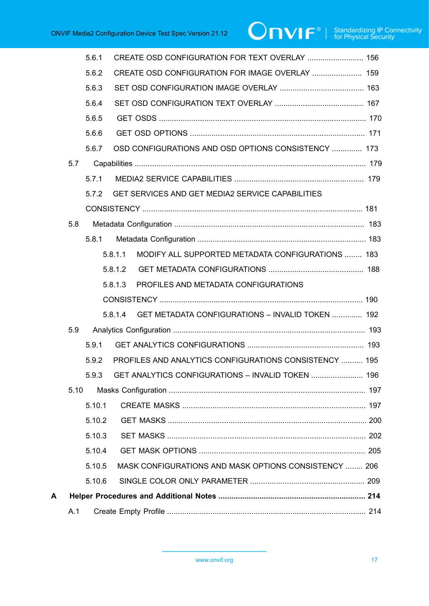|   |      | 5.6.1  | CREATE OSD CONFIGURATION FOR TEXT OVERLAY  156               |  |
|---|------|--------|--------------------------------------------------------------|--|
|   |      | 5.6.2  | CREATE OSD CONFIGURATION FOR IMAGE OVERLAY  159              |  |
|   |      | 5.6.3  |                                                              |  |
|   |      | 5.6.4  |                                                              |  |
|   |      | 5.6.5  |                                                              |  |
|   |      | 5.6.6  |                                                              |  |
|   |      | 5.6.7  | OSD CONFIGURATIONS AND OSD OPTIONS CONSISTENCY  173          |  |
|   | 5.7  |        |                                                              |  |
|   |      | 5.7.1  |                                                              |  |
|   |      | 5.7.2  | GET SERVICES AND GET MEDIA2 SERVICE CAPABILITIES             |  |
|   |      |        |                                                              |  |
|   | 5.8  |        |                                                              |  |
|   |      | 5.8.1  |                                                              |  |
|   |      |        | MODIFY ALL SUPPORTED METADATA CONFIGURATIONS  183<br>5.8.1.1 |  |
|   |      |        | 5.8.1.2                                                      |  |
|   |      |        | PROFILES AND METADATA CONFIGURATIONS<br>5.8.1.3              |  |
|   |      |        |                                                              |  |
|   |      |        | 5.8.1.4 GET METADATA CONFIGURATIONS - INVALID TOKEN  192     |  |
|   | 5.9  |        |                                                              |  |
|   |      | 5.9.1  |                                                              |  |
|   |      | 5.9.2  | PROFILES AND ANALYTICS CONFIGURATIONS CONSISTENCY  195       |  |
|   |      |        | 5.9.3 GET ANALYTICS CONFIGURATIONS - INVALID TOKEN  196      |  |
|   | 5.10 |        |                                                              |  |
|   |      | 5.10.1 |                                                              |  |
|   |      | 5.10.2 |                                                              |  |
|   |      | 5.10.3 |                                                              |  |
|   |      | 5.10.4 |                                                              |  |
|   |      | 5.10.5 | MASK CONFIGURATIONS AND MASK OPTIONS CONSISTENCY  206        |  |
|   |      | 5.10.6 |                                                              |  |
| А |      |        |                                                              |  |
|   | A.1  |        |                                                              |  |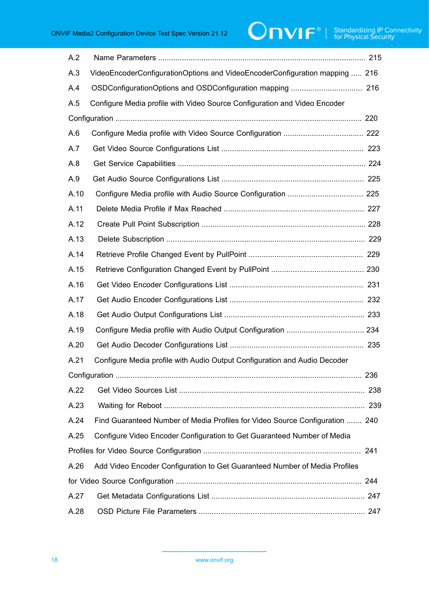# $\boxed{\color{red} \bigcap \textbf{VIF}^{\textcolor{red}{\textcircled{\tiny 1}} \mid \; \text{Standardizing IP Connectivity}}}$

| A.2  |                                                                              |
|------|------------------------------------------------------------------------------|
| A.3  | VideoEncoderConfigurationOptions and VideoEncoderConfiguration mapping  216  |
| A.4  |                                                                              |
| A.5  | Configure Media profile with Video Source Configuration and Video Encoder    |
|      |                                                                              |
| A.6  |                                                                              |
| A.7  |                                                                              |
| A.8  |                                                                              |
| A.9  |                                                                              |
| A.10 |                                                                              |
| A.11 |                                                                              |
| A.12 |                                                                              |
| A.13 |                                                                              |
| A.14 |                                                                              |
| A.15 |                                                                              |
| A.16 |                                                                              |
| A.17 |                                                                              |
| A.18 |                                                                              |
| A.19 |                                                                              |
| A.20 |                                                                              |
| A.21 | Configure Media profile with Audio Output Configuration and Audio Decoder    |
|      |                                                                              |
| A.22 |                                                                              |
| A.23 |                                                                              |
| A.24 | Find Guaranteed Number of Media Profiles for Video Source Configuration  240 |
| A.25 | Configure Video Encoder Configuration to Get Guaranteed Number of Media      |
|      |                                                                              |
| A.26 | Add Video Encoder Configuration to Get Guaranteed Number of Media Profiles   |
|      |                                                                              |
| A.27 |                                                                              |
| A.28 |                                                                              |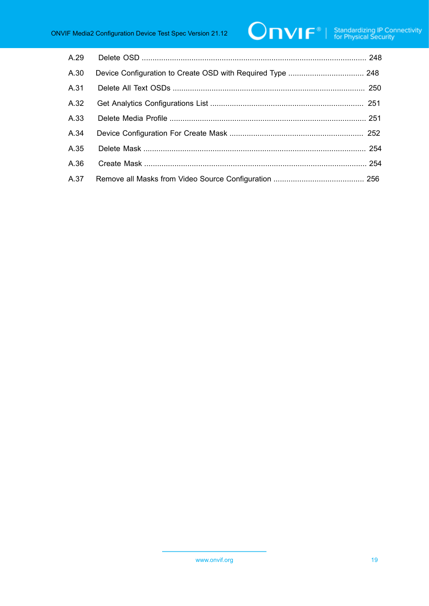# $\boxed{\color{red} \bigcap \textbf{VIF}^{\textcolor{red}{\textcircled{\tiny 1}} \mid \; \text{Standardizing IP Connectivity}}}$

| A.29 |  |
|------|--|
| A.30 |  |
| A.31 |  |
| A.32 |  |
| A.33 |  |
| A.34 |  |
| A.35 |  |
| A.36 |  |
| A.37 |  |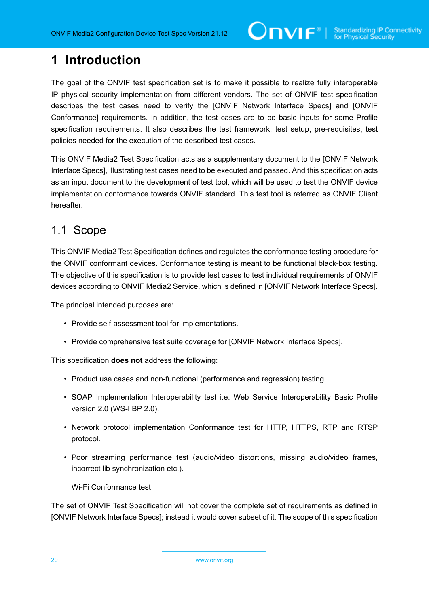## <span id="page-19-0"></span>**1 Introduction**

The goal of the ONVIF test specification set is to make it possible to realize fully interoperable IP physical security implementation from different vendors. The set of ONVIF test specification describes the test cases need to verify the [ONVIF Network Interface Specs] and [ONVIF Conformance] requirements. In addition, the test cases are to be basic inputs for some Profile specification requirements. It also describes the test framework, test setup, pre-requisites, test policies needed for the execution of the described test cases.

This ONVIF Media2 Test Specification acts as a supplementary document to the [ONVIF Network Interface Specs], illustrating test cases need to be executed and passed. And this specification acts as an input document to the development of test tool, which will be used to test the ONVIF device implementation conformance towards ONVIF standard. This test tool is referred as ONVIF Client hereafter.

## <span id="page-19-1"></span>1.1 Scope

This ONVIF Media2 Test Specification defines and regulates the conformance testing procedure for the ONVIF conformant devices. Conformance testing is meant to be functional black-box testing. The objective of this specification is to provide test cases to test individual requirements of ONVIF devices according to ONVIF Media2 Service, which is defined in [ONVIF Network Interface Specs].

The principal intended purposes are:

- Provide self-assessment tool for implementations.
- Provide comprehensive test suite coverage for [ONVIF Network Interface Specs].

This specification **does not** address the following:

- Product use cases and non-functional (performance and regression) testing.
- SOAP Implementation Interoperability test i.e. Web Service Interoperability Basic Profile version 2.0 (WS-I BP 2.0).
- Network protocol implementation Conformance test for HTTP, HTTPS, RTP and RTSP protocol.
- Poor streaming performance test (audio/video distortions, missing audio/video frames, incorrect lib synchronization etc.).

Wi-Fi Conformance test

The set of ONVIF Test Specification will not cover the complete set of requirements as defined in [ONVIF Network Interface Specs]; instead it would cover subset of it. The scope of this specification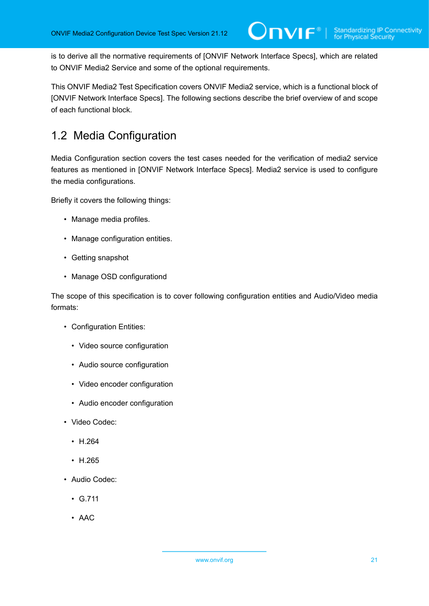is to derive all the normative requirements of [ONVIF Network Interface Specs], which are related to ONVIF Media2 Service and some of the optional requirements.

This ONVIF Media2 Test Specification covers ONVIF Media2 service, which is a functional block of [ONVIF Network Interface Specs]. The following sections describe the brief overview of and scope of each functional block.

## <span id="page-20-0"></span>1.2 Media Configuration

Media Configuration section covers the test cases needed for the verification of media2 service features as mentioned in [ONVIF Network Interface Specs]. Media2 service is used to configure the media configurations.

Briefly it covers the following things:

- Manage media profiles.
- Manage configuration entities.
- Getting snapshot
- Manage OSD configurationd

The scope of this specification is to cover following configuration entities and Audio/Video media formats:

- Configuration Entities:
	- Video source configuration
	- Audio source configuration
	- Video encoder configuration
	- Audio encoder configuration
- Video Codec:
	- H.264
	- H.265
- Audio Codec:
	- G.711
	- AAC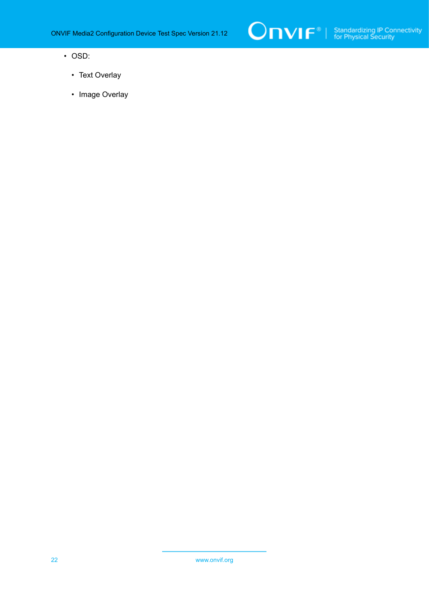

- OSD:
	- Text Overlay
	- Image Overlay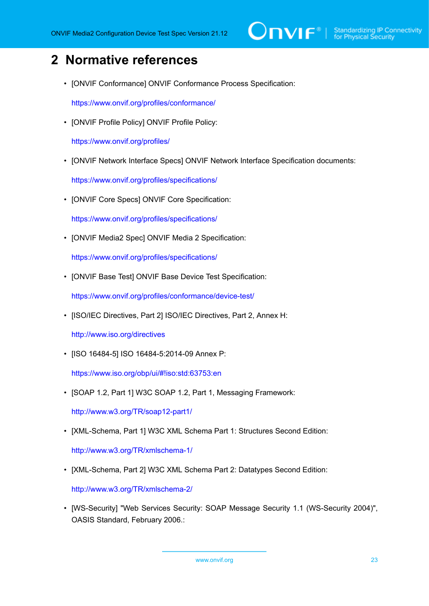# $\sum_{\text{ref}}$   $\sum_{\text{ref}}$   $\sum_{\text{ref}}$  Standardizing IP Connectivity

# <span id="page-22-0"></span>**2 Normative references**

• [ONVIF Conformance] ONVIF Conformance Process Specification:

<https://www.onvif.org/profiles/conformance/>

• [ONVIF Profile Policy] ONVIF Profile Policy:

<https://www.onvif.org/profiles/>

• [ONVIF Network Interface Specs] ONVIF Network Interface Specification documents:

<https://www.onvif.org/profiles/specifications/>

• [ONVIF Core Specs] ONVIF Core Specification:

<https://www.onvif.org/profiles/specifications/>

• [ONVIF Media2 Spec] ONVIF Media 2 Specification:

<https://www.onvif.org/profiles/specifications/>

• [ONVIF Base Test] ONVIF Base Device Test Specification:

<https://www.onvif.org/profiles/conformance/device-test/>

• [ISO/IEC Directives, Part 2] ISO/IEC Directives, Part 2, Annex H:

<http://www.iso.org/directives>

• [ISO 16484-5] ISO 16484-5:2014-09 Annex P:

<https://www.iso.org/obp/ui/#!iso:std:63753:en>

• [SOAP 1.2, Part 1] W3C SOAP 1.2, Part 1, Messaging Framework:

<http://www.w3.org/TR/soap12-part1/>

• [XML-Schema, Part 1] W3C XML Schema Part 1: Structures Second Edition:

<http://www.w3.org/TR/xmlschema-1/>

• [XML-Schema, Part 2] W3C XML Schema Part 2: Datatypes Second Edition:

<http://www.w3.org/TR/xmlschema-2/>

• [WS-Security] "Web Services Security: SOAP Message Security 1.1 (WS-Security 2004)", OASIS Standard, February 2006.: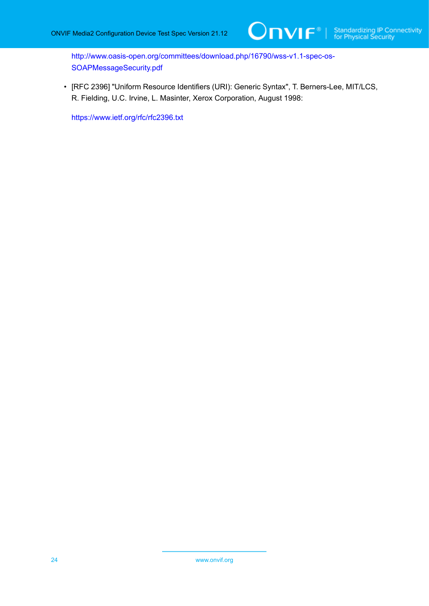[http://www.oasis-open.org/committees/download.php/16790/wss-v1.1-spec-os-](http://www.oasis-open.org/committees/download.php/16790/wss-v1.1-spec-os-SOAPMessageSecurity.pdf)[SOAPMessageSecurity.pdf](http://www.oasis-open.org/committees/download.php/16790/wss-v1.1-spec-os-SOAPMessageSecurity.pdf)

• [RFC 2396] "Uniform Resource Identifiers (URI): Generic Syntax", T. Berners-Lee, MIT/LCS, R. Fielding, U.C. Irvine, L. Masinter, Xerox Corporation, August 1998:

<https://www.ietf.org/rfc/rfc2396.txt>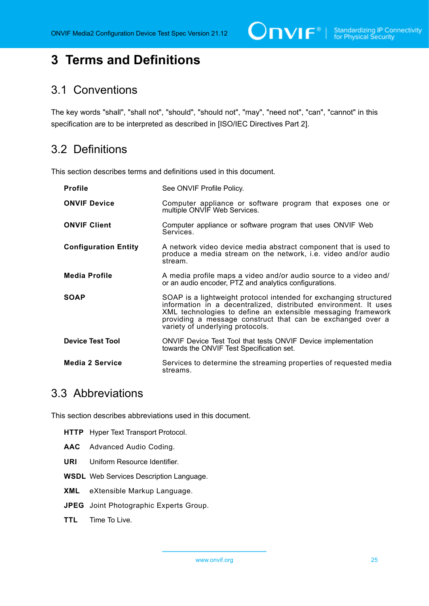$\bigcirc$   $\bigcap$   $\bigvee$   $\bigcap$   $\bigcirc$   $\bigcirc$   $\bigcirc$   $\bigcirc$   $\bigcirc$   $\bigcirc$   $\bigcirc$   $\bigcirc$   $\bigcirc$   $\bigcirc$   $\bigcirc$   $\bigcirc$   $\bigcirc$   $\bigcirc$   $\bigcirc$   $\bigcirc$   $\bigcirc$   $\bigcirc$   $\bigcirc$   $\bigcirc$   $\bigcirc$   $\bigcirc$   $\bigcirc$   $\bigcirc$   $\bigcirc$   $\bigcirc$   $\bigcirc$   $\bigcirc$   $\bigcirc$   $\bigcirc$   $\bigcirc$   $\bigcirc$   $\bigcirc$ 

## <span id="page-24-0"></span>**3 Terms and Definitions**

### <span id="page-24-1"></span>3.1 Conventions

The key words "shall", "shall not", "should", "should not", "may", "need not", "can", "cannot" in this specification are to be interpreted as described in [ISO/IEC Directives Part 2].

### <span id="page-24-2"></span>3.2 Definitions

This section describes terms and definitions used in this document.

| <b>Profile</b>              | See ONVIF Profile Policy.                                                                                                                                                                                                                                                                               |
|-----------------------------|---------------------------------------------------------------------------------------------------------------------------------------------------------------------------------------------------------------------------------------------------------------------------------------------------------|
| <b>ONVIF Device</b>         | Computer appliance or software program that exposes one or<br>multiple ONVIF Web Services.                                                                                                                                                                                                              |
| <b>ONVIF Client</b>         | Computer appliance or software program that uses ONVIF Web<br>Services.                                                                                                                                                                                                                                 |
| <b>Configuration Entity</b> | A network video device media abstract component that is used to<br>produce a media stream on the network, i.e. video and/or audio<br>stream.                                                                                                                                                            |
| <b>Media Profile</b>        | A media profile maps a video and/or audio source to a video and/<br>or an audio encoder, PTZ and analytics configurations.                                                                                                                                                                              |
| <b>SOAP</b>                 | SOAP is a lightweight protocol intended for exchanging structured<br>information in a decentralized, distributed environment. It uses<br>XML technologies to define an extensible messaging framework<br>providing a message construct that can be exchanged over a<br>variety of underlying protocols. |
| <b>Device Test Tool</b>     | ONVIF Device Test Tool that tests ONVIF Device implementation<br>towards the ONVIF Test Specification set.                                                                                                                                                                                              |
| <b>Media 2 Service</b>      | Services to determine the streaming properties of requested media<br>streams.                                                                                                                                                                                                                           |

### <span id="page-24-3"></span>3.3 Abbreviations

This section describes abbreviations used in this document.

- **HTTP** Hyper Text Transport Protocol.
- **AAC** Advanced Audio Coding.
- **URI** Uniform Resource Identifier.
- **WSDL** Web Services Description Language.
- **XML** eXtensible Markup Language.
- **JPEG** Joint Photographic Experts Group.
- **TTL** Time To Live.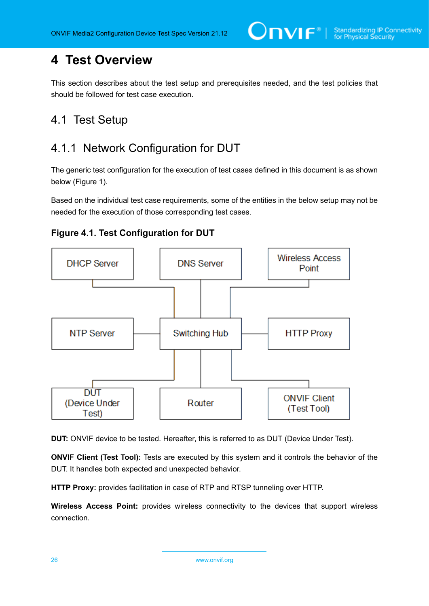## <span id="page-25-0"></span>**4 Test Overview**

This section describes about the test setup and prerequisites needed, and the test policies that should be followed for test case execution.

## <span id="page-25-1"></span>4.1 Test Setup

## <span id="page-25-2"></span>4.1.1 Network Configuration for DUT

The generic test configuration for the execution of test cases defined in this document is as shown below (Figure 1).

Based on the individual test case requirements, some of the entities in the below setup may not be needed for the execution of those corresponding test cases.





**DUT:** ONVIF device to be tested. Hereafter, this is referred to as DUT (Device Under Test).

**ONVIF Client (Test Tool):** Tests are executed by this system and it controls the behavior of the DUT. It handles both expected and unexpected behavior.

**HTTP Proxy:** provides facilitation in case of RTP and RTSP tunneling over HTTP.

**Wireless Access Point:** provides wireless connectivity to the devices that support wireless connection.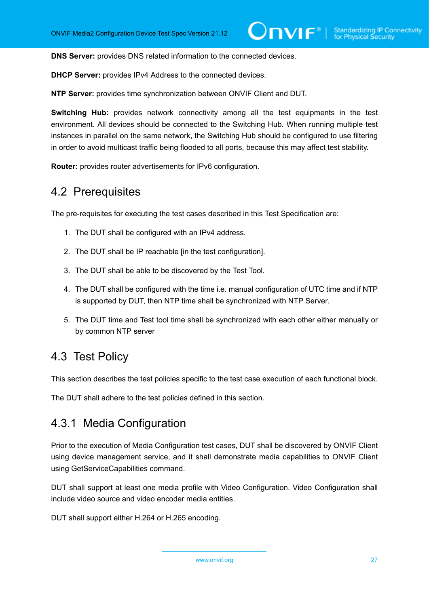**DNS Server:** provides DNS related information to the connected devices.

**DHCP Server:** provides IPv4 Address to the connected devices.

**NTP Server:** provides time synchronization between ONVIF Client and DUT.

**Switching Hub:** provides network connectivity among all the test equipments in the test environment. All devices should be connected to the Switching Hub. When running multiple test instances in parallel on the same network, the Switching Hub should be configured to use filtering in order to avoid multicast traffic being flooded to all ports, because this may affect test stability.

<span id="page-26-0"></span>**Router:** provides router advertisements for IPv6 configuration.

### 4.2 Prerequisites

The pre-requisites for executing the test cases described in this Test Specification are:

- 1. The DUT shall be configured with an IPv4 address.
- 2. The DUT shall be IP reachable [in the test configuration].
- 3. The DUT shall be able to be discovered by the Test Tool.
- 4. The DUT shall be configured with the time i.e. manual configuration of UTC time and if NTP is supported by DUT, then NTP time shall be synchronized with NTP Server.
- 5. The DUT time and Test tool time shall be synchronized with each other either manually or by common NTP server

## <span id="page-26-1"></span>4.3 Test Policy

This section describes the test policies specific to the test case execution of each functional block.

<span id="page-26-2"></span>The DUT shall adhere to the test policies defined in this section.

## 4.3.1 Media Configuration

Prior to the execution of Media Configuration test cases, DUT shall be discovered by ONVIF Client using device management service, and it shall demonstrate media capabilities to ONVIF Client using GetServiceCapabilities command.

DUT shall support at least one media profile with Video Configuration. Video Configuration shall include video source and video encoder media entities.

DUT shall support either H.264 or H.265 encoding.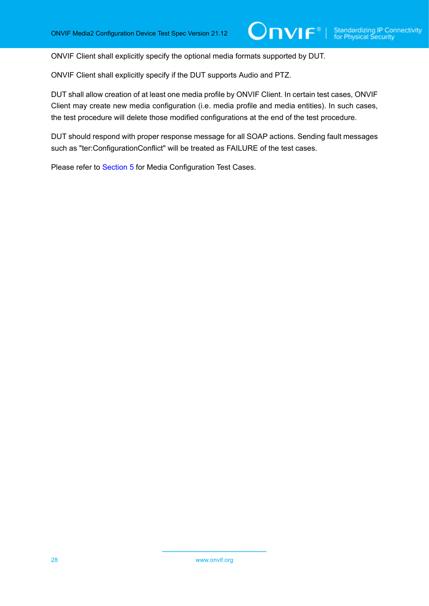ONVIF Client shall explicitly specify the optional media formats supported by DUT.

ONVIF Client shall explicitly specify if the DUT supports Audio and PTZ.

DUT shall allow creation of at least one media profile by ONVIF Client. In certain test cases, ONVIF Client may create new media configuration (i.e. media profile and media entities). In such cases, the test procedure will delete those modified configurations at the end of the test procedure.

DUT should respond with proper response message for all SOAP actions. Sending fault messages such as "ter:ConfigurationConflict" will be treated as FAILURE of the test cases.

Please refer to [Section 5](#page-28-0) for Media Configuration Test Cases.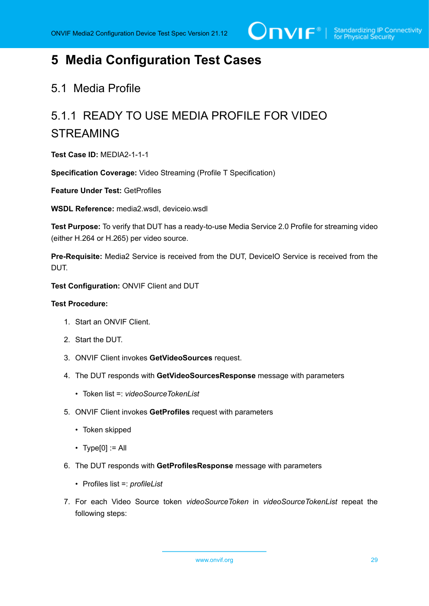## <span id="page-28-0"></span>**5 Media Configuration Test Cases**

## <span id="page-28-1"></span>5.1 Media Profile

# <span id="page-28-2"></span>5.1.1 READY TO USE MEDIA PROFILE FOR VIDEO STREAMING

**Test Case ID:** MEDIA2-1-1-1

**Specification Coverage:** Video Streaming (Profile T Specification)

**Feature Under Test:** GetProfiles

**WSDL Reference:** media2.wsdl, deviceio.wsdl

**Test Purpose:** To verify that DUT has a ready-to-use Media Service 2.0 Profile for streaming video (either H.264 or H.265) per video source.

**Pre-Requisite:** Media2 Service is received from the DUT, DeviceIO Service is received from the DUT.

**Test Configuration:** ONVIF Client and DUT

#### **Test Procedure:**

- 1. Start an ONVIF Client.
- 2. Start the DUT.
- 3. ONVIF Client invokes **GetVideoSources** request.
- 4. The DUT responds with **GetVideoSourcesResponse** message with parameters
	- Token list =: *videoSourceTokenList*
- 5. ONVIF Client invokes **GetProfiles** request with parameters
	- Token skipped
	- $\cdot$  Type[0] := All
- 6. The DUT responds with **GetProfilesResponse** message with parameters
	- Profiles list =: *profileList*
- 7. For each Video Source token *videoSourceToken* in *videoSourceTokenList* repeat the following steps: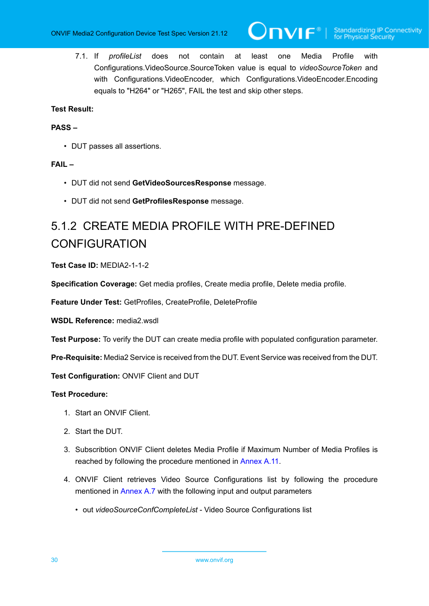7.1. If *profileList* does not contain at least one Media Profile with Configurations.VideoSource.SourceToken value is equal to *videoSourceToken* and with Configurations.VideoEncoder, which Configurations.VideoEncoder.Encoding equals to "H264" or "H265", FAIL the test and skip other steps.

#### **Test Result:**

#### **PASS –**

• DUT passes all assertions.

#### **FAIL –**

- DUT did not send **GetVideoSourcesResponse** message.
- DUT did not send **GetProfilesResponse** message.

## <span id="page-29-0"></span>5.1.2 CREATE MEDIA PROFILE WITH PRE-DEFINED CONFIGURATION

#### **Test Case ID:** MEDIA2-1-1-2

**Specification Coverage:** Get media profiles, Create media profile, Delete media profile.

**Feature Under Test:** GetProfiles, CreateProfile, DeleteProfile

**WSDL Reference:** media2.wsdl

**Test Purpose:** To verify the DUT can create media profile with populated configuration parameter.

**Pre-Requisite:** Media2 Service is received from the DUT. Event Service was received from the DUT.

**Test Configuration:** ONVIF Client and DUT

#### **Test Procedure:**

- 1. Start an ONVIF Client.
- 2. Start the DUT.
- 3. Subscribtion ONVIF Client deletes Media Profile if Maximum Number of Media Profiles is reached by following the procedure mentioned in [Annex](#page-226-0) A.11.
- 4. ONVIF Client retrieves Video Source Configurations list by following the procedure mentioned in [Annex A.7](#page-222-0) with the following input and output parameters
	- out *videoSourceConfCompleteList* Video Source Configurations list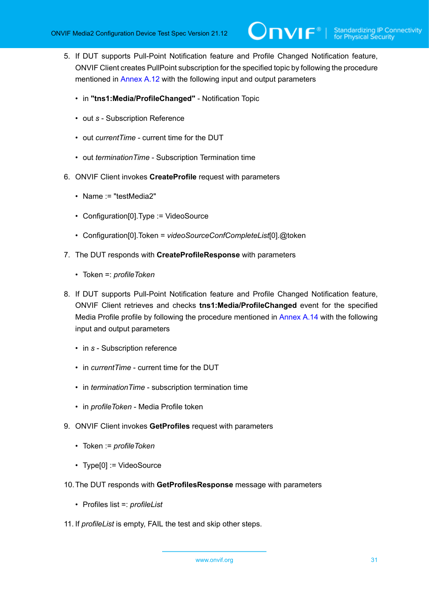- <span id="page-30-0"></span>5. If DUT supports Pull-Point Notification feature and Profile Changed Notification feature, ONVIF Client creates PullPoint subscription for the specified topic by following the procedure mentioned in [Annex A.12](#page-227-0) with the following input and output parameters
	- in **"tns1:Media/ProfileChanged"** Notification Topic
	- out *s* Subscription Reference
	- out *currentTime* current time for the DUT
	- out *terminationTime* Subscription Termination time
- 6. ONVIF Client invokes **CreateProfile** request with parameters
	- Name := "testMedia2"
	- Configuration[0].Type := VideoSource
	- Configuration[0].Token = *videoSourceConfCompleteList*[0].@token
- 7. The DUT responds with **CreateProfileResponse** with parameters
	- Token =: *profileToken*
- 8. If DUT supports Pull-Point Notification feature and Profile Changed Notification feature, ONVIF Client retrieves and checks **tns1:Media/ProfileChanged** event for the specified Media Profile profile by following the procedure mentioned in [Annex A.14](#page-228-1) with the following input and output parameters
	- in *s* Subscription reference
	- in *currentTime* current time for the DUT
	- in *terminationTime* subscription termination time
	- in *profileToken* Media Profile token
- 9. ONVIF Client invokes **GetProfiles** request with parameters
	- Token := *profileToken*
	- Type[0] := VideoSource
- 10.The DUT responds with **GetProfilesResponse** message with parameters
	- Profiles list =: *profileList*
- 11. If *profileList* is empty, FAIL the test and skip other steps.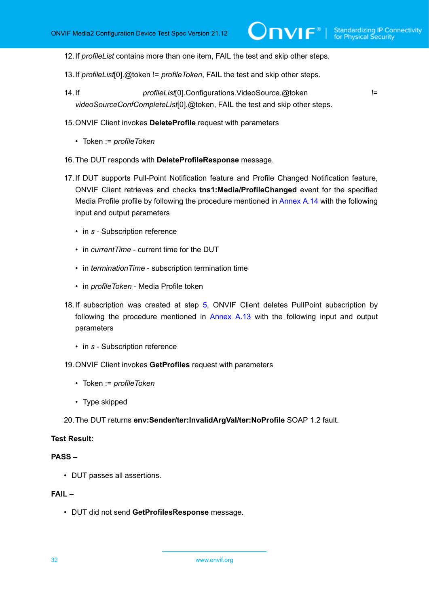- 12.If *profileList* contains more than one item, FAIL the test and skip other steps.
- 13.If *profileList*[0].@token != *profileToken*, FAIL the test and skip other steps.
- 14.If *profileList*[0].Configurations.VideoSource.@token != *videoSourceConfCompleteList*[0].@token, FAIL the test and skip other steps.
- 15.ONVIF Client invokes **DeleteProfile** request with parameters
	- Token := *profileToken*
- 16.The DUT responds with **DeleteProfileResponse** message.
- 17.If DUT supports Pull-Point Notification feature and Profile Changed Notification feature, ONVIF Client retrieves and checks **tns1:Media/ProfileChanged** event for the specified Media Profile profile by following the procedure mentioned in [Annex A.14](#page-228-1) with the following input and output parameters
	- in *s* Subscription reference
	- in *currentTime* current time for the DUT
	- in *terminationTime* subscription termination time
	- in *profileToken* Media Profile token
- 18. If subscription was created at step [5](#page-30-0), ONVIF Client deletes PullPoint subscription by following the procedure mentioned in [Annex A.13](#page-228-0) with the following input and output parameters
	- in *s* Subscription reference
- 19.ONVIF Client invokes **GetProfiles** request with parameters
	- Token := *profileToken*
	- Type skipped
- 20.The DUT returns **env:Sender/ter:InvalidArgVal/ter:NoProfile** SOAP 1.2 fault.

#### **Test Result:**

#### **PASS –**

• DUT passes all assertions.

#### **FAIL –**

• DUT did not send **GetProfilesResponse** message.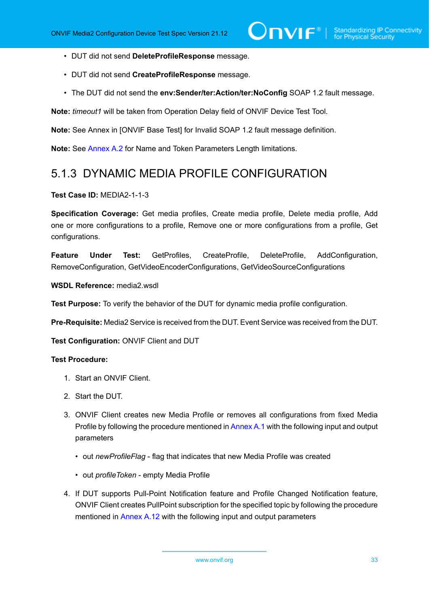- DUT did not send **DeleteProfileResponse** message.
- DUT did not send **CreateProfileResponse** message.
- The DUT did not send the **env:Sender/ter:Action/ter:NoConfig** SOAP 1.2 fault message.

**Note:** *timeout1* will be taken from Operation Delay field of ONVIF Device Test Tool.

**Note:** See Annex in [ONVIF Base Test] for Invalid SOAP 1.2 fault message definition.

<span id="page-32-0"></span>**Note:** See [Annex A.2](#page-214-0) for Name and Token Parameters Length limitations.

## 5.1.3 DYNAMIC MEDIA PROFILE CONFIGURATION

#### **Test Case ID:** MEDIA2-1-1-3

**Specification Coverage:** Get media profiles, Create media profile, Delete media profile, Add one or more configurations to a profile, Remove one or more configurations from a profile, Get configurations.

**Feature Under Test:** GetProfiles, CreateProfile, DeleteProfile, AddConfiguration, RemoveConfiguration, GetVideoEncoderConfigurations, GetVideoSourceConfigurations

**WSDL Reference:** media2.wsdl

**Test Purpose:** To verify the behavior of the DUT for dynamic media profile configuration.

**Pre-Requisite:** Media2 Service is received from the DUT. Event Service was received from the DUT.

**Test Configuration:** ONVIF Client and DUT

#### **Test Procedure:**

- 1. Start an ONVIF Client.
- 2. Start the DUT.
- 3. ONVIF Client creates new Media Profile or removes all configurations from fixed Media Profile by following the procedure mentioned in [Annex A.1](#page-213-1) with the following input and output parameters
	- out *newProfileFlag* flag that indicates that new Media Profile was created
	- out *profileToken* empty Media Profile
- 4. If DUT supports Pull-Point Notification feature and Profile Changed Notification feature, ONVIF Client creates PullPoint subscription for the specified topic by following the procedure mentioned in [Annex A.12](#page-227-0) with the following input and output parameters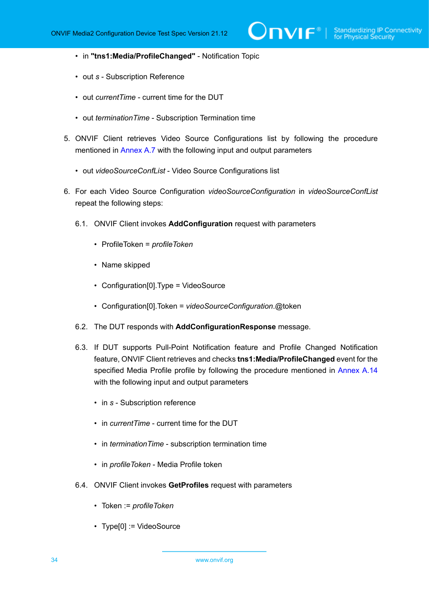- in **"tns1:Media/ProfileChanged"** Notification Topic
- out *s* Subscription Reference
- out *currentTime* current time for the DUT
- out *terminationTime* Subscription Termination time
- 5. ONVIF Client retrieves Video Source Configurations list by following the procedure mentioned in [Annex A.7](#page-222-0) with the following input and output parameters
	- out *videoSourceConfList* Video Source Configurations list
- 6. For each Video Source Configuration *videoSourceConfiguration* in *videoSourceConfList* repeat the following steps:
	- 6.1. ONVIF Client invokes **AddConfiguration** request with parameters
		- ProfileToken = *profileToken*
		- Name skipped
		- Configuration[0].Type = VideoSource
		- Configuration[0].Token = *videoSourceConfiguration*.@token
	- 6.2. The DUT responds with **AddConfigurationResponse** message.
	- 6.3. If DUT supports Pull-Point Notification feature and Profile Changed Notification feature, ONVIF Client retrieves and checks **tns1:Media/ProfileChanged** event for the specified Media Profile profile by following the procedure mentioned in [Annex A.14](#page-228-1) with the following input and output parameters
		- in *s* Subscription reference
		- in *currentTime* current time for the DUT
		- in *terminationTime* subscription termination time
		- in *profileToken* Media Profile token
	- 6.4. ONVIF Client invokes **GetProfiles** request with parameters
		- Token := *profileToken*
		- Type[0] := VideoSource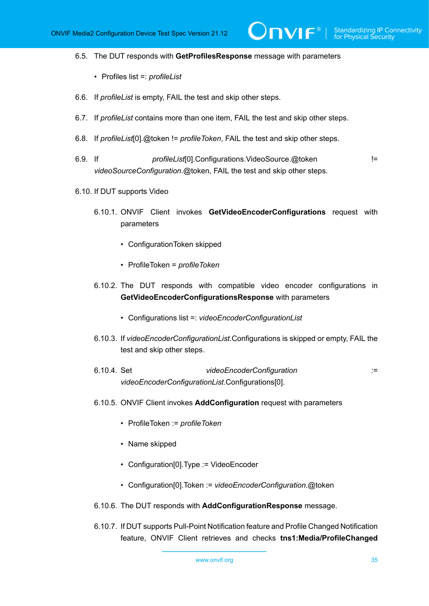#### 6.5. The DUT responds with **GetProfilesResponse** message with parameters

- Profiles list =: *profileList*
- 6.6. If *profileList* is empty, FAIL the test and skip other steps.
- 6.7. If *profileList* contains more than one item, FAIL the test and skip other steps.
- 6.8. If *profileList*[0].@token != *profileToken*, FAIL the test and skip other steps.
- 6.9. If *profileList*[0].Configurations.VideoSource.@token != *videoSourceConfiguration*.@token, FAIL the test and skip other steps.
- 6.10. If DUT supports Video
	- 6.10.1. ONVIF Client invokes **GetVideoEncoderConfigurations** request with parameters
		- ConfigurationToken skipped
		- ProfileToken = *profileToken*
	- 6.10.2. The DUT responds with compatible video encoder configurations in **GetVideoEncoderConfigurationsResponse** with parameters
		- Configurations list =: *videoEncoderConfigurationList*
	- 6.10.3. If *videoEncoderConfigurationList*.Configurations is skipped or empty, FAIL the test and skip other steps.
	- 6.10.4. Set *videoEncoderConfiguration* := *videoEncoderConfigurationList*.Configurations[0].
	- 6.10.5. ONVIF Client invokes **AddConfiguration** request with parameters
		- ProfileToken := *profileToken*
		- Name skipped
		- Configuration[0].Type := VideoEncoder
		- Configuration[0].Token := *videoEncoderConfiguration*.@token
	- 6.10.6. The DUT responds with **AddConfigurationResponse** message.
	- 6.10.7. If DUT supports Pull-Point Notification feature and Profile Changed Notification feature, ONVIF Client retrieves and checks **tns1:Media/ProfileChanged**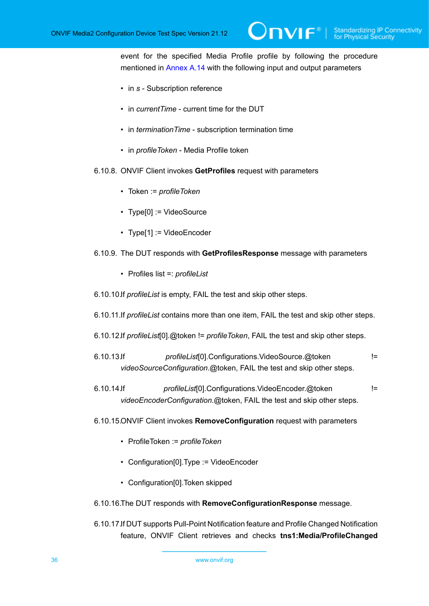event for the specified Media Profile profile by following the procedure mentioned in [Annex A.14](#page-228-1) with the following input and output parameters

 $\mathsf{D}\mathbf{N}\mathsf{I}\mathsf{F}^\ast$ l

- in *s* Subscription reference
- in *currentTime* current time for the DUT
- in *terminationTime* subscription termination time
- in *profileToken* Media Profile token
- 6.10.8. ONVIF Client invokes **GetProfiles** request with parameters
	- Token := *profileToken*
	- Type[0] := VideoSource
	- Type[1] := VideoEncoder
- 6.10.9. The DUT responds with **GetProfilesResponse** message with parameters
	- Profiles list =: *profileList*
- 6.10.10.If *profileList* is empty, FAIL the test and skip other steps.
- 6.10.11.If *profileList* contains more than one item, FAIL the test and skip other steps.
- 6.10.12.If *profileList*[0].@token != *profileToken*, FAIL the test and skip other steps.
- 6.10.13.If *profileList*[0].Configurations.VideoSource.@token != *videoSourceConfiguration*.@token, FAIL the test and skip other steps.
- 6.10.14.If *profileList*[0].Configurations.VideoEncoder.@token != *videoEncoderConfiguration*.@token, FAIL the test and skip other steps.
- 6.10.15.ONVIF Client invokes **RemoveConfiguration** request with parameters
	- ProfileToken := *profileToken*
	- Configuration[0].Type := VideoEncoder
	- Configuration[0].Token skipped
- 6.10.16.The DUT responds with **RemoveConfigurationResponse** message.
- 6.10.17.If DUT supports Pull-Point Notification feature and Profile Changed Notification feature, ONVIF Client retrieves and checks **tns1:Media/ProfileChanged**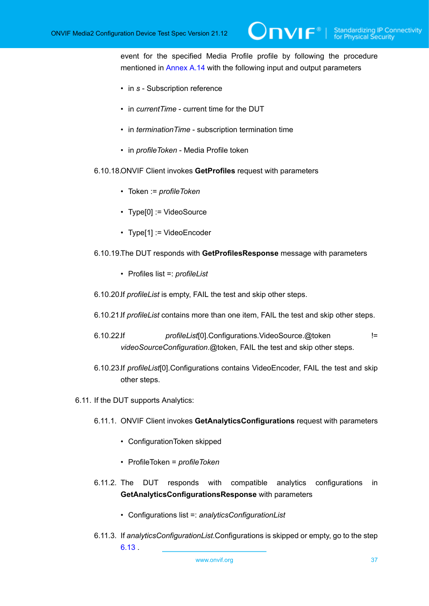event for the specified Media Profile profile by following the procedure mentioned in [Annex A.14](#page-228-0) with the following input and output parameters

 $\mathsf{D}\mathbf{N}\mathsf{I}\mathsf{F}^*$ l

- in *s* Subscription reference
- in *currentTime* current time for the DUT
- in *terminationTime* subscription termination time
- in *profileToken* Media Profile token
- 6.10.18.ONVIF Client invokes **GetProfiles** request with parameters
	- Token := *profileToken*
	- Type[0] := VideoSource
	- Type[1] := VideoEncoder
- 6.10.19.The DUT responds with **GetProfilesResponse** message with parameters
	- Profiles list =: *profileList*
- 6.10.20.If *profileList* is empty, FAIL the test and skip other steps.
- 6.10.21.If *profileList* contains more than one item, FAIL the test and skip other steps.
- 6.10.22.If *profileList*[0].Configurations.VideoSource.@token != *videoSourceConfiguration*.@token, FAIL the test and skip other steps.
- 6.10.23.If *profileList*[0].Configurations contains VideoEncoder, FAIL the test and skip other steps.
- <span id="page-36-0"></span>6.11. If the DUT supports Analytics:
	- 6.11.1. ONVIF Client invokes **GetAnalyticsConfigurations** request with parameters
		- ConfigurationToken skipped
		- ProfileToken = *profileToken*
	- 6.11.2. The DUT responds with compatible analytics configurations in **GetAnalyticsConfigurationsResponse** with parameters
		- Configurations list =: *analyticsConfigurationList*
	- 6.11.3. If *analyticsConfigurationList*.Configurations is skipped or empty, go to the step [6.13](#page-41-0) .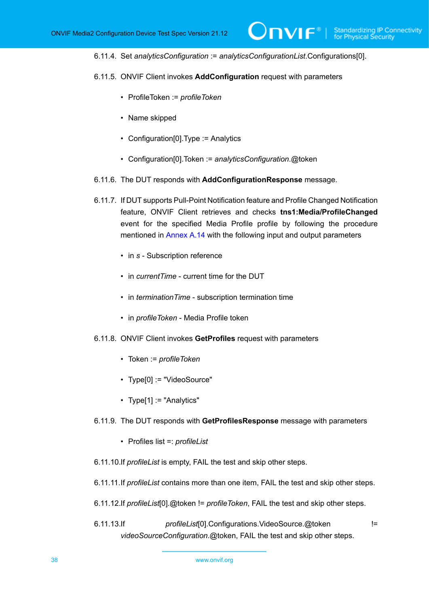6.11.4. Set *analyticsConfiguration* := *analyticsConfigurationList*.Configurations[0].

 $\mathsf{D}\mathbf{N}\mathsf{I}\mathsf{F}^\ast$  i

- 6.11.5. ONVIF Client invokes **AddConfiguration** request with parameters
	- ProfileToken := *profileToken*
	- Name skipped
	- Configuration[0].Type := Analytics
	- Configuration[0].Token := *analyticsConfiguration*.@token
- 6.11.6. The DUT responds with **AddConfigurationResponse** message.
- 6.11.7. If DUT supports Pull-Point Notification feature and Profile Changed Notification feature, ONVIF Client retrieves and checks **tns1:Media/ProfileChanged** event for the specified Media Profile profile by following the procedure mentioned in [Annex A.14](#page-228-0) with the following input and output parameters
	- in *s* Subscription reference
	- in *currentTime* current time for the DUT
	- in *terminationTime* subscription termination time
	- in *profileToken* Media Profile token
- 6.11.8. ONVIF Client invokes **GetProfiles** request with parameters
	- Token := *profileToken*
	- Type[0] := "VideoSource"
	- Type[1] := "Analytics"
- 6.11.9. The DUT responds with **GetProfilesResponse** message with parameters
	- Profiles list =: *profileList*
- 6.11.10.If *profileList* is empty, FAIL the test and skip other steps.
- 6.11.11.If *profileList* contains more than one item, FAIL the test and skip other steps.
- 6.11.12.If *profileList*[0].@token != *profileToken*, FAIL the test and skip other steps.
- 6.11.13.If *profileList*[0].Configurations.VideoSource.@token != *videoSourceConfiguration*.@token, FAIL the test and skip other steps.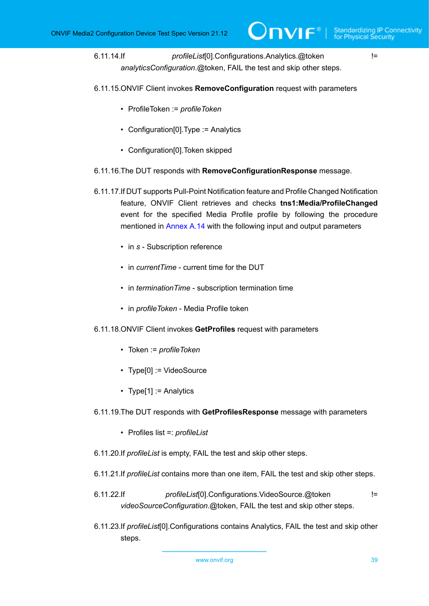6.11.14.If *profileList*[0].Configurations.Analytics.@token != *analyticsConfiguration*.@token, FAIL the test and skip other steps.

- 6.11.15.ONVIF Client invokes **RemoveConfiguration** request with parameters
	- ProfileToken := *profileToken*
	- Configuration[0].Type := Analytics
	- Configuration[0].Token skipped
- 6.11.16.The DUT responds with **RemoveConfigurationResponse** message.
- 6.11.17.If DUT supports Pull-Point Notification feature and Profile Changed Notification feature, ONVIF Client retrieves and checks **tns1:Media/ProfileChanged** event for the specified Media Profile profile by following the procedure mentioned in [Annex A.14](#page-228-0) with the following input and output parameters
	- in *s* Subscription reference
	- in *currentTime* current time for the DUT
	- in *terminationTime* subscription termination time
	- in *profileToken* Media Profile token
- 6.11.18.ONVIF Client invokes **GetProfiles** request with parameters
	- Token := *profileToken*
	- Type[0] := VideoSource
	- Type[1] := Analytics
- 6.11.19.The DUT responds with **GetProfilesResponse** message with parameters
	- Profiles list =: *profileList*
- 6.11.20.If *profileList* is empty, FAIL the test and skip other steps.
- 6.11.21.If *profileList* contains more than one item, FAIL the test and skip other steps.
- 6.11.22.If *profileList*[0].Configurations.VideoSource.@token != *videoSourceConfiguration*.@token, FAIL the test and skip other steps.
- 6.11.23.If *profileList*[0].Configurations contains Analytics, FAIL the test and skip other steps.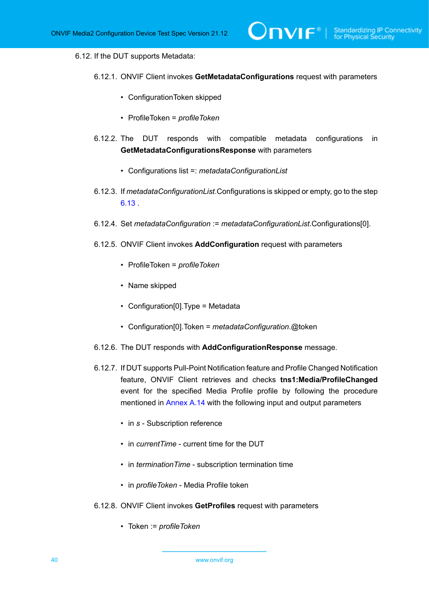### 6.12. If the DUT supports Metadata:

- 6.12.1. ONVIF Client invokes **GetMetadataConfigurations** request with parameters
	- ConfigurationToken skipped
	- ProfileToken = *profileToken*
- 6.12.2. The DUT responds with compatible metadata configurations in **GetMetadataConfigurationsResponse** with parameters
	- Configurations list =: *metadataConfigurationList*
- 6.12.3. If *metadataConfigurationList*.Configurations is skipped or empty, go to the step [6.13](#page-41-0) .
- 6.12.4. Set *metadataConfiguration* := *metadataConfigurationList*.Configurations[0].
- 6.12.5. ONVIF Client invokes **AddConfiguration** request with parameters
	- ProfileToken = *profileToken*
	- Name skipped
	- Configuration[0].Type = Metadata
	- Configuration[0].Token = *metadataConfiguration*.@token
- 6.12.6. The DUT responds with **AddConfigurationResponse** message.
- 6.12.7. If DUT supports Pull-Point Notification feature and Profile Changed Notification feature, ONVIF Client retrieves and checks **tns1:Media/ProfileChanged** event for the specified Media Profile profile by following the procedure mentioned in [Annex A.14](#page-228-0) with the following input and output parameters
	- in *s* Subscription reference
	- in *currentTime* current time for the DUT
	- in *terminationTime* subscription termination time
	- in *profileToken* Media Profile token
- 6.12.8. ONVIF Client invokes **GetProfiles** request with parameters
	- Token := *profileToken*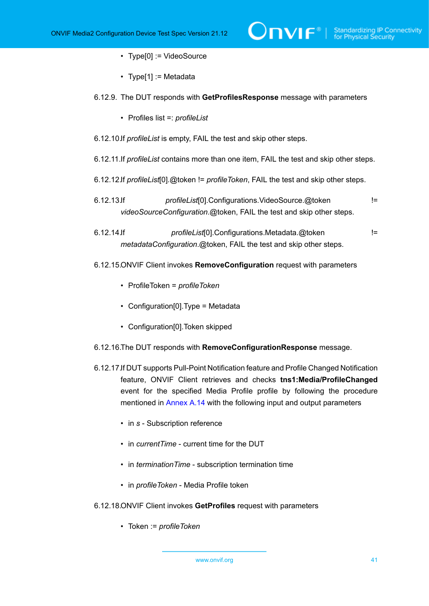- Type[0] := VideoSource
- Type[1] := Metadata

#### 6.12.9. The DUT responds with **GetProfilesResponse** message with parameters

- Profiles list =: *profileList*
- 6.12.10.If *profileList* is empty, FAIL the test and skip other steps.
- 6.12.11.If *profileList* contains more than one item, FAIL the test and skip other steps.
- 6.12.12.If *profileList*[0].@token != *profileToken*, FAIL the test and skip other steps.
- 6.12.13.If *profileList*[0].Configurations.VideoSource.@token != *videoSourceConfiguration*.@token, FAIL the test and skip other steps.
- 6.12.14.If *profileList*[0].Configurations.Metadata.@token != *metadataConfiguration*.@token, FAIL the test and skip other steps.
- 6.12.15.ONVIF Client invokes **RemoveConfiguration** request with parameters
	- ProfileToken = *profileToken*
	- Configuration[0].Type = Metadata
	- Configuration[0].Token skipped
- 6.12.16.The DUT responds with **RemoveConfigurationResponse** message.
- 6.12.17.If DUT supports Pull-Point Notification feature and Profile Changed Notification feature, ONVIF Client retrieves and checks **tns1:Media/ProfileChanged** event for the specified Media Profile profile by following the procedure mentioned in [Annex A.14](#page-228-0) with the following input and output parameters
	- in *s* Subscription reference
	- in *currentTime* current time for the DUT
	- in *terminationTime* subscription termination time
	- in *profileToken* Media Profile token
- 6.12.18.ONVIF Client invokes **GetProfiles** request with parameters
	- Token := *profileToken*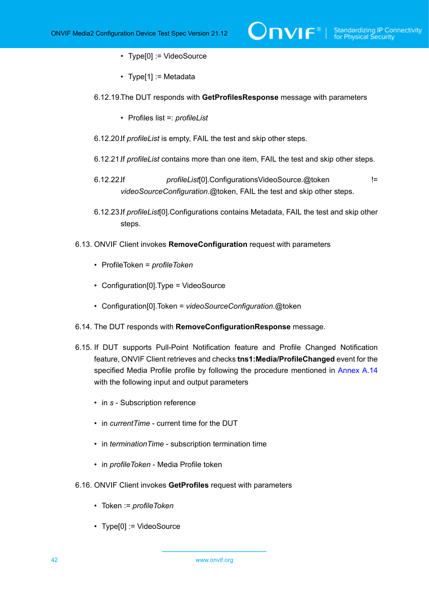- Type[0] := VideoSource
- Type[1] := Metadata
- 6.12.19.The DUT responds with **GetProfilesResponse** message with parameters
	- Profiles list =: *profileList*
- 6.12.20.If *profileList* is empty, FAIL the test and skip other steps.
- 6.12.21.If *profileList* contains more than one item, FAIL the test and skip other steps.
- 6.12.22.If *profileList*[0].ConfigurationsVideoSource.@token != *videoSourceConfiguration*.@token, FAIL the test and skip other steps.
- 6.12.23.If *profileList*[0].Configurations contains Metadata, FAIL the test and skip other steps.
- <span id="page-41-0"></span>6.13. ONVIF Client invokes **RemoveConfiguration** request with parameters
	- ProfileToken = *profileToken*
	- Configuration[0].Type = VideoSource
	- Configuration[0].Token = *videoSourceConfiguration*.@token
- 6.14. The DUT responds with **RemoveConfigurationResponse** message.
- 6.15. If DUT supports Pull-Point Notification feature and Profile Changed Notification feature, ONVIF Client retrieves and checks **tns1:Media/ProfileChanged** event for the specified Media Profile profile by following the procedure mentioned in [Annex A.14](#page-228-0) with the following input and output parameters
	- in *s* Subscription reference
	- in *currentTime* current time for the DUT
	- in *terminationTime* subscription termination time
	- in *profileToken* Media Profile token
- 6.16. ONVIF Client invokes **GetProfiles** request with parameters
	- Token := *profileToken*
	- Type[0] := VideoSource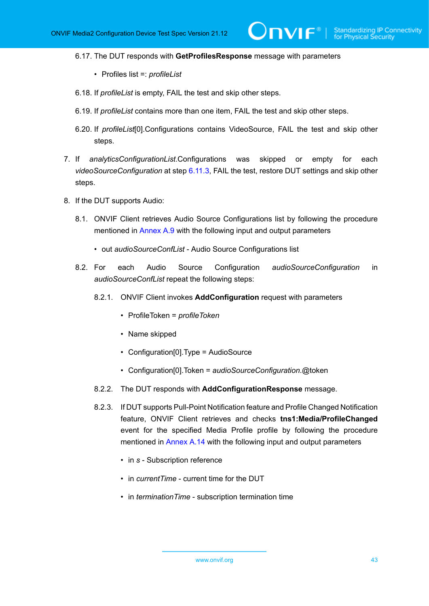6.17. The DUT responds with **GetProfilesResponse** message with parameters

- Profiles list =: *profileList*
- 6.18. If *profileList* is empty, FAIL the test and skip other steps.
- 6.19. If *profileList* contains more than one item, FAIL the test and skip other steps.
- 6.20. If *profileList*[0].Configurations contains VideoSource, FAIL the test and skip other steps.
- 7. If *analyticsConfigurationList*.Configurations was skipped or empty for each *videoSourceConfiguration* at step [6.11.3](#page-36-0), FAIL the test, restore DUT settings and skip other steps.
- 8. If the DUT supports Audio:
	- 8.1. ONVIF Client retrieves Audio Source Configurations list by following the procedure mentioned in [Annex A.9](#page-224-0) with the following input and output parameters
		- out *audioSourceConfList* Audio Source Configurations list
	- 8.2. For each Audio Source Configuration *audioSourceConfiguration* in *audioSourceConfList* repeat the following steps:
		- 8.2.1. ONVIF Client invokes **AddConfiguration** request with parameters
			- ProfileToken = *profileToken*
			- Name skipped
			- Configuration[0].Type = AudioSource
			- Configuration[0].Token = *audioSourceConfiguration*.@token
		- 8.2.2. The DUT responds with **AddConfigurationResponse** message.
		- 8.2.3. If DUT supports Pull-Point Notification feature and Profile Changed Notification feature, ONVIF Client retrieves and checks **tns1:Media/ProfileChanged** event for the specified Media Profile profile by following the procedure mentioned in [Annex A.14](#page-228-0) with the following input and output parameters
			- in *s* Subscription reference
			- in *currentTime* current time for the DUT
			- in *terminationTime* subscription termination time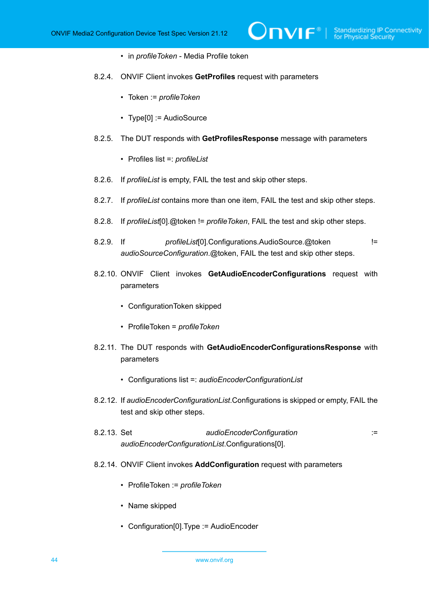- in *profileToken* Media Profile token
- 8.2.4. ONVIF Client invokes **GetProfiles** request with parameters
	- Token := *profileToken*
	- Type[0] := AudioSource
- 8.2.5. The DUT responds with **GetProfilesResponse** message with parameters
	- Profiles list =: *profileList*
- 8.2.6. If *profileList* is empty, FAIL the test and skip other steps.
- 8.2.7. If *profileList* contains more than one item, FAIL the test and skip other steps.
- 8.2.8. If *profileList*[0].@token != *profileToken*, FAIL the test and skip other steps.
- 8.2.9. If *profileList*[0].Configurations.AudioSource.@token != *audioSourceConfiguration*.@token, FAIL the test and skip other steps.
- 8.2.10. ONVIF Client invokes **GetAudioEncoderConfigurations** request with parameters
	- ConfigurationToken skipped
	- ProfileToken = *profileToken*
- 8.2.11. The DUT responds with **GetAudioEncoderConfigurationsResponse** with parameters
	- Configurations list =: *audioEncoderConfigurationList*
- 8.2.12. If *audioEncoderConfigurationList*.Configurations is skipped or empty, FAIL the test and skip other steps.
- 8.2.13. Set *audioEncoderConfiguration* := *audioEncoderConfigurationList*.Configurations[0].
- 8.2.14. ONVIF Client invokes **AddConfiguration** request with parameters
	- ProfileToken := *profileToken*
	- Name skipped
	- Configuration[0].Type := AudioEncoder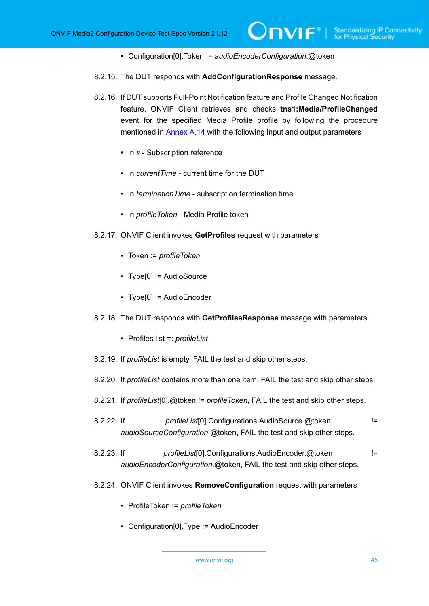- Configuration[0].Token := *audioEncoderConfiguration*.@token
- 8.2.15. The DUT responds with **AddConfigurationResponse** message.
- 8.2.16. If DUT supports Pull-Point Notification feature and Profile Changed Notification feature, ONVIF Client retrieves and checks **tns1:Media/ProfileChanged** event for the specified Media Profile profile by following the procedure mentioned in [Annex A.14](#page-228-0) with the following input and output parameters
	- in *s* Subscription reference
	- in *currentTime* current time for the DUT
	- in *terminationTime* subscription termination time
	- in *profileToken* Media Profile token
- 8.2.17. ONVIF Client invokes **GetProfiles** request with parameters
	- Token := *profileToken*
	- Type[0] := AudioSource
	- Type[0] := AudioEncoder
- 8.2.18. The DUT responds with **GetProfilesResponse** message with parameters
	- Profiles list =: *profileList*
- 8.2.19. If *profileList* is empty, FAIL the test and skip other steps.
- 8.2.20. If *profileList* contains more than one item, FAIL the test and skip other steps.
- 8.2.21. If *profileList*[0].@token != *profileToken*, FAIL the test and skip other steps.
- 8.2.22. If *profileList*[0].Configurations.AudioSource.@token != *audioSourceConfiguration*.@token, FAIL the test and skip other steps.
- 8.2.23. If *profileList*[0].Configurations.AudioEncoder.@token != *audioEncoderConfiguration*.@token, FAIL the test and skip other steps.
- 8.2.24. ONVIF Client invokes **RemoveConfiguration** request with parameters
	- ProfileToken := *profileToken*
	- Configuration[0].Type := AudioEncoder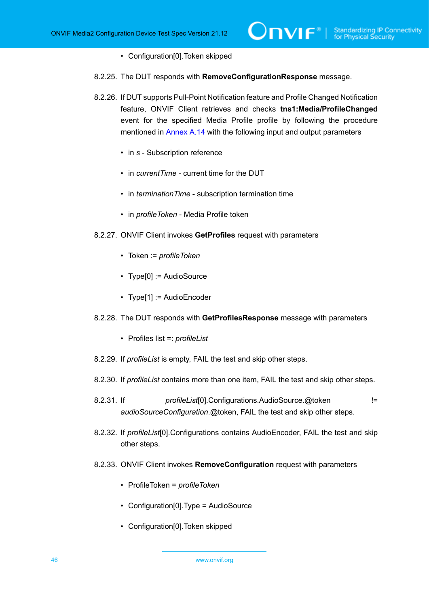- Configuration[0].Token skipped
- 8.2.25. The DUT responds with **RemoveConfigurationResponse** message.
- 8.2.26. If DUT supports Pull-Point Notification feature and Profile Changed Notification feature, ONVIF Client retrieves and checks **tns1:Media/ProfileChanged** event for the specified Media Profile profile by following the procedure mentioned in [Annex A.14](#page-228-0) with the following input and output parameters
	- in *s* Subscription reference
	- in *currentTime* current time for the DUT
	- in *terminationTime* subscription termination time
	- in *profileToken* Media Profile token
- 8.2.27. ONVIF Client invokes **GetProfiles** request with parameters
	- Token := *profileToken*
	- Type[0] := AudioSource
	- Type[1] := AudioEncoder
- 8.2.28. The DUT responds with **GetProfilesResponse** message with parameters
	- Profiles list =: *profileList*
- 8.2.29. If *profileList* is empty, FAIL the test and skip other steps.
- 8.2.30. If *profileList* contains more than one item, FAIL the test and skip other steps.
- 8.2.31. If *profileList*[0].Configurations.AudioSource.@token != *audioSourceConfiguration*.@token, FAIL the test and skip other steps.
- 8.2.32. If *profileList*[0].Configurations contains AudioEncoder, FAIL the test and skip other steps.
- 8.2.33. ONVIF Client invokes **RemoveConfiguration** request with parameters
	- ProfileToken = *profileToken*
	- Configuration[0].Type = AudioSource
	- Configuration[0].Token skipped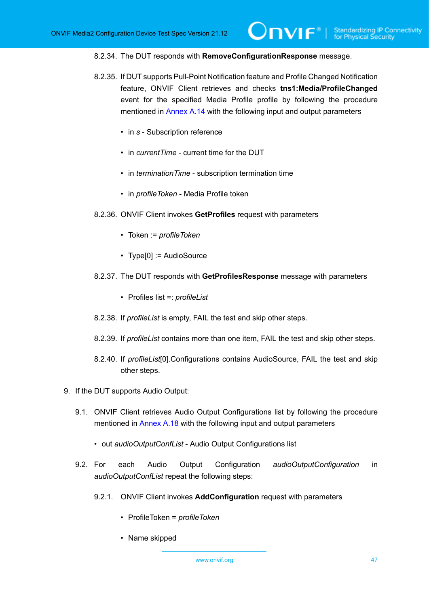#### 8.2.34. The DUT responds with **RemoveConfigurationResponse** message.

- 8.2.35. If DUT supports Pull-Point Notification feature and Profile Changed Notification feature, ONVIF Client retrieves and checks **tns1:Media/ProfileChanged** event for the specified Media Profile profile by following the procedure mentioned in [Annex A.14](#page-228-0) with the following input and output parameters
	- in *s* Subscription reference
	- in *currentTime* current time for the DUT
	- in *terminationTime* subscription termination time
	- in *profileToken* Media Profile token
- 8.2.36. ONVIF Client invokes **GetProfiles** request with parameters
	- Token := *profileToken*
	- Type[0] := AudioSource
- 8.2.37. The DUT responds with **GetProfilesResponse** message with parameters
	- Profiles list =: *profileList*
- 8.2.38. If *profileList* is empty, FAIL the test and skip other steps.
- 8.2.39. If *profileList* contains more than one item, FAIL the test and skip other steps.
- 8.2.40. If *profileList*[0].Configurations contains AudioSource, FAIL the test and skip other steps.
- 9. If the DUT supports Audio Output:
	- 9.1. ONVIF Client retrieves Audio Output Configurations list by following the procedure mentioned in [Annex A.18](#page-232-0) with the following input and output parameters
		- out *audioOutputConfList* Audio Output Configurations list
	- 9.2. For each Audio Output Configuration *audioOutputConfiguration* in *audioOutputConfList* repeat the following steps:
		- 9.2.1. ONVIF Client invokes **AddConfiguration** request with parameters
			- ProfileToken = *profileToken*
			- Name skipped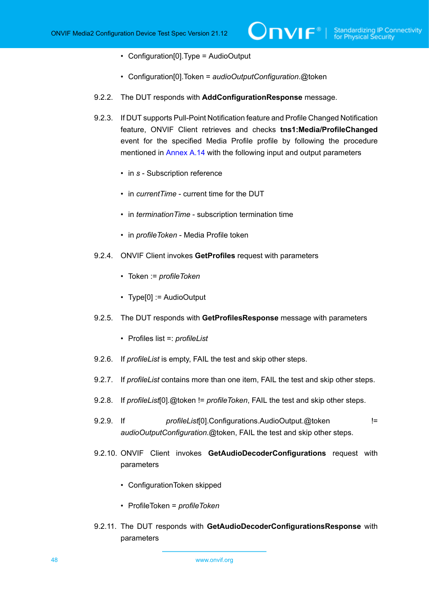- Configuration[0].Type = AudioOutput
- Configuration[0].Token = *audioOutputConfiguration*.@token
- 9.2.2. The DUT responds with **AddConfigurationResponse** message.
- 9.2.3. If DUT supports Pull-Point Notification feature and Profile Changed Notification feature, ONVIF Client retrieves and checks **tns1:Media/ProfileChanged** event for the specified Media Profile profile by following the procedure mentioned in [Annex A.14](#page-228-0) with the following input and output parameters
	- in *s* Subscription reference
	- in *currentTime* current time for the DUT
	- in *terminationTime* subscription termination time
	- in *profileToken* Media Profile token
- 9.2.4. ONVIF Client invokes **GetProfiles** request with parameters
	- Token := *profileToken*
	- Type[0] := AudioOutput
- 9.2.5. The DUT responds with **GetProfilesResponse** message with parameters
	- Profiles list =: *profileList*
- 9.2.6. If *profileList* is empty, FAIL the test and skip other steps.
- 9.2.7. If *profileList* contains more than one item, FAIL the test and skip other steps.
- 9.2.8. If *profileList*[0].@token != *profileToken*, FAIL the test and skip other steps.
- 9.2.9. If *profileList*[0].Configurations.AudioOutput.@token != *audioOutputConfiguration*.@token, FAIL the test and skip other steps.
- 9.2.10. ONVIF Client invokes **GetAudioDecoderConfigurations** request with parameters
	- ConfigurationToken skipped
	- ProfileToken = *profileToken*
- 9.2.11. The DUT responds with **GetAudioDecoderConfigurationsResponse** with parameters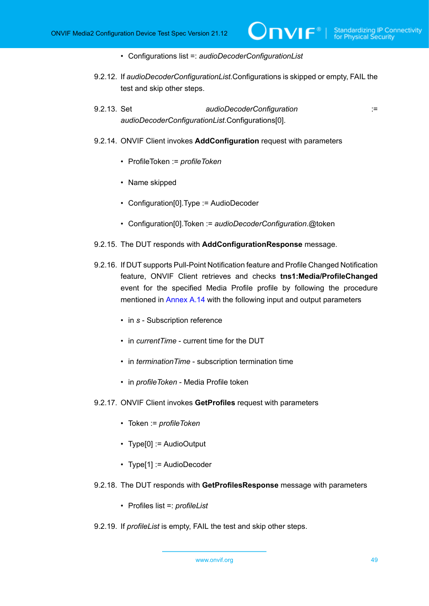- Configurations list =: *audioDecoderConfigurationList*
- 9.2.12. If *audioDecoderConfigurationList*.Configurations is skipped or empty, FAIL the test and skip other steps.
- 9.2.13. Set *audioDecoderConfiguration* := *audioDecoderConfigurationList*.Configurations[0].
- 9.2.14. ONVIF Client invokes **AddConfiguration** request with parameters
	- ProfileToken := *profileToken*
	- Name skipped
	- Configuration[0].Type := AudioDecoder
	- Configuration[0].Token := *audioDecoderConfiguration*.@token
- 9.2.15. The DUT responds with **AddConfigurationResponse** message.
- 9.2.16. If DUT supports Pull-Point Notification feature and Profile Changed Notification feature, ONVIF Client retrieves and checks **tns1:Media/ProfileChanged** event for the specified Media Profile profile by following the procedure mentioned in [Annex A.14](#page-228-0) with the following input and output parameters
	- in *s* Subscription reference
	- in *currentTime* current time for the DUT
	- in *terminationTime* subscription termination time
	- in *profileToken* Media Profile token
- 9.2.17. ONVIF Client invokes **GetProfiles** request with parameters
	- Token := *profileToken*
	- Type[0] := AudioOutput
	- Type[1] := AudioDecoder
- 9.2.18. The DUT responds with **GetProfilesResponse** message with parameters
	- Profiles list =: *profileList*
- 9.2.19. If *profileList* is empty, FAIL the test and skip other steps.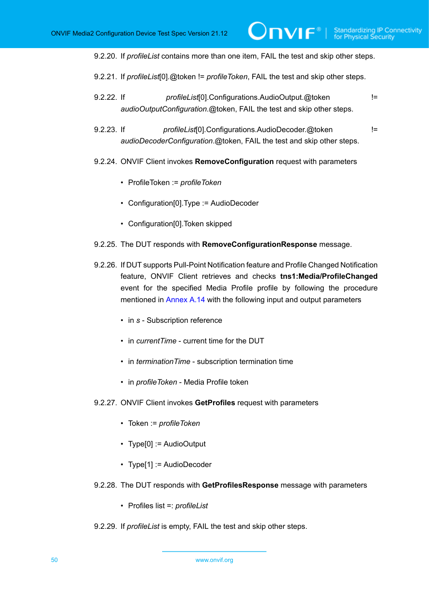9.2.20. If *profileList* contains more than one item, FAIL the test and skip other steps.

 $\bm{\mathsf{J}}$ NIF $^{\circ}$ l

9.2.21. If *profileList*[0].@token != *profileToken*, FAIL the test and skip other steps.

- 9.2.22. If *profileList*[0].Configurations.AudioOutput.@token != *audioOutputConfiguration*.@token, FAIL the test and skip other steps.
- 9.2.23. If *profileList*[0].Configurations.AudioDecoder.@token != *audioDecoderConfiguration*.@token, FAIL the test and skip other steps.
- 9.2.24. ONVIF Client invokes **RemoveConfiguration** request with parameters
	- ProfileToken := *profileToken*
	- Configuration[0].Type := AudioDecoder
	- Configuration[0].Token skipped
- 9.2.25. The DUT responds with **RemoveConfigurationResponse** message.
- 9.2.26. If DUT supports Pull-Point Notification feature and Profile Changed Notification feature, ONVIF Client retrieves and checks **tns1:Media/ProfileChanged** event for the specified Media Profile profile by following the procedure mentioned in [Annex A.14](#page-228-0) with the following input and output parameters
	- in *s* Subscription reference
	- in *currentTime* current time for the DUT
	- in *terminationTime* subscription termination time
	- in *profileToken* Media Profile token
- 9.2.27. ONVIF Client invokes **GetProfiles** request with parameters
	- Token := *profileToken*
	- Type[0] := AudioOutput
	- Type[1] := AudioDecoder
- 9.2.28. The DUT responds with **GetProfilesResponse** message with parameters
	- Profiles list =: *profileList*
- 9.2.29. If *profileList* is empty, FAIL the test and skip other steps.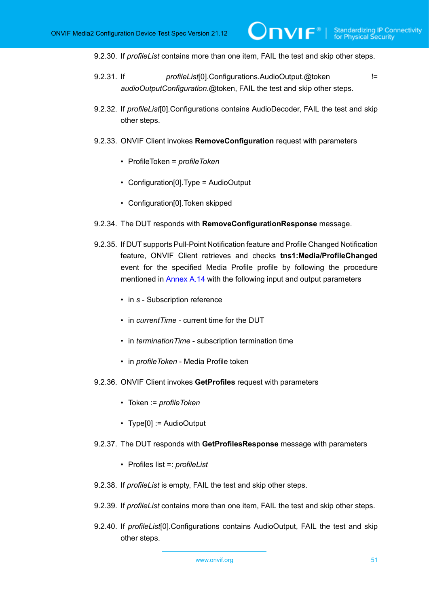9.2.30. If *profileList* contains more than one item, FAIL the test and skip other steps.

 $\bm{\cup}$ NIF $^*$ l

- 9.2.31. If *profileList*[0].Configurations.AudioOutput.@token != *audioOutputConfiguration*.@token, FAIL the test and skip other steps.
- 9.2.32. If *profileList*[0].Configurations contains AudioDecoder, FAIL the test and skip other steps.
- 9.2.33. ONVIF Client invokes **RemoveConfiguration** request with parameters
	- ProfileToken = *profileToken*
	- Configuration[0].Type = AudioOutput
	- Configuration[0].Token skipped
- 9.2.34. The DUT responds with **RemoveConfigurationResponse** message.
- 9.2.35. If DUT supports Pull-Point Notification feature and Profile Changed Notification feature, ONVIF Client retrieves and checks **tns1:Media/ProfileChanged** event for the specified Media Profile profile by following the procedure mentioned in [Annex A.14](#page-228-0) with the following input and output parameters
	- in *s* Subscription reference
	- in *currentTime* current time for the DUT
	- in *terminationTime* subscription termination time
	- in *profileToken* Media Profile token
- 9.2.36. ONVIF Client invokes **GetProfiles** request with parameters
	- Token := *profileToken*
	- Type[0] := AudioOutput
- 9.2.37. The DUT responds with **GetProfilesResponse** message with parameters
	- Profiles list =: *profileList*
- 9.2.38. If *profileList* is empty, FAIL the test and skip other steps.
- 9.2.39. If *profileList* contains more than one item, FAIL the test and skip other steps.
- 9.2.40. If *profileList*[0].Configurations contains AudioOutput, FAIL the test and skip other steps.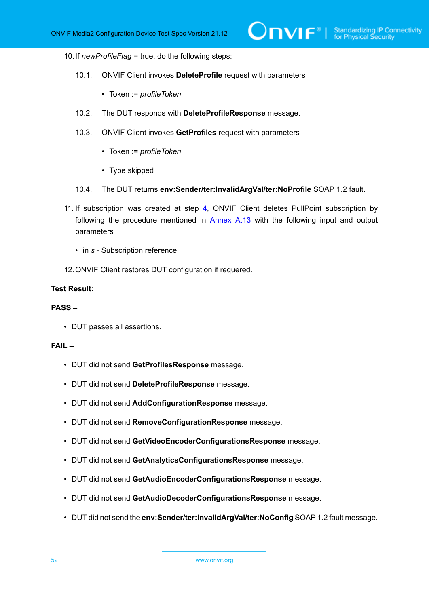### 10.If *newProfileFlag* = true, do the following steps:

- 10.1. ONVIF Client invokes **DeleteProfile** request with parameters
	- Token := *profileToken*
- 10.2. The DUT responds with **DeleteProfileResponse** message.
- 10.3. ONVIF Client invokes **GetProfiles** request with parameters
	- Token := *profileToken*
	- Type skipped
- 10.4. The DUT returns **env:Sender/ter:InvalidArgVal/ter:NoProfile** SOAP 1.2 fault.
- 11. If subscription was created at step [4](#page-32-0), ONVIF Client deletes PullPoint subscription by following the procedure mentioned in [Annex A.13](#page-228-1) with the following input and output parameters
	- in *s* Subscription reference
- 12.ONVIF Client restores DUT configuration if requered.

#### **Test Result:**

### **PASS –**

• DUT passes all assertions.

## **FAIL –**

- DUT did not send **GetProfilesResponse** message.
- DUT did not send **DeleteProfileResponse** message.
- DUT did not send **AddConfigurationResponse** message.
- DUT did not send **RemoveConfigurationResponse** message.
- DUT did not send **GetVideoEncoderConfigurationsResponse** message.
- DUT did not send **GetAnalyticsConfigurationsResponse** message.
- DUT did not send **GetAudioEncoderConfigurationsResponse** message.
- DUT did not send **GetAudioDecoderConfigurationsResponse** message.
- DUT did not send the **env:Sender/ter:InvalidArgVal/ter:NoConfig** SOAP 1.2 fault message.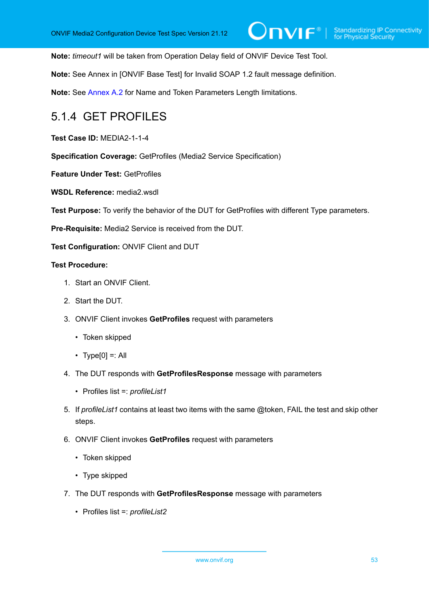**Note:** *timeout1* will be taken from Operation Delay field of ONVIF Device Test Tool.

**Note:** See Annex in [ONVIF Base Test] for Invalid SOAP 1.2 fault message definition.

**Note:** See [Annex A.2](#page-214-0) for Name and Token Parameters Length limitations.

# 5.1.4 GET PROFILES

**Test Case ID:** MEDIA2-1-1-4

**Specification Coverage:** GetProfiles (Media2 Service Specification)

**Feature Under Test:** GetProfiles

**WSDL Reference:** media2.wsdl

**Test Purpose:** To verify the behavior of the DUT for GetProfiles with different Type parameters.

**Pre-Requisite:** Media2 Service is received from the DUT.

**Test Configuration:** ONVIF Client and DUT

- 1. Start an ONVIF Client.
- 2. Start the DUT.
- 3. ONVIF Client invokes **GetProfiles** request with parameters
	- Token skipped
	- Type[0] =: All
- 4. The DUT responds with **GetProfilesResponse** message with parameters
	- Profiles list =: *profileList1*
- 5. If *profileList1* contains at least two items with the same @token, FAIL the test and skip other steps.
- 6. ONVIF Client invokes **GetProfiles** request with parameters
	- Token skipped
	- Type skipped
- 7. The DUT responds with **GetProfilesResponse** message with parameters
	- Profiles list =: *profileList2*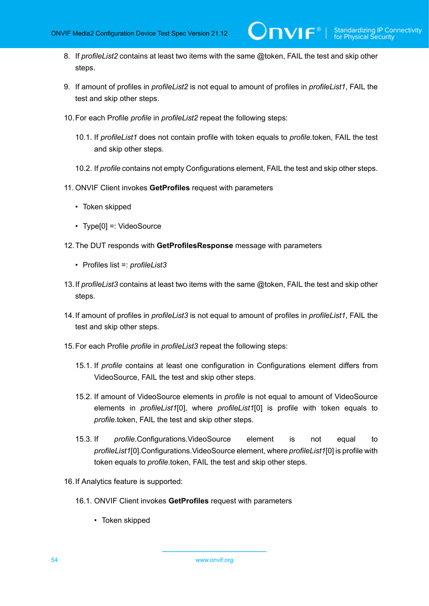8. If *profileList2* contains at least two items with the same @token, FAIL the test and skip other steps.

 $\mathsf{J}\mathsf{IVIF}^*$  i

- 9. If amount of profiles in *profileList2* is not equal to amount of profiles in *profileList1*, FAIL the test and skip other steps.
- 10.For each Profile *profile* in *profileList2* repeat the following steps:
	- 10.1. If *profileList1* does not contain profile with token equals to *profile*.token, FAIL the test and skip other steps.
	- 10.2. If *profile* contains not empty Configurations element, FAIL the test and skip other steps.
- 11. ONVIF Client invokes **GetProfiles** request with parameters
	- Token skipped
	- Type[0] =: VideoSource
- 12.The DUT responds with **GetProfilesResponse** message with parameters
	- Profiles list =: *profileList3*
- 13.If *profileList3* contains at least two items with the same @token, FAIL the test and skip other steps.
- 14.If amount of profiles in *profileList3* is not equal to amount of profiles in *profileList1*, FAIL the test and skip other steps.
- 15.For each Profile *profile* in *profileList3* repeat the following steps:
	- 15.1. If *profile* contains at least one configuration in Configurations element differs from VideoSource, FAIL the test and skip other steps.
	- 15.2. If amount of VideoSource elements in *profile* is not equal to amount of VideoSource elements in *profileList1*[0], where *profileList1*[0] is profile with token equals to *profile*.token, FAIL the test and skip other steps.
	- 15.3. If *profile*.Configurations.VideoSource element is not equal to *profileList1*[0].Configurations.VideoSource element, where *profileList1*[0] is profile with token equals to *profile*.token, FAIL the test and skip other steps.
- <span id="page-53-0"></span>16.If Analytics feature is supported:
	- 16.1. ONVIF Client invokes **GetProfiles** request with parameters
		- Token skipped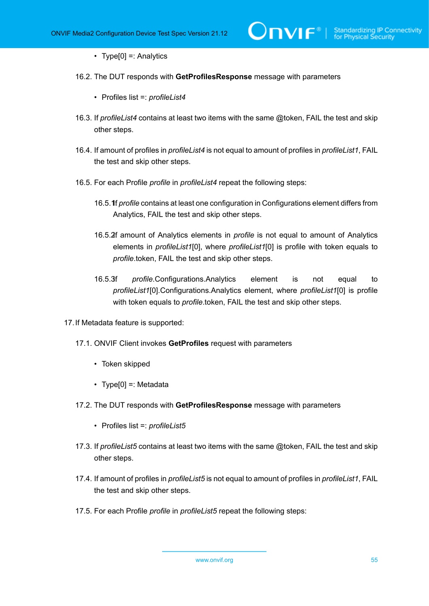• Type[0] =: Analytics

- 16.2. The DUT responds with **GetProfilesResponse** message with parameters
	- Profiles list =: *profileList4*
- 16.3. If *profileList4* contains at least two items with the same @token, FAIL the test and skip other steps.
- 16.4. If amount of profiles in *profileList4* is not equal to amount of profiles in *profileList1*, FAIL the test and skip other steps.
- 16.5. For each Profile *profile* in *profileList4* repeat the following steps:
	- 16.5.1f *profile* contains at least one configuration in Configurations element differs from Analytics, FAIL the test and skip other steps.
	- 16.5.2f amount of Analytics elements in *profile* is not equal to amount of Analytics elements in *profileList1*[0], where *profileList1*[0] is profile with token equals to *profile*.token, FAIL the test and skip other steps.
	- 16.5.3.If *profile*.Configurations.Analytics element is not equal to *profileList1*[0].Configurations.Analytics element, where *profileList1*[0] is profile with token equals to *profile*.token, FAIL the test and skip other steps.
- <span id="page-54-0"></span>17.If Metadata feature is supported:
	- 17.1. ONVIF Client invokes **GetProfiles** request with parameters
		- Token skipped
		- Type[0] =: Metadata
	- 17.2. The DUT responds with **GetProfilesResponse** message with parameters
		- Profiles list =: *profileList5*
	- 17.3. If *profileList5* contains at least two items with the same @token, FAIL the test and skip other steps.
	- 17.4. If amount of profiles in *profileList5* is not equal to amount of profiles in *profileList1*, FAIL the test and skip other steps.
	- 17.5. For each Profile *profile* in *profileList5* repeat the following steps: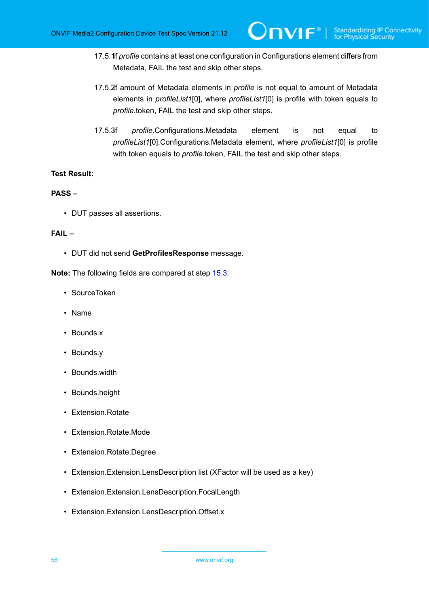17.5.1**f** *profile* contains at least one configuration in Configurations element differs from Metadata, FAIL the test and skip other steps.

 $\mathsf{Dnvir}^*$  i

- 17.5.2f amount of Metadata elements in *profile* is not equal to amount of Metadata elements in *profileList1*[0], where *profileList1*[0] is profile with token equals to *profile*.token, FAIL the test and skip other steps.
- <span id="page-55-0"></span>17.5.3.If *profile*.Configurations.Metadata element is not equal to *profileList1*[0].Configurations.Metadata element, where *profileList1*[0] is profile with token equals to *profile*.token, FAIL the test and skip other steps.

### **Test Result:**

### **PASS –**

• DUT passes all assertions.

# **FAIL –**

• DUT did not send **GetProfilesResponse** message.

**Note:** The following fields are compared at step [15.3](#page-53-0):

- SourceToken
- Name
- Bounds.x
- Bounds.y
- Bounds.width
- Bounds.height
- Extension.Rotate
- Extension.Rotate.Mode
- Extension.Rotate.Degree
- Extension.Extension.LensDescription list (XFactor will be used as a key)
- Extension.Extension.LensDescription.FocalLength
- Extension.Extension.LensDescription.Offset.x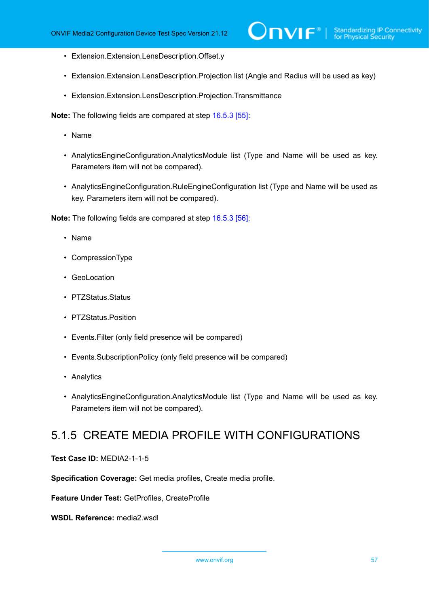- Extension.Extension.LensDescription.Offset.y
- Extension.Extension.LensDescription.Projection list (Angle and Radius will be used as key)
- Extension.Extension.LensDescription.Projection.Transmittance

**Note:** The following fields are compared at step [16.5.3 \[55\]](#page-54-0):

- Name
- AnalyticsEngineConfiguration.AnalyticsModule list (Type and Name will be used as key. Parameters item will not be compared).
- AnalyticsEngineConfiguration.RuleEngineConfiguration list (Type and Name will be used as key. Parameters item will not be compared).

**Note:** The following fields are compared at step [16.5.3 \[56\]](#page-55-0):

- Name
- CompressionType
- GeoLocation
- PTZStatus.Status
- PTZStatus.Position
- Events.Filter (only field presence will be compared)
- Events.SubscriptionPolicy (only field presence will be compared)
- Analytics
- AnalyticsEngineConfiguration.AnalyticsModule list (Type and Name will be used as key. Parameters item will not be compared).

# 5.1.5 CREATE MEDIA PROFILE WITH CONFIGURATIONS

**Test Case ID:** MEDIA2-1-1-5

**Specification Coverage:** Get media profiles, Create media profile.

**Feature Under Test:** GetProfiles, CreateProfile

**WSDL Reference:** media2.wsdl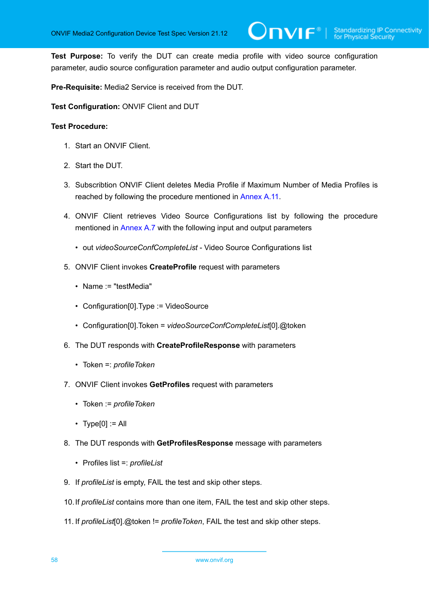**Test Purpose:** To verify the DUT can create media profile with video source configuration parameter, audio source configuration parameter and audio output configuration parameter.

**Pre-Requisite:** Media2 Service is received from the DUT.

**Test Configuration:** ONVIF Client and DUT

- 1. Start an ONVIF Client.
- 2. Start the DUT.
- 3. Subscribtion ONVIF Client deletes Media Profile if Maximum Number of Media Profiles is reached by following the procedure mentioned in [Annex](#page-226-0) A.11.
- 4. ONVIF Client retrieves Video Source Configurations list by following the procedure mentioned in [Annex A.7](#page-222-0) with the following input and output parameters
	- out *videoSourceConfCompleteList* Video Source Configurations list
- 5. ONVIF Client invokes **CreateProfile** request with parameters
	- Name := "testMedia"
	- Configuration[0].Type := VideoSource
	- Configuration[0].Token = *videoSourceConfCompleteList*[0].@token
- 6. The DUT responds with **CreateProfileResponse** with parameters
	- Token =: *profileToken*
- 7. ONVIF Client invokes **GetProfiles** request with parameters
	- Token := *profileToken*
	- $\cdot$  Type[0] := All
- 8. The DUT responds with **GetProfilesResponse** message with parameters
	- Profiles list =: *profileList*
- 9. If *profileList* is empty, FAIL the test and skip other steps.
- 10.If *profileList* contains more than one item, FAIL the test and skip other steps.
- 11. If *profileList*[0].@token != *profileToken*, FAIL the test and skip other steps.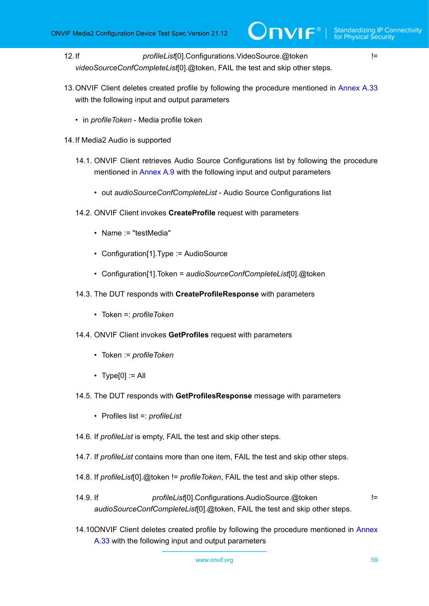12.If *profileList*[0].Configurations.VideoSource.@token != *videoSourceConfCompleteList*[0].@token, FAIL the test and skip other steps.

- 13.ONVIF Client deletes created profile by following the procedure mentioned in [Annex A.33](#page-250-0) with the following input and output parameters
	- in *profileToken* Media profile token
- 14.If Media2 Audio is supported
	- 14.1. ONVIF Client retrieves Audio Source Configurations list by following the procedure mentioned in [Annex A.9](#page-224-0) with the following input and output parameters
		- out *audioSourceConfCompleteList* Audio Source Configurations list
	- 14.2. ONVIF Client invokes **CreateProfile** request with parameters
		- Name := "testMedia"
		- Configuration[1].Type := AudioSource
		- Configuration[1].Token = *audioSourceConfCompleteList*[0].@token
	- 14.3. The DUT responds with **CreateProfileResponse** with parameters
		- Token =: *profileToken*
	- 14.4. ONVIF Client invokes **GetProfiles** request with parameters
		- Token := *profileToken*
		- $\cdot$  Type[0] := All
	- 14.5. The DUT responds with **GetProfilesResponse** message with parameters
		- Profiles list =: *profileList*
	- 14.6. If *profileList* is empty, FAIL the test and skip other steps.
	- 14.7. If *profileList* contains more than one item, FAIL the test and skip other steps.
	- 14.8. If *profileList*[0].@token != *profileToken*, FAIL the test and skip other steps.
	- 14.9. If *profileList*[0].Configurations.AudioSource.@token != *audioSourceConfCompleteList*[0].@token, FAIL the test and skip other steps.
	- 14.100NVIF Client deletes created profile by following the procedure mentioned in [Annex](#page-250-0) [A.33](#page-250-0) with the following input and output parameters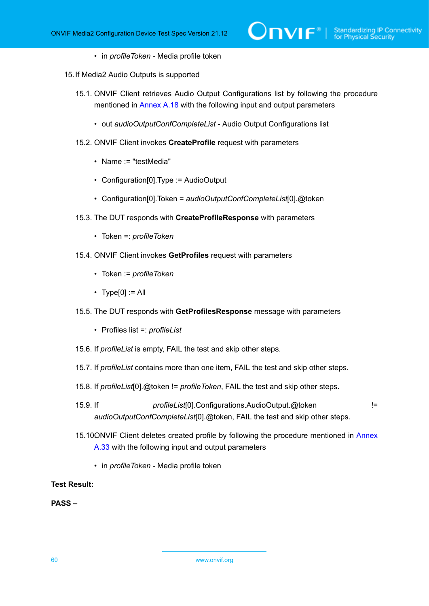- in *profileToken* Media profile token
- 15.If Media2 Audio Outputs is supported
	- 15.1. ONVIF Client retrieves Audio Output Configurations list by following the procedure mentioned in [Annex A.18](#page-232-0) with the following input and output parameters
		- out *audioOutputConfCompleteList* Audio Output Configurations list
	- 15.2. ONVIF Client invokes **CreateProfile** request with parameters
		- Name := "testMedia"
		- Configuration[0].Type := AudioOutput
		- Configuration[0].Token = *audioOutputConfCompleteList*[0].@token
	- 15.3. The DUT responds with **CreateProfileResponse** with parameters
		- Token =: *profileToken*
	- 15.4. ONVIF Client invokes **GetProfiles** request with parameters
		- Token := *profileToken*
		- $\cdot$  Type[0] := All
	- 15.5. The DUT responds with **GetProfilesResponse** message with parameters
		- Profiles list =: *profileList*
	- 15.6. If *profileList* is empty, FAIL the test and skip other steps.
	- 15.7. If *profileList* contains more than one item, FAIL the test and skip other steps.
	- 15.8. If *profileList*[0].@token != *profileToken*, FAIL the test and skip other steps.
	- 15.9. If *profileList*[0].Configurations.AudioOutput.@token != *audioOutputConfCompleteList*[0].@token, FAIL the test and skip other steps.
	- 15.100NVIF Client deletes created profile by following the procedure mentioned in [Annex](#page-250-0) [A.33](#page-250-0) with the following input and output parameters
		- in *profileToken* Media profile token

### **Test Result:**

### **PASS –**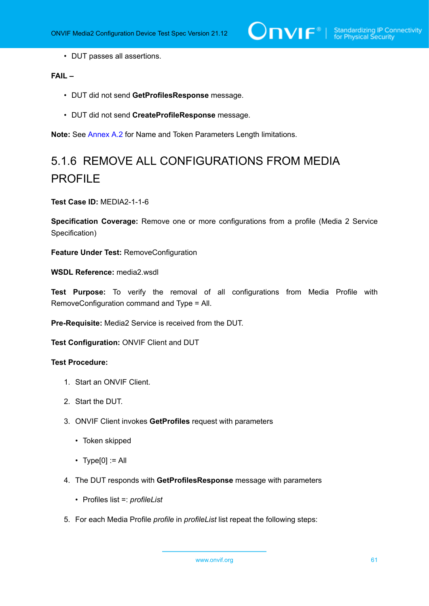$\bigcirc$   $\blacksquare$   $\blacksquare$   $\blacksquare$   $\blacksquare$  Standardizing IP Connectivity

• DUT passes all assertions.

# **FAIL –**

- DUT did not send **GetProfilesResponse** message.
- DUT did not send **CreateProfileResponse** message.

**Note:** See [Annex A.2](#page-214-0) for Name and Token Parameters Length limitations.

# 5.1.6 REMOVE ALL CONFIGURATIONS FROM MEDIA PROFILE

### **Test Case ID:** MEDIA2-1-1-6

**Specification Coverage:** Remove one or more configurations from a profile (Media 2 Service Specification)

**Feature Under Test:** RemoveConfiguration

**WSDL Reference:** media2.wsdl

**Test Purpose:** To verify the removal of all configurations from Media Profile with RemoveConfiguration command and Type = All.

**Pre-Requisite:** Media2 Service is received from the DUT.

**Test Configuration:** ONVIF Client and DUT

- 1. Start an ONVIF Client.
- 2. Start the DUT.
- 3. ONVIF Client invokes **GetProfiles** request with parameters
	- Token skipped
	- $\cdot$  Type[0] := All
- 4. The DUT responds with **GetProfilesResponse** message with parameters
	- Profiles list =: *profileList*
- 5. For each Media Profile *profile* in *profileList* list repeat the following steps: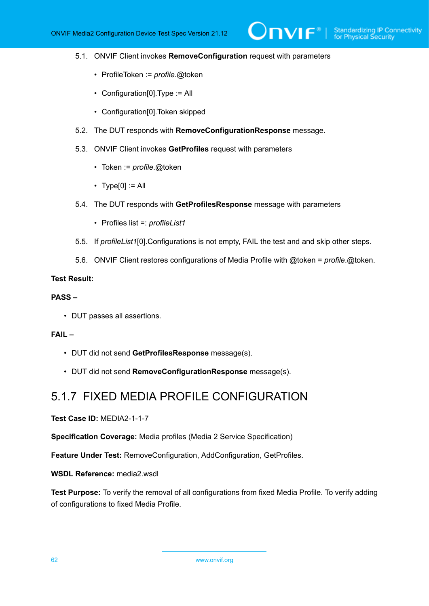- 5.1. ONVIF Client invokes **RemoveConfiguration** request with parameters
	- ProfileToken := *profile*.@token
	- Configuration[0].Type := All
	- Configuration[0].Token skipped
- 5.2. The DUT responds with **RemoveConfigurationResponse** message.
- 5.3. ONVIF Client invokes **GetProfiles** request with parameters
	- Token := *profile*.@token
	- $\cdot$  Type[0] := All
- 5.4. The DUT responds with **GetProfilesResponse** message with parameters
	- Profiles list =: *profileList1*
- 5.5. If *profileList1*[0].Configurations is not empty, FAIL the test and and skip other steps.
- 5.6. ONVIF Client restores configurations of Media Profile with @token = *profile*.@token.

### **Test Result:**

### **PASS –**

• DUT passes all assertions.

### **FAIL –**

- DUT did not send **GetProfilesResponse** message(s).
- DUT did not send **RemoveConfigurationResponse** message(s).

# 5.1.7 FIXED MEDIA PROFILE CONFIGURATION

**Test Case ID:** MEDIA2-1-1-7

**Specification Coverage:** Media profiles (Media 2 Service Specification)

**Feature Under Test:** RemoveConfiguration, AddConfiguration, GetProfiles.

**WSDL Reference:** media2.wsdl

**Test Purpose:** To verify the removal of all configurations from fixed Media Profile. To verify adding of configurations to fixed Media Profile.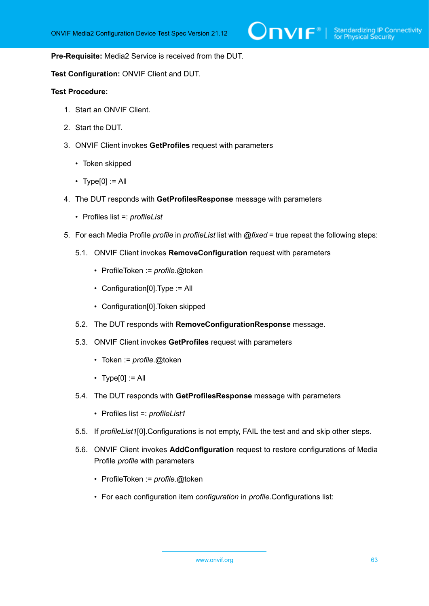### **Pre-Requisite:** Media2 Service is received from the DUT.

**Test Configuration:** ONVIF Client and DUT.

- 1. Start an ONVIF Client.
- 2. Start the DUT.
- 3. ONVIF Client invokes **GetProfiles** request with parameters
	- Token skipped
	- Type $[0] := A$
- 4. The DUT responds with **GetProfilesResponse** message with parameters
	- Profiles list =: *profileList*
- 5. For each Media Profile *profile* in *profileList* list with *@fixed* = true repeat the following steps:
	- 5.1. ONVIF Client invokes **RemoveConfiguration** request with parameters
		- ProfileToken := *profile*.@token
		- Configuration[0].Type := All
		- Configuration[0].Token skipped
	- 5.2. The DUT responds with **RemoveConfigurationResponse** message.
	- 5.3. ONVIF Client invokes **GetProfiles** request with parameters
		- Token := *profile*.@token
		- $\cdot$  Type[0] := All
	- 5.4. The DUT responds with **GetProfilesResponse** message with parameters
		- Profiles list =: *profileList1*
	- 5.5. If *profileList1*[0].Configurations is not empty, FAIL the test and and skip other steps.
	- 5.6. ONVIF Client invokes **AddConfiguration** request to restore configurations of Media Profile *profile* with parameters
		- ProfileToken := *profile*.@token
		- For each configuration item *configuration* in *profile*.Configurations list: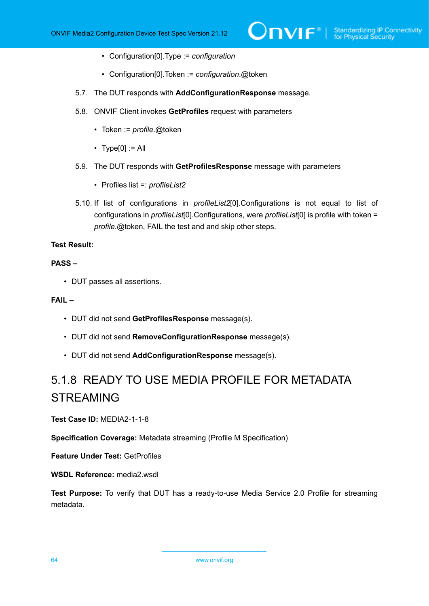- Configuration[0].Type := *configuration*
- Configuration[0].Token := *configuration*.@token
- 5.7. The DUT responds with **AddConfigurationResponse** message.
- 5.8. ONVIF Client invokes **GetProfiles** request with parameters
	- Token := *profile*.@token
	- $\cdot$  Type[0] := All
- 5.9. The DUT responds with **GetProfilesResponse** message with parameters
	- Profiles list =: *profileList2*
- 5.10. If list of configurations in *profileList2*[0].Configurations is not equal to list of configurations in *profileList*[0].Configurations, were *profileList*[0] is profile with token = *profile*.@token, FAIL the test and and skip other steps.

## **Test Result:**

# **PASS –**

• DUT passes all assertions.

# **FAIL –**

- DUT did not send **GetProfilesResponse** message(s).
- DUT did not send **RemoveConfigurationResponse** message(s).
- DUT did not send **AddConfigurationResponse** message(s).

# 5.1.8 READY TO USE MEDIA PROFILE FOR METADATA STREAMING

**Test Case ID:** MEDIA2-1-1-8

**Specification Coverage:** Metadata streaming (Profile M Specification)

**Feature Under Test:** GetProfiles

**WSDL Reference:** media2.wsdl

**Test Purpose:** To verify that DUT has a ready-to-use Media Service 2.0 Profile for streaming metadata.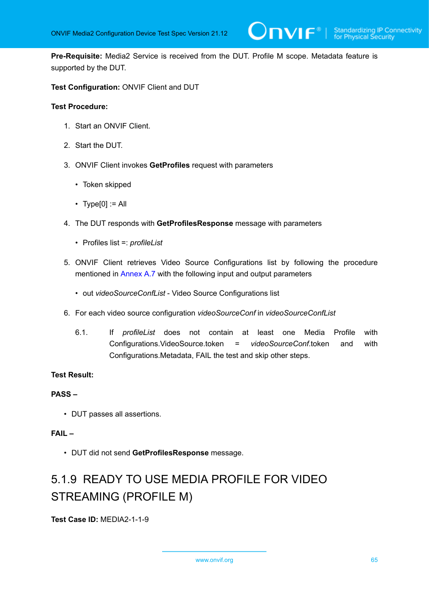**Pre-Requisite:** Media2 Service is received from the DUT. Profile M scope. Metadata feature is supported by the DUT.

**Test Configuration:** ONVIF Client and DUT

### **Test Procedure:**

- 1. Start an ONVIF Client.
- 2. Start the DUT.
- 3. ONVIF Client invokes **GetProfiles** request with parameters
	- Token skipped
	- $\cdot$  Type[0] := All
- 4. The DUT responds with **GetProfilesResponse** message with parameters
	- Profiles list =: *profileList*
- 5. ONVIF Client retrieves Video Source Configurations list by following the procedure mentioned in [Annex A.7](#page-222-0) with the following input and output parameters
	- out *videoSourceConfList* Video Source Configurations list
- 6. For each video source configuration *videoSourceConf* in *videoSourceConfList*
	- 6.1. If *profileList* does not contain at least one Media Profile with Configurations.VideoSource.token = *videoSourceConf*.token and with Configurations.Metadata, FAIL the test and skip other steps.

# **Test Result:**

### **PASS –**

• DUT passes all assertions.

# **FAIL –**

• DUT did not send **GetProfilesResponse** message.

# 5.1.9 READY TO USE MEDIA PROFILE FOR VIDEO STREAMING (PROFILE M)

**Test Case ID:** MEDIA2-1-1-9

www.onvif.org 65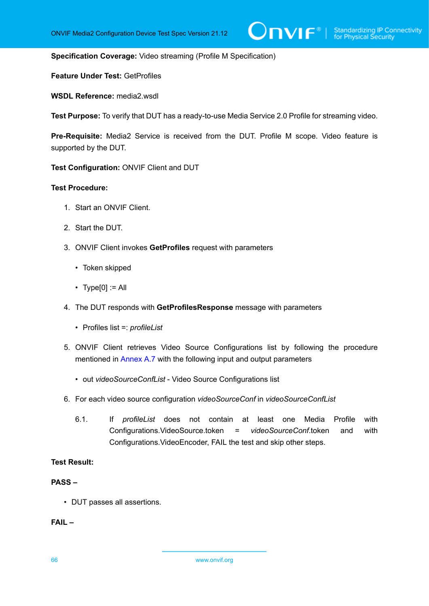**Specification Coverage:** Video streaming (Profile M Specification)

**Feature Under Test:** GetProfiles

**WSDL Reference:** media2.wsdl

**Test Purpose:** To verify that DUT has a ready-to-use Media Service 2.0 Profile for streaming video.

**Pre-Requisite:** Media2 Service is received from the DUT. Profile M scope. Video feature is supported by the DUT.

**Test Configuration:** ONVIF Client and DUT

### **Test Procedure:**

- 1. Start an ONVIF Client.
- 2. Start the DUT.
- 3. ONVIF Client invokes **GetProfiles** request with parameters
	- Token skipped
	- $\cdot$  Type[0] := All
- 4. The DUT responds with **GetProfilesResponse** message with parameters
	- Profiles list =: *profileList*
- 5. ONVIF Client retrieves Video Source Configurations list by following the procedure mentioned in [Annex A.7](#page-222-0) with the following input and output parameters
	- out *videoSourceConfList* Video Source Configurations list
- 6. For each video source configuration *videoSourceConf* in *videoSourceConfList*
	- 6.1. If *profileList* does not contain at least one Media Profile with Configurations.VideoSource.token = *videoSourceConf*.token and with Configurations.VideoEncoder, FAIL the test and skip other steps.

# **Test Result:**

### **PASS –**

• DUT passes all assertions.

**FAIL –**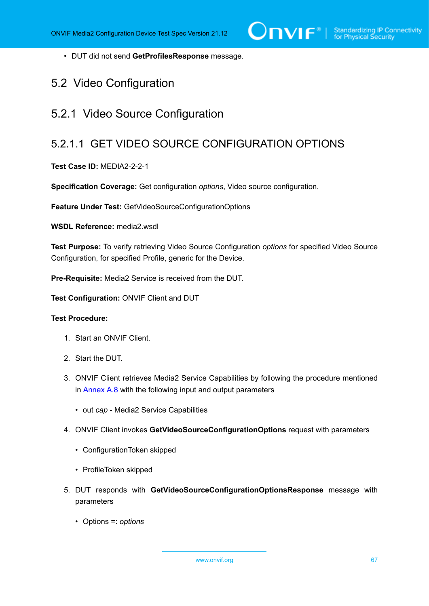• DUT did not send **GetProfilesResponse** message.

# 5.2 Video Configuration

# 5.2.1 Video Source Configuration

# 5.2.1.1 GET VIDEO SOURCE CONFIGURATION OPTIONS

### **Test Case ID:** MEDIA2-2-2-1

**Specification Coverage:** Get configuration *options*, Video source configuration.

**Feature Under Test:** GetVideoSourceConfigurationOptions

WSDL Reference: media2 wsdl

**Test Purpose:** To verify retrieving Video Source Configuration *options* for specified Video Source Configuration, for specified Profile, generic for the Device.

**Pre-Requisite:** Media2 Service is received from the DUT.

**Test Configuration:** ONVIF Client and DUT

### **Test Procedure:**

- 1. Start an ONVIF Client.
- 2. Start the DUT.
- 3. ONVIF Client retrieves Media2 Service Capabilities by following the procedure mentioned in [Annex A.8](#page-223-0) with the following input and output parameters
	- out *cap* Media2 Service Capabilities
- 4. ONVIF Client invokes **GetVideoSourceConfigurationOptions** request with parameters
	- ConfigurationToken skipped
	- ProfileToken skipped
- 5. DUT responds with **GetVideoSourceConfigurationOptionsResponse** message with parameters
	- Options =: *options*

www.onvif.org 67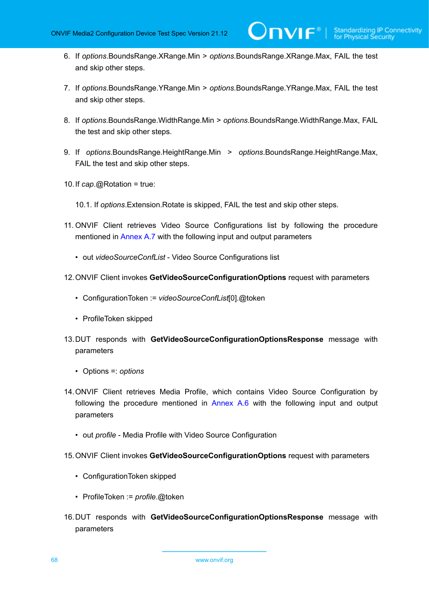- 6. If *options*.BoundsRange.XRange.Min > *options*.BoundsRange.XRange.Max, FAIL the test and skip other steps.
- 7. If *options*.BoundsRange.YRange.Min > *options*.BoundsRange.YRange.Max, FAIL the test and skip other steps.
- 8. If *options*.BoundsRange.WidthRange.Min > *options*.BoundsRange.WidthRange.Max, FAIL the test and skip other steps.
- 9. If *options*.BoundsRange.HeightRange.Min > *options*.BoundsRange.HeightRange.Max, FAIL the test and skip other steps.
- 10.If *cap*.@Rotation = true:
	- 10.1. If *options*.Extension.Rotate is skipped, FAIL the test and skip other steps.
- 11. ONVIF Client retrieves Video Source Configurations list by following the procedure mentioned in [Annex A.7](#page-222-0) with the following input and output parameters
	- out *videoSourceConfList* Video Source Configurations list
- 12.ONVIF Client invokes **GetVideoSourceConfigurationOptions** request with parameters
	- ConfigurationToken := *videoSourceConfList*[0].@token
	- ProfileToken skipped
- 13.DUT responds with **GetVideoSourceConfigurationOptionsResponse** message with parameters
	- Options =: *options*
- <span id="page-67-0"></span>14.ONVIF Client retrieves Media Profile, which contains Video Source Configuration by following the procedure mentioned in [Annex A.6](#page-221-0) with the following input and output parameters
	- out *profile* Media Profile with Video Source Configuration
- 15.ONVIF Client invokes **GetVideoSourceConfigurationOptions** request with parameters
	- ConfigurationToken skipped
	- ProfileToken := *profile*.@token
- 16.DUT responds with **GetVideoSourceConfigurationOptionsResponse** message with parameters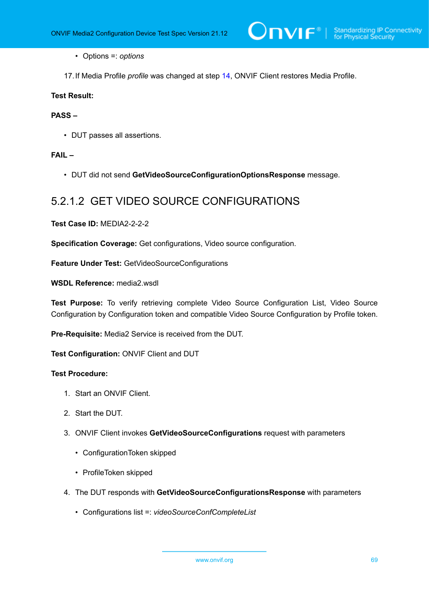• Options =: *options*

17.If Media Profile *profile* was changed at step [14,](#page-67-0) ONVIF Client restores Media Profile.

### **Test Result:**

### **PASS –**

• DUT passes all assertions.

# **FAIL –**

• DUT did not send **GetVideoSourceConfigurationOptionsResponse** message.

# 5.2.1.2 GET VIDEO SOURCE CONFIGURATIONS

**Test Case ID:** MEDIA2-2-2-2

**Specification Coverage:** Get configurations, Video source configuration.

**Feature Under Test:** GetVideoSourceConfigurations

**WSDL Reference:** media2.wsdl

**Test Purpose:** To verify retrieving complete Video Source Configuration List, Video Source Configuration by Configuration token and compatible Video Source Configuration by Profile token.

**Pre-Requisite:** Media2 Service is received from the DUT.

**Test Configuration:** ONVIF Client and DUT

- 1. Start an ONVIF Client.
- 2. Start the DUT.
- 3. ONVIF Client invokes **GetVideoSourceConfigurations** request with parameters
	- ConfigurationToken skipped
	- ProfileToken skipped
- 4. The DUT responds with **GetVideoSourceConfigurationsResponse** with parameters
	- Configurations list =: *videoSourceConfCompleteList*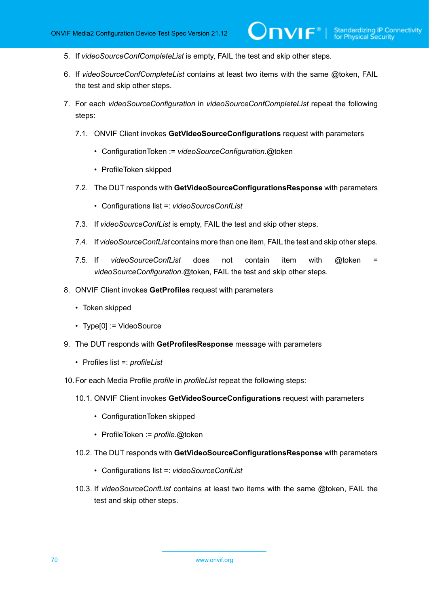- 5. If *videoSourceConfCompleteList* is empty, FAIL the test and skip other steps.
- 6. If *videoSourceConfCompleteList* contains at least two items with the same @token, FAIL the test and skip other steps.

 $\mathsf{D}\mathbf{N}\mathsf{I}\mathsf{F}^\ast$  :

- 7. For each *videoSourceConfiguration* in *videoSourceConfCompleteList* repeat the following steps:
	- 7.1. ONVIF Client invokes **GetVideoSourceConfigurations** request with parameters
		- ConfigurationToken := *videoSourceConfiguration*.@token
		- ProfileToken skipped
	- 7.2. The DUT responds with **GetVideoSourceConfigurationsResponse** with parameters
		- Configurations list =: *videoSourceConfList*
	- 7.3. If *videoSourceConfList* is empty, FAIL the test and skip other steps.
	- 7.4. If *videoSourceConfList* contains more than one item, FAIL the test and skip other steps.
	- 7.5. If *videoSourceConfList* does not contain item with @token = *videoSourceConfiguration*.@token, FAIL the test and skip other steps.
- 8. ONVIF Client invokes **GetProfiles** request with parameters
	- Token skipped
	- Type[0] := VideoSource
- 9. The DUT responds with **GetProfilesResponse** message with parameters
	- Profiles list =: *profileList*
- 10.For each Media Profile *profile* in *profileList* repeat the following steps:
	- 10.1. ONVIF Client invokes **GetVideoSourceConfigurations** request with parameters
		- ConfigurationToken skipped
		- ProfileToken := *profile*.@token
	- 10.2. The DUT responds with **GetVideoSourceConfigurationsResponse** with parameters
		- Configurations list =: *videoSourceConfList*
	- 10.3. If *videoSourceConfList* contains at least two items with the same @token, FAIL the test and skip other steps.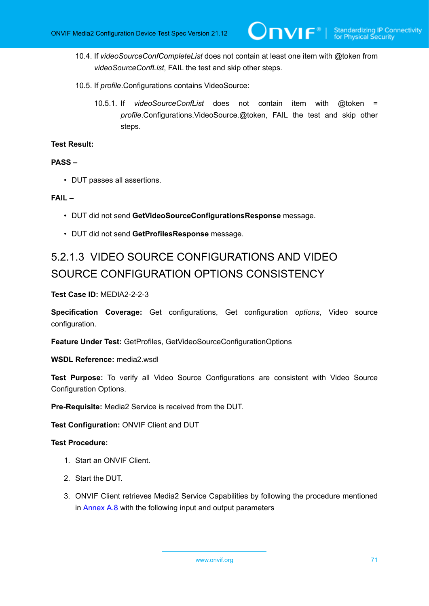- 10.4. If *videoSourceConfCompleteList* does not contain at least one item with @token from *videoSourceConfList*, FAIL the test and skip other steps.
- 10.5. If *profile*.Configurations contains VideoSource:
	- 10.5.1. If *videoSourceConfList* does not contain item with @token = *profile*.Configurations.VideoSource.@token, FAIL the test and skip other steps.

### **Test Result:**

# **PASS –**

• DUT passes all assertions.

### **FAIL –**

- DUT did not send **GetVideoSourceConfigurationsResponse** message.
- DUT did not send **GetProfilesResponse** message.

# 5.2.1.3 VIDEO SOURCE CONFIGURATIONS AND VIDEO SOURCE CONFIGURATION OPTIONS CONSISTENCY

**Test Case ID:** MEDIA2-2-2-3

**Specification Coverage:** Get configurations, Get configuration *options*, Video source configuration.

**Feature Under Test:** GetProfiles, GetVideoSourceConfigurationOptions

WSDL Reference: media2 wsdl

**Test Purpose:** To verify all Video Source Configurations are consistent with Video Source Configuration Options.

**Pre-Requisite:** Media2 Service is received from the DUT.

**Test Configuration:** ONVIF Client and DUT

- 1. Start an ONVIF Client.
- 2. Start the DUT.
- 3. ONVIF Client retrieves Media2 Service Capabilities by following the procedure mentioned in [Annex A.8](#page-223-0) with the following input and output parameters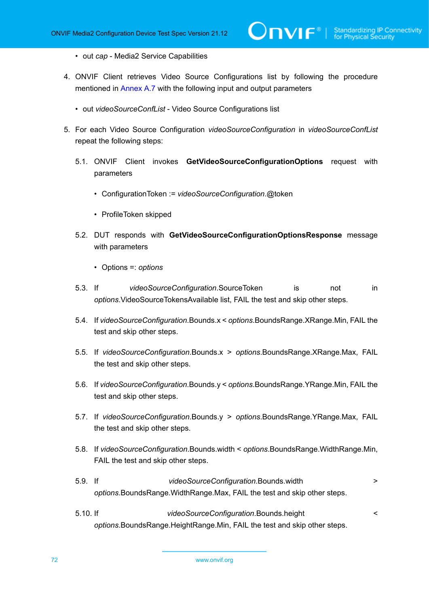- out *cap* Media2 Service Capabilities
- 4. ONVIF Client retrieves Video Source Configurations list by following the procedure mentioned in [Annex A.7](#page-222-0) with the following input and output parameters

JNVIF®I

- out *videoSourceConfList* Video Source Configurations list
- 5. For each Video Source Configuration *videoSourceConfiguration* in *videoSourceConfList* repeat the following steps:
	- 5.1. ONVIF Client invokes **GetVideoSourceConfigurationOptions** request with parameters
		- ConfigurationToken := *videoSourceConfiguration*.@token
		- ProfileToken skipped
	- 5.2. DUT responds with **GetVideoSourceConfigurationOptionsResponse** message with parameters
		- Options =: *options*
	- 5.3. If *videoSourceConfiguration*.SourceToken is not in *options*.VideoSourceTokensAvailable list, FAIL the test and skip other steps.
	- 5.4. If *videoSourceConfiguration*.Bounds.x < *options*.BoundsRange.XRange.Min, FAIL the test and skip other steps.
	- 5.5. If *videoSourceConfiguration*.Bounds.x > *options*.BoundsRange.XRange.Max, FAIL the test and skip other steps.
	- 5.6. If *videoSourceConfiguration*.Bounds.y < *options*.BoundsRange.YRange.Min, FAIL the test and skip other steps.
	- 5.7. If *videoSourceConfiguration*.Bounds.y > *options*.BoundsRange.YRange.Max, FAIL the test and skip other steps.
	- 5.8. If *videoSourceConfiguration*.Bounds.width < *options*.BoundsRange.WidthRange.Min, FAIL the test and skip other steps.
	- 5.9. If *videoSourceConfiguration*.Bounds.width > *options*.BoundsRange.WidthRange.Max, FAIL the test and skip other steps.
	- 5.10. If *videoSourceConfiguration*.Bounds.height < *options*.BoundsRange.HeightRange.Min, FAIL the test and skip other steps.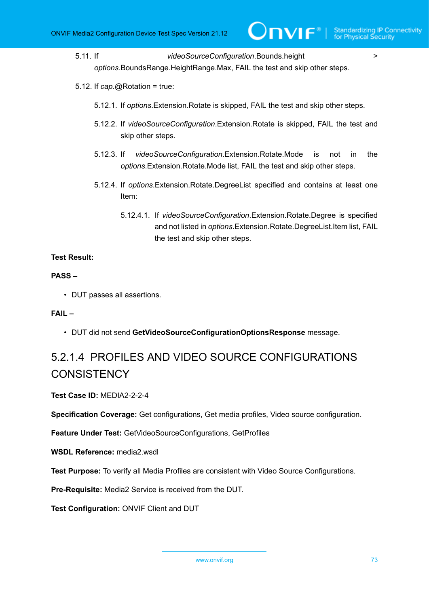5.11. If *videoSourceConfiguration*.Bounds.height > *options*.BoundsRange.HeightRange.Max, FAIL the test and skip other steps.

- 5.12. If *cap*.@Rotation = true:
	- 5.12.1. If *options*.Extension.Rotate is skipped, FAIL the test and skip other steps.
	- 5.12.2. If *videoSourceConfiguration*.Extension.Rotate is skipped, FAIL the test and skip other steps.
	- 5.12.3. If *videoSourceConfiguration*.Extension.Rotate.Mode is not in the *options*.Extension.Rotate.Mode list, FAIL the test and skip other steps.
	- 5.12.4. If *options*.Extension.Rotate.DegreeList specified and contains at least one Item:
		- 5.12.4.1. If *videoSourceConfiguration*.Extension.Rotate.Degree is specified and not listed in *options*.Extension.Rotate.DegreeList.Item list, FAIL the test and skip other steps.

## **Test Result:**

### **PASS –**

• DUT passes all assertions.

## **FAIL –**

• DUT did not send **GetVideoSourceConfigurationOptionsResponse** message.

# 5.2.1.4 PROFILES AND VIDEO SOURCE CONFIGURATIONS **CONSISTENCY**

**Test Case ID:** MEDIA2-2-2-4

**Specification Coverage:** Get configurations, Get media profiles, Video source configuration.

**Feature Under Test:** GetVideoSourceConfigurations, GetProfiles

**WSDL Reference:** media2.wsdl

**Test Purpose:** To verify all Media Profiles are consistent with Video Source Configurations.

**Pre-Requisite:** Media2 Service is received from the DUT.

**Test Configuration:** ONVIF Client and DUT

www.onvif.org 73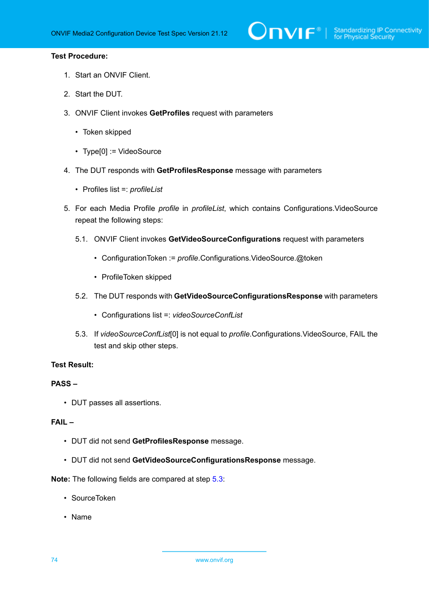# $\bigcirc$   $\bigcap$   $\bigvee$   $\bigcirc$   $\bigcirc$   $\bigcirc$  Standardizing IP Connectivity

### **Test Procedure:**

- 1. Start an ONVIF Client.
- 2. Start the DUT.
- 3. ONVIF Client invokes **GetProfiles** request with parameters
	- Token skipped
	- Type[0] := VideoSource
- 4. The DUT responds with **GetProfilesResponse** message with parameters
	- Profiles list =: *profileList*
- 5. For each Media Profile *profile* in *profileList*, which contains Configurations.VideoSource repeat the following steps:
	- 5.1. ONVIF Client invokes **GetVideoSourceConfigurations** request with parameters
		- ConfigurationToken := *profile*.Configurations.VideoSource.@token
		- ProfileToken skipped
	- 5.2. The DUT responds with **GetVideoSourceConfigurationsResponse** with parameters
		- Configurations list =: *videoSourceConfList*
	- 5.3. If *videoSourceConfList*[0] is not equal to *profile*.Configurations.VideoSource, FAIL the test and skip other steps.

### <span id="page-73-0"></span>**Test Result:**

# **PASS –**

• DUT passes all assertions.

### **FAIL –**

- DUT did not send **GetProfilesResponse** message.
- DUT did not send **GetVideoSourceConfigurationsResponse** message.

**Note:** The following fields are compared at step [5.3](#page-73-0):

- SourceToken
- Name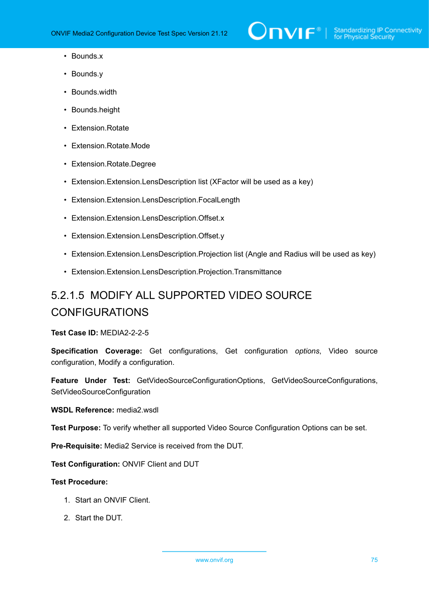- Bounds.x
- Bounds.y
- Bounds.width
- Bounds.height
- Extension.Rotate
- Extension.Rotate.Mode
- Extension.Rotate.Degree
- Extension.Extension.LensDescription list (XFactor will be used as a key)
- Extension.Extension.LensDescription.FocalLength
- Extension.Extension.LensDescription.Offset.x
- Extension.Extension.LensDescription.Offset.y
- Extension.Extension.LensDescription.Projection list (Angle and Radius will be used as key)
- Extension.Extension.LensDescription.Projection.Transmittance

# 5.2.1.5 MODIFY ALL SUPPORTED VIDEO SOURCE CONFIGURATIONS

**Test Case ID:** MEDIA2-2-2-5

**Specification Coverage:** Get configurations, Get configuration *options*, Video source configuration, Modify a configuration.

**Feature Under Test:** GetVideoSourceConfigurationOptions, GetVideoSourceConfigurations, SetVideoSourceConfiguration

**WSDL Reference:** media2.wsdl

**Test Purpose:** To verify whether all supported Video Source Configuration Options can be set.

**Pre-Requisite:** Media2 Service is received from the DUT.

**Test Configuration:** ONVIF Client and DUT

- 1. Start an ONVIF Client.
- 2. Start the DUT.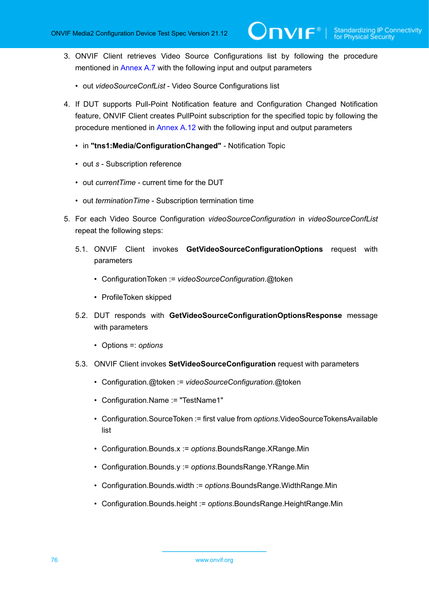- 3. ONVIF Client retrieves Video Source Configurations list by following the procedure mentioned in [Annex A.7](#page-222-0) with the following input and output parameters
	- out *videoSourceConfList* Video Source Configurations list
- <span id="page-75-1"></span>4. If DUT supports Pull-Point Notification feature and Configuration Changed Notification feature, ONVIF Client creates PullPoint subscription for the specified topic by following the procedure mentioned in [Annex A.12](#page-227-0) with the following input and output parameters
	- in **"tns1:Media/ConfigurationChanged"** Notification Topic
	- out *s* Subscription reference
	- out *currentTime* current time for the DUT
	- out *terminationTime* Subscription termination time
- <span id="page-75-0"></span>5. For each Video Source Configuration *videoSourceConfiguration* in *videoSourceConfList* repeat the following steps:
	- 5.1. ONVIF Client invokes **GetVideoSourceConfigurationOptions** request with parameters
		- ConfigurationToken := *videoSourceConfiguration*.@token
		- ProfileToken skipped
	- 5.2. DUT responds with **GetVideoSourceConfigurationOptionsResponse** message with parameters
		- Options =: *options*
	- 5.3. ONVIF Client invokes **SetVideoSourceConfiguration** request with parameters
		- Configuration.@token := *videoSourceConfiguration*.@token
		- Configuration.Name := "TestName1"
		- Configuration.SourceToken := first value from *options*.VideoSourceTokensAvailable list
		- Configuration.Bounds.x := *options*.BoundsRange.XRange.Min
		- Configuration.Bounds.y := *options*.BoundsRange.YRange.Min
		- Configuration.Bounds.width := *options*.BoundsRange.WidthRange.Min
		- Configuration.Bounds.height := *options*.BoundsRange.HeightRange.Min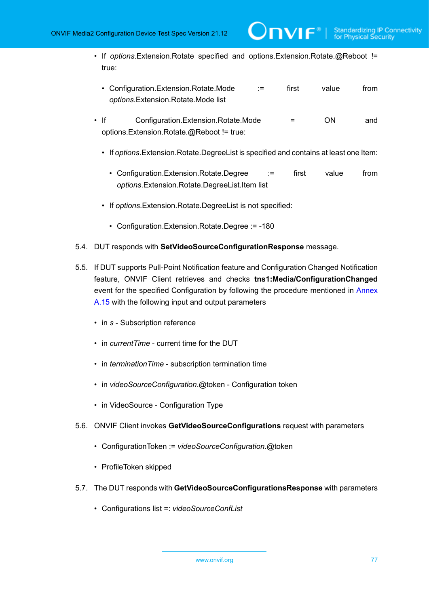• If *options*.Extension.Rotate specified and options.Extension.Rotate.@Reboot != true:

 $\mathsf{D}\mathbf{n}\mathsf{V}$ lf $^\circ$ l

| • Configuration. Extension. Rotate. Mode | first | value | from |
|------------------------------------------|-------|-------|------|
| options. Extension. Rotate. Mode list    |       |       |      |

- If Configuration.Extension.Rotate.Mode = ON and options.Extension.Rotate.@Reboot != true:
	- If *options*.Extension.Rotate.DegreeList is specified and contains at least one Item:
		- Configuration.Extension.Rotate.Degree := first value from *options*.Extension.Rotate.DegreeList.Item list
	- If *options*.Extension.Rotate.DegreeList is not specified:
		- Configuration.Extension.Rotate.Degree := -180
- 5.4. DUT responds with **SetVideoSourceConfigurationResponse** message.
- 5.5. If DUT supports Pull-Point Notification feature and Configuration Changed Notification feature, ONVIF Client retrieves and checks **tns1:Media/ConfigurationChanged** event for the specified Configuration by following the procedure mentioned in [Annex](#page-229-0) [A.15](#page-229-0) with the following input and output parameters
	- in *s* Subscription reference
	- in *currentTime* current time for the DUT
	- in *terminationTime* subscription termination time
	- in *videoSourceConfiguration*.@token Configuration token
	- in VideoSource Configuration Type
- 5.6. ONVIF Client invokes **GetVideoSourceConfigurations** request with parameters
	- ConfigurationToken := *videoSourceConfiguration*.@token
	- ProfileToken skipped
- 5.7. The DUT responds with **GetVideoSourceConfigurationsResponse** with parameters
	- Configurations list =: *videoSourceConfList*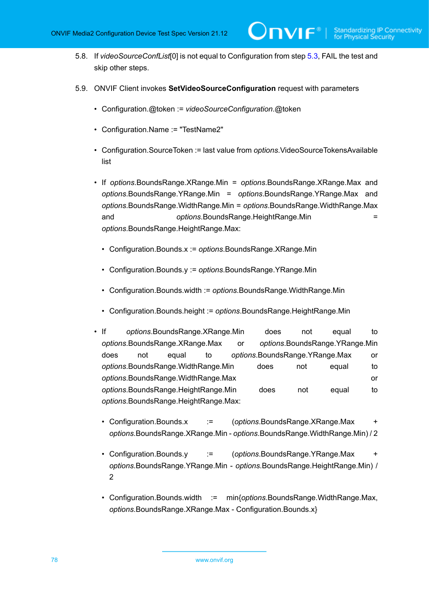<span id="page-77-1"></span>5.8. If *videoSourceConfList*[0] is not equal to Configuration from step [5.3](#page-75-0), FAIL the test and skip other steps.

 $\bm{\cup}$ nvif $^*$ l

- <span id="page-77-0"></span>5.9. ONVIF Client invokes **SetVideoSourceConfiguration** request with parameters
	- Configuration.@token := *videoSourceConfiguration*.@token
	- Configuration.Name := "TestName2"
	- Configuration.SourceToken := last value from *options*.VideoSourceTokensAvailable list
	- If *options*.BoundsRange.XRange.Min = *options*.BoundsRange.XRange.Max and *options*.BoundsRange.YRange.Min = *options*.BoundsRange.YRange.Max and *options*.BoundsRange.WidthRange.Min = *options*.BoundsRange.WidthRange.Max and *options*.BoundsRange.HeightRange.Min = *options*.BoundsRange.HeightRange.Max:
		- Configuration.Bounds.x := *options*.BoundsRange.XRange.Min
		- Configuration.Bounds.y := *options*.BoundsRange.YRange.Min
		- Configuration.Bounds.width := *options*.BoundsRange.WidthRange.Min
		- Configuration.Bounds.height := *options*.BoundsRange.HeightRange.Min
	- If *options*.BoundsRange.XRange.Min does not equal to *options*.BoundsRange.XRange.Max or *options*.BoundsRange.YRange.Min does not equal to *options*.BoundsRange.YRange.Max or *options*.BoundsRange.WidthRange.Min does not equal to *options*.BoundsRange.WidthRange.Max or *options*.BoundsRange.HeightRange.Min does not equal to *options*.BoundsRange.HeightRange.Max:
		- Configuration.Bounds.x := (*options*.BoundsRange.XRange.Max + *options*.BoundsRange.XRange.Min - *options*.BoundsRange.WidthRange.Min) / 2
		- Configuration.Bounds.y := (*options*.BoundsRange.YRange.Max + *options*.BoundsRange.YRange.Min - *options*.BoundsRange.HeightRange.Min) / 2
		- Configuration.Bounds.width := min{*options*.BoundsRange.WidthRange.Max, *options*.BoundsRange.XRange.Max - Configuration.Bounds.x}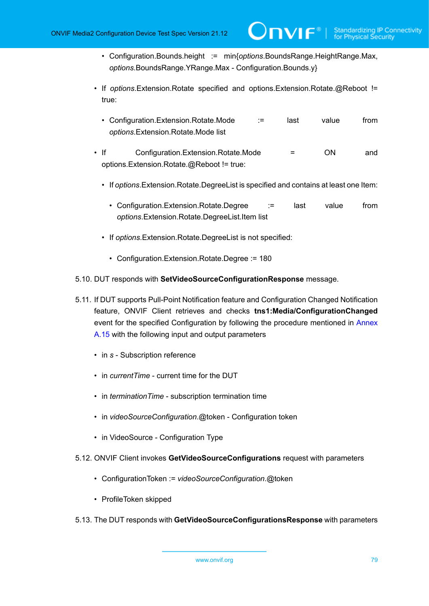• Configuration.Bounds.height := min{*options*.BoundsRange.HeightRange.Max, *options*.BoundsRange.YRange.Max - Configuration.Bounds.y}

 $\bm{\cup}$ NIF $^*$ l

- If *options*.Extension.Rotate specified and options.Extension.Rotate.@Reboot != true:
	- Configuration.Extension.Rotate.Mode := last value from *options*.Extension.Rotate.Mode list
- If Configuration.Extension.Rotate.Mode = ON and options.Extension.Rotate.@Reboot != true:
	- If *options*.Extension.Rotate.DegreeList is specified and contains at least one Item:
		- Configuration.Extension.Rotate.Degree := last value from *options*.Extension.Rotate.DegreeList.Item list
	- If *options*.Extension.Rotate.DegreeList is not specified:
		- Configuration.Extension.Rotate.Degree := 180
- 5.10. DUT responds with **SetVideoSourceConfigurationResponse** message.
- 5.11. If DUT supports Pull-Point Notification feature and Configuration Changed Notification feature, ONVIF Client retrieves and checks **tns1:Media/ConfigurationChanged** event for the specified Configuration by following the procedure mentioned in [Annex](#page-229-0) [A.15](#page-229-0) with the following input and output parameters
	- in *s* Subscription reference
	- in *currentTime* current time for the DUT
	- in *terminationTime* subscription termination time
	- in *videoSourceConfiguration*.@token Configuration token
	- in VideoSource Configuration Type
- 5.12. ONVIF Client invokes **GetVideoSourceConfigurations** request with parameters
	- ConfigurationToken := *videoSourceConfiguration*.@token
	- ProfileToken skipped
- 5.13. The DUT responds with **GetVideoSourceConfigurationsResponse** with parameters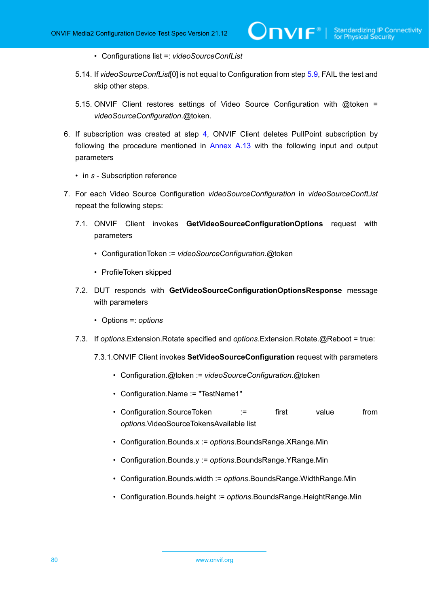- Configurations list =: *videoSourceConfList*
- <span id="page-79-1"></span>5.14. If *videoSourceConfList*[0] is not equal to Configuration from step [5.9](#page-77-0), FAIL the test and skip other steps.

 $\mathsf{D}\mathbf{N}\mathsf{I}\mathsf{F}^\ast$  i

- 5.15. ONVIF Client restores settings of Video Source Configuration with @token = *videoSourceConfiguration*.@token.
- 6. If subscription was created at step [4](#page-75-1), ONVIF Client deletes PullPoint subscription by following the procedure mentioned in [Annex A.13](#page-228-0) with the following input and output parameters
	- in *s* Subscription reference
- <span id="page-79-0"></span>7. For each Video Source Configuration *videoSourceConfiguration* in *videoSourceConfList* repeat the following steps:
	- 7.1. ONVIF Client invokes **GetVideoSourceConfigurationOptions** request with parameters
		- ConfigurationToken := *videoSourceConfiguration*.@token
		- ProfileToken skipped
	- 7.2. DUT responds with **GetVideoSourceConfigurationOptionsResponse** message with parameters
		- Options =: *options*
	- 7.3. If *options*.Extension.Rotate specified and *options*.Extension.Rotate.@Reboot = true:
		- 7.3.1.ONVIF Client invokes **SetVideoSourceConfiguration** request with parameters
			- Configuration.@token := *videoSourceConfiguration*.@token
			- Configuration.Name := "TestName1"
			- Configuration.SourceToken := first value from *options*.VideoSourceTokensAvailable list
			- Configuration.Bounds.x := *options*.BoundsRange.XRange.Min
			- Configuration.Bounds.y := *options*.BoundsRange.YRange.Min
			- Configuration.Bounds.width := *options*.BoundsRange.WidthRange.Min
			- Configuration.Bounds.height := *options*.BoundsRange.HeightRange.Min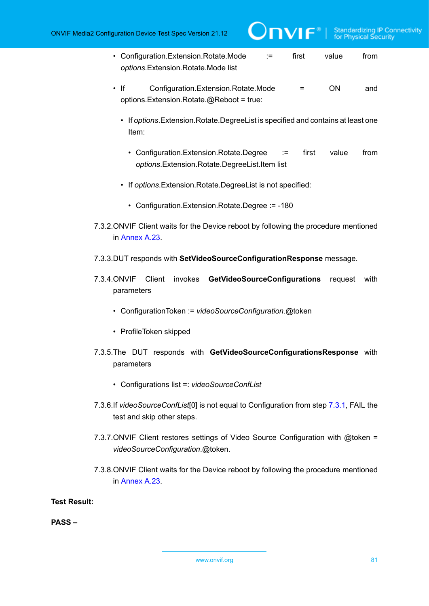**IDVIF**<sup>®</sup> | Standardizing IP Connectivity

- Configuration.Extension.Rotate.Mode := first value from *options*.Extension.Rotate.Mode list
- If Configuration.Extension.Rotate.Mode = ON and options.Extension.Rotate.@Reboot = true:
	- If *options*.Extension.Rotate.DegreeList is specified and contains at least one Item:
		- Configuration.Extension.Rotate.Degree := first value from *options*.Extension.Rotate.DegreeList.Item list
	- If *options*.Extension.Rotate.DegreeList is not specified:
		- Configuration.Extension.Rotate.Degree := -180
- 7.3.2.ONVIF Client waits for the Device reboot by following the procedure mentioned in [Annex A.23](#page-238-0).
- 7.3.3.DUT responds with **SetVideoSourceConfigurationResponse** message.
- 7.3.4.ONVIF Client invokes **GetVideoSourceConfigurations** request with parameters
	- ConfigurationToken := *videoSourceConfiguration*.@token
	- ProfileToken skipped
- 7.3.5.The DUT responds with **GetVideoSourceConfigurationsResponse** with parameters
	- Configurations list =: *videoSourceConfList*
- <span id="page-80-0"></span>7.3.6.If *videoSourceConfList*[0] is not equal to Configuration from step [7.3.1,](#page-79-0) FAIL the test and skip other steps.
- 7.3.7.ONVIF Client restores settings of Video Source Configuration with @token = *videoSourceConfiguration*.@token.
- 7.3.8.ONVIF Client waits for the Device reboot by following the procedure mentioned in [Annex A.23](#page-238-0).

**Test Result:**

**PASS –**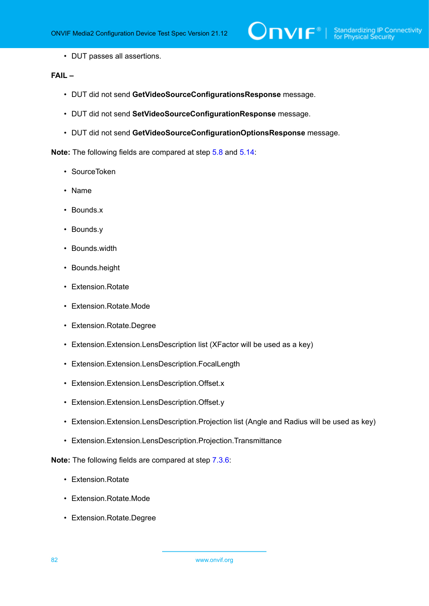• DUT passes all assertions.

## **FAIL –**

- DUT did not send **GetVideoSourceConfigurationsResponse** message.
- DUT did not send **SetVideoSourceConfigurationResponse** message.
- DUT did not send **GetVideoSourceConfigurationOptionsResponse** message.

**Note:** The following fields are compared at step [5.8](#page-77-1) and [5.14](#page-79-1):

- SourceToken
- Name
- Bounds.x
- Bounds.y
- Bounds.width
- Bounds.height
- Extension.Rotate
- Extension.Rotate.Mode
- Extension.Rotate.Degree
- Extension.Extension.LensDescription list (XFactor will be used as a key)
- Extension.Extension.LensDescription.FocalLength
- Extension.Extension.LensDescription.Offset.x
- Extension.Extension.LensDescription.Offset.y
- Extension.Extension.LensDescription.Projection list (Angle and Radius will be used as key)
- Extension.Extension.LensDescription.Projection.Transmittance

**Note:** The following fields are compared at step [7.3.6](#page-80-0):

- Extension.Rotate
- Extension.Rotate.Mode
- Extension.Rotate.Degree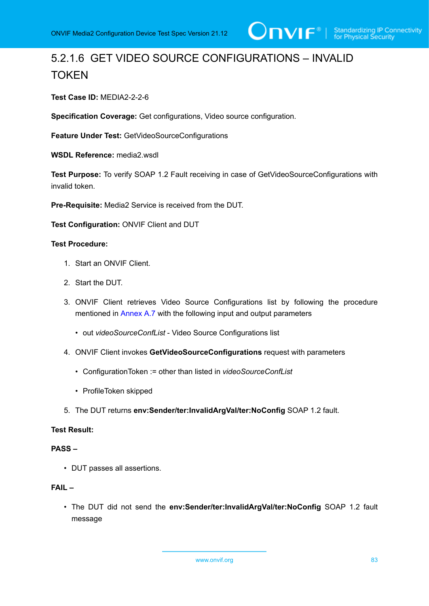# 5.2.1.6 GET VIDEO SOURCE CONFIGURATIONS – INVALID **TOKEN**

**Test Case ID:** MEDIA2-2-2-6

**Specification Coverage:** Get configurations, Video source configuration.

**Feature Under Test:** GetVideoSourceConfigurations

**WSDL Reference:** media2.wsdl

**Test Purpose:** To verify SOAP 1.2 Fault receiving in case of GetVideoSourceConfigurations with invalid token.

**Pre-Requisite:** Media2 Service is received from the DUT.

**Test Configuration:** ONVIF Client and DUT

### **Test Procedure:**

- 1. Start an ONVIF Client.
- 2. Start the DUT.
- 3. ONVIF Client retrieves Video Source Configurations list by following the procedure mentioned in [Annex A.7](#page-222-0) with the following input and output parameters
	- out *videoSourceConfList* Video Source Configurations list
- 4. ONVIF Client invokes **GetVideoSourceConfigurations** request with parameters
	- ConfigurationToken := other than listed in *videoSourceConfList*
	- ProfileToken skipped
- 5. The DUT returns **env:Sender/ter:InvalidArgVal/ter:NoConfig** SOAP 1.2 fault.

### **Test Result:**

### **PASS –**

• DUT passes all assertions.

### **FAIL –**

• The DUT did not send the **env:Sender/ter:InvalidArgVal/ter:NoConfig** SOAP 1.2 fault message

www.onvif.org 83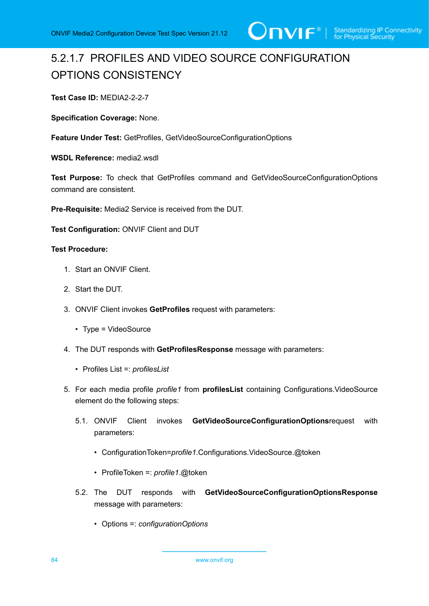

# 5.2.1.7 PROFILES AND VIDEO SOURCE CONFIGURATION OPTIONS CONSISTENCY

**Test Case ID:** MEDIA2-2-2-7

**Specification Coverage:** None.

**Feature Under Test:** GetProfiles, GetVideoSourceConfigurationOptions

**WSDL Reference:** media2.wsdl

**Test Purpose:** To check that GetProfiles command and GetVideoSourceConfigurationOptions command are consistent.

**Pre-Requisite:** Media2 Service is received from the DUT.

**Test Configuration:** ONVIF Client and DUT

### **Test Procedure:**

- 1. Start an ONVIF Client.
- 2. Start the DUT.
- 3. ONVIF Client invokes **GetProfiles** request with parameters:
	- Type = VideoSource
- 4. The DUT responds with **GetProfilesResponse** message with parameters:
	- Profiles List =: *profilesList*
- 5. For each media profile *profile1* from **profilesList** containing Configurations.VideoSource element do the following steps:
	- 5.1. ONVIF Client invokes **GetVideoSourceConfigurationOptions**request with parameters:
		- ConfigurationToken=*profile1*.Configurations.VideoSource.@token
		- ProfileToken =: *profile1*.@token
	- 5.2. The DUT responds with **GetVideoSourceConfigurationOptionsResponse** message with parameters:
		- Options =: *configurationOptions*

84 www.onvif.org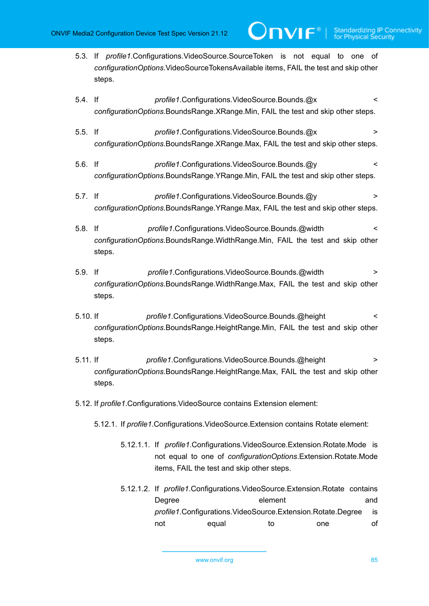5.3. If *profile1*.Configurations.VideoSource.SourceToken is not equal to one of *configurationOptions*.VideoSourceTokensAvailable items, FAIL the test and skip other steps.

**TVIF**®

- 5.4. If *profile1*.Configurations.VideoSource.Bounds.@x < *configurationOptions*.BoundsRange.XRange.Min, FAIL the test and skip other steps.
- 5.5. If *profile1*.Configurations.VideoSource.Bounds.@x > *configurationOptions*.BoundsRange.XRange.Max, FAIL the test and skip other steps.
- 5.6. If *profile1*.Configurations.VideoSource.Bounds.@y < *configurationOptions*.BoundsRange.YRange.Min, FAIL the test and skip other steps.
- 5.7. If *profile1*.Configurations.VideoSource.Bounds.@y > *configurationOptions*.BoundsRange.YRange.Max, FAIL the test and skip other steps.
- 5.8. If *profile1*.Configurations.VideoSource.Bounds.@width < *configurationOptions*.BoundsRange.WidthRange.Min, FAIL the test and skip other steps.
- 5.9. If *profile1*.Configurations.VideoSource.Bounds.@width > *configurationOptions*.BoundsRange.WidthRange.Max, FAIL the test and skip other steps.
- 5.10. If *profile1*.Configurations.VideoSource.Bounds.@height < *configurationOptions*.BoundsRange.HeightRange.Min, FAIL the test and skip other steps.
- 5.11. If *profile1*.Configurations.VideoSource.Bounds.@height > *configurationOptions*.BoundsRange.HeightRange.Max, FAIL the test and skip other steps.
- 5.12. If *profile1*.Configurations.VideoSource contains Extension element:
	- 5.12.1. If *profile1*.Configurations.VideoSource.Extension contains Rotate element:
		- 5.12.1.1. If *profile1*.Configurations.VideoSource.Extension.Rotate.Mode is not equal to one of *configurationOptions*.Extension.Rotate.Mode items, FAIL the test and skip other steps.
		- 5.12.1.2. If *profile1*.Configurations.VideoSource.Extension.Rotate contains Degree element and *profile1*.Configurations.VideoSource.Extension.Rotate.Degree is not equal to one of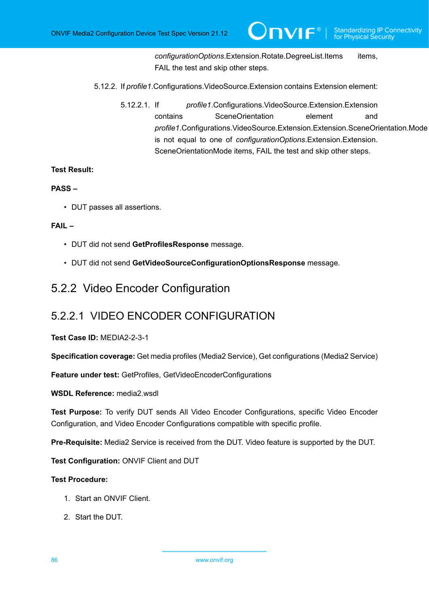*configurationOptions*.Extension.Rotate.DegreeList.Items items, FAIL the test and skip other steps.

- 5.12.2. If *profile1*.Configurations.VideoSource.Extension contains Extension element:
	- 5.12.2.1. If *profile1*.Configurations.VideoSource.Extension.Extension contains SceneOrientation element and *profile1*.Configurations.VideoSource.Extension.Extension.SceneOrientation.Mode is not equal to one of *configurationOptions*.Extension.Extension. SceneOrientationMode items, FAIL the test and skip other steps.

### **Test Result:**

### **PASS –**

• DUT passes all assertions.

### **FAIL –**

- DUT did not send **GetProfilesResponse** message.
- DUT did not send **GetVideoSourceConfigurationOptionsResponse** message.

# 5.2.2 Video Encoder Configuration

# 5.2.2.1 VIDEO ENCODER CONFIGURATION

### **Test Case ID:** MEDIA2-2-3-1

**Specification coverage:** Get media profiles (Media2 Service), Get configurations (Media2 Service)

**Feature under test:** GetProfiles, GetVideoEncoderConfigurations

**WSDL Reference:** media2.wsdl

**Test Purpose:** To verify DUT sends All Video Encoder Configurations, specific Video Encoder Configuration, and Video Encoder Configurations compatible with specific profile.

**Pre-Requisite:** Media2 Service is received from the DUT. Video feature is supported by the DUT.

**Test Configuration:** ONVIF Client and DUT

- 1. Start an ONVIF Client.
- 2. Start the DUT.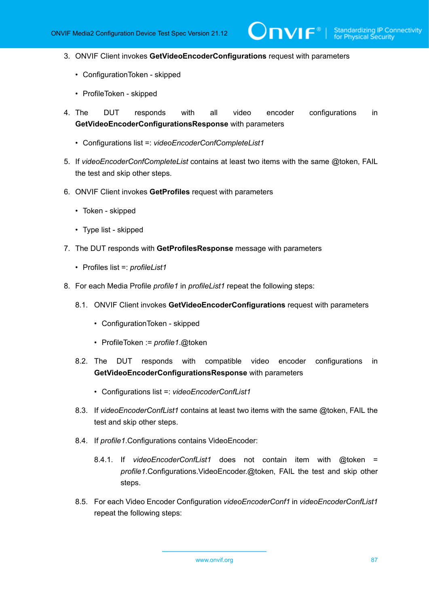$\partial$ DVIF $^{\circ}$ 

- 3. ONVIF Client invokes **GetVideoEncoderConfigurations** request with parameters
	- ConfigurationToken skipped
	- ProfileToken skipped
- 4. The DUT responds with all video encoder configurations in **GetVideoEncoderConfigurationsResponse** with parameters
	- Configurations list =: *videoEncoderConfCompleteList1*
- 5. If *videoEncoderConfCompleteList* contains at least two items with the same @token, FAIL the test and skip other steps.
- 6. ONVIF Client invokes **GetProfiles** request with parameters
	- Token skipped
	- Type list skipped
- 7. The DUT responds with **GetProfilesResponse** message with parameters
	- Profiles list =: *profileList1*
- 8. For each Media Profile *profile1* in *profileList1* repeat the following steps:
	- 8.1. ONVIF Client invokes **GetVideoEncoderConfigurations** request with parameters
		- ConfigurationToken skipped
		- ProfileToken := *profile1*.@token
	- 8.2. The DUT responds with compatible video encoder configurations in **GetVideoEncoderConfigurationsResponse** with parameters
		- Configurations list =: *videoEncoderConfList1*
	- 8.3. If *videoEncoderConfList1* contains at least two items with the same @token, FAIL the test and skip other steps.
	- 8.4. If *profile1*.Configurations contains VideoEncoder:
		- 8.4.1. If *videoEncoderConfList1* does not contain item with @token = *profile1*.Configurations.VideoEncoder.@token, FAIL the test and skip other steps.
	- 8.5. For each Video Encoder Configuration *videoEncoderConf1* in *videoEncoderConfList1* repeat the following steps: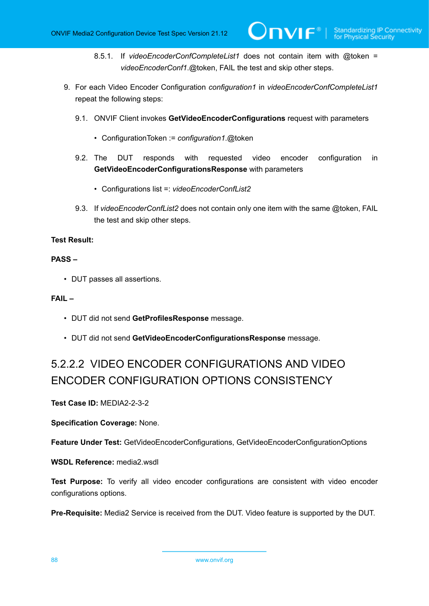- 8.5.1. If *videoEncoderConfCompleteList1* does not contain item with @token = *videoEncoderConf1*.@token, FAIL the test and skip other steps.
- 9. For each Video Encoder Configuration *configuration1* in *videoEncoderConfCompleteList1* repeat the following steps:
	- 9.1. ONVIF Client invokes **GetVideoEncoderConfigurations** request with parameters
		- ConfigurationToken := *configuration1*.@token
	- 9.2. The DUT responds with requested video encoder configuration in **GetVideoEncoderConfigurationsResponse** with parameters
		- Configurations list =: *videoEncoderConfList2*
	- 9.3. If *videoEncoderConfList2* does not contain only one item with the same @token, FAIL the test and skip other steps.

### **Test Result:**

### **PASS –**

• DUT passes all assertions.

### **FAIL –**

- DUT did not send **GetProfilesResponse** message.
- DUT did not send **GetVideoEncoderConfigurationsResponse** message.

# 5.2.2.2 VIDEO ENCODER CONFIGURATIONS AND VIDEO ENCODER CONFIGURATION OPTIONS CONSISTENCY

**Test Case ID:** MEDIA2-2-3-2

**Specification Coverage:** None.

**Feature Under Test:** GetVideoEncoderConfigurations, GetVideoEncoderConfigurationOptions

WSDL Reference: media2 wsdl

**Test Purpose:** To verify all video encoder configurations are consistent with video encoder configurations options.

**Pre-Requisite:** Media2 Service is received from the DUT. Video feature is supported by the DUT.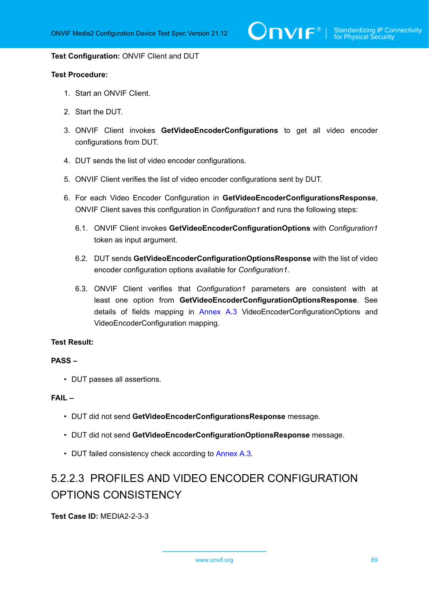$\bigcirc$  MVIF  $^{\circ}$  | Standardizing IP Connectivity

#### **Test Configuration:** ONVIF Client and DUT

### **Test Procedure:**

- 1. Start an ONVIF Client.
- 2. Start the DUT.
- 3. ONVIF Client invokes **GetVideoEncoderConfigurations** to get all video encoder configurations from DUT.
- 4. DUT sends the list of video encoder configurations.
- 5. ONVIF Client verifies the list of video encoder configurations sent by DUT.
- 6. For each Video Encoder Configuration in **GetVideoEncoderConfigurationsResponse**, ONVIF Client saves this configuration in *Configuration1* and runs the following steps:
	- 6.1. ONVIF Client invokes **GetVideoEncoderConfigurationOptions** with *Configuration1* token as input argument.
	- 6.2. DUT sends **GetVideoEncoderConfigurationOptionsResponse** with the list of video encoder configuration options available for *Configuration1*.
	- 6.3. ONVIF Client verifies that *Configuration1* parameters are consistent with at least one option from **GetVideoEncoderConfigurationOptionsResponse**. See details of fields mapping in [Annex A.3](#page-215-0) VideoEncoderConfigurationOptions and VideoEncoderConfiguration mapping.

### **Test Result:**

#### **PASS –**

• DUT passes all assertions.

### **FAIL –**

- DUT did not send **GetVideoEncoderConfigurationsResponse** message.
- DUT did not send **GetVideoEncoderConfigurationOptionsResponse** message.
- DUT failed consistency check according to [Annex A.3](#page-215-0).

# 5.2.2.3 PROFILES AND VIDEO ENCODER CONFIGURATION OPTIONS CONSISTENCY

**Test Case ID:** MEDIA2-2-3-3

www.onvif.org 89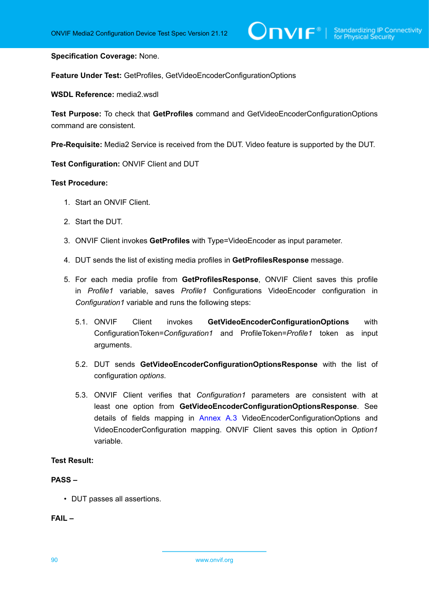### **Specification Coverage:** None.

**Feature Under Test:** GetProfiles, GetVideoEncoderConfigurationOptions

**WSDL Reference:** media2.wsdl

**Test Purpose:** To check that **GetProfiles** command and GetVideoEncoderConfigurationOptions command are consistent.

**Pre-Requisite:** Media2 Service is received from the DUT. Video feature is supported by the DUT.

**Test Configuration:** ONVIF Client and DUT

### **Test Procedure:**

- 1. Start an ONVIF Client.
- 2. Start the DUT.
- 3. ONVIF Client invokes **GetProfiles** with Type=VideoEncoder as input parameter.
- 4. DUT sends the list of existing media profiles in **GetProfilesResponse** message.
- 5. For each media profile from **GetProfilesResponse**, ONVIF Client saves this profile in *Profile1* variable, saves *Profile1* Configurations VideoEncoder configuration in *Configuration1* variable and runs the following steps:
	- 5.1. ONVIF Client invokes **GetVideoEncoderConfigurationOptions** with ConfigurationToken=*Configuration1* and ProfileToken=*Profile1* token as input arguments.
	- 5.2. DUT sends **GetVideoEncoderConfigurationOptionsResponse** with the list of configuration *options*.
	- 5.3. ONVIF Client verifies that *Configuration1* parameters are consistent with at least one option from **GetVideoEncoderConfigurationOptionsResponse**. See details of fields mapping in [Annex A.3](#page-215-0) VideoEncoderConfigurationOptions and VideoEncoderConfiguration mapping. ONVIF Client saves this option in *Option1* variable.

### **Test Result:**

### **PASS –**

• DUT passes all assertions.

**FAIL –**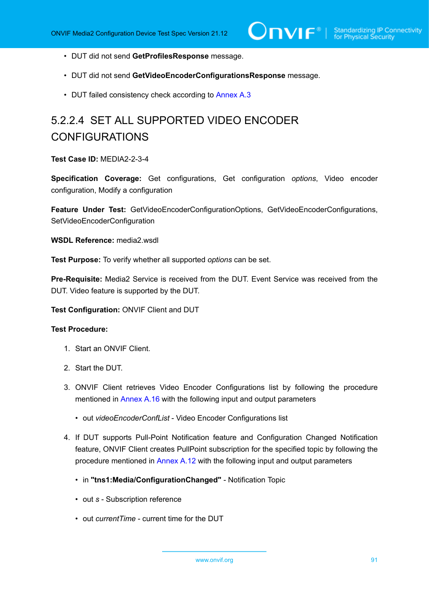- DUT did not send **GetProfilesResponse** message.
- DUT did not send **GetVideoEncoderConfigurationsResponse** message.
- DUT failed consistency check according to [Annex A.3](#page-215-0)

# 5.2.2.4 SET ALL SUPPORTED VIDEO ENCODER CONFIGURATIONS

**Test Case ID:** MEDIA2-2-3-4

**Specification Coverage:** Get configurations, Get configuration *options*, Video encoder configuration, Modify a configuration

**Feature Under Test:** GetVideoEncoderConfigurationOptions, GetVideoEncoderConfigurations, SetVideoEncoderConfiguration

**WSDL Reference:** media2.wsdl

**Test Purpose:** To verify whether all supported *options* can be set.

**Pre-Requisite:** Media2 Service is received from the DUT. Event Service was received from the DUT. Video feature is supported by the DUT.

**Test Configuration:** ONVIF Client and DUT

- 1. Start an ONVIF Client.
- 2. Start the DUT.
- 3. ONVIF Client retrieves Video Encoder Configurations list by following the procedure mentioned in [Annex A.16](#page-230-0) with the following input and output parameters
	- out *videoEncoderConfList* Video Encoder Configurations list
- <span id="page-90-0"></span>4. If DUT supports Pull-Point Notification feature and Configuration Changed Notification feature, ONVIF Client creates PullPoint subscription for the specified topic by following the procedure mentioned in [Annex A.12](#page-227-0) with the following input and output parameters
	- in **"tns1:Media/ConfigurationChanged"** Notification Topic
	- out *s* Subscription reference
	- out *currentTime* current time for the DUT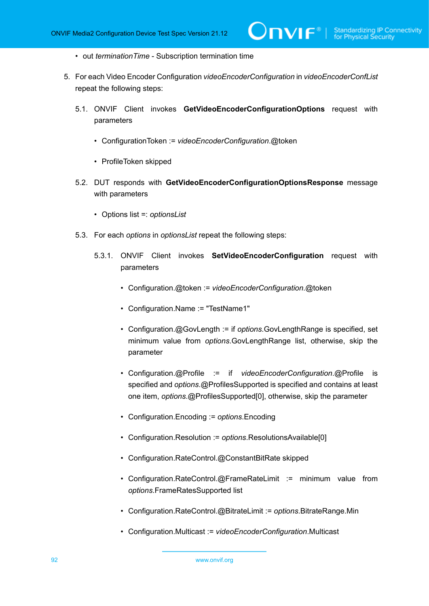- out *terminationTime* Subscription termination time
- <span id="page-91-0"></span>5. For each Video Encoder Configuration *videoEncoderConfiguration* in *videoEncoderConfList* repeat the following steps:
	- 5.1. ONVIF Client invokes **GetVideoEncoderConfigurationOptions** request with parameters
		- ConfigurationToken := *videoEncoderConfiguration*.@token
		- ProfileToken skipped
	- 5.2. DUT responds with **GetVideoEncoderConfigurationOptionsResponse** message with parameters
		- Options list =: *optionsList*
	- 5.3. For each *options* in *optionsList* repeat the following steps:
		- 5.3.1. ONVIF Client invokes **SetVideoEncoderConfiguration** request with parameters
			- Configuration.@token := *videoEncoderConfiguration*.@token
			- Configuration.Name := "TestName1"
			- Configuration.@GovLength := if *options*.GovLengthRange is specified, set minimum value from *options*.GovLengthRange list, otherwise, skip the parameter
			- Configuration.@Profile := if *videoEncoderConfiguration*.@Profile is specified and *options*.@ProfilesSupported is specified and contains at least one item, *options*.@ProfilesSupported[0], otherwise, skip the parameter
			- Configuration.Encoding := *options*.Encoding
			- Configuration.Resolution := *options*.ResolutionsAvailable[0]
			- Configuration.RateControl.@ConstantBitRate skipped
			- Configuration.RateControl.@FrameRateLimit := minimum value from *options*.FrameRatesSupported list
			- Configuration.RateControl.@BitrateLimit := *options*.BitrateRange.Min
			- Configuration.Multicast := *videoEncoderConfiguration*.Multicast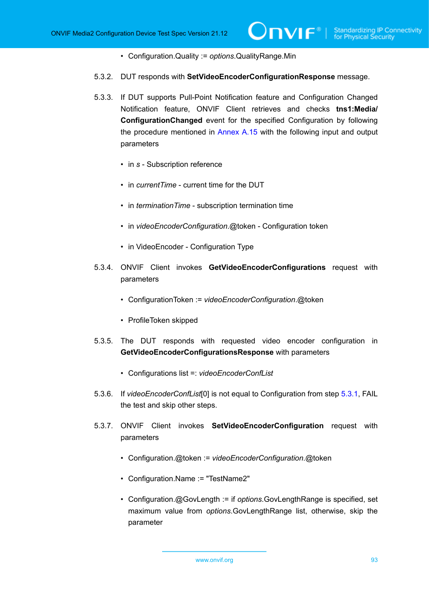- Configuration.Quality := *options*.QualityRange.Min
- 5.3.2. DUT responds with **SetVideoEncoderConfigurationResponse** message.
- 5.3.3. If DUT supports Pull-Point Notification feature and Configuration Changed Notification feature, ONVIF Client retrieves and checks **tns1:Media/ ConfigurationChanged** event for the specified Configuration by following the procedure mentioned in [Annex A.15](#page-229-0) with the following input and output parameters
	- in *s* Subscription reference
	- in *currentTime* current time for the DUT
	- in *terminationTime* subscription termination time
	- in *videoEncoderConfiguration*.@token Configuration token
	- in VideoEncoder Configuration Type
- 5.3.4. ONVIF Client invokes **GetVideoEncoderConfigurations** request with parameters
	- ConfigurationToken := *videoEncoderConfiguration*.@token
	- ProfileToken skipped
- 5.3.5. The DUT responds with requested video encoder configuration in **GetVideoEncoderConfigurationsResponse** with parameters
	- Configurations list =: *videoEncoderConfList*
- <span id="page-92-1"></span>5.3.6. If *videoEncoderConfList*[0] is not equal to Configuration from step [5.3.1](#page-91-0), FAIL the test and skip other steps.
- <span id="page-92-0"></span>5.3.7. ONVIF Client invokes **SetVideoEncoderConfiguration** request with parameters
	- Configuration.@token := *videoEncoderConfiguration*.@token
	- Configuration.Name := "TestName2"
	- Configuration.@GovLength := if *options*.GovLengthRange is specified, set maximum value from *options*.GovLengthRange list, otherwise, skip the parameter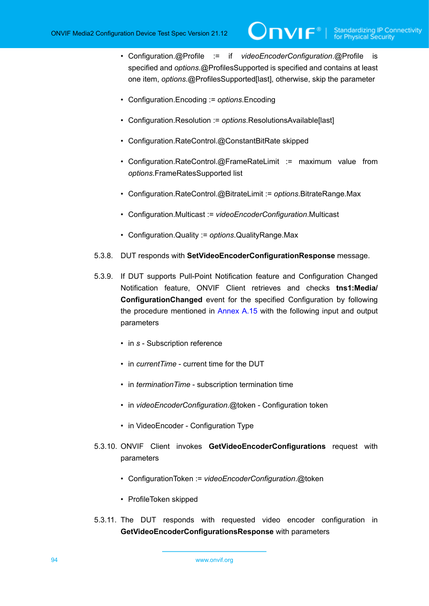- Configuration.@Profile := if *videoEncoderConfiguration*.@Profile is specified and *options*.@ProfilesSupported is specified and contains at least one item, *options*.@ProfilesSupported[last], otherwise, skip the parameter
- Configuration.Encoding := *options*.Encoding
- Configuration.Resolution := *options*.ResolutionsAvailable[last]
- Configuration.RateControl.@ConstantBitRate skipped
- Configuration.RateControl.@FrameRateLimit := maximum value from *options*.FrameRatesSupported list
- Configuration.RateControl.@BitrateLimit := *options*.BitrateRange.Max
- Configuration.Multicast := *videoEncoderConfiguration*.Multicast
- Configuration.Quality := *options*.QualityRange.Max
- 5.3.8. DUT responds with **SetVideoEncoderConfigurationResponse** message.
- 5.3.9. If DUT supports Pull-Point Notification feature and Configuration Changed Notification feature, ONVIF Client retrieves and checks **tns1:Media/ ConfigurationChanged** event for the specified Configuration by following the procedure mentioned in [Annex A.15](#page-229-0) with the following input and output parameters
	- in *s* Subscription reference
	- in *currentTime* current time for the DUT
	- in *terminationTime* subscription termination time
	- in *videoEncoderConfiguration*.@token Configuration token
	- in VideoEncoder Configuration Type
- 5.3.10. ONVIF Client invokes **GetVideoEncoderConfigurations** request with parameters
	- ConfigurationToken := *videoEncoderConfiguration*.@token
	- ProfileToken skipped
- 5.3.11. The DUT responds with requested video encoder configuration in **GetVideoEncoderConfigurationsResponse** with parameters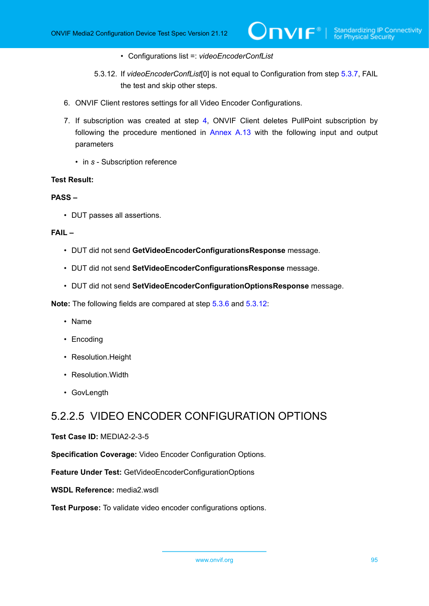- Configurations list =: *videoEncoderConfList*
- 5.3.12. If *videoEncoderConfList*[0] is not equal to Configuration from step [5.3.7](#page-92-0), FAIL the test and skip other steps.
- <span id="page-94-0"></span>6. ONVIF Client restores settings for all Video Encoder Configurations.
- 7. If subscription was created at step [4](#page-90-0), ONVIF Client deletes PullPoint subscription by following the procedure mentioned in [Annex A.13](#page-228-0) with the following input and output parameters
	- in *s* Subscription reference

### **Test Result:**

## **PASS –**

• DUT passes all assertions.

### **FAIL –**

- DUT did not send **GetVideoEncoderConfigurationsResponse** message.
- DUT did not send **SetVideoEncoderConfigurationsResponse** message.
- DUT did not send **SetVideoEncoderConfigurationOptionsResponse** message.

**Note:** The following fields are compared at step [5.3.6](#page-92-1) and [5.3.12:](#page-94-0)

- Name
- Encoding
- Resolution.Height
- Resolution.Width
- GovLength

# 5.2.2.5 VIDEO ENCODER CONFIGURATION OPTIONS

### **Test Case ID:** MEDIA2-2-3-5

**Specification Coverage:** Video Encoder Configuration Options.

**Feature Under Test:** GetVideoEncoderConfigurationOptions

**WSDL Reference:** media2.wsdl

**Test Purpose:** To validate video encoder configurations options.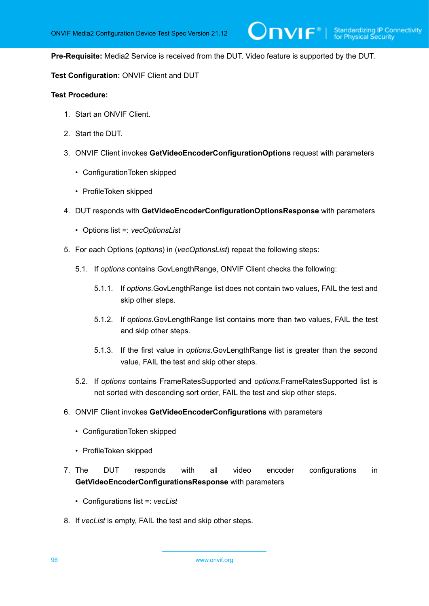**Pre-Requisite:** Media2 Service is received from the DUT. Video feature is supported by the DUT.

 $\mathsf{J}\mathsf{N}\mathsf{N}\mathsf{F}^\ast$  .

**Test Configuration:** ONVIF Client and DUT

- 1. Start an ONVIF Client.
- 2. Start the DUT.
- 3. ONVIF Client invokes **GetVideoEncoderConfigurationOptions** request with parameters
	- ConfigurationToken skipped
	- ProfileToken skipped
- 4. DUT responds with **GetVideoEncoderConfigurationOptionsResponse** with parameters
	- Options list =: *vecOptionsList*
- 5. For each Options (*options*) in (*vecOptionsList*) repeat the following steps:
	- 5.1. If *options* contains GovLengthRange, ONVIF Client checks the following:
		- 5.1.1. If *options*.GovLengthRange list does not contain two values, FAIL the test and skip other steps.
		- 5.1.2. If *options*.GovLengthRange list contains more than two values, FAIL the test and skip other steps.
		- 5.1.3. If the first value in *options*.GovLengthRange list is greater than the second value, FAIL the test and skip other steps.
	- 5.2. If *options* contains FrameRatesSupported and *options*.FrameRatesSupported list is not sorted with descending sort order, FAIL the test and skip other steps.
- 6. ONVIF Client invokes **GetVideoEncoderConfigurations** with parameters
	- ConfigurationToken skipped
	- ProfileToken skipped
- 7. The DUT responds with all video encoder configurations in **GetVideoEncoderConfigurationsResponse** with parameters
	- Configurations list =: *vecList*
- 8. If *vecList* is empty, FAIL the test and skip other steps.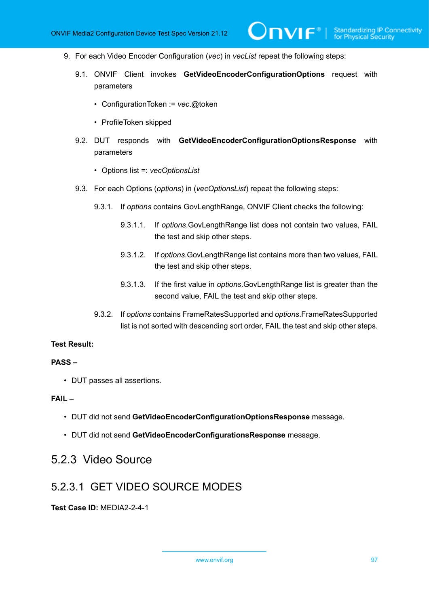- 9. For each Video Encoder Configuration (*vec*) in *vecList* repeat the following steps:
	- 9.1. ONVIF Client invokes **GetVideoEncoderConfigurationOptions** request with parameters

 $\mathsf{D}\mathbf{N}\mathsf{I}\mathsf{F}^\ast$  .

- ConfigurationToken := *vec*.@token
- ProfileToken skipped
- 9.2. DUT responds with **GetVideoEncoderConfigurationOptionsResponse** with parameters
	- Options list =: *vecOptionsList*
- 9.3. For each Options (*options*) in (*vecOptionsList*) repeat the following steps:
	- 9.3.1. If *options* contains GovLengthRange, ONVIF Client checks the following:
		- 9.3.1.1. If *options*.GovLengthRange list does not contain two values, FAIL the test and skip other steps.
		- 9.3.1.2. If *options*.GovLengthRange list contains more than two values, FAIL the test and skip other steps.
		- 9.3.1.3. If the first value in *options*.GovLengthRange list is greater than the second value, FAIL the test and skip other steps.
	- 9.3.2. If *options* contains FrameRatesSupported and *options*.FrameRatesSupported list is not sorted with descending sort order, FAIL the test and skip other steps.

### **Test Result:**

### **PASS –**

• DUT passes all assertions.

### **FAIL –**

- DUT did not send **GetVideoEncoderConfigurationOptionsResponse** message.
- DUT did not send **GetVideoEncoderConfigurationsResponse** message.

# 5.2.3 Video Source

# 5.2.3.1 GET VIDEO SOURCE MODES

**Test Case ID:** MEDIA2-2-4-1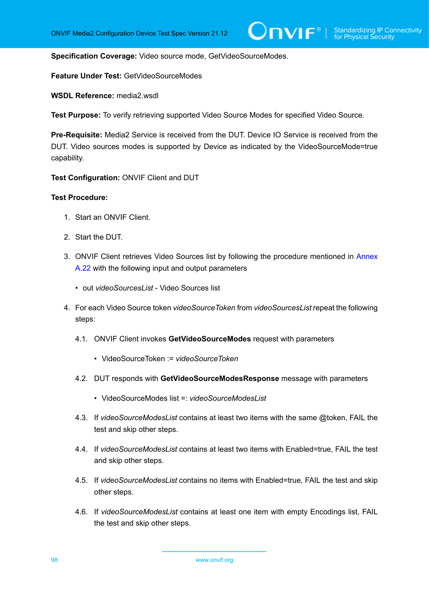**Specification Coverage:** Video source mode, GetVideoSourceModes.

**Feature Under Test:** GetVideoSourceModes

WSDL Reference: media2 wsdl

**Test Purpose:** To verify retrieving supported Video Source Modes for specified Video Source.

**Pre-Requisite:** Media2 Service is received from the DUT. Device IO Service is received from the DUT. Video sources modes is supported by Device as indicated by the VideoSourceMode=true capability.

**Test Configuration:** ONVIF Client and DUT

- 1. Start an ONVIF Client.
- 2. Start the DUT.
- 3. ONVIF Client retrieves Video Sources list by following the procedure mentioned in [Annex](#page-237-0) [A.22](#page-237-0) with the following input and output parameters
	- out *videoSourcesList* Video Sources list
- 4. For each Video Source token *videoSourceToken* from *videoSourcesList* repeat the following steps:
	- 4.1. ONVIF Client invokes **GetVideoSourceModes** request with parameters
		- VideoSourceToken := *videoSourceToken*
	- 4.2. DUT responds with **GetVideoSourceModesResponse** message with parameters
		- VideoSourceModes list =: *videoSourceModesList*
	- 4.3. If *videoSourceModesList* contains at least two items with the same @token, FAIL the test and skip other steps.
	- 4.4. If *videoSourceModesList* contains at least two items with Enabled=true, FAIL the test and skip other steps.
	- 4.5. If *videoSourceModesList* contains no items with Enabled=true, FAIL the test and skip other steps.
	- 4.6. If *videoSourceModesList* contains at least one item with empty Encodings list, FAIL the test and skip other steps.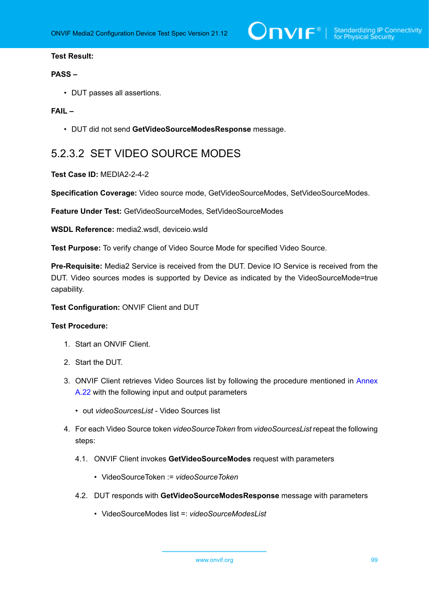### **Test Result:**

### **PASS –**

• DUT passes all assertions.

### **FAIL –**

• DUT did not send **GetVideoSourceModesResponse** message.

# 5.2.3.2 SET VIDEO SOURCE MODES

**Test Case ID:** MEDIA2-2-4-2

**Specification Coverage:** Video source mode, GetVideoSourceModes, SetVideoSourceModes.

**Feature Under Test:** GetVideoSourceModes, SetVideoSourceModes

**WSDL Reference:** media2.wsdl, deviceio.wsld

**Test Purpose:** To verify change of Video Source Mode for specified Video Source.

**Pre-Requisite:** Media2 Service is received from the DUT. Device IO Service is received from the DUT. Video sources modes is supported by Device as indicated by the VideoSourceMode=true capability.

**Test Configuration:** ONVIF Client and DUT

- 1. Start an ONVIF Client.
- 2. Start the DUT.
- 3. ONVIF Client retrieves Video Sources list by following the procedure mentioned in [Annex](#page-237-0) [A.22](#page-237-0) with the following input and output parameters
	- out *videoSourcesList* Video Sources list
- 4. For each Video Source token *videoSourceToken* from *videoSourcesList* repeat the following steps:
	- 4.1. ONVIF Client invokes **GetVideoSourceModes** request with parameters
		- VideoSourceToken := *videoSourceToken*
	- 4.2. DUT responds with **GetVideoSourceModesResponse** message with parameters
		- VideoSourceModes list =: *videoSourceModesList*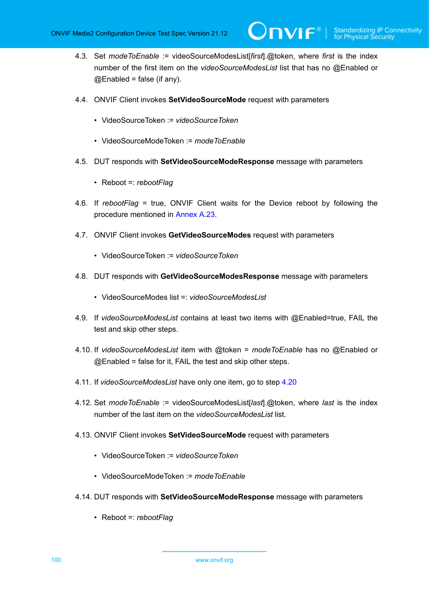4.3. Set *modeToEnable* := videoSourceModesList[*first*].@token, where *first* is the index number of the first item on the *videoSourceModesList* list that has no @Enabled or  $@$ Enabled = false (if any).

 $\mathsf{D}\mathbf{N}\mathsf{I}\mathsf{F}^*$ l

- 4.4. ONVIF Client invokes **SetVideoSourceMode** request with parameters
	- VideoSourceToken := *videoSourceToken*
	- VideoSourceModeToken := *modeToEnable*
- 4.5. DUT responds with **SetVideoSourceModeResponse** message with parameters
	- Reboot =: *rebootFlag*
- 4.6. If *rebootFlag* = true, ONVIF Client waits for the Device reboot by following the procedure mentioned in [Annex A.23](#page-238-0).
- 4.7. ONVIF Client invokes **GetVideoSourceModes** request with parameters
	- VideoSourceToken := *videoSourceToken*
- 4.8. DUT responds with **GetVideoSourceModesResponse** message with parameters
	- VideoSourceModes list =: *videoSourceModesList*
- 4.9. If *videoSourceModesList* contains at least two items with @Enabled=true, FAIL the test and skip other steps.
- 4.10. If *videoSourceModesList* item with @token = *modeToEnable* has no @Enabled or  $@$  Enabled = false for it, FAIL the test and skip other steps.
- 4.11. If *videoSourceModesList* have only one item, go to step [4.20](#page-100-0)
- 4.12. Set *modeToEnable* := videoSourceModesList[*last*].@token, where *last* is the index number of the last item on the *videoSourceModesList* list.
- 4.13. ONVIF Client invokes **SetVideoSourceMode** request with parameters
	- VideoSourceToken := *videoSourceToken*
	- VideoSourceModeToken := *modeToEnable*
- 4.14. DUT responds with **SetVideoSourceModeResponse** message with parameters
	- Reboot =: *rebootFlag*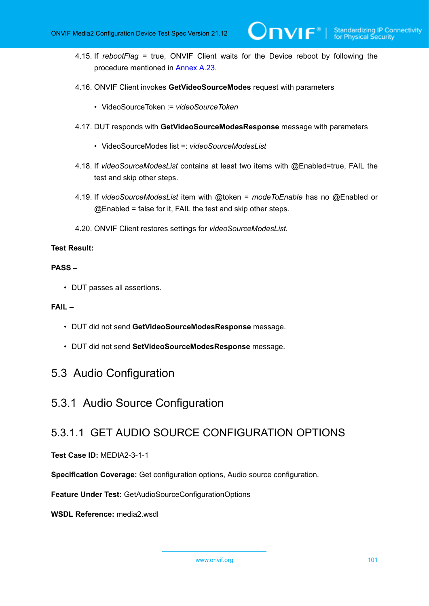4.15. If *rebootFlag* = true, ONVIF Client waits for the Device reboot by following the procedure mentioned in [Annex A.23](#page-238-0).

 $\mathsf{D}\mathbf{N}\mathsf{I}\mathsf{F}^\ast$  i

- 4.16. ONVIF Client invokes **GetVideoSourceModes** request with parameters
	- VideoSourceToken := *videoSourceToken*
- 4.17. DUT responds with **GetVideoSourceModesResponse** message with parameters
	- VideoSourceModes list =: *videoSourceModesList*
- 4.18. If *videoSourceModesList* contains at least two items with @Enabled=true, FAIL the test and skip other steps.
- 4.19. If *videoSourceModesList* item with @token = *modeToEnable* has no @Enabled or @Enabled = false for it, FAIL the test and skip other steps.
- 4.20. ONVIF Client restores settings for *videoSourceModesList*.

## <span id="page-100-0"></span>**Test Result:**

## **PASS –**

• DUT passes all assertions.

## **FAIL –**

- DUT did not send **GetVideoSourceModesResponse** message.
- DUT did not send **SetVideoSourceModesResponse** message.

# 5.3 Audio Configuration

# 5.3.1 Audio Source Configuration

# 5.3.1.1 GET AUDIO SOURCE CONFIGURATION OPTIONS

# **Test Case ID:** MEDIA2-3-1-1

**Specification Coverage:** Get configuration options, Audio source configuration.

**Feature Under Test:** GetAudioSourceConfigurationOptions

**WSDL Reference:** media2.wsdl

www.onvif.org 101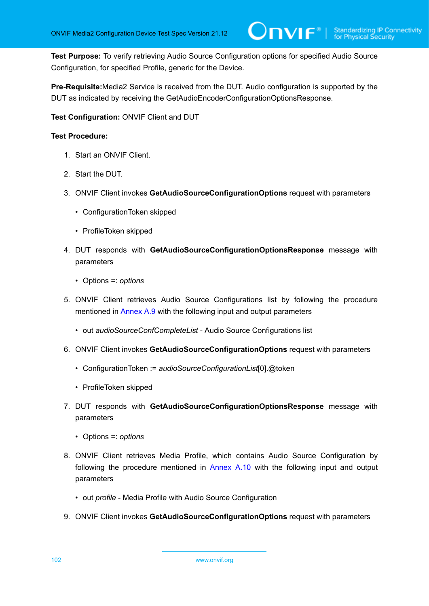**Test Purpose:** To verify retrieving Audio Source Configuration options for specified Audio Source Configuration, for specified Profile, generic for the Device.

**Pre-Requisite:**Media2 Service is received from the DUT. Audio configuration is supported by the DUT as indicated by receiving the GetAudioEncoderConfigurationOptionsResponse.

**Test Configuration:** ONVIF Client and DUT

- 1. Start an ONVIF Client.
- 2. Start the DUT.
- 3. ONVIF Client invokes **GetAudioSourceConfigurationOptions** request with parameters
	- ConfigurationToken skipped
	- ProfileToken skipped
- 4. DUT responds with **GetAudioSourceConfigurationOptionsResponse** message with parameters
	- Options =: *options*
- 5. ONVIF Client retrieves Audio Source Configurations list by following the procedure mentioned in [Annex A.9](#page-224-0) with the following input and output parameters
	- out *audioSourceConfCompleteList* Audio Source Configurations list
- 6. ONVIF Client invokes **GetAudioSourceConfigurationOptions** request with parameters
	- ConfigurationToken := *audioSourceConfigurationList*[0].@token
	- ProfileToken skipped
- 7. DUT responds with **GetAudioSourceConfigurationOptionsResponse** message with parameters
	- Options =: *options*
- <span id="page-101-0"></span>8. ONVIF Client retrieves Media Profile, which contains Audio Source Configuration by following the procedure mentioned in [Annex A.10](#page-224-1) with the following input and output parameters
	- out *profile* Media Profile with Audio Source Configuration
- 9. ONVIF Client invokes **GetAudioSourceConfigurationOptions** request with parameters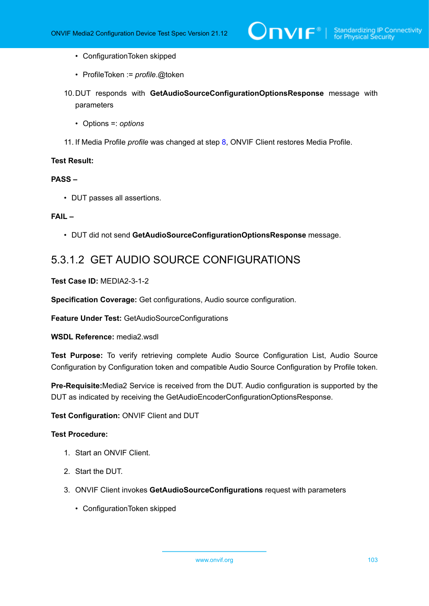- ConfigurationToken skipped
- ProfileToken := *profile*.@token
- 10.DUT responds with **GetAudioSourceConfigurationOptionsResponse** message with parameters
	- Options =: *options*
- 11. If Media Profile *profile* was changed at step [8,](#page-101-0) ONVIF Client restores Media Profile.

### **Test Result:**

## **PASS –**

• DUT passes all assertions.

### **FAIL –**

• DUT did not send **GetAudioSourceConfigurationOptionsResponse** message.

# 5.3.1.2 GET AUDIO SOURCE CONFIGURATIONS

### **Test Case ID:** MEDIA2-3-1-2

**Specification Coverage:** Get configurations, Audio source configuration.

**Feature Under Test:** GetAudioSourceConfigurations

### **WSDL Reference:** media2.wsdl

**Test Purpose:** To verify retrieving complete Audio Source Configuration List, Audio Source Configuration by Configuration token and compatible Audio Source Configuration by Profile token.

**Pre-Requisite:**Media2 Service is received from the DUT. Audio configuration is supported by the DUT as indicated by receiving the GetAudioEncoderConfigurationOptionsResponse.

### **Test Configuration:** ONVIF Client and DUT

- 1. Start an ONVIF Client.
- 2. Start the DUT.
- 3. ONVIF Client invokes **GetAudioSourceConfigurations** request with parameters
	- ConfigurationToken skipped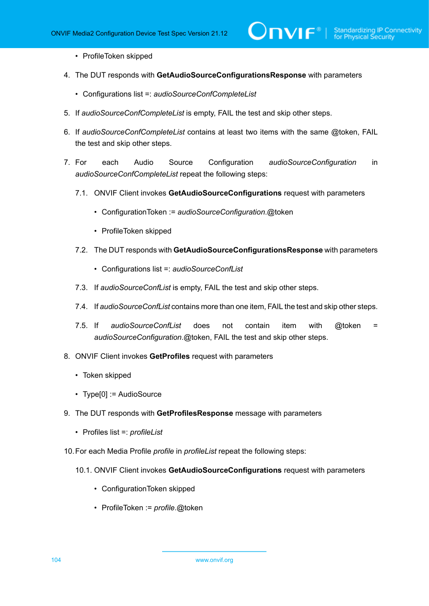$\mathsf{D}\mathbf{N}\mathsf{I}\mathsf{F}^\ast$ l

- ProfileToken skipped
- 4. The DUT responds with **GetAudioSourceConfigurationsResponse** with parameters
	- Configurations list =: *audioSourceConfCompleteList*
- 5. If *audioSourceConfCompleteList* is empty, FAIL the test and skip other steps.
- 6. If *audioSourceConfCompleteList* contains at least two items with the same @token, FAIL the test and skip other steps.
- 7. For each Audio Source Configuration *audioSourceConfiguration* in *audioSourceConfCompleteList* repeat the following steps:
	- 7.1. ONVIF Client invokes **GetAudioSourceConfigurations** request with parameters
		- ConfigurationToken := *audioSourceConfiguration*.@token
		- ProfileToken skipped
	- 7.2. The DUT responds with **GetAudioSourceConfigurationsResponse** with parameters
		- Configurations list =: *audioSourceConfList*
	- 7.3. If *audioSourceConfList* is empty, FAIL the test and skip other steps.
	- 7.4. If *audioSourceConfList* contains more than one item, FAIL the test and skip other steps.
	- 7.5. If *audioSourceConfList* does not contain item with @token = *audioSourceConfiguration*.@token, FAIL the test and skip other steps.
- 8. ONVIF Client invokes **GetProfiles** request with parameters
	- Token skipped
	- Type[0] := AudioSource
- 9. The DUT responds with **GetProfilesResponse** message with parameters
	- Profiles list =: *profileList*
- 10.For each Media Profile *profile* in *profileList* repeat the following steps:
	- 10.1. ONVIF Client invokes **GetAudioSourceConfigurations** request with parameters
		- ConfigurationToken skipped
		- ProfileToken := *profile*.@token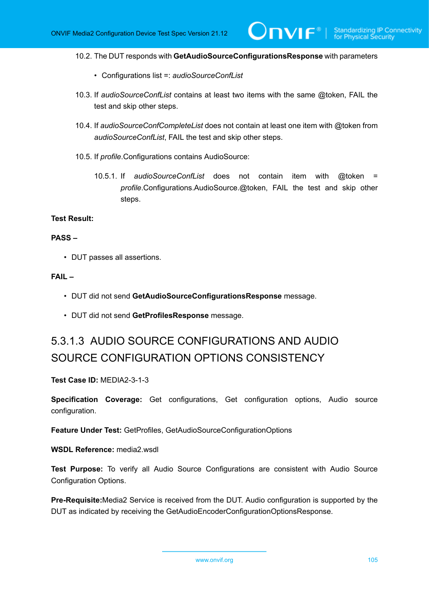10.2. The DUT responds with **GetAudioSourceConfigurationsResponse** with parameters

- Configurations list =: *audioSourceConfList*
- 10.3. If *audioSourceConfList* contains at least two items with the same @token, FAIL the test and skip other steps.
- 10.4. If *audioSourceConfCompleteList* does not contain at least one item with @token from *audioSourceConfList*, FAIL the test and skip other steps.
- 10.5. If *profile*.Configurations contains AudioSource:
	- 10.5.1. If *audioSourceConfList* does not contain item with @token = *profile*.Configurations.AudioSource.@token, FAIL the test and skip other steps.

## **Test Result:**

### **PASS –**

• DUT passes all assertions.

#### **FAIL –**

- DUT did not send **GetAudioSourceConfigurationsResponse** message.
- DUT did not send **GetProfilesResponse** message.

# 5.3.1.3 AUDIO SOURCE CONFIGURATIONS AND AUDIO SOURCE CONFIGURATION OPTIONS CONSISTENCY

**Test Case ID:** MEDIA2-3-1-3

**Specification Coverage:** Get configurations, Get configuration options, Audio source configuration.

**Feature Under Test:** GetProfiles, GetAudioSourceConfigurationOptions

**WSDL Reference:** media2.wsdl

**Test Purpose:** To verify all Audio Source Configurations are consistent with Audio Source Configuration Options.

**Pre-Requisite:**Media2 Service is received from the DUT. Audio configuration is supported by the DUT as indicated by receiving the GetAudioEncoderConfigurationOptionsResponse.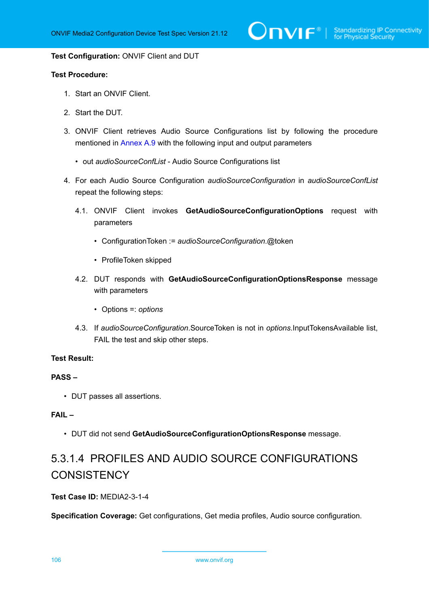#### **Test Configuration:** ONVIF Client and DUT

### **Test Procedure:**

- 1. Start an ONVIF Client.
- 2. Start the DUT.
- 3. ONVIF Client retrieves Audio Source Configurations list by following the procedure mentioned in [Annex A.9](#page-224-0) with the following input and output parameters
	- out *audioSourceConfList* Audio Source Configurations list
- 4. For each Audio Source Configuration *audioSourceConfiguration* in *audioSourceConfList* repeat the following steps:
	- 4.1. ONVIF Client invokes **GetAudioSourceConfigurationOptions** request with parameters
		- ConfigurationToken := *audioSourceConfiguration*.@token
		- ProfileToken skipped
	- 4.2. DUT responds with **GetAudioSourceConfigurationOptionsResponse** message with parameters
		- Options =: *options*
	- 4.3. If *audioSourceConfiguration*.SourceToken is not in *options*.InputTokensAvailable list, FAIL the test and skip other steps.

### **Test Result:**

### **PASS –**

• DUT passes all assertions.

# **FAIL –**

• DUT did not send **GetAudioSourceConfigurationOptionsResponse** message.

# 5.3.1.4 PROFILES AND AUDIO SOURCE CONFIGURATIONS **CONSISTENCY**

**Test Case ID:** MEDIA2-3-1-4

**Specification Coverage:** Get configurations, Get media profiles, Audio source configuration.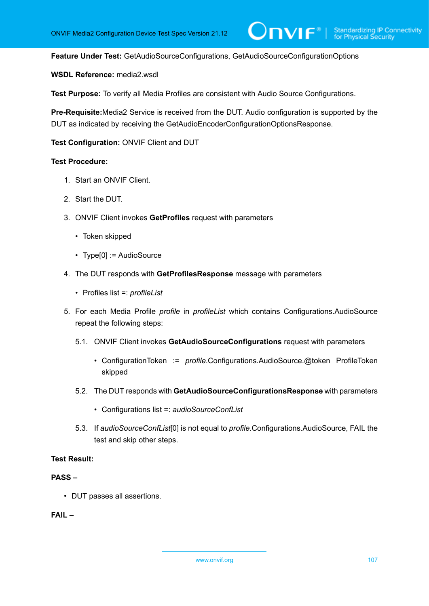$\mathsf{D}\mathbf{N}\mathsf{I}\mathsf{F}^*$ l

**Feature Under Test:** GetAudioSourceConfigurations, GetAudioSourceConfigurationOptions

### **WSDL Reference:** media2.wsdl

**Test Purpose:** To verify all Media Profiles are consistent with Audio Source Configurations.

**Pre-Requisite:**Media2 Service is received from the DUT. Audio configuration is supported by the DUT as indicated by receiving the GetAudioEncoderConfigurationOptionsResponse.

### **Test Configuration:** ONVIF Client and DUT

### **Test Procedure:**

- 1. Start an ONVIF Client.
- 2. Start the DUT.
- 3. ONVIF Client invokes **GetProfiles** request with parameters
	- Token skipped
	- Type[0] := AudioSource
- 4. The DUT responds with **GetProfilesResponse** message with parameters
	- Profiles list =: *profileList*
- 5. For each Media Profile *profile* in *profileList* which contains Configurations.AudioSource repeat the following steps:
	- 5.1. ONVIF Client invokes **GetAudioSourceConfigurations** request with parameters
		- ConfigurationToken := *profile*.Configurations.AudioSource.@token ProfileToken skipped
	- 5.2. The DUT responds with **GetAudioSourceConfigurationsResponse** with parameters
		- Configurations list =: *audioSourceConfList*
	- 5.3. If *audioSourceConfList*[0] is not equal to *profile*.Configurations.AudioSource, FAIL the test and skip other steps.

#### **Test Result:**

## **PASS –**

• DUT passes all assertions.

### **FAIL –**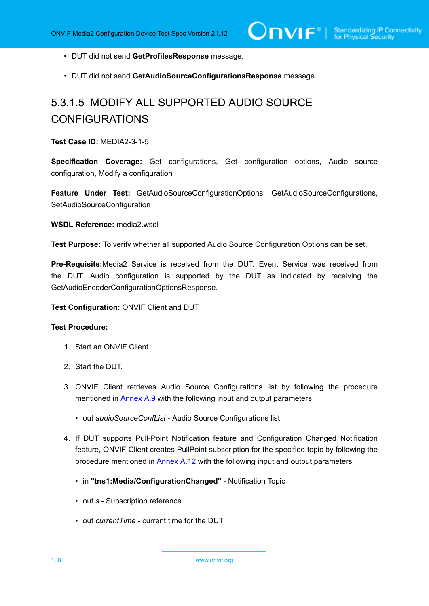- DUT did not send **GetProfilesResponse** message.
- DUT did not send **GetAudioSourceConfigurationsResponse** message.

# 5.3.1.5 MODIFY ALL SUPPORTED AUDIO SOURCE CONFIGURATIONS

**Test Case ID:** MEDIA2-3-1-5

**Specification Coverage:** Get configurations, Get configuration options, Audio source configuration, Modify a configuration

**Feature Under Test:** GetAudioSourceConfigurationOptions, GetAudioSourceConfigurations, SetAudioSourceConfiguration

### **WSDL Reference:** media2.wsdl

**Test Purpose:** To verify whether all supported Audio Source Configuration Options can be set.

**Pre-Requisite:**Media2 Service is received from the DUT. Event Service was received from the DUT. Audio configuration is supported by the DUT as indicated by receiving the GetAudioEncoderConfigurationOptionsResponse.

**Test Configuration:** ONVIF Client and DUT

- 1. Start an ONVIF Client.
- 2. Start the DUT.
- 3. ONVIF Client retrieves Audio Source Configurations list by following the procedure mentioned in [Annex A.9](#page-224-0) with the following input and output parameters
	- out *audioSourceConfList* Audio Source Configurations list
- 4. If DUT supports Pull-Point Notification feature and Configuration Changed Notification feature, ONVIF Client creates PullPoint subscription for the specified topic by following the procedure mentioned in [Annex A.12](#page-227-0) with the following input and output parameters
	- in **"tns1:Media/ConfigurationChanged"** Notification Topic
	- out *s* Subscription reference
	- out *currentTime* current time for the DUT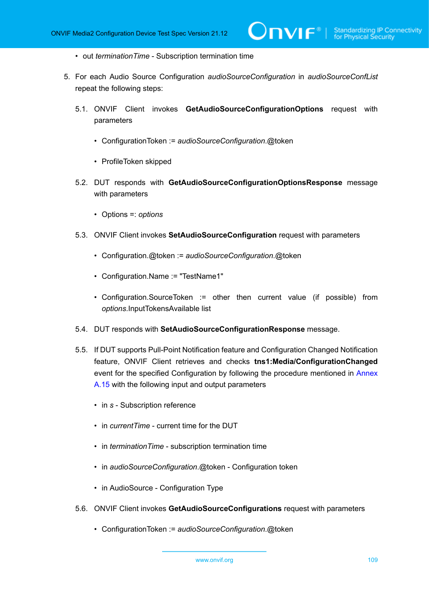- out *terminationTime* Subscription termination time
- <span id="page-108-0"></span>5. For each Audio Source Configuration *audioSourceConfiguration* in *audioSourceConfList* repeat the following steps:
	- 5.1. ONVIF Client invokes **GetAudioSourceConfigurationOptions** request with parameters
		- ConfigurationToken := *audioSourceConfiguration*.@token
		- ProfileToken skipped
	- 5.2. DUT responds with **GetAudioSourceConfigurationOptionsResponse** message with parameters
		- Options =: *options*
	- 5.3. ONVIF Client invokes **SetAudioSourceConfiguration** request with parameters
		- Configuration.@token := *audioSourceConfiguration*.@token
		- Configuration.Name := "TestName1"
		- Configuration.SourceToken := other then current value (if possible) from *options*.InputTokensAvailable list
	- 5.4. DUT responds with **SetAudioSourceConfigurationResponse** message.
	- 5.5. If DUT supports Pull-Point Notification feature and Configuration Changed Notification feature, ONVIF Client retrieves and checks **tns1:Media/ConfigurationChanged** event for the specified Configuration by following the procedure mentioned in [Annex](#page-229-0) [A.15](#page-229-0) with the following input and output parameters
		- in *s* Subscription reference
		- in *currentTime* current time for the DUT
		- in *terminationTime* subscription termination time
		- in *audioSourceConfiguration*.@token Configuration token
		- in AudioSource Configuration Type
	- 5.6. ONVIF Client invokes **GetAudioSourceConfigurations** request with parameters
		- ConfigurationToken := *audioSourceConfiguration*.@token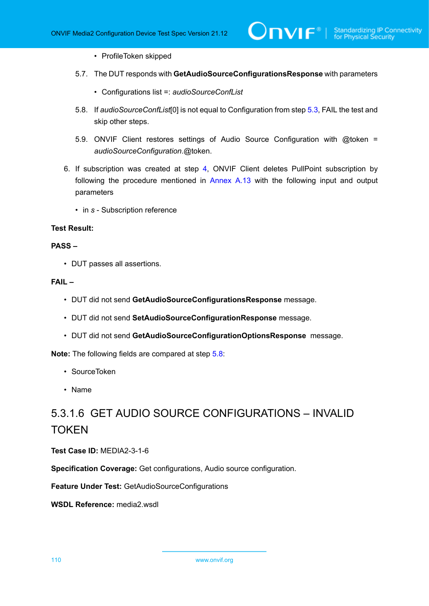- ProfileToken skipped
- 5.7. The DUT responds with **GetAudioSourceConfigurationsResponse** with parameters
	- Configurations list =: *audioSourceConfList*
- <span id="page-109-0"></span>5.8. If *audioSourceConfList*[0] is not equal to Configuration from step [5.3](#page-108-0), FAIL the test and skip other steps.
- 5.9. ONVIF Client restores settings of Audio Source Configuration with @token = *audioSourceConfiguration*.@token.
- 6. If subscription was created at step [4](#page-107-0), ONVIF Client deletes PullPoint subscription by following the procedure mentioned in [Annex A.13](#page-228-0) with the following input and output parameters
	- in *s* Subscription reference

#### **PASS –**

• DUT passes all assertions.

#### **FAIL –**

- DUT did not send **GetAudioSourceConfigurationsResponse** message.
- DUT did not send **SetAudioSourceConfigurationResponse** message.
- DUT did not send **GetAudioSourceConfigurationOptionsResponse** message.

**Note:** The following fields are compared at step [5.8](#page-109-0):

- SourceToken
- Name

# 5.3.1.6 GET AUDIO SOURCE CONFIGURATIONS – INVALID TOKEN

**Test Case ID:** MEDIA2-3-1-6

**Specification Coverage:** Get configurations, Audio source configuration.

**Feature Under Test:** GetAudioSourceConfigurations

**WSDL Reference:** media2.wsdl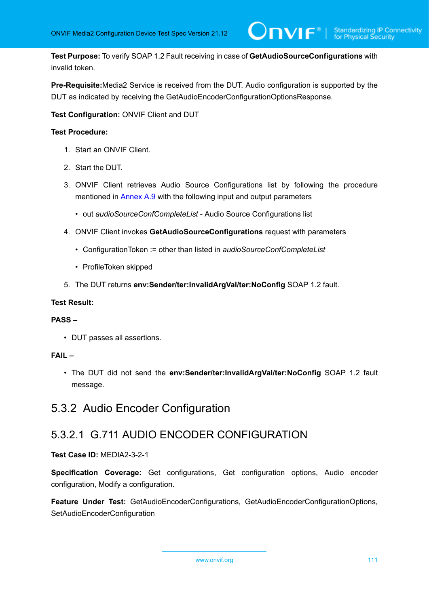**Test Purpose:** To verify SOAP 1.2 Fault receiving in case of **GetAudioSourceConfigurations** with invalid token.

**Pre-Requisite:**Media2 Service is received from the DUT. Audio configuration is supported by the DUT as indicated by receiving the GetAudioEncoderConfigurationOptionsResponse.

**Test Configuration:** ONVIF Client and DUT

#### **Test Procedure:**

- 1. Start an ONVIF Client.
- 2. Start the DUT.
- 3. ONVIF Client retrieves Audio Source Configurations list by following the procedure mentioned in [Annex A.9](#page-224-0) with the following input and output parameters
	- out *audioSourceConfCompleteList* Audio Source Configurations list
- 4. ONVIF Client invokes **GetAudioSourceConfigurations** request with parameters
	- ConfigurationToken := other than listed in *audioSourceConfCompleteList*
	- ProfileToken skipped
- 5. The DUT returns **env:Sender/ter:InvalidArgVal/ter:NoConfig** SOAP 1.2 fault.

#### **Test Result:**

#### **PASS –**

• DUT passes all assertions.

#### **FAIL –**

• The DUT did not send the **env:Sender/ter:InvalidArgVal/ter:NoConfig** SOAP 1.2 fault message.

## 5.3.2 Audio Encoder Configuration

### 5.3.2.1 G.711 AUDIO ENCODER CONFIGURATION

#### **Test Case ID:** MEDIA2-3-2-1

**Specification Coverage:** Get configurations, Get configuration options, Audio encoder configuration, Modify a configuration.

**Feature Under Test:** GetAudioEncoderConfigurations, GetAudioEncoderConfigurationOptions, SetAudioEncoderConfiguration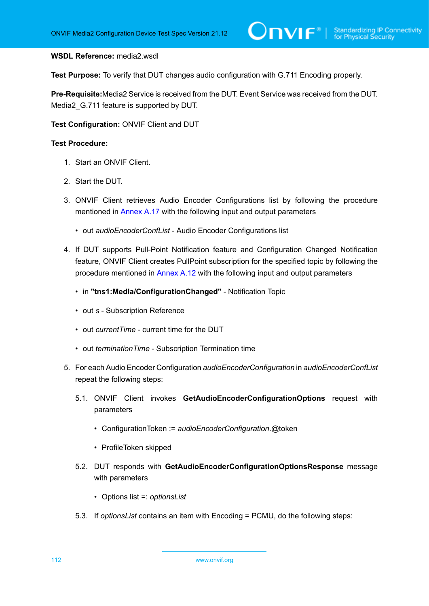#### **WSDL Reference:** media2.wsdl

**Test Purpose:** To verify that DUT changes audio configuration with G.711 Encoding properly.

**Pre-Requisite:**Media2 Service is received from the DUT. Event Service was received from the DUT. Media2\_G.711 feature is supported by DUT.

**Test Configuration:** ONVIF Client and DUT

- 1. Start an ONVIF Client.
- 2. Start the DUT.
- 3. ONVIF Client retrieves Audio Encoder Configurations list by following the procedure mentioned in [Annex A.17](#page-231-0) with the following input and output parameters
	- out *audioEncoderConfList* Audio Encoder Configurations list
- <span id="page-111-0"></span>4. If DUT supports Pull-Point Notification feature and Configuration Changed Notification feature, ONVIF Client creates PullPoint subscription for the specified topic by following the procedure mentioned in [Annex A.12](#page-227-0) with the following input and output parameters
	- in **"tns1:Media/ConfigurationChanged"** Notification Topic
	- out *s* Subscription Reference
	- out *currentTime* current time for the DUT
	- out *terminationTime* Subscription Termination time
- 5. For each Audio Encoder Configuration *audioEncoderConfiguration* in *audioEncoderConfList* repeat the following steps:
	- 5.1. ONVIF Client invokes **GetAudioEncoderConfigurationOptions** request with parameters
		- ConfigurationToken := *audioEncoderConfiguration*.@token
		- ProfileToken skipped
	- 5.2. DUT responds with **GetAudioEncoderConfigurationOptionsResponse** message with parameters
		- Options list =: *optionsList*
	- 5.3. If *optionsList* contains an item with Encoding = PCMU, do the following steps: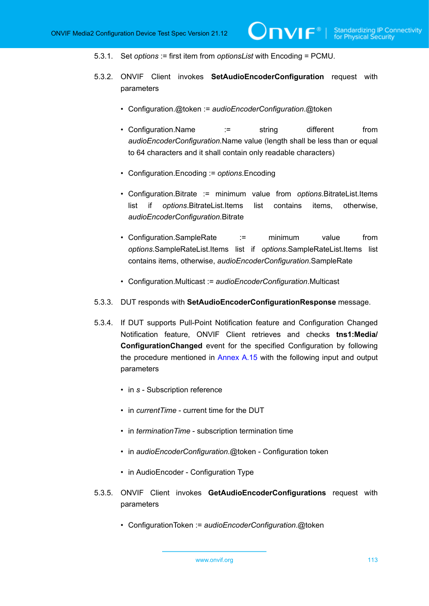- 5.3.1. Set *options* := first item from *optionsList* with Encoding = PCMU.
- <span id="page-112-0"></span>5.3.2. ONVIF Client invokes **SetAudioEncoderConfiguration** request with parameters
	- Configuration.@token := *audioEncoderConfiguration*.@token
	- Configuration.Name := string different from *audioEncoderConfiguration*.Name value (length shall be less than or equal to 64 characters and it shall contain only readable characters)
	- Configuration.Encoding := *options*.Encoding
	- Configuration.Bitrate := minimum value from *options*.BitrateList.Items list if *options*.BitrateList.Items list contains items, otherwise, *audioEncoderConfiguration*.Bitrate
	- Configuration.SampleRate := minimum value from *options*.SampleRateList.Items list if *options*.SampleRateList.Items list contains items, otherwise, *audioEncoderConfiguration*.SampleRate
	- Configuration.Multicast := *audioEncoderConfiguration*.Multicast
- 5.3.3. DUT responds with **SetAudioEncoderConfigurationResponse** message.
- 5.3.4. If DUT supports Pull-Point Notification feature and Configuration Changed Notification feature, ONVIF Client retrieves and checks **tns1:Media/ ConfigurationChanged** event for the specified Configuration by following the procedure mentioned in [Annex A.15](#page-229-0) with the following input and output parameters
	- in *s* Subscription reference
	- in *currentTime* current time for the DUT
	- in *terminationTime* subscription termination time
	- in *audioEncoderConfiguration*.@token Configuration token
	- in AudioEncoder Configuration Type
- 5.3.5. ONVIF Client invokes **GetAudioEncoderConfigurations** request with parameters
	- ConfigurationToken := *audioEncoderConfiguration*.@token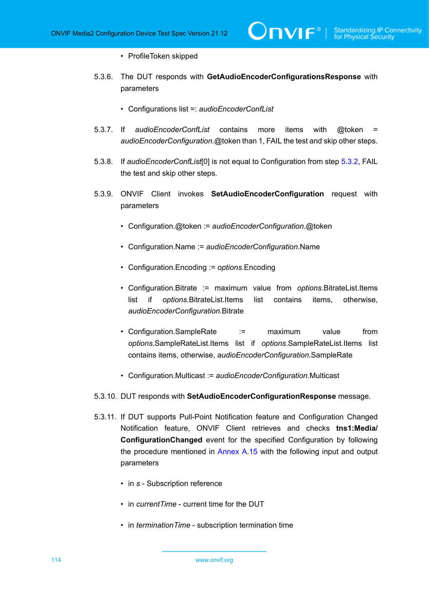#### • ProfileToken skipped

- 5.3.6. The DUT responds with **GetAudioEncoderConfigurationsResponse** with parameters
	- Configurations list =: *audioEncoderConfList*
- 5.3.7. If *audioEncoderConfList* contains more items with @token = *audioEncoderConfiguration*.@token than 1, FAIL the test and skip other steps.
- <span id="page-113-1"></span>5.3.8. If *audioEncoderConfList*[0] is not equal to Configuration from step [5.3.2](#page-112-0), FAIL the test and skip other steps.
- <span id="page-113-0"></span>5.3.9. ONVIF Client invokes **SetAudioEncoderConfiguration** request with parameters
	- Configuration.@token := *audioEncoderConfiguration*.@token
	- Configuration.Name := *audioEncoderConfiguration*.Name
	- Configuration.Encoding := *options*.Encoding
	- Configuration.Bitrate := maximum value from *options*.BitrateList.Items list if *options*.BitrateList.Items list contains items, otherwise, *audioEncoderConfiguration*.Bitrate
	- Configuration.SampleRate := maximum value from *options*.SampleRateList.Items list if *options*.SampleRateList.Items list contains items, otherwise, *audioEncoderConfiguration*.SampleRate
	- Configuration.Multicast := *audioEncoderConfiguration*.Multicast
- 5.3.10. DUT responds with **SetAudioEncoderConfigurationResponse** message.
- 5.3.11. If DUT supports Pull-Point Notification feature and Configuration Changed Notification feature, ONVIF Client retrieves and checks **tns1:Media/ ConfigurationChanged** event for the specified Configuration by following the procedure mentioned in [Annex A.15](#page-229-0) with the following input and output parameters
	- in *s* Subscription reference
	- in *currentTime* current time for the DUT
	- in *terminationTime* subscription termination time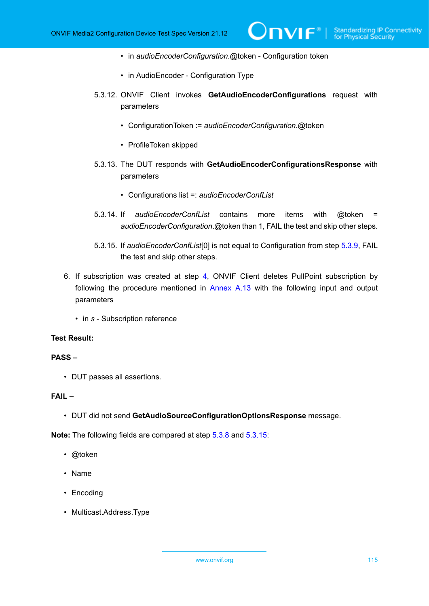- in *audioEncoderConfiguration*.@token Configuration token
- in AudioEncoder Configuration Type
- 5.3.12. ONVIF Client invokes **GetAudioEncoderConfigurations** request with parameters

 $\mathsf{D}\mathbf{N}\mathsf{I}\mathsf{F}^*$ l

- ConfigurationToken := *audioEncoderConfiguration*.@token
- ProfileToken skipped
- 5.3.13. The DUT responds with **GetAudioEncoderConfigurationsResponse** with parameters
	- Configurations list =: *audioEncoderConfList*
- 5.3.14. If *audioEncoderConfList* contains more items with @token = *audioEncoderConfiguration*.@token than 1, FAIL the test and skip other steps.
- 5.3.15. If *audioEncoderConfList*[0] is not equal to Configuration from step [5.3.9](#page-113-0), FAIL the test and skip other steps.
- <span id="page-114-0"></span>6. If subscription was created at step [4](#page-111-0), ONVIF Client deletes PullPoint subscription by following the procedure mentioned in [Annex A.13](#page-228-0) with the following input and output parameters
	- in *s* Subscription reference

#### **Test Result:**

#### **PASS –**

• DUT passes all assertions.

#### **FAIL –**

• DUT did not send **GetAudioSourceConfigurationOptionsResponse** message.

**Note:** The following fields are compared at step [5.3.8](#page-113-1) and [5.3.15:](#page-114-0)

- @token
- Name
- Encoding
- Multicast.Address.Type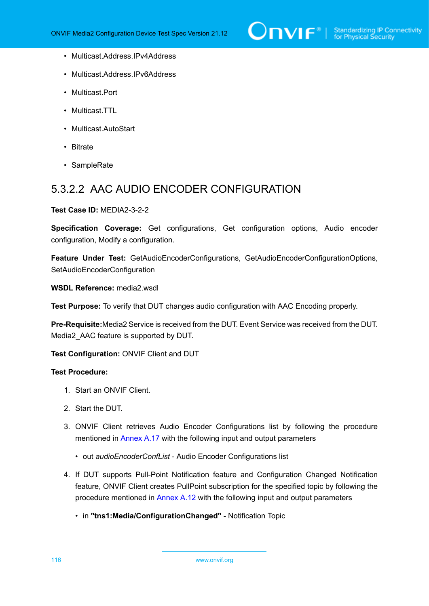

- Multicast.Address.IPv4Address
- Multicast.Address.IPv6Address
- Multicast.Port
- Multicast.TTL
- Multicast.AutoStart
- Bitrate
- SampleRate

### 5.3.2.2 AAC AUDIO ENCODER CONFIGURATION

#### **Test Case ID:** MEDIA2-3-2-2

**Specification Coverage:** Get configurations, Get configuration options, Audio encoder configuration, Modify a configuration.

**Feature Under Test:** GetAudioEncoderConfigurations, GetAudioEncoderConfigurationOptions, SetAudioEncoderConfiguration

**WSDL Reference:** media2.wsdl

**Test Purpose:** To verify that DUT changes audio configuration with AAC Encoding properly.

**Pre-Requisite:**Media2 Service is received from the DUT. Event Service was received from the DUT. Media2\_AAC feature is supported by DUT.

**Test Configuration:** ONVIF Client and DUT

- 1. Start an ONVIF Client.
- 2. Start the DUT.
- 3. ONVIF Client retrieves Audio Encoder Configurations list by following the procedure mentioned in [Annex A.17](#page-231-0) with the following input and output parameters
	- out *audioEncoderConfList* Audio Encoder Configurations list
- <span id="page-115-0"></span>4. If DUT supports Pull-Point Notification feature and Configuration Changed Notification feature, ONVIF Client creates PullPoint subscription for the specified topic by following the procedure mentioned in [Annex A.12](#page-227-0) with the following input and output parameters
	- in **"tns1:Media/ConfigurationChanged"** Notification Topic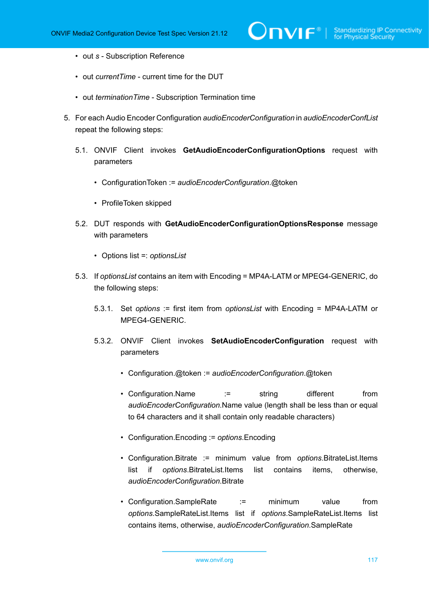- out *s* Subscription Reference
- out *currentTime* current time for the DUT
- out *terminationTime* Subscription Termination time
- <span id="page-116-0"></span>5. For each Audio Encoder Configuration *audioEncoderConfiguration* in *audioEncoderConfList* repeat the following steps:
	- 5.1. ONVIF Client invokes **GetAudioEncoderConfigurationOptions** request with parameters
		- ConfigurationToken := *audioEncoderConfiguration*.@token
		- ProfileToken skipped
	- 5.2. DUT responds with **GetAudioEncoderConfigurationOptionsResponse** message with parameters
		- Options list =: *optionsList*
	- 5.3. If *optionsList* contains an item with Encoding = MP4A-LATM or MPEG4-GENERIC, do the following steps:
		- 5.3.1. Set *options* := first item from *optionsList* with Encoding = MP4A-LATM or MPEG4-GENERIC.
		- 5.3.2. ONVIF Client invokes **SetAudioEncoderConfiguration** request with parameters
			- Configuration.@token := *audioEncoderConfiguration*.@token
			- Configuration.Name := string different from *audioEncoderConfiguration*.Name value (length shall be less than or equal to 64 characters and it shall contain only readable characters)
			- Configuration.Encoding := *options*.Encoding
			- Configuration.Bitrate := minimum value from *options*.BitrateList.Items list if *options*.BitrateList.Items list contains items, otherwise, *audioEncoderConfiguration*.Bitrate
			- Configuration.SampleRate := minimum value from *options*.SampleRateList.Items list if *options*.SampleRateList.Items list contains items, otherwise, *audioEncoderConfiguration*.SampleRate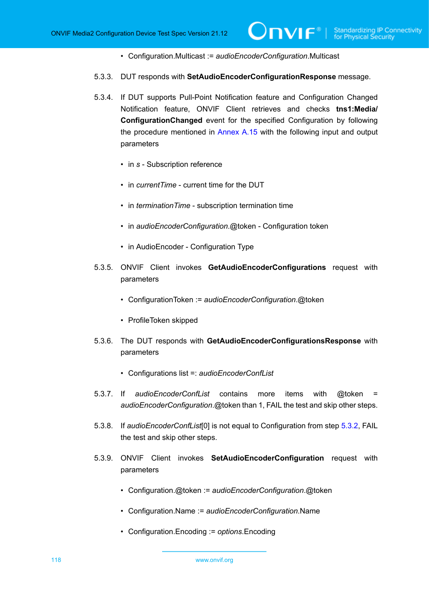- Configuration.Multicast := *audioEncoderConfiguration*.Multicast
- 5.3.3. DUT responds with **SetAudioEncoderConfigurationResponse** message.
- 5.3.4. If DUT supports Pull-Point Notification feature and Configuration Changed Notification feature, ONVIF Client retrieves and checks **tns1:Media/ ConfigurationChanged** event for the specified Configuration by following the procedure mentioned in [Annex A.15](#page-229-0) with the following input and output parameters
	- in *s* Subscription reference
	- in *currentTime* current time for the DUT
	- in *terminationTime* subscription termination time
	- in *audioEncoderConfiguration*.@token Configuration token
	- in AudioEncoder Configuration Type
- 5.3.5. ONVIF Client invokes **GetAudioEncoderConfigurations** request with parameters
	- ConfigurationToken := *audioEncoderConfiguration*.@token
	- ProfileToken skipped
- 5.3.6. The DUT responds with **GetAudioEncoderConfigurationsResponse** with parameters
	- Configurations list =: *audioEncoderConfList*
- 5.3.7. If *audioEncoderConfList* contains more items with @token = *audioEncoderConfiguration*.@token than 1, FAIL the test and skip other steps.
- <span id="page-117-1"></span>5.3.8. If *audioEncoderConfList*[0] is not equal to Configuration from step [5.3.2](#page-116-0), FAIL the test and skip other steps.
- <span id="page-117-0"></span>5.3.9. ONVIF Client invokes **SetAudioEncoderConfiguration** request with parameters
	- Configuration.@token := *audioEncoderConfiguration*.@token
	- Configuration.Name := *audioEncoderConfiguration*.Name
	- Configuration.Encoding := *options*.Encoding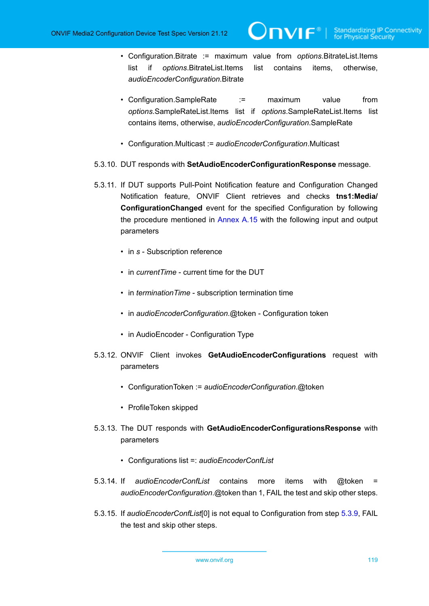• Configuration.Bitrate := maximum value from *options*.BitrateList.Items list if *options*.BitrateList.Items list contains items, otherwise, *audioEncoderConfiguration*.Bitrate

 $\mathsf{\mathcal{C}IVIF}^*$ 

- Configuration.SampleRate := maximum value from *options*.SampleRateList.Items list if *options*.SampleRateList.Items list contains items, otherwise, *audioEncoderConfiguration*.SampleRate
- Configuration.Multicast := *audioEncoderConfiguration*.Multicast
- 5.3.10. DUT responds with **SetAudioEncoderConfigurationResponse** message.
- 5.3.11. If DUT supports Pull-Point Notification feature and Configuration Changed Notification feature, ONVIF Client retrieves and checks **tns1:Media/ ConfigurationChanged** event for the specified Configuration by following the procedure mentioned in [Annex A.15](#page-229-0) with the following input and output parameters
	- in *s* Subscription reference
	- in *currentTime* current time for the DUT
	- in *terminationTime* subscription termination time
	- in *audioEncoderConfiguration*.@token Configuration token
	- in AudioEncoder Configuration Type
- 5.3.12. ONVIF Client invokes **GetAudioEncoderConfigurations** request with parameters
	- ConfigurationToken := *audioEncoderConfiguration*.@token
	- ProfileToken skipped
- 5.3.13. The DUT responds with **GetAudioEncoderConfigurationsResponse** with parameters
	- Configurations list =: *audioEncoderConfList*
- 5.3.14. If *audioEncoderConfList* contains more items with @token = *audioEncoderConfiguration*.@token than 1, FAIL the test and skip other steps.
- <span id="page-118-0"></span>5.3.15. If *audioEncoderConfList*[0] is not equal to Configuration from step [5.3.9](#page-117-0), FAIL the test and skip other steps.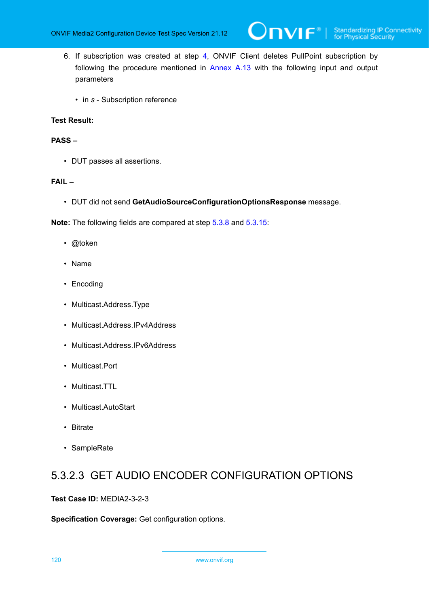- 6. If subscription was created at step [4](#page-115-0), ONVIF Client deletes PullPoint subscription by following the procedure mentioned in [Annex A.13](#page-228-0) with the following input and output parameters
	- in *s* Subscription reference

#### **PASS –**

• DUT passes all assertions.

#### **FAIL –**

• DUT did not send **GetAudioSourceConfigurationOptionsResponse** message.

**Note:** The following fields are compared at step [5.3.8](#page-117-1) and [5.3.15:](#page-118-0)

- @token
- Name
- Encoding
- Multicast.Address.Type
- Multicast.Address.IPv4Address
- Multicast.Address.IPv6Address
- Multicast.Port
- Multicast.TTL
- Multicast.AutoStart
- Bitrate
- SampleRate

### 5.3.2.3 GET AUDIO ENCODER CONFIGURATION OPTIONS

#### **Test Case ID:** MEDIA2-3-2-3

**Specification Coverage:** Get configuration options.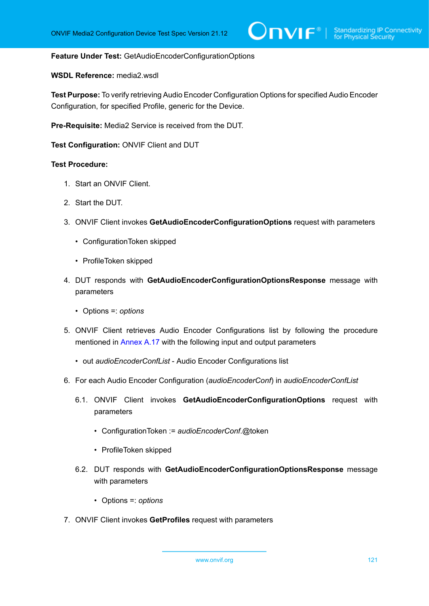#### **Feature Under Test:** GetAudioEncoderConfigurationOptions

#### **WSDL Reference:** media2.wsdl

**Test Purpose:** To verify retrieving Audio Encoder Configuration Options for specified Audio Encoder Configuration, for specified Profile, generic for the Device.

**Pre-Requisite:** Media2 Service is received from the DUT.

**Test Configuration:** ONVIF Client and DUT

- 1. Start an ONVIF Client.
- 2. Start the DUT.
- 3. ONVIF Client invokes **GetAudioEncoderConfigurationOptions** request with parameters
	- ConfigurationToken skipped
	- ProfileToken skipped
- 4. DUT responds with **GetAudioEncoderConfigurationOptionsResponse** message with parameters
	- Options =: *options*
- 5. ONVIF Client retrieves Audio Encoder Configurations list by following the procedure mentioned in [Annex A.17](#page-231-0) with the following input and output parameters
	- out *audioEncoderConfList* Audio Encoder Configurations list
- 6. For each Audio Encoder Configuration (*audioEncoderConf*) in *audioEncoderConfList*
	- 6.1. ONVIF Client invokes **GetAudioEncoderConfigurationOptions** request with parameters
		- ConfigurationToken := *audioEncoderConf*.@token
		- ProfileToken skipped
	- 6.2. DUT responds with **GetAudioEncoderConfigurationOptionsResponse** message with parameters
		- Options =: *options*
- 7. ONVIF Client invokes **GetProfiles** request with parameters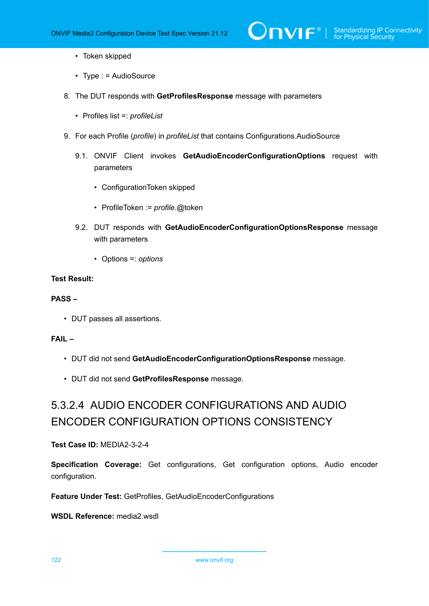- Token skipped
- Type : = AudioSource
- 8. The DUT responds with **GetProfilesResponse** message with parameters
	- Profiles list =: *profileList*
- 9. For each Profile (*profile*) in *profileList* that contains Configurations.AudioSource
	- 9.1. ONVIF Client invokes **GetAudioEncoderConfigurationOptions** request with parameters
		- ConfigurationToken skipped
		- ProfileToken := *profile*.@token
	- 9.2. DUT responds with **GetAudioEncoderConfigurationOptionsResponse** message with parameters
		- Options =: *options*

#### **PASS –**

• DUT passes all assertions.

#### **FAIL –**

- DUT did not send **GetAudioEncoderConfigurationOptionsResponse** message.
- DUT did not send **GetProfilesResponse** message.

## 5.3.2.4 AUDIO ENCODER CONFIGURATIONS AND AUDIO ENCODER CONFIGURATION OPTIONS CONSISTENCY

#### **Test Case ID:** MEDIA2-3-2-4

**Specification Coverage:** Get configurations, Get configuration options, Audio encoder configuration.

**Feature Under Test:** GetProfiles, GetAudioEncoderConfigurations

**WSDL Reference:** media2.wsdl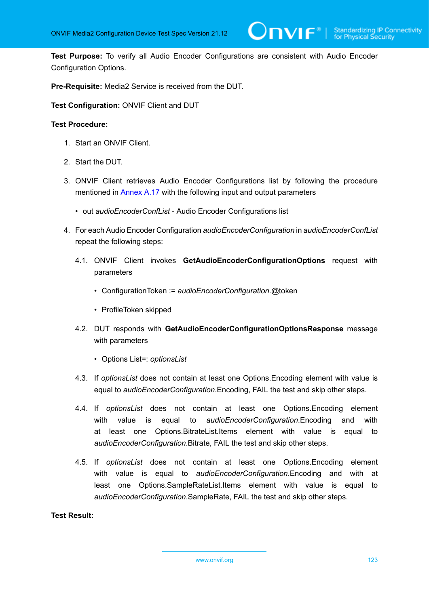**Test Purpose:** To verify all Audio Encoder Configurations are consistent with Audio Encoder Configuration Options.

**Pre-Requisite:** Media2 Service is received from the DUT.

**Test Configuration:** ONVIF Client and DUT

#### **Test Procedure:**

- 1. Start an ONVIF Client.
- 2. Start the DUT.
- 3. ONVIF Client retrieves Audio Encoder Configurations list by following the procedure mentioned in [Annex A.17](#page-231-0) with the following input and output parameters
	- out *audioEncoderConfList* Audio Encoder Configurations list
- 4. For each Audio Encoder Configuration *audioEncoderConfiguration* in *audioEncoderConfList* repeat the following steps:
	- 4.1. ONVIF Client invokes **GetAudioEncoderConfigurationOptions** request with parameters
		- ConfigurationToken := *audioEncoderConfiguration*.@token
		- ProfileToken skipped
	- 4.2. DUT responds with **GetAudioEncoderConfigurationOptionsResponse** message with parameters
		- Options List=: *optionsList*
	- 4.3. If *optionsList* does not contain at least one Options.Encoding element with value is equal to *audioEncoderConfiguration*.Encoding, FAIL the test and skip other steps.
	- 4.4. If *optionsList* does not contain at least one Options.Encoding element with value is equal to *audioEncoderConfiguration*.Encoding and with at least one Options.BitrateList.Items element with value is equal to *audioEncoderConfiguration*.Bitrate, FAIL the test and skip other steps.
	- 4.5. If *optionsList* does not contain at least one Options.Encoding element with value is equal to *audioEncoderConfiguration*.Encoding and with at least one Options.SampleRateList.Items element with value is equal to *audioEncoderConfiguration*.SampleRate, FAIL the test and skip other steps.

#### **Test Result:**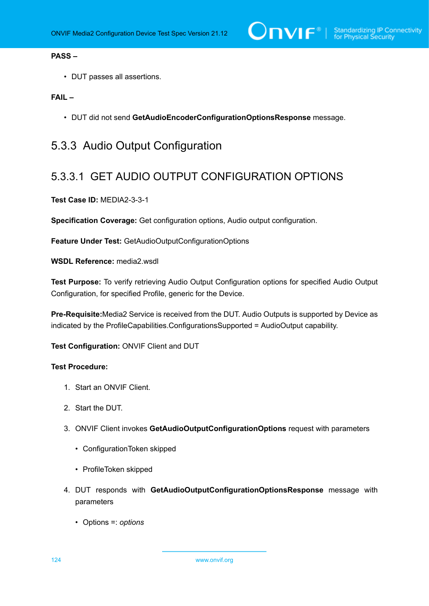#### **PASS –**

• DUT passes all assertions.

#### **FAIL –**

• DUT did not send **GetAudioEncoderConfigurationOptionsResponse** message.

## 5.3.3 Audio Output Configuration

### 5.3.3.1 GET AUDIO OUTPUT CONFIGURATION OPTIONS

**Test Case ID:** MEDIA2-3-3-1

**Specification Coverage:** Get configuration options, Audio output configuration.

**Feature Under Test:** GetAudioOutputConfigurationOptions

**WSDL Reference:** media2.wsdl

**Test Purpose:** To verify retrieving Audio Output Configuration options for specified Audio Output Configuration, for specified Profile, generic for the Device.

**Pre-Requisite:**Media2 Service is received from the DUT. Audio Outputs is supported by Device as indicated by the ProfileCapabilities.ConfigurationsSupported = AudioOutput capability.

**Test Configuration:** ONVIF Client and DUT

- 1. Start an ONVIF Client.
- 2. Start the DUT.
- 3. ONVIF Client invokes **GetAudioOutputConfigurationOptions** request with parameters
	- ConfigurationToken skipped
	- ProfileToken skipped
- 4. DUT responds with **GetAudioOutputConfigurationOptionsResponse** message with parameters
	- Options =: *options*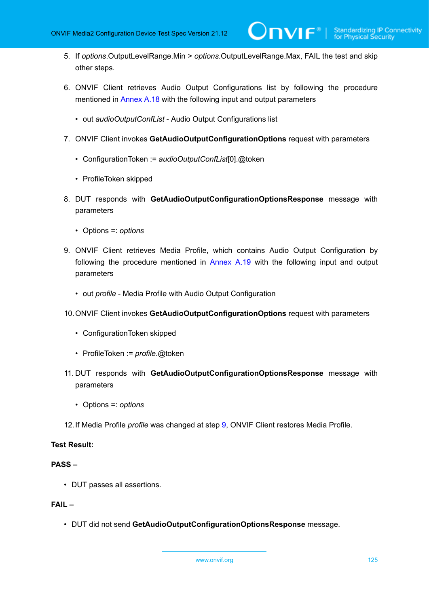- 5. If *options*.OutputLevelRange.Min > *options*.OutputLevelRange.Max, FAIL the test and skip other steps.
- 6. ONVIF Client retrieves Audio Output Configurations list by following the procedure mentioned in [Annex A.18](#page-232-0) with the following input and output parameters
	- out *audioOutputConfList* Audio Output Configurations list
- 7. ONVIF Client invokes **GetAudioOutputConfigurationOptions** request with parameters
	- ConfigurationToken := *audioOutputConfList*[0].@token
	- ProfileToken skipped
- 8. DUT responds with **GetAudioOutputConfigurationOptionsResponse** message with parameters
	- Options =: *options*
- <span id="page-124-0"></span>9. ONVIF Client retrieves Media Profile, which contains Audio Output Configuration by following the procedure mentioned in [Annex A.19](#page-233-0) with the following input and output parameters
	- out *profile* Media Profile with Audio Output Configuration
- 10.ONVIF Client invokes **GetAudioOutputConfigurationOptions** request with parameters
	- ConfigurationToken skipped
	- ProfileToken := *profile*.@token
- 11. DUT responds with **GetAudioOutputConfigurationOptionsResponse** message with parameters
	- Options =: *options*
- 12.If Media Profile *profile* was changed at step [9,](#page-124-0) ONVIF Client restores Media Profile.

#### **PASS –**

• DUT passes all assertions.

#### **FAIL –**

• DUT did not send **GetAudioOutputConfigurationOptionsResponse** message.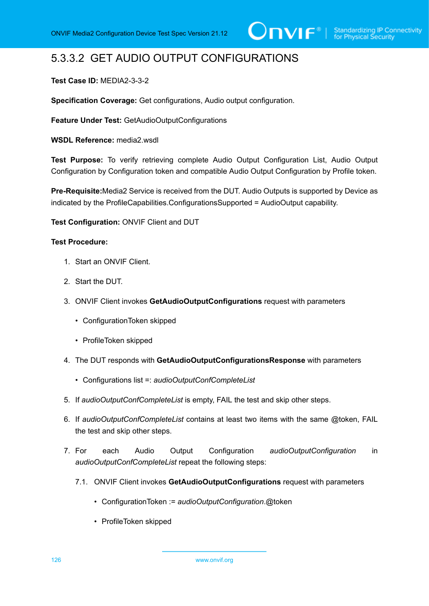## 5.3.3.2 GET AUDIO OUTPUT CONFIGURATIONS

#### **Test Case ID:** MEDIA2-3-3-2

**Specification Coverage:** Get configurations, Audio output configuration.

**Feature Under Test:** GetAudioOutputConfigurations

**WSDL Reference:** media2.wsdl

**Test Purpose:** To verify retrieving complete Audio Output Configuration List, Audio Output Configuration by Configuration token and compatible Audio Output Configuration by Profile token.

**Pre-Requisite:**Media2 Service is received from the DUT. Audio Outputs is supported by Device as indicated by the ProfileCapabilities.ConfigurationsSupported = AudioOutput capability.

**Test Configuration:** ONVIF Client and DUT

#### **Test Procedure:**

- 1. Start an ONVIF Client.
- 2. Start the DUT.
- 3. ONVIF Client invokes **GetAudioOutputConfigurations** request with parameters
	- ConfigurationToken skipped
	- ProfileToken skipped
- 4. The DUT responds with **GetAudioOutputConfigurationsResponse** with parameters
	- Configurations list =: *audioOutputConfCompleteList*
- 5. If *audioOutputConfCompleteList* is empty, FAIL the test and skip other steps.
- 6. If *audioOutputConfCompleteList* contains at least two items with the same @token, FAIL the test and skip other steps.
- 7. For each Audio Output Configuration *audioOutputConfiguration* in *audioOutputConfCompleteList* repeat the following steps:
	- 7.1. ONVIF Client invokes **GetAudioOutputConfigurations** request with parameters
		- ConfigurationToken := *audioOutputConfiguration*.@token
		- ProfileToken skipped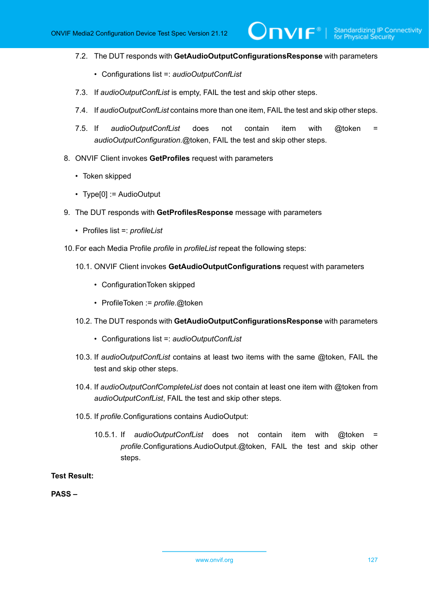7.2. The DUT responds with **GetAudioOutputConfigurationsResponse** with parameters

 $\mathsf{D}\mathbf{N}\mathsf{I}\mathsf{F}^\ast$  .

- Configurations list =: *audioOutputConfList*
- 7.3. If *audioOutputConfList* is empty, FAIL the test and skip other steps.
- 7.4. If *audioOutputConfList* contains more than one item, FAIL the test and skip other steps.
- 7.5. If *audioOutputConfList* does not contain item with @token = *audioOutputConfiguration*.@token, FAIL the test and skip other steps.
- 8. ONVIF Client invokes **GetProfiles** request with parameters
	- Token skipped
	- Type[0] := AudioOutput
- 9. The DUT responds with **GetProfilesResponse** message with parameters
	- Profiles list =: *profileList*
- 10.For each Media Profile *profile* in *profileList* repeat the following steps:
	- 10.1. ONVIF Client invokes **GetAudioOutputConfigurations** request with parameters
		- ConfigurationToken skipped
		- ProfileToken := *profile*.@token
	- 10.2. The DUT responds with **GetAudioOutputConfigurationsResponse** with parameters
		- Configurations list =: *audioOutputConfList*
	- 10.3. If *audioOutputConfList* contains at least two items with the same @token, FAIL the test and skip other steps.
	- 10.4. If *audioOutputConfCompleteList* does not contain at least one item with @token from *audioOutputConfList*, FAIL the test and skip other steps.
	- 10.5. If *profile*.Configurations contains AudioOutput:
		- 10.5.1. If *audioOutputConfList* does not contain item with @token = *profile*.Configurations.AudioOutput.@token, FAIL the test and skip other steps.

#### **Test Result:**

**PASS –**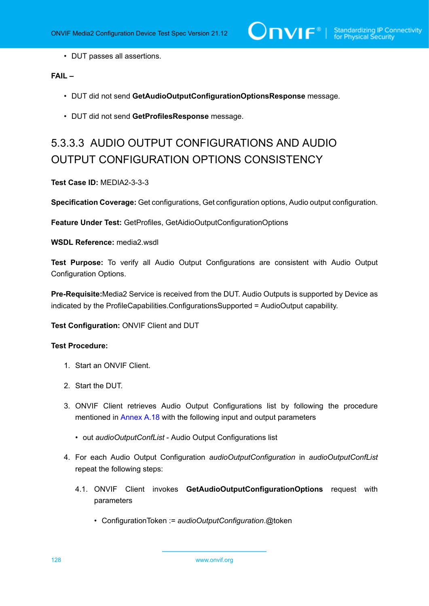• DUT passes all assertions.

#### **FAIL –**

- DUT did not send **GetAudioOutputConfigurationOptionsResponse** message.
- DUT did not send **GetProfilesResponse** message.

# 5.3.3.3 AUDIO OUTPUT CONFIGURATIONS AND AUDIO OUTPUT CONFIGURATION OPTIONS CONSISTENCY

#### **Test Case ID:** MEDIA2-3-3-3

**Specification Coverage:** Get configurations, Get configuration options, Audio output configuration.

**Feature Under Test:** GetProfiles, GetAidioOutputConfigurationOptions

**WSDL Reference:** media2.wsdl

**Test Purpose:** To verify all Audio Output Configurations are consistent with Audio Output Configuration Options.

**Pre-Requisite:**Media2 Service is received from the DUT. Audio Outputs is supported by Device as indicated by the ProfileCapabilities.ConfigurationsSupported = AudioOutput capability.

#### **Test Configuration:** ONVIF Client and DUT

#### **Test Procedure:**

- 1. Start an ONVIF Client.
- 2. Start the DUT.
- 3. ONVIF Client retrieves Audio Output Configurations list by following the procedure mentioned in [Annex A.18](#page-232-0) with the following input and output parameters
	- out *audioOutputConfList* Audio Output Configurations list
- 4. For each Audio Output Configuration *audioOutputConfiguration* in *audioOutputConfList* repeat the following steps:
	- 4.1. ONVIF Client invokes **GetAudioOutputConfigurationOptions** request with parameters
		- ConfigurationToken := *audioOutputConfiguration*.@token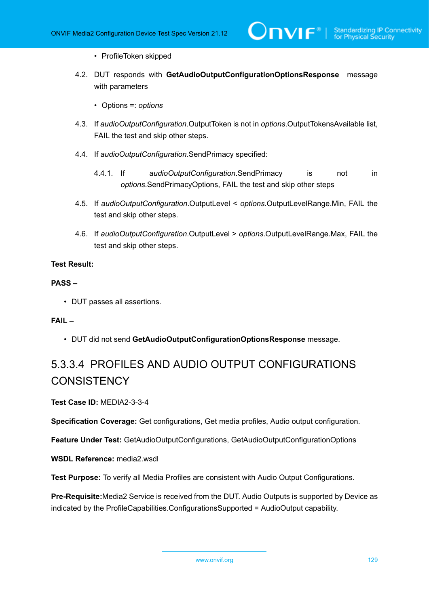- ProfileToken skipped
- 4.2. DUT responds with **GetAudioOutputConfigurationOptionsResponse** message with parameters
	- Options =: *options*
- 4.3. If *audioOutputConfiguration*.OutputToken is not in *options*.OutputTokensAvailable list, FAIL the test and skip other steps.
- 4.4. If *audioOutputConfiguration*.SendPrimacy specified:
	- 4.4.1. If *audioOutputConfiguration*.SendPrimacy is not in *options*.SendPrimacyOptions, FAIL the test and skip other steps
- 4.5. If *audioOutputConfiguration*.OutputLevel < *options*.OutputLevelRange.Min, FAIL the test and skip other steps.
- 4.6. If *audioOutputConfiguration*.OutputLevel > *options*.OutputLevelRange.Max, FAIL the test and skip other steps.

#### **PASS –**

• DUT passes all assertions.

#### **FAIL –**

• DUT did not send **GetAudioOutputConfigurationOptionsResponse** message.

## 5.3.3.4 PROFILES AND AUDIO OUTPUT CONFIGURATIONS **CONSISTENCY**

**Test Case ID:** MEDIA2-3-3-4

**Specification Coverage:** Get configurations, Get media profiles, Audio output configuration.

**Feature Under Test:** GetAudioOutputConfigurations, GetAudioOutputConfigurationOptions

**WSDL Reference:** media2.wsdl

**Test Purpose:** To verify all Media Profiles are consistent with Audio Output Configurations.

**Pre-Requisite:**Media2 Service is received from the DUT. Audio Outputs is supported by Device as indicated by the ProfileCapabilities.ConfigurationsSupported = AudioOutput capability.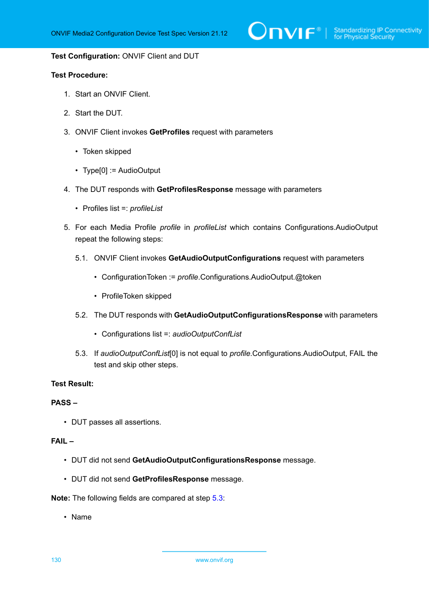#### **Test Configuration:** ONVIF Client and DUT

#### **Test Procedure:**

- 1. Start an ONVIF Client.
- 2. Start the DUT.
- 3. ONVIF Client invokes **GetProfiles** request with parameters
	- Token skipped
	- Type[0] := AudioOutput
- 4. The DUT responds with **GetProfilesResponse** message with parameters
	- Profiles list =: *profileList*
- 5. For each Media Profile *profile* in *profileList* which contains Configurations.AudioOutput repeat the following steps:
	- 5.1. ONVIF Client invokes **GetAudioOutputConfigurations** request with parameters
		- ConfigurationToken := *profile*.Configurations.AudioOutput.@token
		- ProfileToken skipped
	- 5.2. The DUT responds with **GetAudioOutputConfigurationsResponse** with parameters
		- Configurations list =: *audioOutputConfList*
	- 5.3. If *audioOutputConfList*[0] is not equal to *profile*.Configurations.AudioOutput, FAIL the test and skip other steps.

#### <span id="page-129-0"></span>**Test Result:**

#### **PASS –**

• DUT passes all assertions.

#### **FAIL –**

- DUT did not send **GetAudioOutputConfigurationsResponse** message.
- DUT did not send **GetProfilesResponse** message.

**Note:** The following fields are compared at step [5.3](#page-129-0):

• Name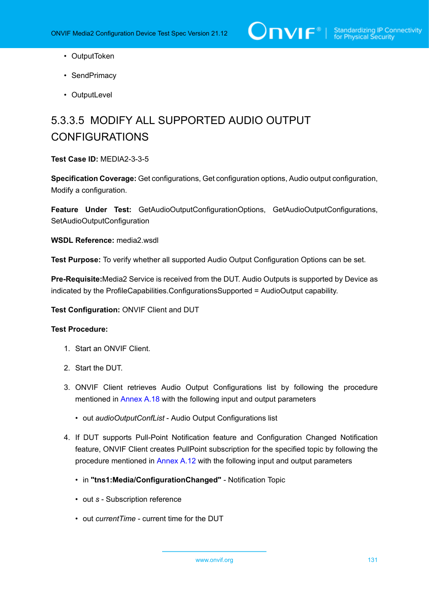- OutputToken
- SendPrimacy
- OutputLevel

# 5.3.3.5 MODIFY ALL SUPPORTED AUDIO OUTPUT CONFIGURATIONS

#### **Test Case ID:** MEDIA2-3-3-5

**Specification Coverage:** Get configurations, Get configuration options, Audio output configuration, Modify a configuration.

**Feature Under Test:** GetAudioOutputConfigurationOptions, GetAudioOutputConfigurations, SetAudioOutputConfiguration

**WSDL Reference:** media2.wsdl

**Test Purpose:** To verify whether all supported Audio Output Configuration Options can be set.

**Pre-Requisite:**Media2 Service is received from the DUT. Audio Outputs is supported by Device as indicated by the ProfileCapabilities.ConfigurationsSupported = AudioOutput capability.

**Test Configuration:** ONVIF Client and DUT

- 1. Start an ONVIF Client.
- 2. Start the DUT.
- 3. ONVIF Client retrieves Audio Output Configurations list by following the procedure mentioned in [Annex A.18](#page-232-0) with the following input and output parameters
	- out *audioOutputConfList* Audio Output Configurations list
- <span id="page-130-0"></span>4. If DUT supports Pull-Point Notification feature and Configuration Changed Notification feature, ONVIF Client creates PullPoint subscription for the specified topic by following the procedure mentioned in [Annex A.12](#page-227-0) with the following input and output parameters
	- in **"tns1:Media/ConfigurationChanged"** Notification Topic
	- out *s* Subscription reference
	- out *currentTime* current time for the DUT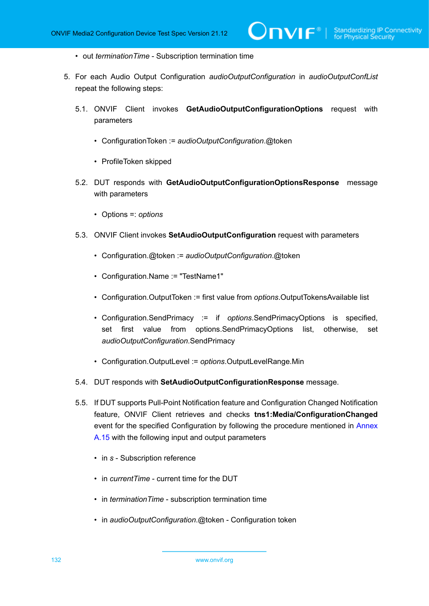- out *terminationTime* Subscription termination time
- <span id="page-131-0"></span>5. For each Audio Output Configuration *audioOutputConfiguration* in *audioOutputConfList* repeat the following steps:
	- 5.1. ONVIF Client invokes **GetAudioOutputConfigurationOptions** request with parameters
		- ConfigurationToken := *audioOutputConfiguration*.@token
		- ProfileToken skipped
	- 5.2. DUT responds with **GetAudioOutputConfigurationOptionsResponse** message with parameters
		- Options =: *options*
	- 5.3. ONVIF Client invokes **SetAudioOutputConfiguration** request with parameters
		- Configuration.@token := *audioOutputConfiguration*.@token
		- Configuration.Name := "TestName1"
		- Configuration.OutputToken := first value from *options*.OutputTokensAvailable list
		- Configuration.SendPrimacy := if *options*.SendPrimacyOptions is specified, set first value from options.SendPrimacyOptions list, otherwise, set *audioOutputConfiguration*.SendPrimacy
		- Configuration.OutputLevel := *options*.OutputLevelRange.Min
	- 5.4. DUT responds with **SetAudioOutputConfigurationResponse** message.
	- 5.5. If DUT supports Pull-Point Notification feature and Configuration Changed Notification feature, ONVIF Client retrieves and checks **tns1:Media/ConfigurationChanged** event for the specified Configuration by following the procedure mentioned in [Annex](#page-229-0) [A.15](#page-229-0) with the following input and output parameters
		- in *s* Subscription reference
		- in *currentTime* current time for the DUT
		- in *terminationTime* subscription termination time
		- in *audioOutputConfiguration*.@token Configuration token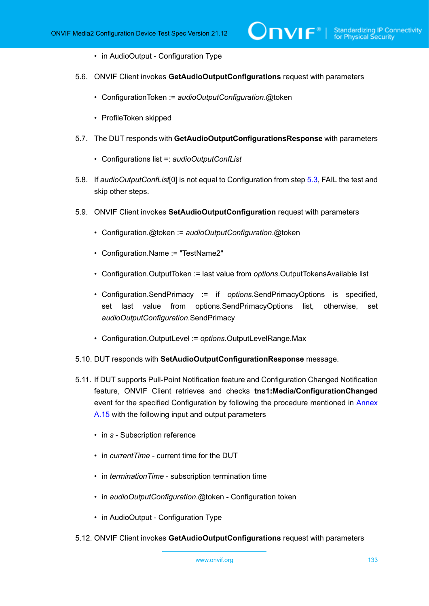- in AudioOutput Configuration Type
- 5.6. ONVIF Client invokes **GetAudioOutputConfigurations** request with parameters
	- ConfigurationToken := *audioOutputConfiguration*.@token
	- ProfileToken skipped
- 5.7. The DUT responds with **GetAudioOutputConfigurationsResponse** with parameters
	- Configurations list =: *audioOutputConfList*
- 5.8. If *audioOutputConfList*[0] is not equal to Configuration from step [5.3,](#page-131-0) FAIL the test and skip other steps.
- <span id="page-132-0"></span>5.9. ONVIF Client invokes **SetAudioOutputConfiguration** request with parameters
	- Configuration.@token := *audioOutputConfiguration*.@token
	- Configuration.Name := "TestName2"
	- Configuration.OutputToken := last value from *options*.OutputTokensAvailable list
	- Configuration.SendPrimacy := if *options*.SendPrimacyOptions is specified, set last value from options.SendPrimacyOptions list, otherwise, set *audioOutputConfiguration*.SendPrimacy
	- Configuration.OutputLevel := *options*.OutputLevelRange.Max
- 5.10. DUT responds with **SetAudioOutputConfigurationResponse** message.
- 5.11. If DUT supports Pull-Point Notification feature and Configuration Changed Notification feature, ONVIF Client retrieves and checks **tns1:Media/ConfigurationChanged** event for the specified Configuration by following the procedure mentioned in [Annex](#page-229-0) [A.15](#page-229-0) with the following input and output parameters
	- in *s* Subscription reference
	- in *currentTime* current time for the DUT
	- in *terminationTime* subscription termination time
	- in *audioOutputConfiguration*.@token Configuration token
	- in AudioOutput Configuration Type
- 5.12. ONVIF Client invokes **GetAudioOutputConfigurations** request with parameters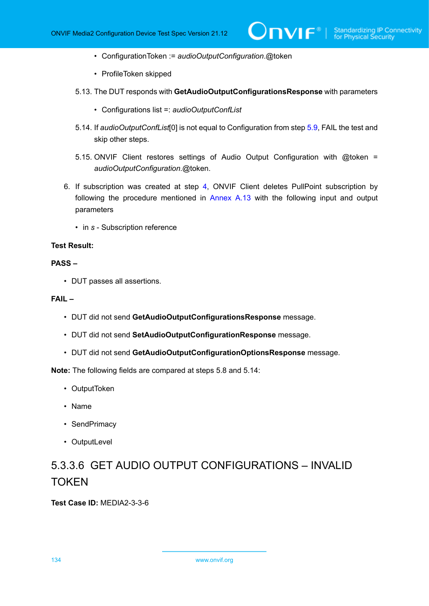- ConfigurationToken := *audioOutputConfiguration*.@token
- ProfileToken skipped
- 5.13. The DUT responds with **GetAudioOutputConfigurationsResponse** with parameters
	- Configurations list =: *audioOutputConfList*
- 5.14. If *audioOutputConfList*[0] is not equal to Configuration from step [5.9,](#page-132-0) FAIL the test and skip other steps.
- 5.15. ONVIF Client restores settings of Audio Output Configuration with @token = *audioOutputConfiguration*.@token.
- 6. If subscription was created at step [4](#page-130-0), ONVIF Client deletes PullPoint subscription by following the procedure mentioned in [Annex A.13](#page-228-0) with the following input and output parameters
	- in *s* Subscription reference

#### **PASS –**

• DUT passes all assertions.

#### **FAIL –**

- DUT did not send **GetAudioOutputConfigurationsResponse** message.
- DUT did not send **SetAudioOutputConfigurationResponse** message.
- DUT did not send **GetAudioOutputConfigurationOptionsResponse** message.

**Note:** The following fields are compared at steps 5.8 and 5.14:

- OutputToken
- Name
- SendPrimacy
- OutputLevel

# 5.3.3.6 GET AUDIO OUTPUT CONFIGURATIONS – INVALID **TOKEN**

**Test Case ID:** MEDIA2-3-3-6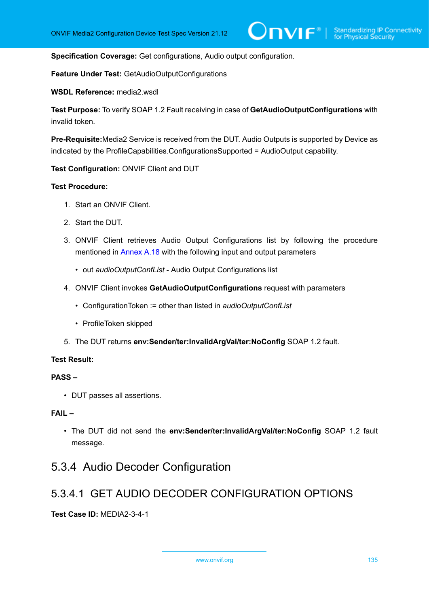**Specification Coverage:** Get configurations, Audio output configuration.

**Feature Under Test:** GetAudioOutputConfigurations

**WSDL Reference:** media2.wsdl

**Test Purpose:** To verify SOAP 1.2 Fault receiving in case of **GetAudioOutputConfigurations** with invalid token.

**Pre-Requisite:**Media2 Service is received from the DUT. Audio Outputs is supported by Device as indicated by the ProfileCapabilities.ConfigurationsSupported = AudioOutput capability.

**Test Configuration:** ONVIF Client and DUT

#### **Test Procedure:**

- 1. Start an ONVIF Client.
- 2. Start the DUT.
- 3. ONVIF Client retrieves Audio Output Configurations list by following the procedure mentioned in [Annex A.18](#page-232-0) with the following input and output parameters
	- out *audioOutputConfList* Audio Output Configurations list
- 4. ONVIF Client invokes **GetAudioOutputConfigurations** request with parameters
	- ConfigurationToken := other than listed in *audioOutputConfList*
	- ProfileToken skipped
- 5. The DUT returns **env:Sender/ter:InvalidArgVal/ter:NoConfig** SOAP 1.2 fault.

#### **Test Result:**

#### **PASS –**

• DUT passes all assertions.

#### **FAIL –**

• The DUT did not send the **env:Sender/ter:InvalidArgVal/ter:NoConfig** SOAP 1.2 fault message.

### 5.3.4 Audio Decoder Configuration

### 5.3.4.1 GET AUDIO DECODER CONFIGURATION OPTIONS

**Test Case ID:** MEDIA2-3-4-1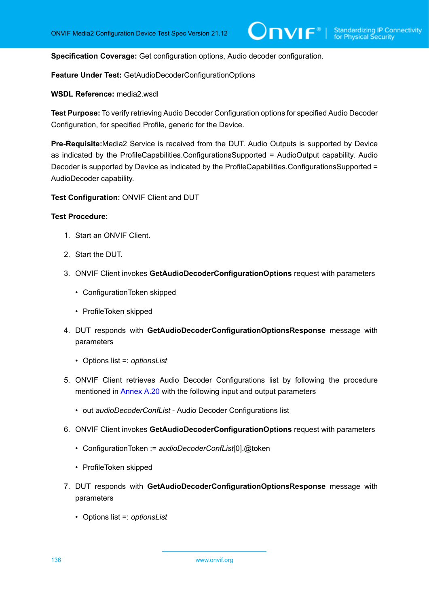**Specification Coverage:** Get configuration options, Audio decoder configuration.

**Feature Under Test:** GetAudioDecoderConfigurationOptions

**WSDL Reference:** media2.wsdl

**Test Purpose:** To verify retrieving Audio Decoder Configuration options for specified Audio Decoder Configuration, for specified Profile, generic for the Device.

**Pre-Requisite:**Media2 Service is received from the DUT. Audio Outputs is supported by Device as indicated by the ProfileCapabilities.ConfigurationsSupported = AudioOutput capability. Audio Decoder is supported by Device as indicated by the ProfileCapabilities.ConfigurationsSupported = AudioDecoder capability.

**Test Configuration:** ONVIF Client and DUT

- 1. Start an ONVIF Client.
- 2. Start the DUT.
- 3. ONVIF Client invokes **GetAudioDecoderConfigurationOptions** request with parameters
	- ConfigurationToken skipped
	- ProfileToken skipped
- 4. DUT responds with **GetAudioDecoderConfigurationOptionsResponse** message with parameters
	- Options list =: *optionsList*
- 5. ONVIF Client retrieves Audio Decoder Configurations list by following the procedure mentioned in [Annex A.20](#page-234-0) with the following input and output parameters
	- out *audioDecoderConfList* Audio Decoder Configurations list
- 6. ONVIF Client invokes **GetAudioDecoderConfigurationOptions** request with parameters
	- ConfigurationToken := *audioDecoderConfList*[0].@token
	- ProfileToken skipped
- 7. DUT responds with **GetAudioDecoderConfigurationOptionsResponse** message with parameters
	- Options list =: *optionsList*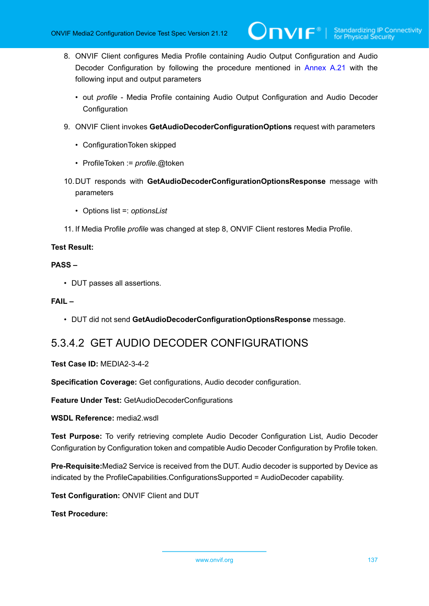- 8. ONVIF Client configures Media Profile containing Audio Output Configuration and Audio Decoder Configuration by following the procedure mentioned in [Annex A.21](#page-235-0) with the following input and output parameters
	- out *profile* Media Profile containing Audio Output Configuration and Audio Decoder **Configuration**
- 9. ONVIF Client invokes **GetAudioDecoderConfigurationOptions** request with parameters
	- ConfigurationToken skipped
	- ProfileToken := *profile*.@token
- 10.DUT responds with **GetAudioDecoderConfigurationOptionsResponse** message with parameters
	- Options list =: *optionsList*
- 11. If Media Profile *profile* was changed at step 8, ONVIF Client restores Media Profile.

#### **PASS –**

• DUT passes all assertions.

#### **FAIL –**

• DUT did not send **GetAudioDecoderConfigurationOptionsResponse** message.

### 5.3.4.2 GET AUDIO DECODER CONFIGURATIONS

#### **Test Case ID:** MEDIA2-3-4-2

**Specification Coverage:** Get configurations, Audio decoder configuration.

**Feature Under Test:** GetAudioDecoderConfigurations

**WSDL Reference:** media2.wsdl

**Test Purpose:** To verify retrieving complete Audio Decoder Configuration List, Audio Decoder Configuration by Configuration token and compatible Audio Decoder Configuration by Profile token.

**Pre-Requisite:**Media2 Service is received from the DUT. Audio decoder is supported by Device as indicated by the ProfileCapabilities.ConfigurationsSupported = AudioDecoder capability.

**Test Configuration:** ONVIF Client and DUT

**Test Procedure:**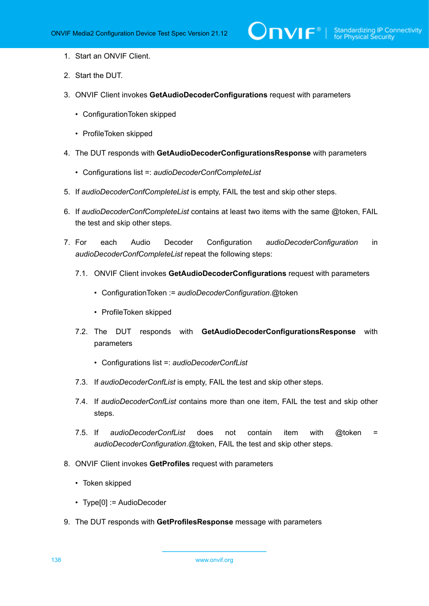- 1. Start an ONVIF Client.
- 2. Start the DUT.
- 3. ONVIF Client invokes **GetAudioDecoderConfigurations** request with parameters
	- ConfigurationToken skipped
	- ProfileToken skipped
- 4. The DUT responds with **GetAudioDecoderConfigurationsResponse** with parameters
	- Configurations list =: *audioDecoderConfCompleteList*
- 5. If *audioDecoderConfCompleteList* is empty, FAIL the test and skip other steps.
- 6. If *audioDecoderConfCompleteList* contains at least two items with the same @token, FAIL the test and skip other steps.
- 7. For each Audio Decoder Configuration *audioDecoderConfiguration* in *audioDecoderConfCompleteList* repeat the following steps:
	- 7.1. ONVIF Client invokes **GetAudioDecoderConfigurations** request with parameters
		- ConfigurationToken := *audioDecoderConfiguration*.@token
		- ProfileToken skipped
	- 7.2. The DUT responds with **GetAudioDecoderConfigurationsResponse** with parameters
		- Configurations list =: *audioDecoderConfList*
	- 7.3. If *audioDecoderConfList* is empty, FAIL the test and skip other steps.
	- 7.4. If *audioDecoderConfList* contains more than one item, FAIL the test and skip other steps.
	- 7.5. If *audioDecoderConfList* does not contain item with @token = *audioDecoderConfiguration*.@token, FAIL the test and skip other steps.
- 8. ONVIF Client invokes **GetProfiles** request with parameters
	- Token skipped
	- Type[0] := AudioDecoder
- 9. The DUT responds with **GetProfilesResponse** message with parameters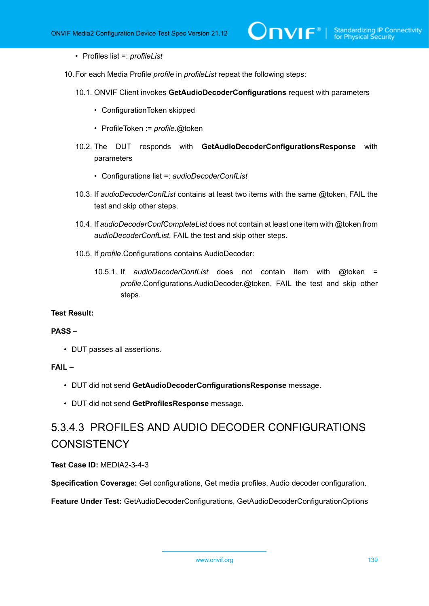- Profiles list =: *profileList*
- 10.For each Media Profile *profile* in *profileList* repeat the following steps:
	- 10.1. ONVIF Client invokes **GetAudioDecoderConfigurations** request with parameters
		- ConfigurationToken skipped
		- ProfileToken := *profile*.@token
	- 10.2. The DUT responds with **GetAudioDecoderConfigurationsResponse** with parameters
		- Configurations list =: *audioDecoderConfList*
	- 10.3. If *audioDecoderConfList* contains at least two items with the same @token, FAIL the test and skip other steps.
	- 10.4. If *audioDecoderConfCompleteList* does not contain at least one item with @token from *audioDecoderConfList*, FAIL the test and skip other steps.
	- 10.5. If *profile*.Configurations contains AudioDecoder:
		- 10.5.1. If *audioDecoderConfList* does not contain item with @token = *profile*.Configurations.AudioDecoder.@token, FAIL the test and skip other steps.

#### **PASS –**

• DUT passes all assertions.

#### **FAIL –**

- DUT did not send **GetAudioDecoderConfigurationsResponse** message.
- DUT did not send **GetProfilesResponse** message.

# 5.3.4.3 PROFILES AND AUDIO DECODER CONFIGURATIONS **CONSISTENCY**

#### **Test Case ID:** MEDIA2-3-4-3

**Specification Coverage:** Get configurations, Get media profiles, Audio decoder configuration.

**Feature Under Test:** GetAudioDecoderConfigurations, GetAudioDecoderConfigurationOptions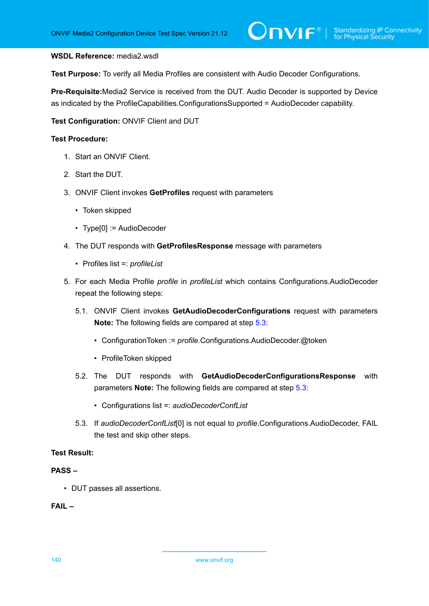#### **WSDL Reference:** media2.wsdl

**Test Purpose:** To verify all Media Profiles are consistent with Audio Decoder Configurations.

**Pre-Requisite:**Media2 Service is received from the DUT. Audio Decoder is supported by Device as indicated by the ProfileCapabilities.ConfigurationsSupported = AudioDecoder capability.

**Test Configuration:** ONVIF Client and DUT

#### **Test Procedure:**

- 1. Start an ONVIF Client.
- 2. Start the DUT.
- 3. ONVIF Client invokes **GetProfiles** request with parameters
	- Token skipped
	- Type[0] := AudioDecoder
- 4. The DUT responds with **GetProfilesResponse** message with parameters
	- Profiles list =: *profileList*
- 5. For each Media Profile *profile* in *profileList* which contains Configurations.AudioDecoder repeat the following steps:
	- 5.1. ONVIF Client invokes **GetAudioDecoderConfigurations** request with parameters **Note:** The following fields are compared at step [5.3](#page-73-0):
		- ConfigurationToken := *profile*.Configurations.AudioDecoder.@token
		- ProfileToken skipped
	- 5.2. The DUT responds with **GetAudioDecoderConfigurationsResponse** with parameters **Note:** The following fields are compared at step [5.3](#page-73-0):
		- Configurations list =: *audioDecoderConfList*
	- 5.3. If *audioDecoderConfList*[0] is not equal to *profile*.Configurations.AudioDecoder, FAIL the test and skip other steps.

#### <span id="page-139-0"></span>**Test Result:**

#### **PASS –**

• DUT passes all assertions.

#### **FAIL –**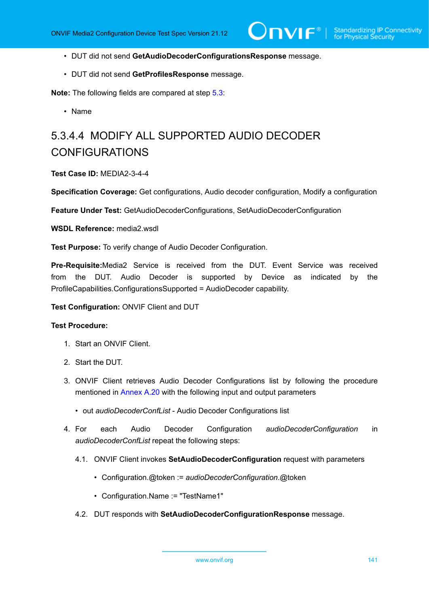- DUT did not send **GetAudioDecoderConfigurationsResponse** message.
- DUT did not send **GetProfilesResponse** message.

**Note:** The following fields are compared at step [5.3](#page-139-0):

• Name

# 5.3.4.4 MODIFY ALL SUPPORTED AUDIO DECODER CONFIGURATIONS

#### **Test Case ID:** MEDIA2-3-4-4

**Specification Coverage:** Get configurations, Audio decoder configuration, Modify a configuration

**Feature Under Test:** GetAudioDecoderConfigurations, SetAudioDecoderConfiguration

WSDL Reference: media2 wsdl

**Test Purpose:** To verify change of Audio Decoder Configuration.

**Pre-Requisite:**Media2 Service is received from the DUT. Event Service was received from the DUT. Audio Decoder is supported by Device as indicated by the ProfileCapabilities.ConfigurationsSupported = AudioDecoder capability.

**Test Configuration:** ONVIF Client and DUT

- 1. Start an ONVIF Client.
- 2. Start the DUT.
- 3. ONVIF Client retrieves Audio Decoder Configurations list by following the procedure mentioned in [Annex A.20](#page-234-0) with the following input and output parameters
	- out *audioDecoderConfList* Audio Decoder Configurations list
- 4. For each Audio Decoder Configuration *audioDecoderConfiguration* in *audioDecoderConfList* repeat the following steps:
	- 4.1. ONVIF Client invokes **SetAudioDecoderConfiguration** request with parameters
		- Configuration.@token := *audioDecoderConfiguration*.@token
		- Configuration.Name := "TestName1"
	- 4.2. DUT responds with **SetAudioDecoderConfigurationResponse** message.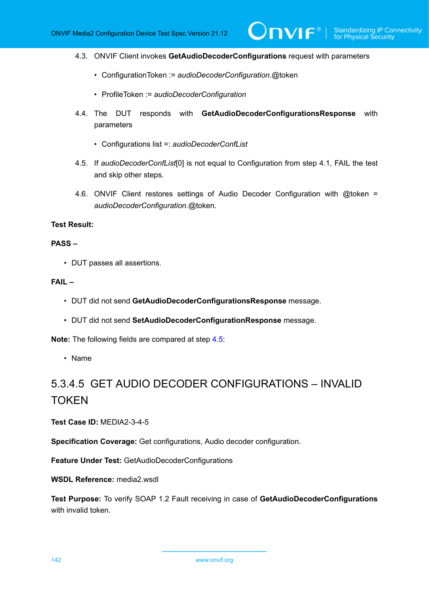- 4.3. ONVIF Client invokes **GetAudioDecoderConfigurations** request with parameters
	- ConfigurationToken := *audioDecoderConfiguration*.@token
	- ProfileToken := *audioDecoderConfiguration*
- 4.4. The DUT responds with **GetAudioDecoderConfigurationsResponse** with parameters
	- Configurations list =: *audioDecoderConfList*
- <span id="page-141-0"></span>4.5. If *audioDecoderConfList*[0] is not equal to Configuration from step 4.1, FAIL the test and skip other steps.
- 4.6. ONVIF Client restores settings of Audio Decoder Configuration with @token = *audioDecoderConfiguration*.@token.

#### **PASS –**

• DUT passes all assertions.

#### **FAIL –**

- DUT did not send **GetAudioDecoderConfigurationsResponse** message.
- DUT did not send **SetAudioDecoderConfigurationResponse** message.

**Note:** The following fields are compared at step [4.5](#page-141-0):

• Name

# 5.3.4.5 GET AUDIO DECODER CONFIGURATIONS – INVALID **TOKEN**

**Test Case ID:** MEDIA2-3-4-5

**Specification Coverage:** Get configurations, Audio decoder configuration.

**Feature Under Test:** GetAudioDecoderConfigurations

**WSDL Reference:** media2.wsdl

**Test Purpose:** To verify SOAP 1.2 Fault receiving in case of **GetAudioDecoderConfigurations** with invalid token.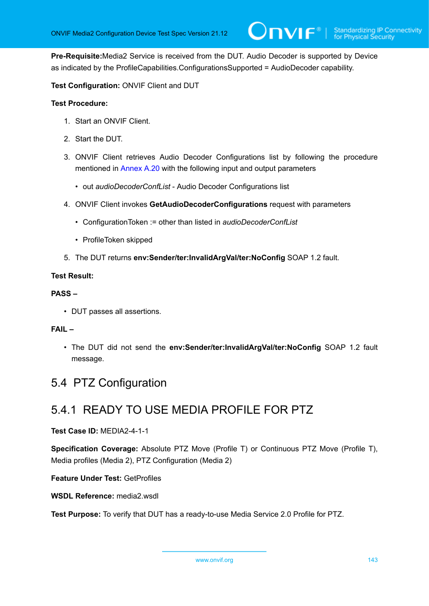**Pre-Requisite:**Media2 Service is received from the DUT. Audio Decoder is supported by Device as indicated by the ProfileCapabilities.ConfigurationsSupported = AudioDecoder capability.

**Test Configuration:** ONVIF Client and DUT

#### **Test Procedure:**

- 1. Start an ONVIF Client.
- 2. Start the DUT.
- 3. ONVIF Client retrieves Audio Decoder Configurations list by following the procedure mentioned in [Annex A.20](#page-234-0) with the following input and output parameters
	- out *audioDecoderConfList* Audio Decoder Configurations list
- 4. ONVIF Client invokes **GetAudioDecoderConfigurations** request with parameters
	- ConfigurationToken := other than listed in *audioDecoderConfList*
	- ProfileToken skipped
- 5. The DUT returns **env:Sender/ter:InvalidArgVal/ter:NoConfig** SOAP 1.2 fault.

#### **Test Result:**

#### **PASS –**

• DUT passes all assertions.

#### **FAIL –**

• The DUT did not send the **env:Sender/ter:InvalidArgVal/ter:NoConfig** SOAP 1.2 fault message.

## 5.4 PTZ Configuration

## 5.4.1 READY TO USE MEDIA PROFILE FOR PTZ

#### **Test Case ID:** MEDIA2-4-1-1

**Specification Coverage:** Absolute PTZ Move (Profile T) or Continuous PTZ Move (Profile T), Media profiles (Media 2), PTZ Configuration (Media 2)

**Feature Under Test:** GetProfiles

**WSDL Reference:** media2.wsdl

**Test Purpose:** To verify that DUT has a ready-to-use Media Service 2.0 Profile for PTZ.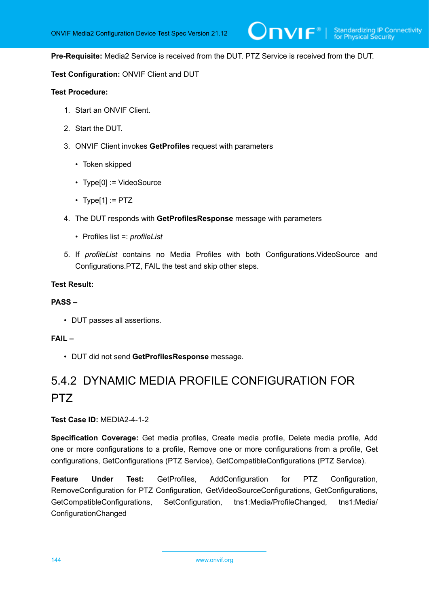**Pre-Requisite:** Media2 Service is received from the DUT. PTZ Service is received from the DUT.

#### **Test Configuration:** ONVIF Client and DUT

#### **Test Procedure:**

- 1. Start an ONVIF Client.
- 2. Start the DUT.
- 3. ONVIF Client invokes **GetProfiles** request with parameters
	- Token skipped
	- Type[0] := VideoSource
	- Type[1] :=  $PTZ$
- 4. The DUT responds with **GetProfilesResponse** message with parameters
	- Profiles list =: *profileList*
- 5. If *profileList* contains no Media Profiles with both Configurations.VideoSource and Configurations.PTZ, FAIL the test and skip other steps.

#### **Test Result:**

#### **PASS –**

• DUT passes all assertions.

#### **FAIL –**

• DUT did not send **GetProfilesResponse** message.

# 5.4.2 DYNAMIC MEDIA PROFILE CONFIGURATION FOR PTZ

**Test Case ID:** MEDIA2-4-1-2

**Specification Coverage:** Get media profiles, Create media profile, Delete media profile, Add one or more configurations to a profile, Remove one or more configurations from a profile, Get configurations, GetConfigurations (PTZ Service), GetCompatibleConfigurations (PTZ Service).

**Feature Under Test:** GetProfiles, AddConfiguration for PTZ Configuration, RemoveConfiguration for PTZ Configuration, GetVideoSourceConfigurations, GetConfigurations, GetCompatibleConfigurations, SetConfiguration, tns1:Media/ProfileChanged, tns1:Media/ ConfigurationChanged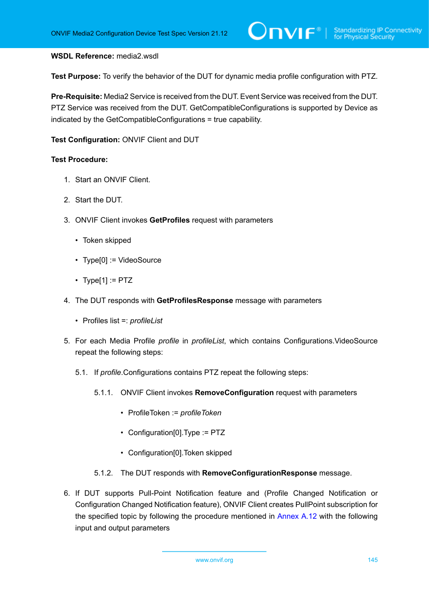#### **WSDL Reference:** media2.wsdl

**Test Purpose:** To verify the behavior of the DUT for dynamic media profile configuration with PTZ.

**Pre-Requisite:** Media2 Service is received from the DUT. Event Service was received from the DUT. PTZ Service was received from the DUT. GetCompatibleConfigurations is supported by Device as indicated by the GetCompatibleConfigurations = true capability.

**Test Configuration:** ONVIF Client and DUT

- 1. Start an ONVIF Client.
- 2. Start the DUT.
- 3. ONVIF Client invokes **GetProfiles** request with parameters
	- Token skipped
	- Type[0] := VideoSource
	- Type[1] :=  $PTZ$
- 4. The DUT responds with **GetProfilesResponse** message with parameters
	- Profiles list =: *profileList*
- 5. For each Media Profile *profile* in *profileList*, which contains Configurations.VideoSource repeat the following steps:
	- 5.1. If *profile*.Configurations contains PTZ repeat the following steps:
		- 5.1.1. ONVIF Client invokes **RemoveConfiguration** request with parameters
			- ProfileToken := *profileToken*
			- Configuration[0].Type := PTZ
			- Configuration[0].Token skipped
		- 5.1.2. The DUT responds with **RemoveConfigurationResponse** message.
- <span id="page-144-0"></span>6. If DUT supports Pull-Point Notification feature and (Profile Changed Notification or Configuration Changed Notification feature), ONVIF Client creates PullPoint subscription for the specified topic by following the procedure mentioned in [Annex A.12](#page-227-0) with the following input and output parameters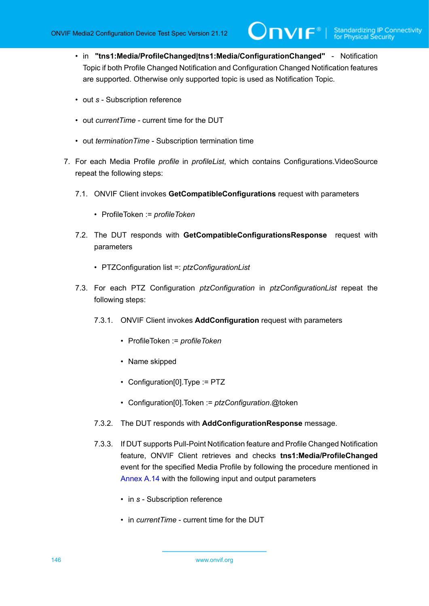- in **"tns1:Media/ProfileChanged|tns1:Media/ConfigurationChanged"** Notification Topic if both Profile Changed Notification and Configuration Changed Notification features are supported. Otherwise only supported topic is used as Notification Topic.
- out *s* Subscription reference
- out *currentTime* current time for the DUT
- out *terminationTime* Subscription termination time
- 7. For each Media Profile *profile* in *profileList*, which contains Configurations.VideoSource repeat the following steps:
	- 7.1. ONVIF Client invokes **GetCompatibleConfigurations** request with parameters
		- ProfileToken := *profileToken*
	- 7.2. The DUT responds with **GetCompatibleConfigurationsResponse** request with parameters
		- PTZConfiguration list =: *ptzConfigurationList*
	- 7.3. For each PTZ Configuration *ptzConfiguration* in *ptzConfigurationList* repeat the following steps:
		- 7.3.1. ONVIF Client invokes **AddConfiguration** request with parameters
			- ProfileToken := *profileToken*
			- Name skipped
			- Configuration[0].Type := PTZ
			- Configuration[0].Token := *ptzConfiguration*.@token
		- 7.3.2. The DUT responds with **AddConfigurationResponse** message.
		- 7.3.3. If DUT supports Pull-Point Notification feature and Profile Changed Notification feature, ONVIF Client retrieves and checks **tns1:Media/ProfileChanged** event for the specified Media Profile by following the procedure mentioned in [Annex A.14](#page-228-0) with the following input and output parameters
			- in *s* Subscription reference
			- in *currentTime* current time for the DUT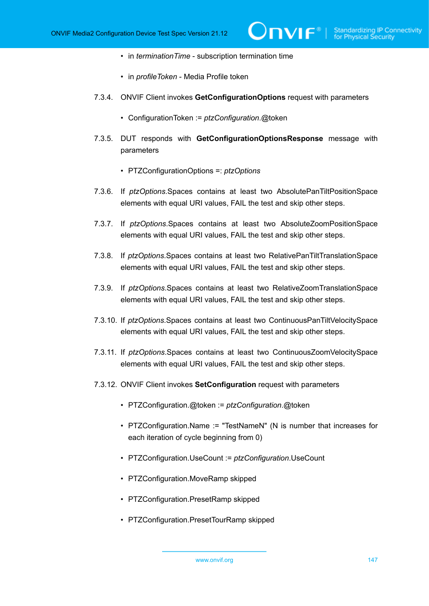- in *terminationTime* subscription termination time
- in *profileToken* Media Profile token
- 7.3.4. ONVIF Client invokes **GetConfigurationOptions** request with parameters
	- ConfigurationToken := *ptzConfiguration*.@token
- 7.3.5. DUT responds with **GetConfigurationOptionsResponse** message with parameters
	- PTZConfigurationOptions =: *ptzOptions*
- 7.3.6. If *ptzOptions*.Spaces contains at least two AbsolutePanTiltPositionSpace elements with equal URI values, FAIL the test and skip other steps.
- 7.3.7. If *ptzOptions*.Spaces contains at least two AbsoluteZoomPositionSpace elements with equal URI values, FAIL the test and skip other steps.
- 7.3.8. If *ptzOptions*.Spaces contains at least two RelativePanTiltTranslationSpace elements with equal URI values, FAIL the test and skip other steps.
- 7.3.9. If *ptzOptions*.Spaces contains at least two RelativeZoomTranslationSpace elements with equal URI values, FAIL the test and skip other steps.
- 7.3.10. If *ptzOptions*.Spaces contains at least two ContinuousPanTiltVelocitySpace elements with equal URI values, FAIL the test and skip other steps.
- 7.3.11. If *ptzOptions*.Spaces contains at least two ContinuousZoomVelocitySpace elements with equal URI values, FAIL the test and skip other steps.
- 7.3.12. ONVIF Client invokes **SetConfiguration** request with parameters
	- PTZConfiguration.@token := *ptzConfiguration*.@token
	- PTZConfiguration.Name := "TestNameN" (N is number that increases for each iteration of cycle beginning from 0)
	- PTZConfiguration.UseCount := *ptzConfiguration*.UseCount
	- PTZConfiguration.MoveRamp skipped
	- PTZConfiguration.PresetRamp skipped
	- PTZConfiguration.PresetTourRamp skipped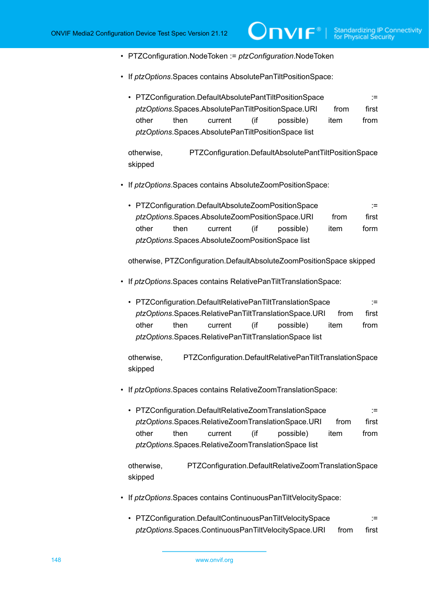- PTZConfiguration.NodeToken := *ptzConfiguration*.NodeToken
- If *ptzOptions*.Spaces contains AbsolutePanTiltPositionSpace:
	- PTZConfiguration.DefaultAbsolutePantTiltPositionSpace := *ptzOptions*.Spaces.AbsolutePanTiltPositionSpace.URI from first other then current (if possible) item from *ptzOptions*.Spaces.AbsolutePanTiltPositionSpace list

 $\partial$ DVIF $^{\circ}$ 

otherwise, PTZConfiguration.DefaultAbsolutePantTiltPositionSpace skipped

- If *ptzOptions*.Spaces contains AbsoluteZoomPositionSpace:
	- PTZConfiguration.DefaultAbsoluteZoomPositionSpace := ptzOptions.Spaces.AbsoluteZoomPositionSpace.URI from first other then current (if possible) item form *ptzOptions*.Spaces.AbsoluteZoomPositionSpace list

otherwise, PTZConfiguration.DefaultAbsoluteZoomPositionSpace skipped

- If *ptzOptions*.Spaces contains RelativePanTiltTranslationSpace:
	- PTZConfiguration.DefaultRelativePanTiltTranslationSpace := := *ptzOptions*.Spaces.RelativePanTiltTranslationSpace.URI from first other then current (if possible) item from *ptzOptions*.Spaces.RelativePanTiltTranslationSpace list

otherwise, PTZConfiguration.DefaultRelativePanTiltTranslationSpace skipped

- If *ptzOptions*.Spaces contains RelativeZoomTranslationSpace:
	- PTZConfiguration.DefaultRelativeZoomTranslationSpace := ptzOptions.Spaces.RelativeZoomTranslationSpace.URI from first other then current (if possible) item from *ptzOptions*.Spaces.RelativeZoomTranslationSpace list

otherwise, PTZConfiguration.DefaultRelativeZoomTranslationSpace skipped

- If *ptzOptions*.Spaces contains ContinuousPanTiltVelocitySpace:
	- PTZConfiguration.DefaultContinuousPanTiltVelocitySpace := ptzOptions.Spaces.ContinuousPanTiltVelocitySpace.URI from first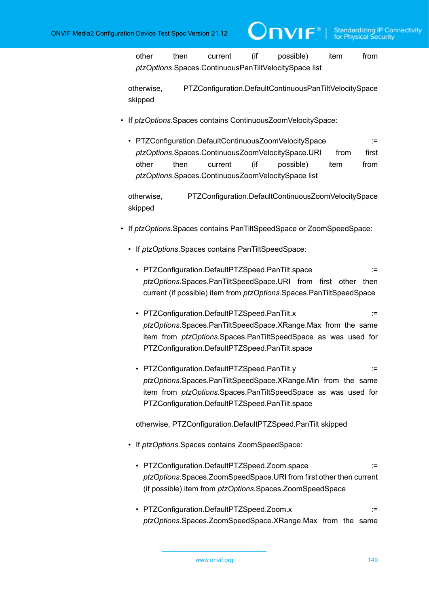other then current (if possible) item from *ptzOptions*.Spaces.ContinuousPanTiltVelocitySpace list

otherwise, PTZConfiguration.DefaultContinuousPanTiltVelocitySpace skipped

- If *ptzOptions*.Spaces contains ContinuousZoomVelocitySpace:
	- PTZConfiguration.DefaultContinuousZoomVelocitySpace := := ptzOptions.Spaces.ContinuousZoomVelocitySpace.URI from first other then current (if possible) item from *ptzOptions*.Spaces.ContinuousZoomVelocitySpace list

otherwise, PTZConfiguration.DefaultContinuousZoomVelocitySpace skipped

- If *ptzOptions*.Spaces contains PanTiltSpeedSpace or ZoomSpeedSpace:
	- If *ptzOptions*.Spaces contains PanTiltSpeedSpace:
		- PTZConfiguration.DefaultPTZSpeed.PanTilt.space := := := *ptzOptions*.Spaces.PanTiltSpeedSpace.URI from first other then current (if possible) item from *ptzOptions*.Spaces.PanTiltSpeedSpace
		- PTZConfiguration.DefaultPTZSpeed.PanTilt.x := := := := *ptzOptions*.Spaces.PanTiltSpeedSpace.XRange.Max from the same item from *ptzOptions*.Spaces.PanTiltSpeedSpace as was used for PTZConfiguration.DefaultPTZSpeed.PanTilt.space
		- PTZConfiguration.DefaultPTZSpeed.PanTilt.y := *ptzOptions*.Spaces.PanTiltSpeedSpace.XRange.Min from the same item from *ptzOptions*.Spaces.PanTiltSpeedSpace as was used for PTZConfiguration.DefaultPTZSpeed.PanTilt.space

otherwise, PTZConfiguration.DefaultPTZSpeed.PanTilt skipped

- If *ptzOptions*.Spaces contains ZoomSpeedSpace:
	- PTZConfiguration.DefaultPTZSpeed.Zoom.space := *ptzOptions*.Spaces.ZoomSpeedSpace.URI from first other then current (if possible) item from *ptzOptions*.Spaces.ZoomSpeedSpace
	- PTZConfiguration.DefaultPTZSpeed.Zoom.x := := *ptzOptions*.Spaces.ZoomSpeedSpace.XRange.Max from the same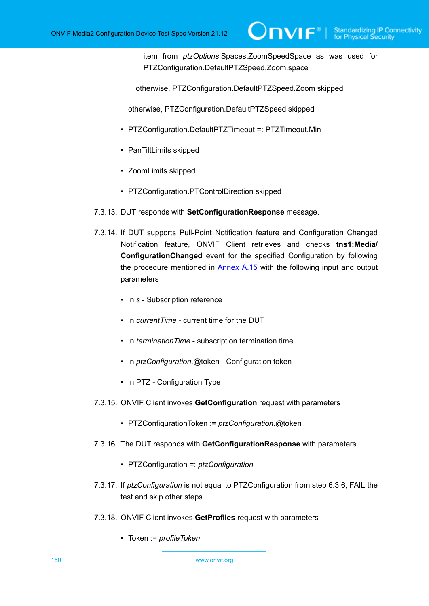item from *ptzOptions*.Spaces.ZoomSpeedSpace as was used for PTZConfiguration.DefaultPTZSpeed.Zoom.space

otherwise, PTZConfiguration.DefaultPTZSpeed.Zoom skipped

otherwise, PTZConfiguration.DefaultPTZSpeed skipped

- PTZConfiguration.DefaultPTZTimeout =: PTZTimeout.Min
- PanTiltLimits skipped
- ZoomLimits skipped
- PTZConfiguration.PTControlDirection skipped
- 7.3.13. DUT responds with **SetConfigurationResponse** message.
- 7.3.14. If DUT supports Pull-Point Notification feature and Configuration Changed Notification feature, ONVIF Client retrieves and checks **tns1:Media/ ConfigurationChanged** event for the specified Configuration by following the procedure mentioned in [Annex A.15](#page-229-0) with the following input and output parameters
	- in *s* Subscription reference
	- in *currentTime* current time for the DUT
	- in *terminationTime* subscription termination time
	- in *ptzConfiguration*.@token Configuration token
	- in PTZ Configuration Type
- 7.3.15. ONVIF Client invokes **GetConfiguration** request with parameters
	- PTZConfigurationToken := *ptzConfiguration*.@token
- 7.3.16. The DUT responds with **GetConfigurationResponse** with parameters
	- PTZConfiguration =: *ptzConfiguration*
- 7.3.17. If *ptzConfiguration* is not equal to PTZConfiguration from step 6.3.6, FAIL the test and skip other steps.
- 7.3.18. ONVIF Client invokes **GetProfiles** request with parameters
	- Token := *profileToken*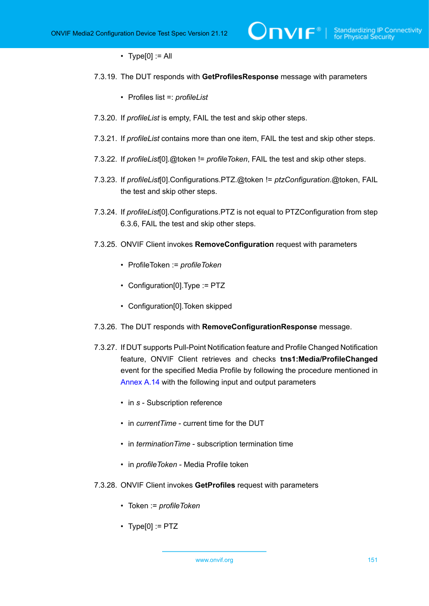- Type $[0] := A$
- 7.3.19. The DUT responds with **GetProfilesResponse** message with parameters
	- Profiles list =: *profileList*
- 7.3.20. If *profileList* is empty, FAIL the test and skip other steps.
- 7.3.21. If *profileList* contains more than one item, FAIL the test and skip other steps.
- 7.3.22. If *profileList*[0].@token != *profileToken*, FAIL the test and skip other steps.
- 7.3.23. If *profileList*[0].Configurations.PTZ.@token != *ptzConfiguration*.@token, FAIL the test and skip other steps.
- 7.3.24. If *profileList*[0].Configurations.PTZ is not equal to PTZConfiguration from step 6.3.6, FAIL the test and skip other steps.
- 7.3.25. ONVIF Client invokes **RemoveConfiguration** request with parameters
	- ProfileToken := *profileToken*
	- Configuration[0].Type := PTZ
	- Configuration[0].Token skipped
- 7.3.26. The DUT responds with **RemoveConfigurationResponse** message.
- 7.3.27. If DUT supports Pull-Point Notification feature and Profile Changed Notification feature, ONVIF Client retrieves and checks **tns1:Media/ProfileChanged** event for the specified Media Profile by following the procedure mentioned in [Annex A.14](#page-228-0) with the following input and output parameters
	- in *s* Subscription reference
	- in *currentTime* current time for the DUT
	- in *terminationTime* subscription termination time
	- in *profileToken* Media Profile token
- 7.3.28. ONVIF Client invokes **GetProfiles** request with parameters
	- Token := *profileToken*
	- $\cdot$  Type[0] := PTZ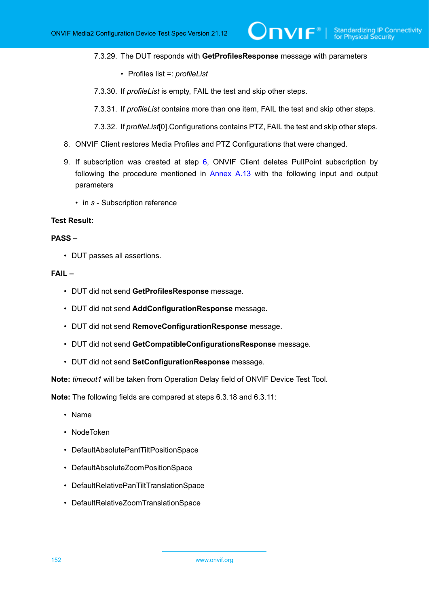#### 7.3.29. The DUT responds with **GetProfilesResponse** message with parameters

 $\partial$ DVIF $^{\circ}$ 

- Profiles list =: *profileList*
- 7.3.30. If *profileList* is empty, FAIL the test and skip other steps.
- 7.3.31. If *profileList* contains more than one item, FAIL the test and skip other steps.
- 7.3.32. If *profileList*[0].Configurations contains PTZ, FAIL the test and skip other steps.
- 8. ONVIF Client restores Media Profiles and PTZ Configurations that were changed.
- 9. If subscription was created at step [6](#page-144-0), ONVIF Client deletes PullPoint subscription by following the procedure mentioned in [Annex A.13](#page-228-1) with the following input and output parameters
	- in *s* Subscription reference

# **Test Result:**

### **PASS –**

• DUT passes all assertions.

#### **FAIL –**

- DUT did not send **GetProfilesResponse** message.
- DUT did not send **AddConfigurationResponse** message.
- DUT did not send **RemoveConfigurationResponse** message.
- DUT did not send **GetCompatibleConfigurationsResponse** message.
- DUT did not send **SetConfigurationResponse** message.

**Note:** *timeout1* will be taken from Operation Delay field of ONVIF Device Test Tool.

**Note:** The following fields are compared at steps 6.3.18 and 6.3.11:

- Name
- NodeToken
- DefaultAbsolutePantTiltPositionSpace
- DefaultAbsoluteZoomPositionSpace
- DefaultRelativePanTiltTranslationSpace
- DefaultRelativeZoomTranslationSpace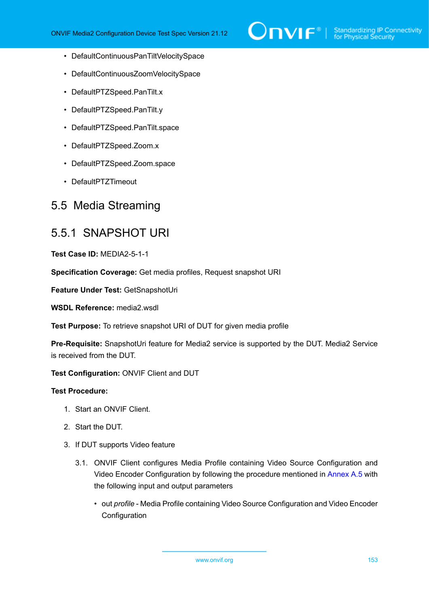

- DefaultContinuousPanTiltVelocitySpace
- DefaultContinuousZoomVelocitySpace
- DefaultPTZSpeed.PanTilt.x
- DefaultPTZSpeed.PanTilt.y
- DefaultPTZSpeed.PanTilt.space
- DefaultPTZSpeed.Zoom.x
- DefaultPTZSpeed.Zoom.space
- DefaultPTZTimeout

# 5.5 Media Streaming

# 5.5.1 SNAPSHOT URI

**Test Case ID:** MEDIA2-5-1-1

**Specification Coverage:** Get media profiles, Request snapshot URI

**Feature Under Test:** GetSnapshotUri

**WSDL Reference:** media2.wsdl

**Test Purpose:** To retrieve snapshot URI of DUT for given media profile

**Pre-Requisite:** SnapshotUri feature for Media2 service is supported by the DUT. Media2 Service is received from the DUT.

## **Test Configuration:** ONVIF Client and DUT

- 1. Start an ONVIF Client.
- 2. Start the DUT.
- 3. If DUT supports Video feature
	- 3.1. ONVIF Client configures Media Profile containing Video Source Configuration and Video Encoder Configuration by following the procedure mentioned in [Annex A.5](#page-219-0) with the following input and output parameters
		- out *profile* Media Profile containing Video Source Configuration and Video Encoder **Configuration**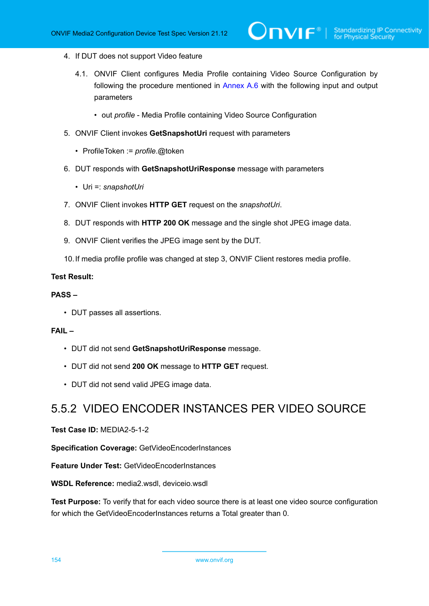- 4. If DUT does not support Video feature
	- 4.1. ONVIF Client configures Media Profile containing Video Source Configuration by following the procedure mentioned in [Annex A.6](#page-221-0) with the following input and output parameters
		- out *profile* Media Profile containing Video Source Configuration
- 5. ONVIF Client invokes **GetSnapshotUri** request with parameters
	- ProfileToken := *profile*.@token
- 6. DUT responds with **GetSnapshotUriResponse** message with parameters
	- Uri =: *snapshotUri*
- 7. ONVIF Client invokes **HTTP GET** request on the *snapshotUri*.
- 8. DUT responds with **HTTP 200 OK** message and the single shot JPEG image data.
- 9. ONVIF Client verifies the JPEG image sent by the DUT.
- 10.If media profile profile was changed at step 3, ONVIF Client restores media profile.

### **PASS –**

• DUT passes all assertions.

## **FAIL –**

- DUT did not send **GetSnapshotUriResponse** message.
- DUT did not send **200 OK** message to **HTTP GET** request.
- DUT did not send valid JPEG image data.

# 5.5.2 VIDEO ENCODER INSTANCES PER VIDEO SOURCE

### **Test Case ID:** MEDIA2-5-1-2

**Specification Coverage:** GetVideoEncoderInstances

**Feature Under Test:** GetVideoEncoderInstances

**WSDL Reference:** media2.wsdl, deviceio.wsdl

**Test Purpose:** To verify that for each video source there is at least one video source configuration for which the GetVideoEncoderInstances returns a Total greater than 0.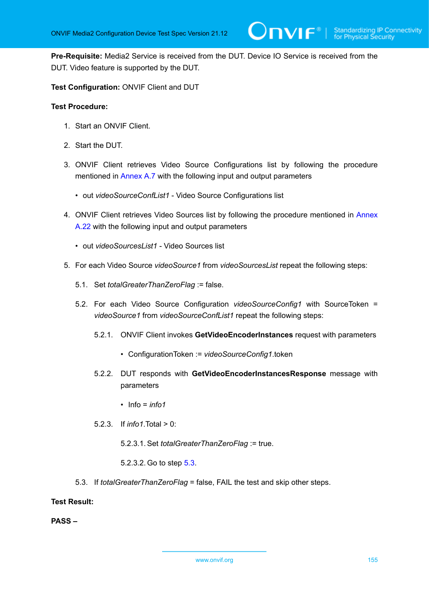**Pre-Requisite:** Media2 Service is received from the DUT. Device IO Service is received from the DUT. Video feature is supported by the DUT.

**Test Configuration:** ONVIF Client and DUT

# **Test Procedure:**

- 1. Start an ONVIF Client.
- 2. Start the DUT.
- 3. ONVIF Client retrieves Video Source Configurations list by following the procedure mentioned in [Annex A.7](#page-222-0) with the following input and output parameters
	- out *videoSourceConfList1* Video Source Configurations list
- 4. ONVIF Client retrieves Video Sources list by following the procedure mentioned in [Annex](#page-237-0) [A.22](#page-237-0) with the following input and output parameters
	- out *videoSourcesList1* Video Sources list
- 5. For each Video Source *videoSource1* from *videoSourcesList* repeat the following steps:
	- 5.1. Set *totalGreaterThanZeroFlag* := false.
	- 5.2. For each Video Source Configuration *videoSourceConfig1* with SourceToken = *videoSource1* from *videoSourceConfList1* repeat the following steps:
		- 5.2.1. ONVIF Client invokes **GetVideoEncoderInstances** request with parameters
			- ConfigurationToken := *videoSourceConfig1*.token
		- 5.2.2. DUT responds with **GetVideoEncoderInstancesResponse** message with parameters
			- Info = *info1*
		- 5.2.3. If *info1*.Total > 0:
			- 5.2.3.1. Set *totalGreaterThanZeroFlag* := true.
			- 5.2.3.2. Go to step [5.3](#page-154-0).
	- 5.3. If *totalGreaterThanZeroFlag* = false, FAIL the test and skip other steps.

<span id="page-154-0"></span>**Test Result:**

**PASS –**

www.onvif.org 155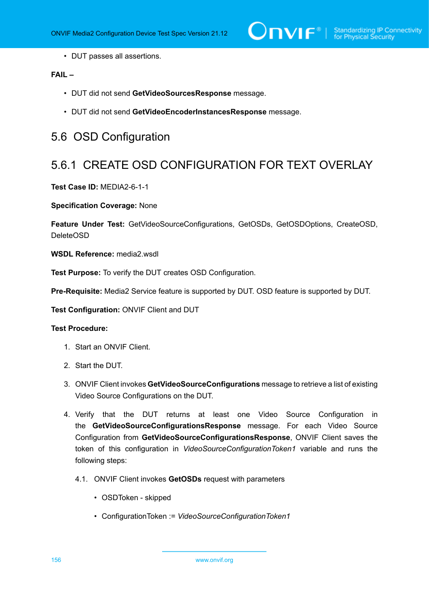• DUT passes all assertions.

# **FAIL –**

- DUT did not send **GetVideoSourcesResponse** message.
- DUT did not send **GetVideoEncoderInstancesResponse** message.

# 5.6 OSD Configuration

# 5.6.1 CREATE OSD CONFIGURATION FOR TEXT OVERLAY

**Test Case ID:** MEDIA2-6-1-1

**Specification Coverage:** None

**Feature Under Test:** GetVideoSourceConfigurations, GetOSDs, GetOSDOptions, CreateOSD, DeleteOSD

**WSDL Reference:** media2.wsdl

**Test Purpose:** To verify the DUT creates OSD Configuration.

**Pre-Requisite:** Media2 Service feature is supported by DUT. OSD feature is supported by DUT.

**Test Configuration:** ONVIF Client and DUT

- 1. Start an ONVIF Client.
- 2. Start the DUT.
- 3. ONVIF Client invokes **GetVideoSourceConfigurations** message to retrieve a list of existing Video Source Configurations on the DUT.
- 4. Verify that the DUT returns at least one Video Source Configuration in the **GetVideoSourceConfigurationsResponse** message. For each Video Source Configuration from **GetVideoSourceConfigurationsResponse**, ONVIF Client saves the token of this configuration in *VideoSourceConfigurationToken1* variable and runs the following steps:
	- 4.1. ONVIF Client invokes **GetOSDs** request with parameters
		- OSDToken skipped
		- ConfigurationToken := *VideoSourceConfigurationToken1*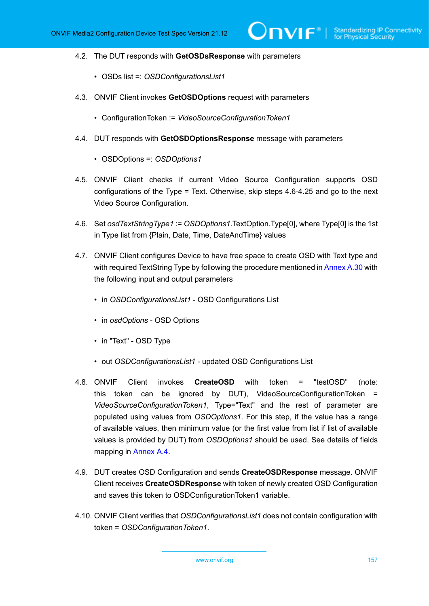- 4.2. The DUT responds with **GetOSDsResponse** with parameters
	- OSDs list =: *OSDConfigurationsList1*
- 4.3. ONVIF Client invokes **GetOSDOptions** request with parameters
	- ConfigurationToken := *VideoSourceConfigurationToken1*
- 4.4. DUT responds with **GetOSDOptionsResponse** message with parameters
	- OSDOptions =: *OSDOptions1*
- 4.5. ONVIF Client checks if current Video Source Configuration supports OSD configurations of the Type = Text. Otherwise, skip steps 4.6-4.25 and go to the next Video Source Configuration.
- 4.6. Set *osdTextStringType1* := *OSDOptions1*.TextOption.Type[0], where Type[0] is the 1st in Type list from {Plain, Date, Time, DateAndTime} values
- <span id="page-156-1"></span>4.7. ONVIF Client configures Device to have free space to create OSD with Text type and with required TextString Type by following the procedure mentioned in [Annex A.30](#page-247-0) with the following input and output parameters
	- in *OSDConfigurationsList1* OSD Configurations List
	- in *osdOptions* OSD Options
	- in "Text" OSD Type
	- out *OSDConfigurationsList1* updated OSD Configurations List
- <span id="page-156-0"></span>4.8. ONVIF Client invokes **CreateOSD** with token = "testOSD" (note: this token can be ignored by DUT), VideoSourceConfigurationToken = *VideoSourceConfigurationToken1*, Type="Text" and the rest of parameter are populated using values from *OSDOptions1*. For this step, if the value has a range of available values, then minimum value (or the first value from list if list of available values is provided by DUT) from *OSDOptions1* should be used. See details of fields mapping in [Annex A.4](#page-215-0).
- 4.9. DUT creates OSD Configuration and sends **CreateOSDResponse** message. ONVIF Client receives **CreateOSDResponse** with token of newly created OSD Configuration and saves this token to OSDConfigurationToken1 variable.
- 4.10. ONVIF Client verifies that *OSDConfigurationsList1* does not contain configuration with token = *OSDConfigurationToken1*.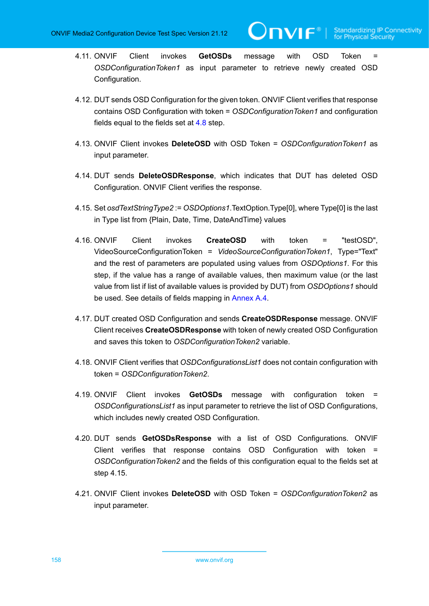IVIF®

- 4.11. ONVIF Client invokes **GetOSDs** message with OSD Token = *OSDConfigurationToken1* as input parameter to retrieve newly created OSD Configuration.
- 4.12. DUT sends OSD Configuration for the given token. ONVIF Client verifies that response contains OSD Configuration with token = *OSDConfigurationToken1* and configuration fields equal to the fields set at  $4.8$  step.
- 4.13. ONVIF Client invokes **DeleteOSD** with OSD Token = *OSDConfigurationToken1* as input parameter.
- 4.14. DUT sends **DeleteOSDResponse**, which indicates that DUT has deleted OSD Configuration. ONVIF Client verifies the response.
- 4.15. Set *osdTextStringType2* := *OSDOptions1*.TextOption.Type[0], where Type[0] is the last in Type list from {Plain, Date, Time, DateAndTime} values
- 4.16. ONVIF Client invokes **CreateOSD** with token = "testOSD", VideoSourceConfigurationToken = *VideoSourceConfigurationToken1*, Type="Text" and the rest of parameters are populated using values from *OSDOptions1*. For this step, if the value has a range of available values, then maximum value (or the last value from list if list of available values is provided by DUT) from *OSDOptions1* should be used. See details of fields mapping in [Annex A.4](#page-215-0).
- 4.17. DUT created OSD Configuration and sends **CreateOSDResponse** message. ONVIF Client receives **CreateOSDResponse** with token of newly created OSD Configuration and saves this token to *OSDConfigurationToken2* variable.
- 4.18. ONVIF Client verifies that *OSDConfigurationsList1* does not contain configuration with token = *OSDConfigurationToken2*.
- 4.19. ONVIF Client invokes **GetOSDs** message with configuration token = *OSDConfigurationsList1* as input parameter to retrieve the list of OSD Configurations, which includes newly created OSD Configuration.
- 4.20. DUT sends **GetOSDsResponse** with a list of OSD Configurations. ONVIF Client verifies that response contains OSD Configuration with token = *OSDConfigurationToken2* and the fields of this configuration equal to the fields set at step 4.15.
- 4.21. ONVIF Client invokes **DeleteOSD** with OSD Token = *OSDConfigurationToken2* as input parameter.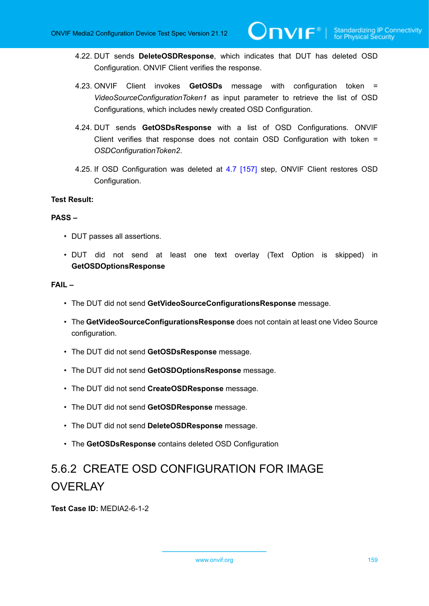- 4.22. DUT sends **DeleteOSDResponse**, which indicates that DUT has deleted OSD Configuration. ONVIF Client verifies the response.
- 4.23. ONVIF Client invokes **GetOSDs** message with configuration token = *VideoSourceConfigurationToken1* as input parameter to retrieve the list of OSD Configurations, which includes newly created OSD Configuration.
- 4.24. DUT sends **GetOSDsResponse** with a list of OSD Configurations. ONVIF Client verifies that response does not contain OSD Configuration with token = *OSDConfigurationToken2*.
- 4.25. If OSD Configuration was deleted at [4.7 \[157\]](#page-156-1) step, ONVIF Client restores OSD Configuration.

### **PASS –**

- DUT passes all assertions.
- DUT did not send at least one text overlay (Text Option is skipped) in **GetOSDOptionsResponse**

### **FAIL –**

- The DUT did not send **GetVideoSourceConfigurationsResponse** message.
- The **GetVideoSourceConfigurationsResponse** does not contain at least one Video Source configuration.
- The DUT did not send **GetOSDsResponse** message.
- The DUT did not send **GetOSDOptionsResponse** message.
- The DUT did not send **CreateOSDResponse** message.
- The DUT did not send **GetOSDResponse** message.
- The DUT did not send **DeleteOSDResponse** message.
- The **GetOSDsResponse** contains deleted OSD Configuration

# 5.6.2 CREATE OSD CONFIGURATION FOR IMAGE **OVERLAY**

**Test Case ID:** MEDIA2-6-1-2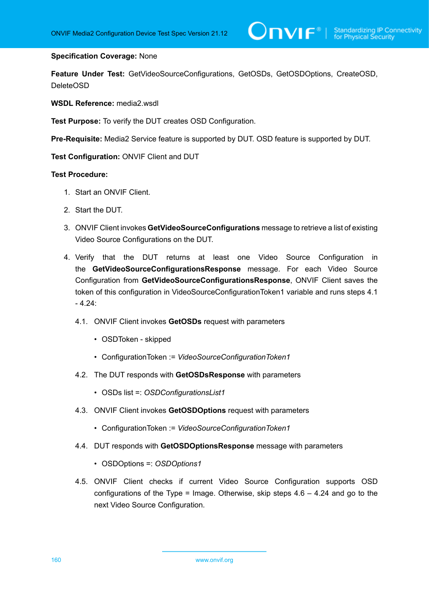### **Specification Coverage:** None

**Feature Under Test:** GetVideoSourceConfigurations, GetOSDs, GetOSDOptions, CreateOSD, DeleteOSD

**WSDL Reference:** media2.wsdl

**Test Purpose:** To verify the DUT creates OSD Configuration.

**Pre-Requisite:** Media2 Service feature is supported by DUT. OSD feature is supported by DUT.

**Test Configuration:** ONVIF Client and DUT

- 1. Start an ONVIF Client.
- 2. Start the DUT.
- 3. ONVIF Client invokes **GetVideoSourceConfigurations** message to retrieve a list of existing Video Source Configurations on the DUT.
- 4. Verify that the DUT returns at least one Video Source Configuration in the **GetVideoSourceConfigurationsResponse** message. For each Video Source Configuration from **GetVideoSourceConfigurationsResponse**, ONVIF Client saves the token of this configuration in VideoSourceConfigurationToken1 variable and runs steps 4.1  $-4.24$ :
	- 4.1. ONVIF Client invokes **GetOSDs** request with parameters
		- OSDToken skipped
		- ConfigurationToken := *VideoSourceConfigurationToken1*
	- 4.2. The DUT responds with **GetOSDsResponse** with parameters
		- OSDs list =: *OSDConfigurationsList1*
	- 4.3. ONVIF Client invokes **GetOSDOptions** request with parameters
		- ConfigurationToken := *VideoSourceConfigurationToken1*
	- 4.4. DUT responds with **GetOSDOptionsResponse** message with parameters
		- OSDOptions =: *OSDOptions1*
	- 4.5. ONVIF Client checks if current Video Source Configuration supports OSD configurations of the Type = Image. Otherwise, skip steps  $4.6 - 4.24$  and go to the next Video Source Configuration.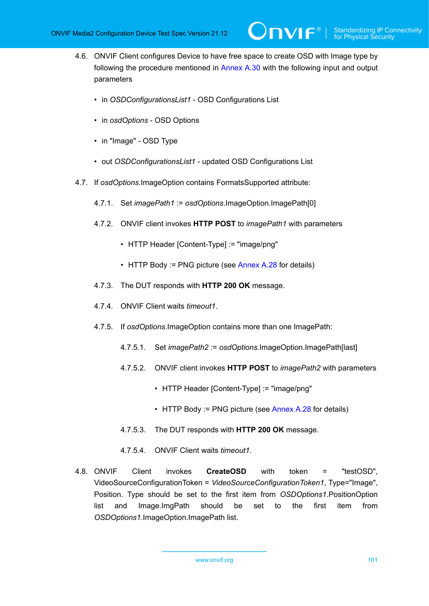<span id="page-160-0"></span>4.6. ONVIF Client configures Device to have free space to create OSD with Image type by following the procedure mentioned in [Annex A.30](#page-247-0) with the following input and output parameters

 $\mathsf{D}\mathbf{n}\mathsf{V}$ lf $^\circ$ l

- in *OSDConfigurationsList1* OSD Configurations List
- in *osdOptions* OSD Options
- in "Image" OSD Type
- out *OSDConfigurationsList1* updated OSD Configurations List
- 4.7. If *osdOptions*.ImageOption contains FormatsSupported attribute:
	- 4.7.1. Set *imagePath1* := *osdOptions*.ImageOption.ImagePath[0]
	- 4.7.2. ONVIF client invokes **HTTP POST** to *imagePath1* with parameters
		- HTTP Header [Content-Type] := "image/png"
		- HTTP Body := PNG picture (see  $\Delta$ nnex A.28 for details)
	- 4.7.3. The DUT responds with **HTTP 200 OK** message.
	- 4.7.4. ONVIF Client waits *timeout1*.
	- 4.7.5. If *osdOptions*.ImageOption contains more than one ImagePath:
		- 4.7.5.1. Set *imagePath2* := *osdOptions*.ImageOption.ImagePath[last]
		- 4.7.5.2. ONVIF client invokes **HTTP POST** to *imagePath2* with parameters
			- HTTP Header [Content-Type] := "image/png"
			- HTTP Body := PNG picture (see [Annex A.28](#page-246-0) for details)
		- 4.7.5.3. The DUT responds with **HTTP 200 OK** message.
		- 4.7.5.4. ONVIF Client waits *timeout1*.
- 4.8. ONVIF Client invokes **CreateOSD** with token = "testOSD", VideoSourceConfigurationToken = *VideoSourceConfigurationToken1*, Type="Image", Position. Type should be set to the first item from *OSDOptions1*.PositionOption list and Image.ImgPath should be set to the first item from *OSDOptions1*.ImageOption.ImagePath list.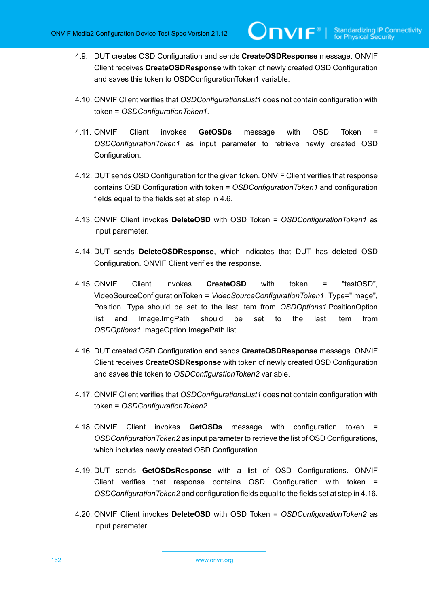4.9. DUT creates OSD Configuration and sends **CreateOSDResponse** message. ONVIF Client receives **CreateOSDResponse** with token of newly created OSD Configuration and saves this token to OSDConfigurationToken1 variable.

 $\bm{\cup}$ NIF $^*$ l

- 4.10. ONVIF Client verifies that *OSDConfigurationsList1* does not contain configuration with token = *OSDConfigurationToken1*.
- 4.11. ONVIF Client invokes **GetOSDs** message with OSD Token = *OSDConfigurationToken1* as input parameter to retrieve newly created OSD Configuration.
- 4.12. DUT sends OSD Configuration for the given token. ONVIF Client verifies that response contains OSD Configuration with token = *OSDConfigurationToken1* and configuration fields equal to the fields set at step in 4.6.
- 4.13. ONVIF Client invokes **DeleteOSD** with OSD Token = *OSDConfigurationToken1* as input parameter.
- 4.14. DUT sends **DeleteOSDResponse**, which indicates that DUT has deleted OSD Configuration. ONVIF Client verifies the response.
- 4.15. ONVIF Client invokes **CreateOSD** with token = "testOSD", VideoSourceConfigurationToken = *VideoSourceConfigurationToken1*, Type="Image", Position. Type should be set to the last item from *OSDOptions1*.PositionOption list and Image.ImgPath should be set to the last item from *OSDOptions1*.ImageOption.ImagePath list.
- 4.16. DUT created OSD Configuration and sends **CreateOSDResponse** message. ONVIF Client receives **CreateOSDResponse** with token of newly created OSD Configuration and saves this token to *OSDConfigurationToken2* variable.
- 4.17. ONVIF Client verifies that *OSDConfigurationsList1* does not contain configuration with token = *OSDConfigurationToken2*.
- 4.18. ONVIF Client invokes **GetOSDs** message with configuration token = *OSDConfigurationToken2* as input parameter to retrieve the list of OSD Configurations, which includes newly created OSD Configuration.
- 4.19. DUT sends **GetOSDsResponse** with a list of OSD Configurations. ONVIF Client verifies that response contains OSD Configuration with token = *OSDConfigurationToken2* and configuration fields equal to the fields set at step in 4.16.
- 4.20. ONVIF Client invokes **DeleteOSD** with OSD Token = *OSDConfigurationToken2* as input parameter.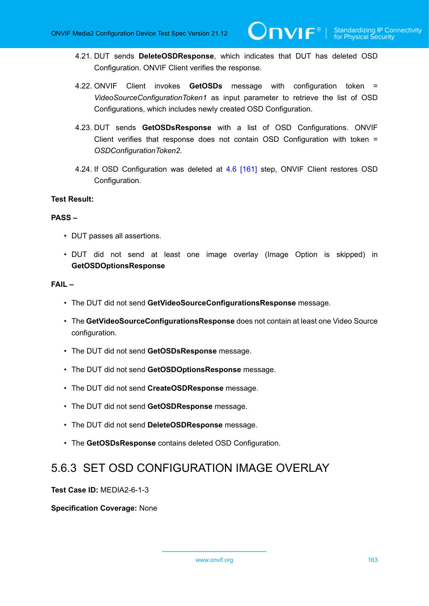- 4.21. DUT sends **DeleteOSDResponse**, which indicates that DUT has deleted OSD Configuration. ONVIF Client verifies the response.
- 4.22. ONVIF Client invokes **GetOSDs** message with configuration token = *VideoSourceConfigurationToken1* as input parameter to retrieve the list of OSD Configurations, which includes newly created OSD Configuration.
- 4.23. DUT sends **GetOSDsResponse** with a list of OSD Configurations. ONVIF Client verifies that response does not contain OSD Configuration with token = *OSDConfigurationToken2*.
- 4.24. If OSD Configuration was deleted at [4.6 \[161\]](#page-160-0) step, ONVIF Client restores OSD Configuration.

### **PASS –**

- DUT passes all assertions.
- DUT did not send at least one image overlay (Image Option is skipped) in **GetOSDOptionsResponse**

#### **FAIL –**

- The DUT did not send **GetVideoSourceConfigurationsResponse** message.
- The **GetVideoSourceConfigurationsResponse** does not contain at least one Video Source configuration.
- The DUT did not send **GetOSDsResponse** message.
- The DUT did not send **GetOSDOptionsResponse** message.
- The DUT did not send **CreateOSDResponse** message.
- The DUT did not send **GetOSDResponse** message.
- The DUT did not send **DeleteOSDResponse** message.
- The **GetOSDsResponse** contains deleted OSD Configuration.

# 5.6.3 SET OSD CONFIGURATION IMAGE OVERLAY

**Test Case ID:** MEDIA2-6-1-3

**Specification Coverage:** None

www.onvif.org 163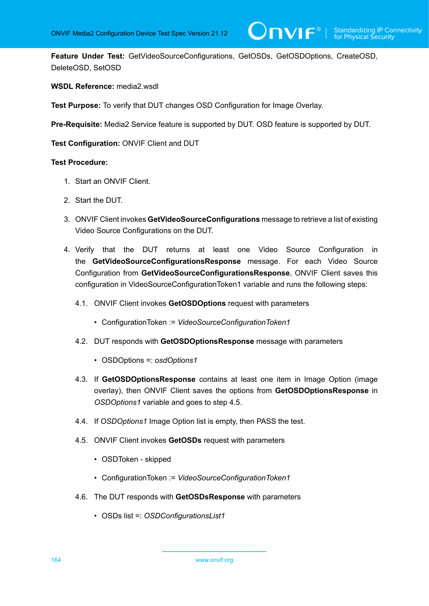**Feature Under Test:** GetVideoSourceConfigurations, GetOSDs, GetOSDOptions, CreateOSD, DeleteOSD, SetOSD

## **WSDL Reference:** media2.wsdl

**Test Purpose:** To verify that DUT changes OSD Configuration for Image Overlay.

**Pre-Requisite:** Media2 Service feature is supported by DUT. OSD feature is supported by DUT.

**Test Configuration:** ONVIF Client and DUT

- 1. Start an ONVIF Client.
- 2. Start the DUT.
- 3. ONVIF Client invokes **GetVideoSourceConfigurations** message to retrieve a list of existing Video Source Configurations on the DUT.
- 4. Verify that the DUT returns at least one Video Source Configuration in the **GetVideoSourceConfigurationsResponse** message. For each Video Source Configuration from **GetVideoSourceConfigurationsResponse**, ONVIF Client saves this configuration in VideoSourceConfigurationToken1 variable and runs the following steps:
	- 4.1. ONVIF Client invokes **GetOSDOptions** request with parameters
		- ConfigurationToken := *VideoSourceConfigurationToken1*
	- 4.2. DUT responds with **GetOSDOptionsResponse** message with parameters
		- OSDOptions =: *osdOptions1*
	- 4.3. If **GetOSDOptionsResponse** contains at least one item in Image Option (image overlay), then ONVIF Client saves the options from **GetOSDOptionsResponse** in *OSDOptions1* variable and goes to step 4.5.
	- 4.4. If *OSDOptions1* Image Option list is empty, then PASS the test.
	- 4.5. ONVIF Client invokes **GetOSDs** request with parameters
		- OSDToken skipped
		- ConfigurationToken := *VideoSourceConfigurationToken1*
	- 4.6. The DUT responds with **GetOSDsResponse** with parameters
		- OSDs list =: *OSDConfigurationsList1*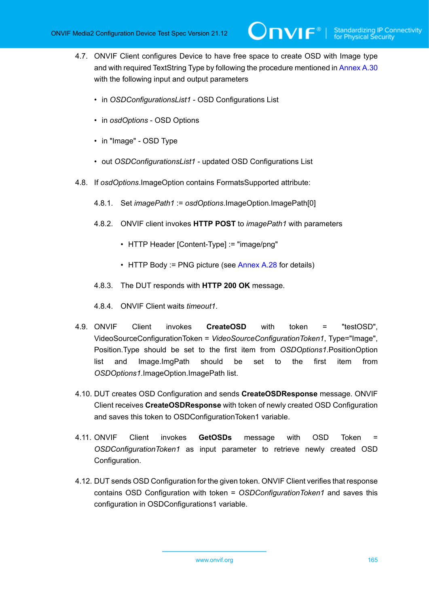<span id="page-164-0"></span>4.7. ONVIF Client configures Device to have free space to create OSD with Image type and with required TextString Type by following the procedure mentioned in [Annex A.30](#page-247-0) with the following input and output parameters

 $\mathsf{Dnvir}^*$ l

- in *OSDConfigurationsList1* OSD Configurations List
- in *osdOptions* OSD Options
- in "Image" OSD Type
- out *OSDConfigurationsList1* updated OSD Configurations List
- 4.8. If *osdOptions*.ImageOption contains FormatsSupported attribute:
	- 4.8.1. Set *imagePath1* := *osdOptions*.ImageOption.ImagePath[0]
	- 4.8.2. ONVIF client invokes **HTTP POST** to *imagePath1* with parameters
		- HTTP Header [Content-Type] := "image/png"
		- HTTP Body := PNG picture (see  $\Delta$ nnex A.28 for details)
	- 4.8.3. The DUT responds with **HTTP 200 OK** message.
	- 4.8.4. ONVIF Client waits *timeout1*.
- 4.9. ONVIF Client invokes **CreateOSD** with token = "testOSD", VideoSourceConfigurationToken = *VideoSourceConfigurationToken1*, Type="Image", Position.Type should be set to the first item from *OSDOptions1*.PositionOption list and Image.ImgPath should be set to the first item from *OSDOptions1*.ImageOption.ImagePath list.
- 4.10. DUT creates OSD Configuration and sends **CreateOSDResponse** message. ONVIF Client receives **CreateOSDResponse** with token of newly created OSD Configuration and saves this token to OSDConfigurationToken1 variable.
- 4.11. ONVIF Client invokes **GetOSDs** message with OSD Token = *OSDConfigurationToken1* as input parameter to retrieve newly created OSD Configuration.
- 4.12. DUT sends OSD Configuration for the given token. ONVIF Client verifies that response contains OSD Configuration with token = *OSDConfigurationToken1* and saves this configuration in OSDConfigurations1 variable.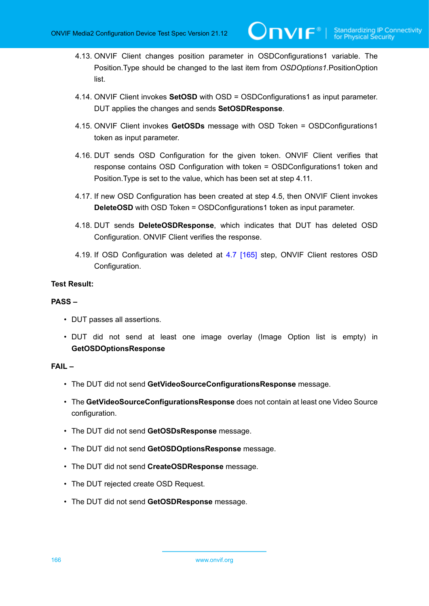- 4.13. ONVIF Client changes position parameter in OSDConfigurations1 variable. The Position.Type should be changed to the last item from *OSDOptions1*.PositionOption list.
- 4.14. ONVIF Client invokes **SetOSD** with OSD = OSDConfigurations1 as input parameter. DUT applies the changes and sends **SetOSDResponse**.
- 4.15. ONVIF Client invokes **GetOSDs** message with OSD Token = OSDConfigurations1 token as input parameter.
- 4.16. DUT sends OSD Configuration for the given token. ONVIF Client verifies that response contains OSD Configuration with token = OSDConfigurations1 token and Position.Type is set to the value, which has been set at step 4.11.
- 4.17. If new OSD Configuration has been created at step 4.5, then ONVIF Client invokes **DeleteOSD** with OSD Token = OSDConfigurations1 token as input parameter.
- 4.18. DUT sends **DeleteOSDResponse**, which indicates that DUT has deleted OSD Configuration. ONVIF Client verifies the response.
- 4.19. If OSD Configuration was deleted at [4.7 \[165\]](#page-164-0) step, ONVIF Client restores OSD Configuration.

### **PASS –**

- DUT passes all assertions.
- DUT did not send at least one image overlay (Image Option list is empty) in **GetOSDOptionsResponse**

# **FAIL –**

- The DUT did not send **GetVideoSourceConfigurationsResponse** message.
- The **GetVideoSourceConfigurationsResponse** does not contain at least one Video Source configuration.
- The DUT did not send **GetOSDsResponse** message.
- The DUT did not send **GetOSDOptionsResponse** message.
- The DUT did not send **CreateOSDResponse** message.
- The DUT rejected create OSD Request.
- The DUT did not send **GetOSDResponse** message.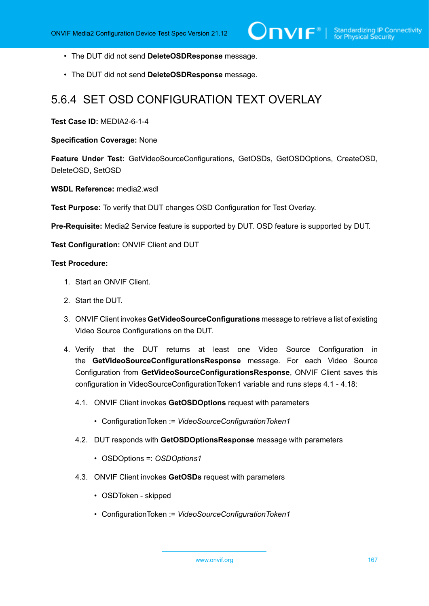- The DUT did not send **DeleteOSDResponse** message.
- The DUT did not send **DeleteOSDResponse** message.

# 5.6.4 SET OSD CONFIGURATION TEXT OVERLAY

**Test Case ID:** MEDIA2-6-1-4

**Specification Coverage:** None

**Feature Under Test:** GetVideoSourceConfigurations, GetOSDs, GetOSDOptions, CreateOSD, DeleteOSD, SetOSD

**WSDL Reference:** media2.wsdl

**Test Purpose:** To verify that DUT changes OSD Configuration for Test Overlay.

**Pre-Requisite:** Media2 Service feature is supported by DUT. OSD feature is supported by DUT.

**Test Configuration:** ONVIF Client and DUT

- 1. Start an ONVIF Client.
- 2. Start the DUT.
- 3. ONVIF Client invokes **GetVideoSourceConfigurations** message to retrieve a list of existing Video Source Configurations on the DUT.
- 4. Verify that the DUT returns at least one Video Source Configuration in the **GetVideoSourceConfigurationsResponse** message. For each Video Source Configuration from **GetVideoSourceConfigurationsResponse**, ONVIF Client saves this configuration in VideoSourceConfigurationToken1 variable and runs steps 4.1 - 4.18:
	- 4.1. ONVIF Client invokes **GetOSDOptions** request with parameters
		- ConfigurationToken := *VideoSourceConfigurationToken1*
	- 4.2. DUT responds with **GetOSDOptionsResponse** message with parameters
		- OSDOptions =: *OSDOptions1*
	- 4.3. ONVIF Client invokes **GetOSDs** request with parameters
		- OSDToken skipped
		- ConfigurationToken := *VideoSourceConfigurationToken1*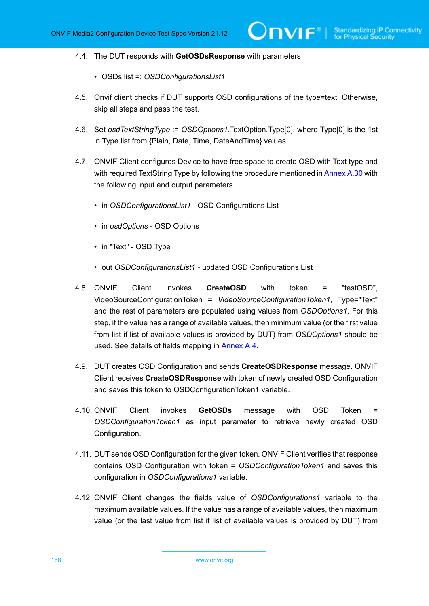#### 4.4. The DUT responds with **GetOSDsResponse** with parameters

- OSDs list =: *OSDConfigurationsList1*
- 4.5. Onvif client checks if DUT supports OSD configurations of the type=text. Otherwise, skip all steps and pass the test.
- 4.6. Set *osdTextStringType* := *OSDOptions1*.TextOption.Type[0], where Type[0] is the 1st in Type list from {Plain, Date, Time, DateAndTime} values
- <span id="page-167-0"></span>4.7. ONVIF Client configures Device to have free space to create OSD with Text type and with required TextString Type by following the procedure mentioned in [Annex A.30](#page-247-0) with the following input and output parameters
	- in *OSDConfigurationsList1* OSD Configurations List
	- in *osdOptions* OSD Options
	- in "Text" OSD Type
	- out *OSDConfigurationsList1* updated OSD Configurations List
- 4.8. ONVIF Client invokes **CreateOSD** with token = "testOSD", VideoSourceConfigurationToken = *VideoSourceConfigurationToken1*, Type="Text" and the rest of parameters are populated using values from *OSDOptions1*. For this step, if the value has a range of available values, then minimum value (or the first value from list if list of available values is provided by DUT) from *OSDOptions1* should be used. See details of fields mapping in [Annex A.4.](#page-215-0)
- 4.9. DUT creates OSD Configuration and sends **CreateOSDResponse** message. ONVIF Client receives **CreateOSDResponse** with token of newly created OSD Configuration and saves this token to OSDConfigurationToken1 variable.
- 4.10. ONVIF Client invokes **GetOSDs** message with OSD Token = *OSDConfigurationToken1* as input parameter to retrieve newly created OSD Configuration.
- 4.11. DUT sends OSD Configuration for the given token. ONVIF Client verifies that response contains OSD Configuration with token = *OSDConfigurationToken1* and saves this configuration in *OSDConfigurations1* variable.
- 4.12. ONVIF Client changes the fields value of *OSDConfigurations1* variable to the maximum available values. If the value has a range of available values, then maximum value (or the last value from list if list of available values is provided by DUT) from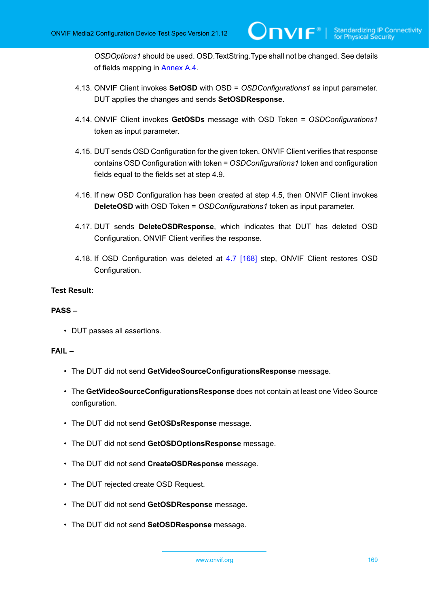*OSDOptions1* should be used. OSD.TextString.Type shall not be changed. See details of fields mapping in [Annex A.4](#page-215-0).

- 4.13. ONVIF Client invokes **SetOSD** with OSD = *OSDConfigurations1* as input parameter. DUT applies the changes and sends **SetOSDResponse**.
- 4.14. ONVIF Client invokes **GetOSDs** message with OSD Token = *OSDConfigurations1* token as input parameter.
- 4.15. DUT sends OSD Configuration for the given token. ONVIF Client verifies that response contains OSD Configuration with token = *OSDConfigurations1* token and configuration fields equal to the fields set at step 4.9.
- 4.16. If new OSD Configuration has been created at step 4.5, then ONVIF Client invokes **DeleteOSD** with OSD Token = *OSDConfigurations1* token as input parameter.
- 4.17. DUT sends **DeleteOSDResponse**, which indicates that DUT has deleted OSD Configuration. ONVIF Client verifies the response.
- 4.18. If OSD Configuration was deleted at [4.7 \[168\]](#page-167-0) step, ONVIF Client restores OSD Configuration.

# **Test Result:**

# **PASS –**

• DUT passes all assertions.

#### **FAIL –**

- The DUT did not send **GetVideoSourceConfigurationsResponse** message.
- The **GetVideoSourceConfigurationsResponse** does not contain at least one Video Source configuration.
- The DUT did not send **GetOSDsResponse** message.
- The DUT did not send **GetOSDOptionsResponse** message.
- The DUT did not send **CreateOSDResponse** message.
- The DUT rejected create OSD Request.
- The DUT did not send **GetOSDResponse** message.
- The DUT did not send **SetOSDResponse** message.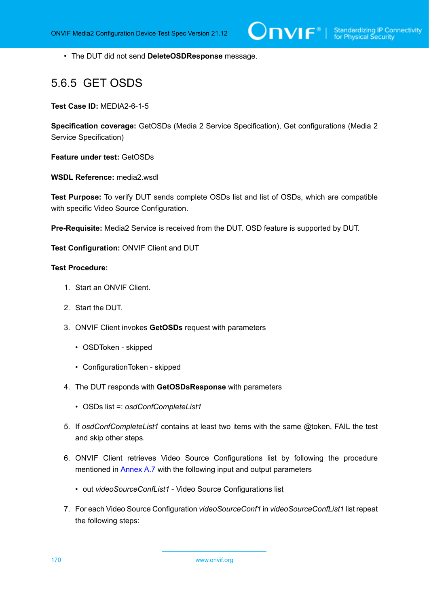• The DUT did not send **DeleteOSDResponse** message.

# 5.6.5 GET OSDS

**Test Case ID:** MEDIA2-6-1-5

**Specification coverage:** GetOSDs (Media 2 Service Specification), Get configurations (Media 2 Service Specification)

**Feature under test:** GetOSDs

**WSDL Reference:** media2.wsdl

**Test Purpose:** To verify DUT sends complete OSDs list and list of OSDs, which are compatible with specific Video Source Configuration.

**Pre-Requisite:** Media2 Service is received from the DUT. OSD feature is supported by DUT.

**Test Configuration:** ONVIF Client and DUT

# **Test Procedure:**

- 1. Start an ONVIF Client.
- 2. Start the DUT.
- 3. ONVIF Client invokes **GetOSDs** request with parameters
	- OSDToken skipped
	- ConfigurationToken skipped
- 4. The DUT responds with **GetOSDsResponse** with parameters
	- OSDs list =: *osdConfCompleteList1*
- 5. If *osdConfCompleteList1* contains at least two items with the same @token, FAIL the test and skip other steps.
- 6. ONVIF Client retrieves Video Source Configurations list by following the procedure mentioned in [Annex A.7](#page-222-0) with the following input and output parameters
	- out *videoSourceConfList1* Video Source Configurations list
- 7. For each Video Source Configuration *videoSourceConf1* in *videoSourceConfList1* list repeat the following steps:

170 www.onvif.org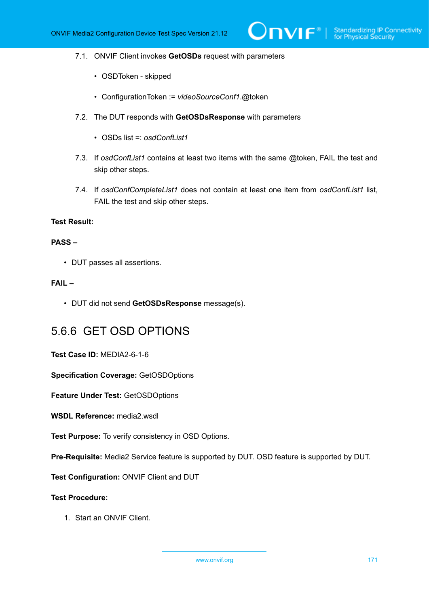#### 7.1. ONVIF Client invokes **GetOSDs** request with parameters

- OSDToken skipped
- ConfigurationToken := *videoSourceConf1*.@token
- 7.2. The DUT responds with **GetOSDsResponse** with parameters
	- OSDs list =: *osdConfList1*
- 7.3. If *osdConfList1* contains at least two items with the same @token, FAIL the test and skip other steps.
- 7.4. If *osdConfCompleteList1* does not contain at least one item from *osdConfList1* list, FAIL the test and skip other steps.

#### **Test Result:**

### **PASS –**

• DUT passes all assertions.

# **FAIL –**

• DUT did not send **GetOSDsResponse** message(s).

# 5.6.6 GET OSD OPTIONS

**Test Case ID:** MEDIA2-6-1-6

**Specification Coverage:** GetOSDOptions

**Feature Under Test:** GetOSDOptions

**WSDL Reference:** media2.wsdl

**Test Purpose:** To verify consistency in OSD Options.

**Pre-Requisite:** Media2 Service feature is supported by DUT. OSD feature is supported by DUT.

**Test Configuration:** ONVIF Client and DUT

# **Test Procedure:**

1. Start an ONVIF Client.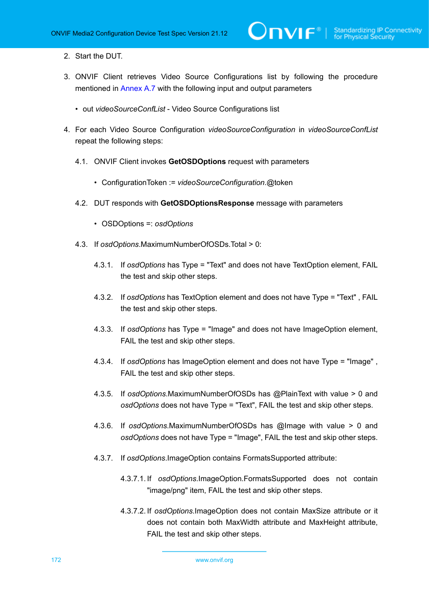- 2. Start the DUT.
- 3. ONVIF Client retrieves Video Source Configurations list by following the procedure mentioned in [Annex A.7](#page-222-0) with the following input and output parameters
	- out *videoSourceConfList* Video Source Configurations list
- <span id="page-171-0"></span>4. For each Video Source Configuration *videoSourceConfiguration* in *videoSourceConfList* repeat the following steps:
	- 4.1. ONVIF Client invokes **GetOSDOptions** request with parameters
		- ConfigurationToken := *videoSourceConfiguration*.@token
	- 4.2. DUT responds with **GetOSDOptionsResponse** message with parameters
		- OSDOptions =: *osdOptions*
	- 4.3. If *osdOptions*.MaximumNumberOfOSDs.Total > 0:
		- 4.3.1. If *osdOptions* has Type = "Text" and does not have TextOption element, FAIL the test and skip other steps.
		- 4.3.2. If *osdOptions* has TextOption element and does not have Type = "Text" , FAIL the test and skip other steps.
		- 4.3.3. If *osdOptions* has Type = "Image" and does not have ImageOption element, FAIL the test and skip other steps.
		- 4.3.4. If *osdOptions* has ImageOption element and does not have Type = "Image" , FAIL the test and skip other steps.
		- 4.3.5. If *osdOptions*.MaximumNumberOfOSDs has @PlainText with value > 0 and *osdOptions* does not have Type = "Text", FAIL the test and skip other steps.
		- 4.3.6. If *osdOptions*.MaximumNumberOfOSDs has @Image with value > 0 and *osdOptions* does not have Type = "Image", FAIL the test and skip other steps.
		- 4.3.7. If *osdOptions*.ImageOption contains FormatsSupported attribute:
			- 4.3.7.1. If *osdOptions*.ImageOption.FormatsSupported does not contain "image/png" item, FAIL the test and skip other steps.
			- 4.3.7.2. If *osdOptions*.ImageOption does not contain MaxSize attribute or it does not contain both MaxWidth attribute and MaxHeight attribute, FAIL the test and skip other steps.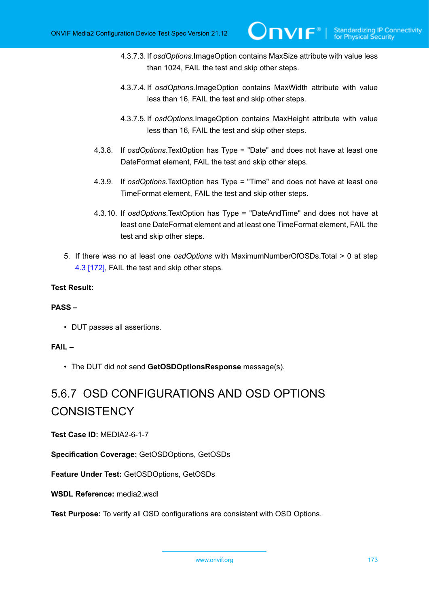- 4.3.7.3. If *osdOptions*.ImageOption contains MaxSize attribute with value less than 1024, FAIL the test and skip other steps.
- 4.3.7.4. If *osdOptions*.ImageOption contains MaxWidth attribute with value less than 16, FAIL the test and skip other steps.
- 4.3.7.5. If *osdOptions*.ImageOption contains MaxHeight attribute with value less than 16, FAIL the test and skip other steps.
- 4.3.8. If *osdOptions*.TextOption has Type = "Date" and does not have at least one DateFormat element, FAIL the test and skip other steps.
- 4.3.9. If *osdOptions*.TextOption has Type = "Time" and does not have at least one TimeFormat element, FAIL the test and skip other steps.
- 4.3.10. If *osdOptions*.TextOption has Type = "DateAndTime" and does not have at least one DateFormat element and at least one TimeFormat element, FAIL the test and skip other steps.
- 5. If there was no at least one *osdOptions* with MaximumNumberOfOSDs.Total > 0 at step [4.3 \[172\]](#page-171-0), FAIL the test and skip other steps.

# **PASS –**

• DUT passes all assertions.

# **FAIL –**

• The DUT did not send **GetOSDOptionsResponse** message(s).

# 5.6.7 OSD CONFIGURATIONS AND OSD OPTIONS **CONSISTENCY**

**Test Case ID:** MEDIA2-6-1-7

**Specification Coverage:** GetOSDOptions, GetOSDs

**Feature Under Test:** GetOSDOptions, GetOSDs

# **WSDL Reference:** media2.wsdl

**Test Purpose:** To verify all OSD configurations are consistent with OSD Options.

www.onvif.org 173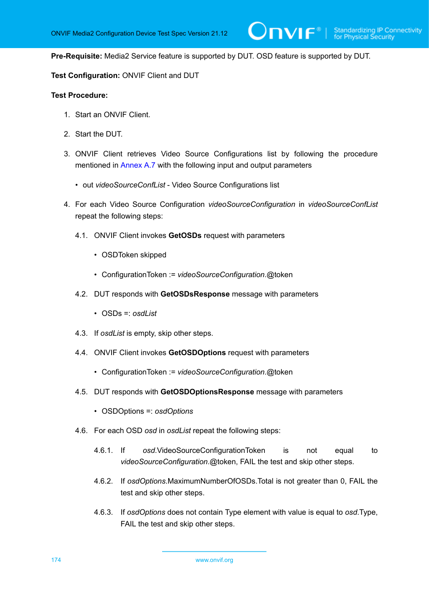**Pre-Requisite:** Media2 Service feature is supported by DUT. OSD feature is supported by DUT.

 $\mathsf{D}\mathbf{N}\mathsf{I}\mathsf{F}^\ast$  :

**Test Configuration:** ONVIF Client and DUT

- 1. Start an ONVIF Client.
- 2. Start the DUT.
- 3. ONVIF Client retrieves Video Source Configurations list by following the procedure mentioned in [Annex A.7](#page-222-0) with the following input and output parameters
	- out *videoSourceConfList* Video Source Configurations list
- 4. For each Video Source Configuration *videoSourceConfiguration* in *videoSourceConfList* repeat the following steps:
	- 4.1. ONVIF Client invokes **GetOSDs** request with parameters
		- OSDToken skipped
		- ConfigurationToken := *videoSourceConfiguration*.@token
	- 4.2. DUT responds with **GetOSDsResponse** message with parameters
		- OSDs =: *osdList*
	- 4.3. If *osdList* is empty, skip other steps.
	- 4.4. ONVIF Client invokes **GetOSDOptions** request with parameters
		- ConfigurationToken := *videoSourceConfiguration*.@token
	- 4.5. DUT responds with **GetOSDOptionsResponse** message with parameters
		- OSDOptions =: *osdOptions*
	- 4.6. For each OSD *osd* in *osdList* repeat the following steps:
		- 4.6.1. If *osd*.VideoSourceConfigurationToken is not equal to *videoSourceConfiguration*.@token, FAIL the test and skip other steps.
		- 4.6.2. If *osdOptions*.MaximumNumberOfOSDs.Total is not greater than 0, FAIL the test and skip other steps.
		- 4.6.3. If *osdOptions* does not contain Type element with value is equal to *osd*.Type, FAIL the test and skip other steps.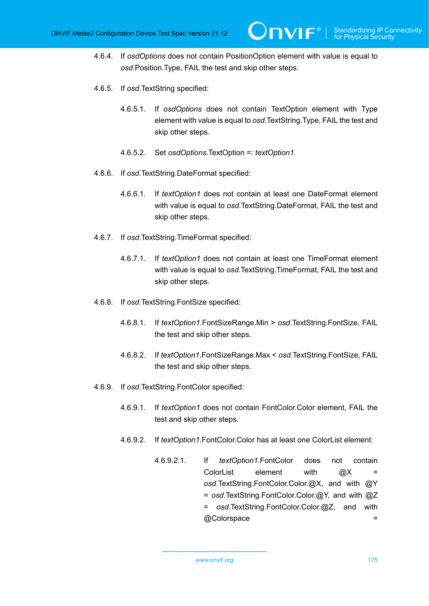- 4.6.4. If *osdOptions* does not contain PositionOption element with value is equal to *osd*.Position.Type, FAIL the test and skip other steps.
- 4.6.5. If *osd*.TextString specified:
	- 4.6.5.1. If *osdOptions* does not contain TextOption element with Type element with value is equal to *osd*.TextString.Type, FAIL the test and skip other steps.
	- 4.6.5.2. Set *osdOptions*.TextOption =: *textOption1*.
- 4.6.6. If *osd*.TextString.DateFormat specified:
	- 4.6.6.1. If *textOption1* does not contain at least one DateFormat element with value is equal to *osd*.TextString.DateFormat, FAIL the test and skip other steps.
- 4.6.7. If *osd*.TextString.TimeFormat specified:
	- 4.6.7.1. If *textOption1* does not contain at least one TimeFormat element with value is equal to *osd*.TextString.TimeFormat, FAIL the test and skip other steps.
- 4.6.8. If *osd*.TextString.FontSize specified:
	- 4.6.8.1. If *textOption1*.FontSizeRange.Min > *osd*.TextString.FontSize, FAIL the test and skip other steps.
	- 4.6.8.2. If *textOption1*.FontSizeRange.Max < *osd*.TextString.FontSize, FAIL the test and skip other steps.
- 4.6.9. If *osd*.TextString.FontColor specified:
	- 4.6.9.1. If *textOption1* does not contain FontColor.Color element, FAIL the test and skip other steps.
	- 4.6.9.2. If *textOption1*.FontColor.Color has at least one ColorList element:
		- 4.6.9.2.1. If *textOption1*.FontColor does not contain ColorList element with  $\varpi X =$ *osd*.TextString.FontColor.Color.@X, and with @Y = *osd*.TextString.FontColor.Color.@Y, and with @Z = *osd*.TextString.FontColor.Color.@Z, and with @Colorspace =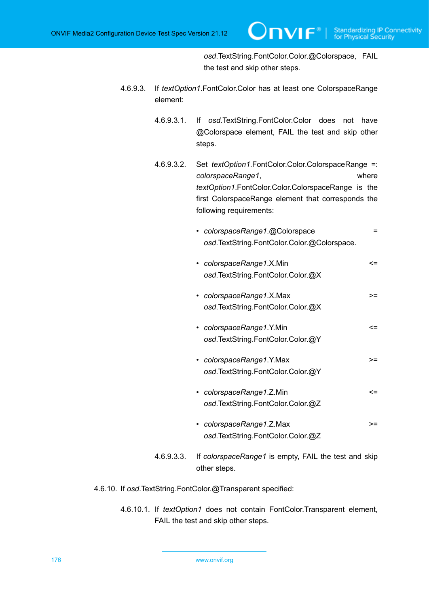*osd*.TextString.FontColor.Color.@Colorspace, FAIL the test and skip other steps.

- 4.6.9.3. If *textOption1*.FontColor.Color has at least one ColorspaceRange element:
	- 4.6.9.3.1. If *osd*.TextString.FontColor.Color does not have @Colorspace element, FAIL the test and skip other steps.
	- 4.6.9.3.2. Set *textOption1*.FontColor.Color.ColorspaceRange =: *colorspaceRange1*, where *textOption1*.FontColor.Color.ColorspaceRange is the first ColorspaceRange element that corresponds the following requirements:
		- *colorspaceRange1*.@Colorspace = *osd*.TextString.FontColor.Color.@Colorspace.
		- *colorspaceRange1*.X.Min <= *osd*.TextString.FontColor.Color.@X
		- *colorspaceRange1*.X.Max >= *osd*.TextString.FontColor.Color.@X
		- *colorspaceRange1*.Y.Min <= *osd*.TextString.FontColor.Color.@Y
		- *colorspaceRange1*.Y.Max >= *osd*.TextString.FontColor.Color.@Y
		- *colorspaceRange1*.Z.Min <= *osd*.TextString.FontColor.Color.@Z
		- *colorspaceRange1*.Z.Max >= *osd*.TextString.FontColor.Color.@Z
	- 4.6.9.3.3. If *colorspaceRange1* is empty, FAIL the test and skip other steps.
- 4.6.10. If *osd*.TextString.FontColor.@Transparent specified:
	- 4.6.10.1. If *textOption1* does not contain FontColor.Transparent element, FAIL the test and skip other steps.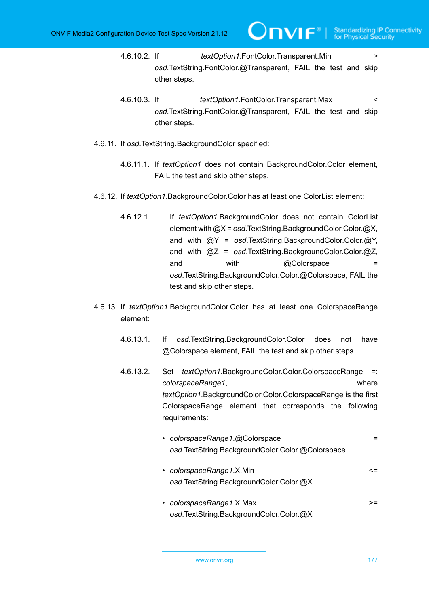- 4.6.10.2. If *textOption1*.FontColor.Transparent.Min > *osd*.TextString.FontColor.@Transparent, FAIL the test and skip other steps.
- 4.6.10.3. If *textOption1*.FontColor.Transparent.Max < *osd*.TextString.FontColor.@Transparent, FAIL the test and skip other steps.
- 4.6.11. If *osd*.TextString.BackgroundColor specified:
	- 4.6.11.1. If *textOption1* does not contain BackgroundColor.Color element, FAIL the test and skip other steps.
- 4.6.12. If *textOption1*.BackgroundColor.Color has at least one ColorList element:
	- 4.6.12.1. If *textOption1*.BackgroundColor does not contain ColorList element with @X = *osd*.TextString.BackgroundColor.Color.@X, and with @Y = *osd*.TextString.BackgroundColor.Color.@Y, and with @Z = *osd*.TextString.BackgroundColor.Color.@Z, and with @Colorspace = *osd*.TextString.BackgroundColor.Color.@Colorspace, FAIL the test and skip other steps.
- 4.6.13. If *textOption1*.BackgroundColor.Color has at least one ColorspaceRange element:
	- 4.6.13.1. If *osd*.TextString.BackgroundColor.Color does not have @Colorspace element, FAIL the test and skip other steps.
	- 4.6.13.2. Set *textOption1*.BackgroundColor.Color.ColorspaceRange =: *colorspaceRange1*, where *textOption1*.BackgroundColor.Color.ColorspaceRange is the first ColorspaceRange element that corresponds the following requirements:
		- *colorspaceRange1*.@Colorspace = *osd*.TextString.BackgroundColor.Color.@Colorspace.
		- *colorspaceRange1.X.Min* <= *osd*.TextString.BackgroundColor.Color.@X
		- *colorspaceRange1*.X.Max >= *osd*.TextString.BackgroundColor.Color.@X

www.onvif.org 177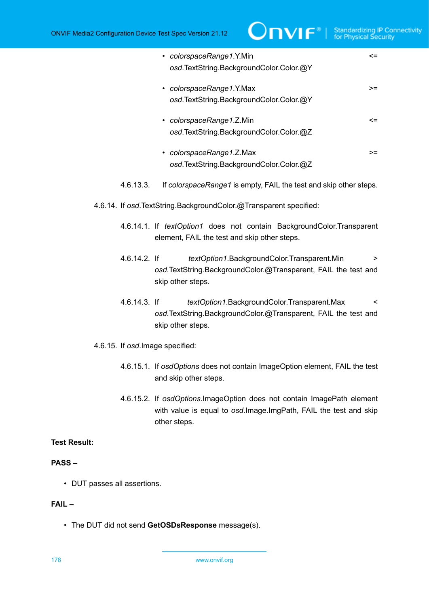| • colorspaceRange1.Y.Min<br>osd.TextString.BackgroundColor.Color.@Y |    |
|---------------------------------------------------------------------|----|
| • colorspaceRange1.Y.Max<br>osd.TextString.BackgroundColor.Color.@Y | >= |
| • colorspaceRange1.Z.Min<br>osd.TextString.BackgroundColor.Color.@Z | <= |
| colorspaceRange1.Z.Max<br>osd.TextString.BackgroundColor.Color.@Z   | >= |

- 4.6.13.3. If *colorspaceRange1* is empty, FAIL the test and skip other steps.
- 4.6.14. If *osd*.TextString.BackgroundColor.@Transparent specified:
	- 4.6.14.1. If *textOption1* does not contain BackgroundColor.Transparent element, FAIL the test and skip other steps.
	- 4.6.14.2. If *textOption1*.BackgroundColor.Transparent.Min > *osd*.TextString.BackgroundColor.@Transparent, FAIL the test and skip other steps.
	- 4.6.14.3. If *textOption1*.BackgroundColor.Transparent.Max < *osd*.TextString.BackgroundColor.@Transparent, FAIL the test and skip other steps.
- 4.6.15. If *osd*.Image specified:
	- 4.6.15.1. If *osdOptions* does not contain ImageOption element, FAIL the test and skip other steps.
	- 4.6.15.2. If *osdOptions*.ImageOption does not contain ImagePath element with value is equal to *osd*.Image.ImgPath, FAIL the test and skip other steps.

### **PASS –**

• DUT passes all assertions.

# **FAIL –**

• The DUT did not send **GetOSDsResponse** message(s).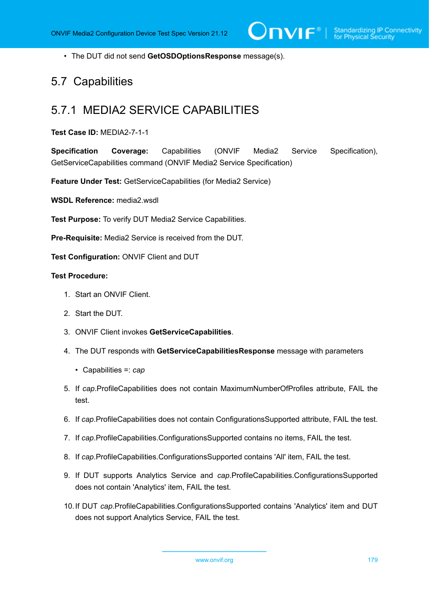• The DUT did not send **GetOSDOptionsResponse** message(s).

# 5.7 Capabilities

# 5.7.1 MEDIA2 SERVICE CAPABILITIES

### **Test Case ID:** MEDIA2-7-1-1

**Specification Coverage:** Capabilities (ONVIF Media2 Service Specification), GetServiceCapabilities command (ONVIF Media2 Service Specification)

**Feature Under Test:** GetServiceCapabilities (for Media2 Service)

**WSDL Reference:** media2.wsdl

**Test Purpose:** To verify DUT Media2 Service Capabilities.

**Pre-Requisite:** Media2 Service is received from the DUT.

**Test Configuration:** ONVIF Client and DUT

- 1. Start an ONVIF Client.
- 2. Start the DUT.
- 3. ONVIF Client invokes **GetServiceCapabilities**.
- 4. The DUT responds with **GetServiceCapabilitiesResponse** message with parameters
	- Capabilities =: *cap*
- 5. If *cap*.ProfileCapabilities does not contain MaximumNumberOfProfiles attribute, FAIL the test.
- 6. If *cap*.ProfileCapabilities does not contain ConfigurationsSupported attribute, FAIL the test.
- 7. If *cap*.ProfileCapabilities.ConfigurationsSupported contains no items, FAIL the test.
- 8. If *cap*.ProfileCapabilities.ConfigurationsSupported contains 'All' item, FAIL the test.
- 9. If DUT supports Analytics Service and *cap*.ProfileCapabilities.ConfigurationsSupported does not contain 'Analytics' item, FAIL the test.
- 10.If DUT *cap*.ProfileCapabilities.ConfigurationsSupported contains 'Analytics' item and DUT does not support Analytics Service, FAIL the test.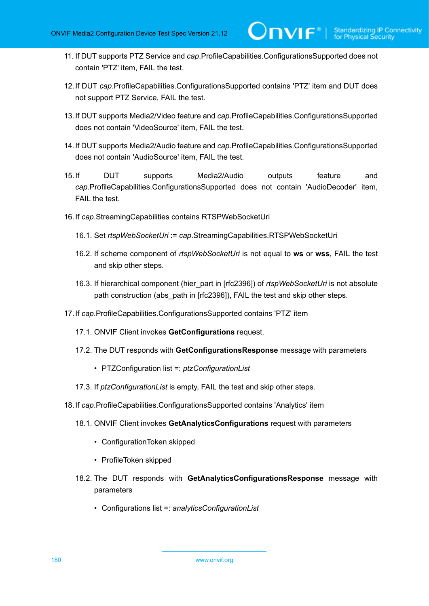11. If DUT supports PTZ Service and *cap*.ProfileCapabilities.ConfigurationsSupported does not contain 'PTZ' item, FAIL the test.

 $\mathsf{D}\mathbf{N}\mathsf{I}\mathsf{F}^\ast$ l

- 12.If DUT *cap*.ProfileCapabilities.ConfigurationsSupported contains 'PTZ' item and DUT does not support PTZ Service, FAIL the test.
- 13.If DUT supports Media2/Video feature and *cap*.ProfileCapabilities.ConfigurationsSupported does not contain 'VideoSource' item, FAIL the test.
- 14.If DUT supports Media2/Audio feature and *cap*.ProfileCapabilities.ConfigurationsSupported does not contain 'AudioSource' item, FAIL the test.
- 15.If DUT supports Media2/Audio outputs feature and *cap*.ProfileCapabilities.ConfigurationsSupported does not contain 'AudioDecoder' item, FAIL the test.
- 16.If *cap*.StreamingCapabilities contains RTSPWebSocketUri
	- 16.1. Set *rtspWebSocketUri* := *cap*.StreamingCapabilities.RTSPWebSocketUri
	- 16.2. If scheme component of *rtspWebSocketUri* is not equal to **ws** or **wss**, FAIL the test and skip other steps.
	- 16.3. If hierarchical component (hier\_part in [rfc2396]) of *rtspWebSocketUri* is not absolute path construction (abs path in [rfc2396]), FAIL the test and skip other steps.
- 17.If *cap*.ProfileCapabilities.ConfigurationsSupported contains 'PTZ' item
	- 17.1. ONVIF Client invokes **GetConfigurations** request.
	- 17.2. The DUT responds with **GetConfigurationsResponse** message with parameters
		- PTZConfiguration list =: *ptzConfigurationList*
	- 17.3. If *ptzConfigurationList* is empty, FAIL the test and skip other steps.
- 18.If *cap*.ProfileCapabilities.ConfigurationsSupported contains 'Analytics' item
	- 18.1. ONVIF Client invokes **GetAnalyticsConfigurations** request with parameters
		- ConfigurationToken skipped
		- ProfileToken skipped
	- 18.2. The DUT responds with **GetAnalyticsConfigurationsResponse** message with parameters
		- Configurations list =: *analyticsConfigurationList*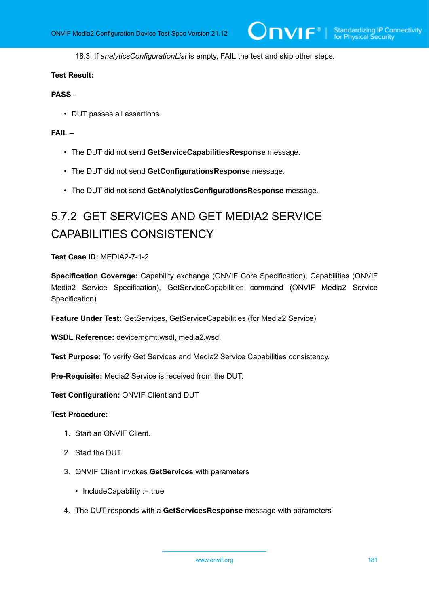18.3. If *analyticsConfigurationList* is empty, FAIL the test and skip other steps.

### **Test Result:**

### **PASS –**

• DUT passes all assertions.

### **FAIL –**

- The DUT did not send **GetServiceCapabilitiesResponse** message.
- The DUT did not send **GetConfigurationsResponse** message.
- The DUT did not send **GetAnalyticsConfigurationsResponse** message.

# 5.7.2 GET SERVICES AND GET MEDIA2 SERVICE CAPABILITIES CONSISTENCY

**Test Case ID:** MEDIA2-7-1-2

**Specification Coverage:** Capability exchange (ONVIF Core Specification), Capabilities (ONVIF Media2 Service Specification), GetServiceCapabilities command (ONVIF Media2 Service Specification)

**Feature Under Test:** GetServices, GetServiceCapabilities (for Media2 Service)

**WSDL Reference:** devicemgmt.wsdl, media2.wsdl

**Test Purpose:** To verify Get Services and Media2 Service Capabilities consistency.

**Pre-Requisite:** Media2 Service is received from the DUT.

**Test Configuration:** ONVIF Client and DUT

- 1. Start an ONVIF Client.
- 2. Start the DUT.
- 3. ONVIF Client invokes **GetServices** with parameters
	- IncludeCapability := true
- 4. The DUT responds with a **GetServicesResponse** message with parameters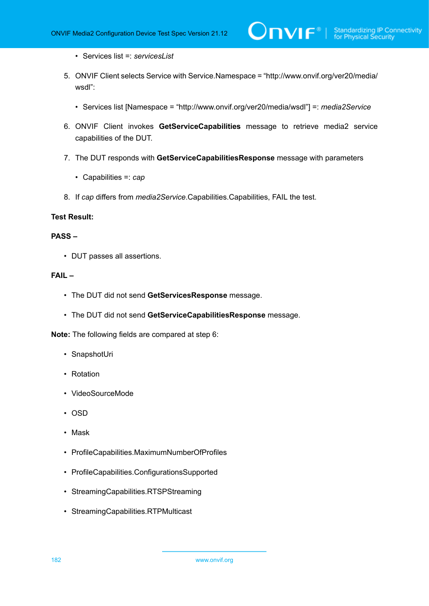- Services list =: *servicesList*
- 5. ONVIF Client selects Service with Service.Namespace = "http://www.onvif.org/ver20/media/ wsdl":

 $\mathsf{D}\mathbf{n}\mathsf{V}$ lf $^\circ$ l

- Services list [Namespace = "http://www.onvif.org/ver20/media/wsdl"] =: *media2Service*
- 6. ONVIF Client invokes **GetServiceCapabilities** message to retrieve media2 service capabilities of the DUT.
- 7. The DUT responds with **GetServiceCapabilitiesResponse** message with parameters
	- Capabilities =: *cap*
- 8. If *cap* differs from *media2Service*.Capabilities.Capabilities, FAIL the test.

### **Test Result:**

### **PASS –**

• DUT passes all assertions.

### **FAIL –**

- The DUT did not send **GetServicesResponse** message.
- The DUT did not send **GetServiceCapabilitiesResponse** message.

**Note:** The following fields are compared at step 6:

- SnapshotUri
- Rotation
- VideoSourceMode
- OSD
- Mask
- ProfileCapabilities.MaximumNumberOfProfiles
- ProfileCapabilities.ConfigurationsSupported
- StreamingCapabilities.RTSPStreaming
- StreamingCapabilities.RTPMulticast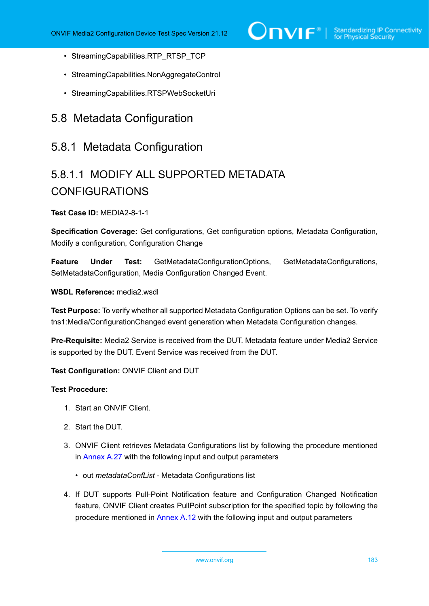- StreamingCapabilities.RTP\_RTSP\_TCP
- StreamingCapabilities.NonAggregateControl
- StreamingCapabilities.RTSPWebSocketUri

## 5.8 Metadata Configuration

### 5.8.1 Metadata Configuration

# 5.8.1.1 MODIFY ALL SUPPORTED METADATA CONFIGURATIONS

**Test Case ID:** MEDIA2-8-1-1

**Specification Coverage:** Get configurations, Get configuration options, Metadata Configuration, Modify a configuration, Configuration Change

**Feature Under Test:** GetMetadataConfigurationOptions, GetMetadataConfigurations, SetMetadataConfiguration, Media Configuration Changed Event.

**WSDL Reference:** media2.wsdl

**Test Purpose:** To verify whether all supported Metadata Configuration Options can be set. To verify tns1:Media/ConfigurationChanged event generation when Metadata Configuration changes.

**Pre-Requisite:** Media2 Service is received from the DUT. Metadata feature under Media2 Service is supported by the DUT. Event Service was received from the DUT.

**Test Configuration:** ONVIF Client and DUT

- 1. Start an ONVIF Client.
- 2. Start the DUT.
- 3. ONVIF Client retrieves Metadata Configurations list by following the procedure mentioned in [Annex A.27](#page-246-0) with the following input and output parameters
	- out *metadataConfList* Metadata Configurations list
- <span id="page-182-0"></span>4. If DUT supports Pull-Point Notification feature and Configuration Changed Notification feature, ONVIF Client creates PullPoint subscription for the specified topic by following the procedure mentioned in [Annex A.12](#page-227-0) with the following input and output parameters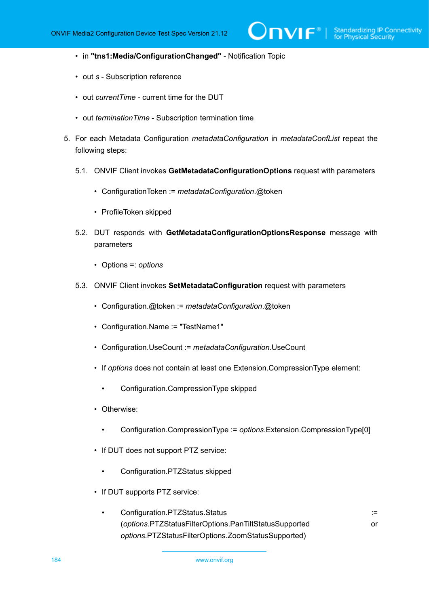- in **"tns1:Media/ConfigurationChanged"** Notification Topic
- out *s* Subscription reference
- out *currentTime* current time for the DUT
- out *terminationTime* Subscription termination time
- <span id="page-183-0"></span>5. For each Metadata Configuration *metadataConfiguration* in *metadataConfList* repeat the following steps:
	- 5.1. ONVIF Client invokes **GetMetadataConfigurationOptions** request with parameters
		- ConfigurationToken := *metadataConfiguration*.@token
		- ProfileToken skipped
	- 5.2. DUT responds with **GetMetadataConfigurationOptionsResponse** message with parameters
		- Options =: *options*
	- 5.3. ONVIF Client invokes **SetMetadataConfiguration** request with parameters
		- Configuration.@token := *metadataConfiguration*.@token
		- Configuration.Name := "TestName1"
		- Configuration.UseCount := *metadataConfiguration*.UseCount
		- If *options* does not contain at least one Extension.CompressionType element:
			- Configuration.CompressionType skipped
		- Otherwise:
			- Configuration.CompressionType := *options*.Extension.CompressionType[0]
		- If DUT does not support PTZ service:
			- Configuration.PTZStatus skipped
		- If DUT supports PTZ service:
			- Configuration.PTZStatus.Status := (*options*.PTZStatusFilterOptions.PanTiltStatusSupported or *options*.PTZStatusFilterOptions.ZoomStatusSupported)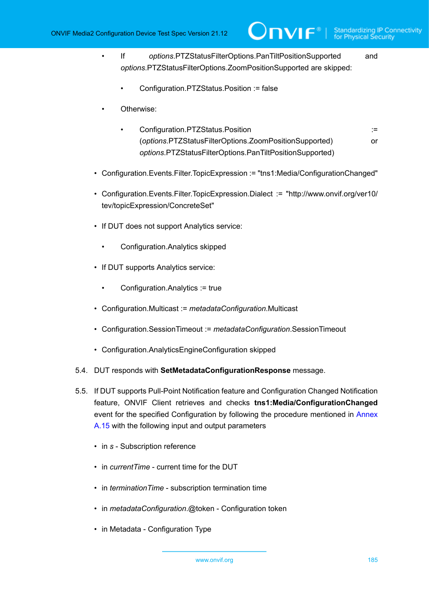• If *options*.PTZStatusFilterOptions.PanTiltPositionSupported and *options*.PTZStatusFilterOptions.ZoomPositionSupported are skipped:

 $\mathsf{J}\mathsf{N}\mathsf{N}\mathsf{F}^\ast$ l

- Configuration.PTZStatus.Position := false
- Otherwise:
	- Configuration.PTZStatus.Position := (*options*.PTZStatusFilterOptions.ZoomPositionSupported) or *options*.PTZStatusFilterOptions.PanTiltPositionSupported)
- Configuration.Events.Filter.TopicExpression := "tns1:Media/ConfigurationChanged"
- Configuration.Events.Filter.TopicExpression.Dialect := "http://www.onvif.org/ver10/ tev/topicExpression/ConcreteSet"
- If DUT does not support Analytics service:
	- Configuration.Analytics skipped
- If DUT supports Analytics service:
	- Configuration.Analytics := true
- Configuration.Multicast := *metadataConfiguration*.Multicast
- Configuration.SessionTimeout := *metadataConfiguration*.SessionTimeout
- Configuration.AnalyticsEngineConfiguration skipped
- 5.4. DUT responds with **SetMetadataConfigurationResponse** message.
- 5.5. If DUT supports Pull-Point Notification feature and Configuration Changed Notification feature, ONVIF Client retrieves and checks **tns1:Media/ConfigurationChanged** event for the specified Configuration by following the procedure mentioned in [Annex](#page-229-0) [A.15](#page-229-0) with the following input and output parameters
	- in *s* Subscription reference
	- in *currentTime* current time for the DUT
	- in *terminationTime* subscription termination time
	- in *metadataConfiguration*.@token Configuration token
	- in Metadata Configuration Type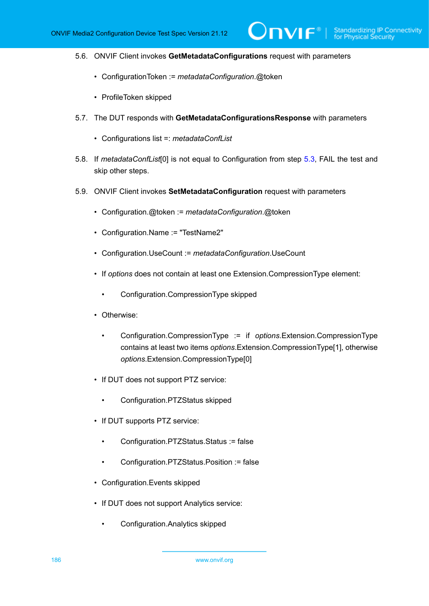$\partial$ DVIF $^{\circ}$ l

- 5.6. ONVIF Client invokes **GetMetadataConfigurations** request with parameters
	- ConfigurationToken := *metadataConfiguration*.@token
	- ProfileToken skipped
- 5.7. The DUT responds with **GetMetadataConfigurationsResponse** with parameters
	- Configurations list =: *metadataConfList*
- <span id="page-185-1"></span>5.8. If *metadataConfList*[0] is not equal to Configuration from step [5.3,](#page-183-0) FAIL the test and skip other steps.
- <span id="page-185-0"></span>5.9. ONVIF Client invokes **SetMetadataConfiguration** request with parameters
	- Configuration.@token := *metadataConfiguration*.@token
	- Configuration.Name := "TestName2"
	- Configuration.UseCount := *metadataConfiguration*.UseCount
	- If *options* does not contain at least one Extension.CompressionType element:
		- Configuration.CompressionType skipped
	- Otherwise:
		- Configuration.CompressionType := if *options*.Extension.CompressionType contains at least two items *options*.Extension.CompressionType[1], otherwise *options*.Extension.CompressionType[0]
	- If DUT does not support PTZ service:
		- Configuration.PTZStatus skipped
	- If DUT supports PTZ service:
		- Configuration.PTZStatus.Status := false
		- Configuration.PTZStatus.Position := false
	- Configuration.Events skipped
	- If DUT does not support Analytics service:
		- Configuration.Analytics skipped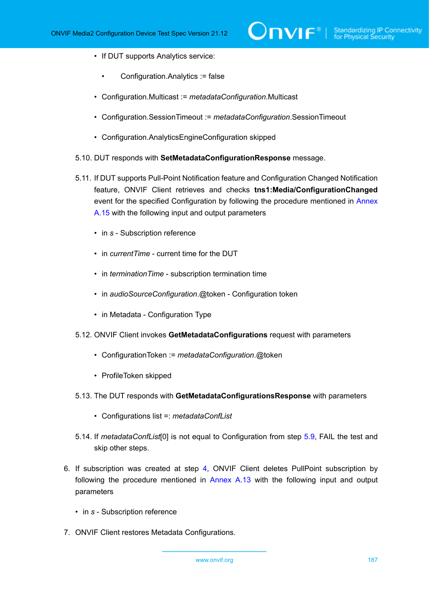- If DUT supports Analytics service:
	- Configuration.Analytics := false
- Configuration.Multicast := *metadataConfiguration*.Multicast
- Configuration.SessionTimeout := *metadataConfiguration*.SessionTimeout
- Configuration.AnalyticsEngineConfiguration skipped
- 5.10. DUT responds with **SetMetadataConfigurationResponse** message.
- 5.11. If DUT supports Pull-Point Notification feature and Configuration Changed Notification feature, ONVIF Client retrieves and checks **tns1:Media/ConfigurationChanged** event for the specified Configuration by following the procedure mentioned in [Annex](#page-229-0) [A.15](#page-229-0) with the following input and output parameters
	- in *s* Subscription reference
	- in *currentTime* current time for the DUT
	- in *terminationTime* subscription termination time
	- in *audioSourceConfiguration*.@token Configuration token
	- in Metadata Configuration Type
- 5.12. ONVIF Client invokes **GetMetadataConfigurations** request with parameters
	- ConfigurationToken := *metadataConfiguration*.@token
	- ProfileToken skipped
- 5.13. The DUT responds with **GetMetadataConfigurationsResponse** with parameters
	- Configurations list =: *metadataConfList*
- <span id="page-186-0"></span>5.14. If *metadataConfList*[0] is not equal to Configuration from step [5.9,](#page-185-0) FAIL the test and skip other steps.
- 6. If subscription was created at step [4](#page-182-0), ONVIF Client deletes PullPoint subscription by following the procedure mentioned in [Annex A.13](#page-228-0) with the following input and output parameters
	- in *s* Subscription reference
- 7. ONVIF Client restores Metadata Configurations.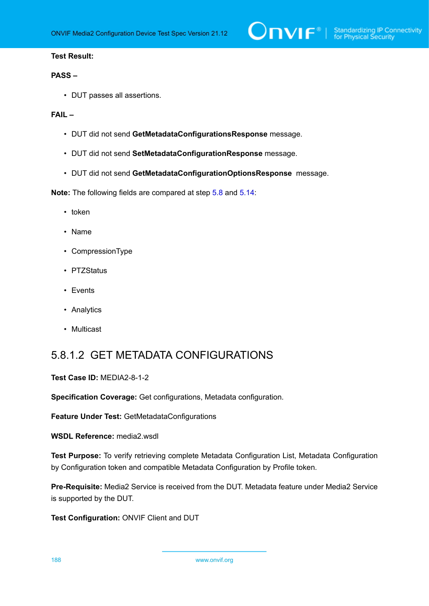### **PASS –**

• DUT passes all assertions.

### **FAIL –**

- DUT did not send **GetMetadataConfigurationsResponse** message.
- DUT did not send **SetMetadataConfigurationResponse** message.
- DUT did not send **GetMetadataConfigurationOptionsResponse** message.

**Note:** The following fields are compared at step [5.8](#page-185-1) and [5.14](#page-186-0):

- token
- Name
- CompressionType
- PTZStatus
- Events
- Analytics
- Multicast

### 5.8.1.2 GET METADATA CONFIGURATIONS

#### **Test Case ID:** MEDIA2-8-1-2

**Specification Coverage:** Get configurations, Metadata configuration.

**Feature Under Test:** GetMetadataConfigurations

#### **WSDL Reference:** media2.wsdl

**Test Purpose:** To verify retrieving complete Metadata Configuration List, Metadata Configuration by Configuration token and compatible Metadata Configuration by Profile token.

**Pre-Requisite:** Media2 Service is received from the DUT. Metadata feature under Media2 Service is supported by the DUT.

**Test Configuration:** ONVIF Client and DUT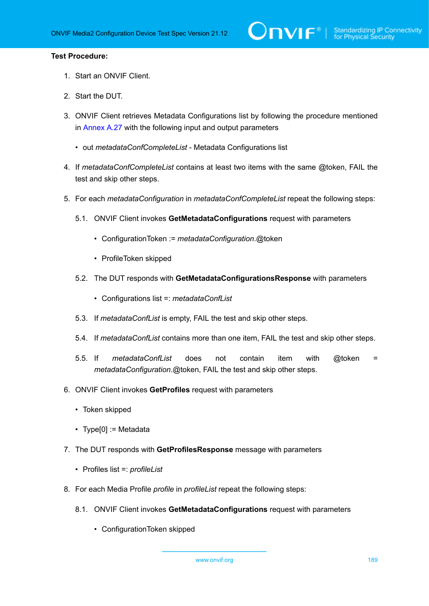- 1. Start an ONVIF Client.
- 2. Start the DUT.
- 3. ONVIF Client retrieves Metadata Configurations list by following the procedure mentioned in [Annex A.27](#page-246-0) with the following input and output parameters
	- out *metadataConfCompleteList* Metadata Configurations list
- 4. If *metadataConfCompleteList* contains at least two items with the same @token, FAIL the test and skip other steps.
- 5. For each *metadataConfiguration* in *metadataConfCompleteList* repeat the following steps:
	- 5.1. ONVIF Client invokes **GetMetadataConfigurations** request with parameters
		- ConfigurationToken := *metadataConfiguration*.@token
		- ProfileToken skipped
	- 5.2. The DUT responds with **GetMetadataConfigurationsResponse** with parameters
		- Configurations list =: *metadataConfList*
	- 5.3. If *metadataConfList* is empty, FAIL the test and skip other steps.
	- 5.4. If *metadataConfList* contains more than one item, FAIL the test and skip other steps.
	- 5.5. If *metadataConfList* does not contain item with @token = *metadataConfiguration*.@token, FAIL the test and skip other steps.
- 6. ONVIF Client invokes **GetProfiles** request with parameters
	- Token skipped
	- Type[0] := Metadata
- 7. The DUT responds with **GetProfilesResponse** message with parameters
	- Profiles list =: *profileList*
- 8. For each Media Profile *profile* in *profileList* repeat the following steps:
	- 8.1. ONVIF Client invokes **GetMetadataConfigurations** request with parameters
		- ConfigurationToken skipped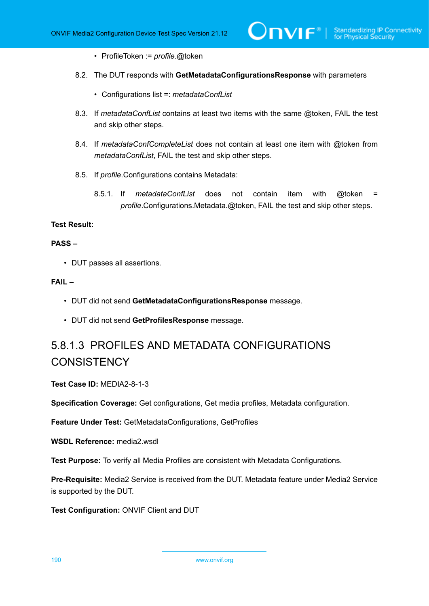- ProfileToken := *profile*.@token
- 8.2. The DUT responds with **GetMetadataConfigurationsResponse** with parameters
	- Configurations list =: *metadataConfList*
- 8.3. If *metadataConfList* contains at least two items with the same @token, FAIL the test and skip other steps.
- 8.4. If *metadataConfCompleteList* does not contain at least one item with @token from *metadataConfList*, FAIL the test and skip other steps.
- 8.5. If *profile*.Configurations contains Metadata:
	- 8.5.1. If *metadataConfList* does not contain item with @token = *profile*.Configurations.Metadata.@token, FAIL the test and skip other steps.

### **PASS –**

• DUT passes all assertions.

### **FAIL –**

- DUT did not send **GetMetadataConfigurationsResponse** message.
- DUT did not send **GetProfilesResponse** message.

# 5.8.1.3 PROFILES AND METADATA CONFIGURATIONS **CONSISTENCY**

**Test Case ID:** MEDIA2-8-1-3

**Specification Coverage:** Get configurations, Get media profiles, Metadata configuration.

**Feature Under Test:** GetMetadataConfigurations, GetProfiles

**WSDL Reference:** media2.wsdl

**Test Purpose:** To verify all Media Profiles are consistent with Metadata Configurations.

**Pre-Requisite:** Media2 Service is received from the DUT. Metadata feature under Media2 Service is supported by the DUT.

**Test Configuration:** ONVIF Client and DUT

190 www.onvif.org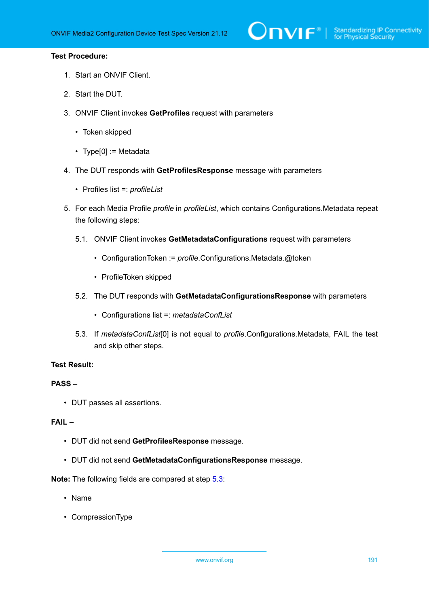# $\sum_{\text{IVIF}^{\circ} | \text{Standardizing IP Connectivity}}$

### **Test Procedure:**

- 1. Start an ONVIF Client.
- 2. Start the DUT.
- 3. ONVIF Client invokes **GetProfiles** request with parameters
	- Token skipped
	- Type[0] := Metadata
- 4. The DUT responds with **GetProfilesResponse** message with parameters
	- Profiles list =: *profileList*
- 5. For each Media Profile *profile* in *profileList*, which contains Configurations.Metadata repeat the following steps:
	- 5.1. ONVIF Client invokes **GetMetadataConfigurations** request with parameters
		- ConfigurationToken := *profile*.Configurations.Metadata.@token
		- ProfileToken skipped
	- 5.2. The DUT responds with **GetMetadataConfigurationsResponse** with parameters
		- Configurations list =: *metadataConfList*
	- 5.3. If *metadataConfList*[0] is not equal to *profile*.Configurations.Metadata, FAIL the test and skip other steps.

### <span id="page-190-0"></span>**Test Result:**

### **PASS –**

• DUT passes all assertions.

### **FAIL –**

- DUT did not send **GetProfilesResponse** message.
- DUT did not send **GetMetadataConfigurationsResponse** message.

### **Note:** The following fields are compared at step [5.3](#page-190-0):

- Name
- CompressionType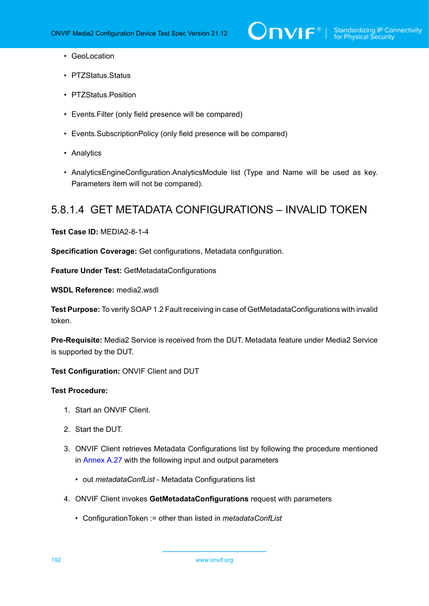- GeoLocation
- PTZStatus.Status
- PTZStatus.Position
- Events.Filter (only field presence will be compared)
- Events.SubscriptionPolicy (only field presence will be compared)
- Analytics
- AnalyticsEngineConfiguration.AnalyticsModule list (Type and Name will be used as key. Parameters item will not be compared).

### 5.8.1.4 GET METADATA CONFIGURATIONS – INVALID TOKEN

**Test Case ID:** MEDIA2-8-1-4

**Specification Coverage:** Get configurations, Metadata configuration.

**Feature Under Test:** GetMetadataConfigurations

**WSDL Reference:** media2.wsdl

**Test Purpose:** To verify SOAP 1.2 Fault receiving in case of GetMetadataConfigurations with invalid token.

**Pre-Requisite:** Media2 Service is received from the DUT. Metadata feature under Media2 Service is supported by the DUT.

**Test Configuration:** ONVIF Client and DUT

- 1. Start an ONVIF Client.
- 2. Start the DUT.
- 3. ONVIF Client retrieves Metadata Configurations list by following the procedure mentioned in [Annex A.27](#page-246-0) with the following input and output parameters
	- out *metadataConfList* Metadata Configurations list
- 4. ONVIF Client invokes **GetMetadataConfigurations** request with parameters
	- ConfigurationToken := other than listed in *metadataConfList*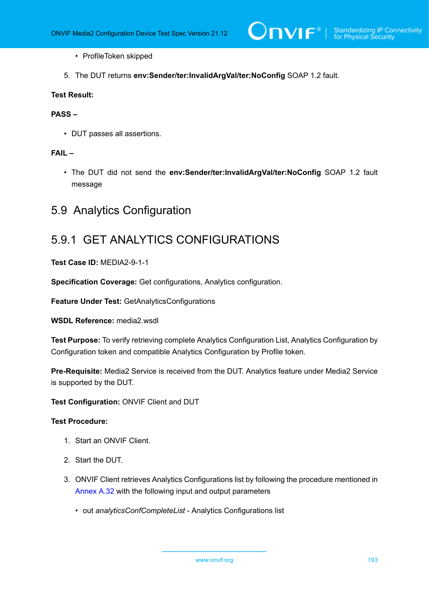- ProfileToken skipped
- 5. The DUT returns **env:Sender/ter:InvalidArgVal/ter:NoConfig** SOAP 1.2 fault.

### **PASS –**

• DUT passes all assertions.

### **FAIL –**

• The DUT did not send the **env:Sender/ter:InvalidArgVal/ter:NoConfig** SOAP 1.2 fault message

# 5.9 Analytics Configuration

### 5.9.1 GET ANALYTICS CONFIGURATIONS

**Test Case ID:** MEDIA2-9-1-1

**Specification Coverage:** Get configurations, Analytics configuration.

**Feature Under Test:** GetAnalyticsConfigurations

**WSDL Reference:** media2.wsdl

**Test Purpose:** To verify retrieving complete Analytics Configuration List, Analytics Configuration by Configuration token and compatible Analytics Configuration by Profile token.

**Pre-Requisite:** Media2 Service is received from the DUT. Analytics feature under Media2 Service is supported by the DUT.

**Test Configuration:** ONVIF Client and DUT

- 1. Start an ONVIF Client.
- 2. Start the DUT.
- 3. ONVIF Client retrieves Analytics Configurations list by following the procedure mentioned in [Annex A.32](#page-250-0) with the following input and output parameters
	- out *analyticsConfCompleteList* Analytics Configurations list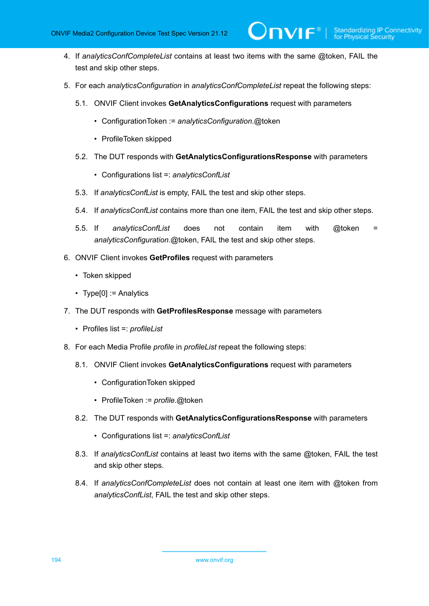4. If *analyticsConfCompleteList* contains at least two items with the same @token, FAIL the test and skip other steps.

 $\mathsf{D}\mathbf{N}\mathsf{I}\mathsf{F}^\ast$  :

- 5. For each *analyticsConfiguration* in *analyticsConfCompleteList* repeat the following steps:
	- 5.1. ONVIF Client invokes **GetAnalyticsConfigurations** request with parameters
		- ConfigurationToken := *analyticsConfiguration*.@token
		- ProfileToken skipped
	- 5.2. The DUT responds with **GetAnalyticsConfigurationsResponse** with parameters
		- Configurations list =: *analyticsConfList*
	- 5.3. If *analyticsConfList* is empty, FAIL the test and skip other steps.
	- 5.4. If *analyticsConfList* contains more than one item, FAIL the test and skip other steps.
	- 5.5. If *analyticsConfList* does not contain item with @token = *analyticsConfiguration*.@token, FAIL the test and skip other steps.
- 6. ONVIF Client invokes **GetProfiles** request with parameters
	- Token skipped
	- Type[0] := Analytics
- 7. The DUT responds with **GetProfilesResponse** message with parameters
	- Profiles list =: *profileList*
- 8. For each Media Profile *profile* in *profileList* repeat the following steps:
	- 8.1. ONVIF Client invokes **GetAnalyticsConfigurations** request with parameters
		- ConfigurationToken skipped
		- ProfileToken := *profile*.@token
	- 8.2. The DUT responds with **GetAnalyticsConfigurationsResponse** with parameters
		- Configurations list =: *analyticsConfList*
	- 8.3. If *analyticsConfList* contains at least two items with the same @token, FAIL the test and skip other steps.
	- 8.4. If *analyticsConfCompleteList* does not contain at least one item with @token from *analyticsConfList*, FAIL the test and skip other steps.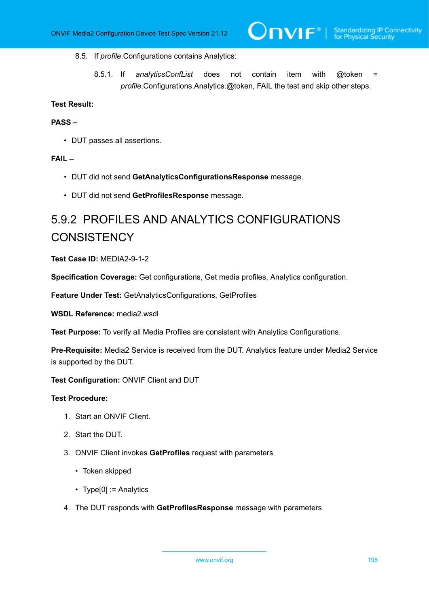### 8.5. If *profile*.Configurations contains Analytics:

8.5.1. If *analyticsConfList* does not contain item with @token = *profile*.Configurations.Analytics.@token, FAIL the test and skip other steps.

### **Test Result:**

### **PASS –**

• DUT passes all assertions.

### **FAIL –**

- DUT did not send **GetAnalyticsConfigurationsResponse** message.
- DUT did not send **GetProfilesResponse** message.

# 5.9.2 PROFILES AND ANALYTICS CONFIGURATIONS **CONSISTENCY**

### **Test Case ID:** MEDIA2-9-1-2

**Specification Coverage:** Get configurations, Get media profiles, Analytics configuration.

**Feature Under Test:** GetAnalyticsConfigurations, GetProfiles

**WSDL Reference:** media2.wsdl

**Test Purpose:** To verify all Media Profiles are consistent with Analytics Configurations.

**Pre-Requisite:** Media2 Service is received from the DUT. Analytics feature under Media2 Service is supported by the DUT.

#### **Test Configuration:** ONVIF Client and DUT

- 1. Start an ONVIF Client.
- 2. Start the DUT.
- 3. ONVIF Client invokes **GetProfiles** request with parameters
	- Token skipped
	- Type[0] := Analytics
- 4. The DUT responds with **GetProfilesResponse** message with parameters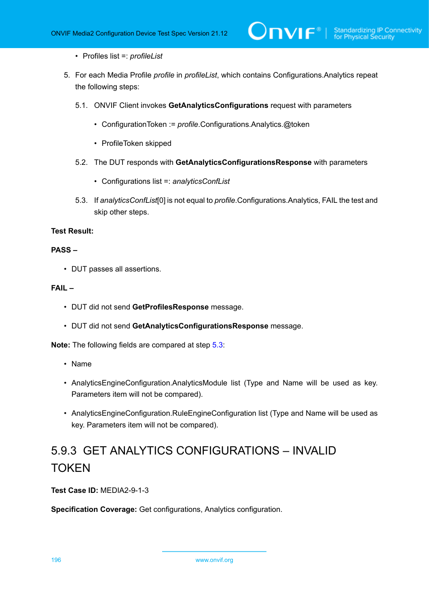- Profiles list =: *profileList*
- 5. For each Media Profile *profile* in *profileList*, which contains Configurations.Analytics repeat the following steps:
	- 5.1. ONVIF Client invokes **GetAnalyticsConfigurations** request with parameters
		- ConfigurationToken := *profile*.Configurations.Analytics.@token
		- ProfileToken skipped
	- 5.2. The DUT responds with **GetAnalyticsConfigurationsResponse** with parameters
		- Configurations list =: *analyticsConfList*
	- 5.3. If *analyticsConfList*[0] is not equal to *profile*.Configurations.Analytics, FAIL the test and skip other steps.

### <span id="page-195-0"></span>**PASS –**

• DUT passes all assertions.

### **FAIL –**

- DUT did not send **GetProfilesResponse** message.
- DUT did not send **GetAnalyticsConfigurationsResponse** message.

**Note:** The following fields are compared at step [5.3](#page-195-0):

- Name
- AnalyticsEngineConfiguration.AnalyticsModule list (Type and Name will be used as key. Parameters item will not be compared).
- AnalyticsEngineConfiguration.RuleEngineConfiguration list (Type and Name will be used as key. Parameters item will not be compared).

# 5.9.3 GET ANALYTICS CONFIGURATIONS – INVALID **TOKEN**

**Test Case ID:** MEDIA2-9-1-3

**Specification Coverage:** Get configurations, Analytics configuration.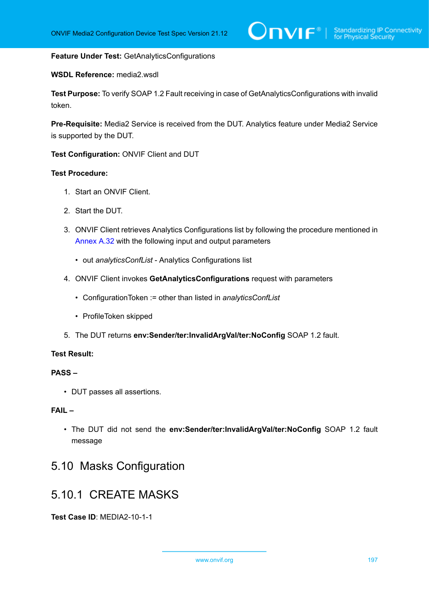### **Feature Under Test:** GetAnalyticsConfigurations

### **WSDL Reference:** media2.wsdl

**Test Purpose:** To verify SOAP 1.2 Fault receiving in case of GetAnalyticsConfigurations with invalid token.

**Pre-Requisite:** Media2 Service is received from the DUT. Analytics feature under Media2 Service is supported by the DUT.

**Test Configuration:** ONVIF Client and DUT

### **Test Procedure:**

- 1. Start an ONVIF Client.
- 2. Start the DUT.
- 3. ONVIF Client retrieves Analytics Configurations list by following the procedure mentioned in [Annex A.32](#page-250-0) with the following input and output parameters
	- out *analyticsConfList* Analytics Configurations list
- 4. ONVIF Client invokes **GetAnalyticsConfigurations** request with parameters
	- ConfigurationToken := other than listed in *analyticsConfList*
	- ProfileToken skipped
- 5. The DUT returns **env:Sender/ter:InvalidArgVal/ter:NoConfig** SOAP 1.2 fault.

### **Test Result:**

### **PASS –**

• DUT passes all assertions.

### **FAIL –**

• The DUT did not send the **env:Sender/ter:InvalidArgVal/ter:NoConfig** SOAP 1.2 fault message

# 5.10 Masks Configuration

# 5.10.1 CREATE MASKS

**Test Case ID**: MEDIA2-10-1-1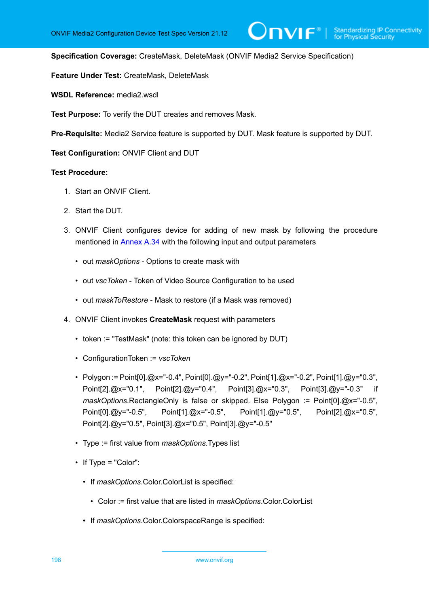**Specification Coverage:** CreateMask, DeleteMask (ONVIF Media2 Service Specification)

**Feature Under Test:** CreateMask, DeleteMask

**WSDL Reference:** media2.wsdl

**Test Purpose:** To verify the DUT creates and removes Mask.

**Pre-Requisite:** Media2 Service feature is supported by DUT. Mask feature is supported by DUT.

**Test Configuration:** ONVIF Client and DUT

- 1. Start an ONVIF Client.
- 2. Start the DUT.
- 3. ONVIF Client configures device for adding of new mask by following the procedure mentioned in [Annex A.34](#page-251-0) with the following input and output parameters
	- out *maskOptions* Options to create mask with
	- out *vscToken* Token of Video Source Configuration to be used
	- out *maskToRestore* Mask to restore (if a Mask was removed)
- <span id="page-197-0"></span>4. ONVIF Client invokes **CreateMask** request with parameters
	- token := "TestMask" (note: this token can be ignored by DUT)
	- ConfigurationToken := *vscToken*
	- Polygon := Point[0].@x="-0.4", Point[0].@y="-0.2", Point[1].@x="-0.2", Point[1].@y="0.3", Point[2].@x="0.1", Point[2].@y="0.4", Point[3].@x="0.3", Point[3].@y="-0.3" if *maskOptions*.RectangleOnly is false or skipped. Else Polygon := Point[0].@x="-0.5", Point[0].@y="-0.5", Point[1].@x="-0.5", Point[1].@y="0.5", Point[2].@x="0.5", Point[2].@y="0.5", Point[3].@x="0.5", Point[3].@y="-0.5"
	- Type := first value from *maskOptions*.Types list
	- If Type = "Color":
		- If *maskOptions*.Color.ColorList is specified:
			- Color := first value that are listed in *maskOptions*.Color.ColorList
		- If *maskOptions*.Color.ColorspaceRange is specified: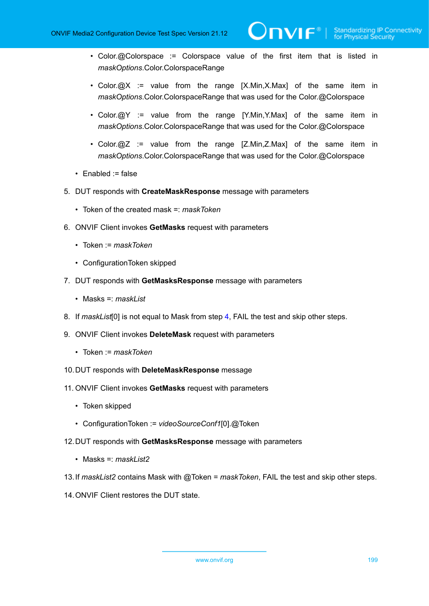• Color.@Colorspace := Colorspace value of the first item that is listed in *maskOptions*.Color.ColorspaceRange

 $\partial$ DVIF $^{\circ}$ l

- Color. $\omega$ X := value from the range [X.Min,X.Max] of the same item in *maskOptions*.Color.ColorspaceRange that was used for the Color.@Colorspace
- Color. $@Y :=$  value from the range [Y.Min, Y.Max] of the same item in *maskOptions*.Color.ColorspaceRange that was used for the Color.@Colorspace
- Color.@Z := value from the range [Z.Min, Z.Max] of the same item in *maskOptions*.Color.ColorspaceRange that was used for the Color.@Colorspace
- Enabled := false
- 5. DUT responds with **CreateMaskResponse** message with parameters
	- Token of the created mask =: *maskToken*
- 6. ONVIF Client invokes **GetMasks** request with parameters
	- Token := *maskToken*
	- ConfigurationToken skipped
- 7. DUT responds with **GetMasksResponse** message with parameters
	- Masks =: *maskList*
- 8. If *maskList*[0] is not equal to Mask from step [4,](#page-197-0) FAIL the test and skip other steps.
- 9. ONVIF Client invokes **DeleteMask** request with parameters
	- Token := *maskToken*
- 10.DUT responds with **DeleteMaskResponse** message
- 11. ONVIF Client invokes **GetMasks** request with parameters
	- Token skipped
	- ConfigurationToken := *videoSourceConf1*[0].@Token
- 12.DUT responds with **GetMasksResponse** message with parameters
	- Masks =: *maskList2*
- 13.If *maskList2* contains Mask with @Token = *maskToken*, FAIL the test and skip other steps.
- 14.ONVIF Client restores the DUT state.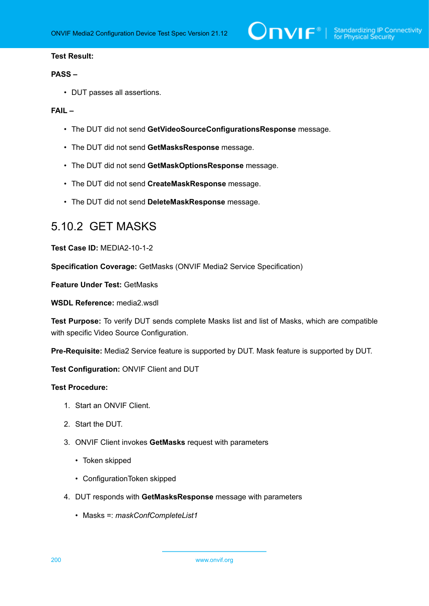### **PASS –**

• DUT passes all assertions.

### **FAIL –**

- The DUT did not send **GetVideoSourceConfigurationsResponse** message.
- The DUT did not send **GetMasksResponse** message.
- The DUT did not send **GetMaskOptionsResponse** message.
- The DUT did not send **CreateMaskResponse** message.
- The DUT did not send **DeleteMaskResponse** message.

## 5.10.2 GET MASKS

**Test Case ID:** MEDIA2-10-1-2

**Specification Coverage:** GetMasks (ONVIF Media2 Service Specification)

**Feature Under Test:** GetMasks

**WSDL Reference:** media2.wsdl

**Test Purpose:** To verify DUT sends complete Masks list and list of Masks, which are compatible with specific Video Source Configuration.

**Pre-Requisite:** Media2 Service feature is supported by DUT. Mask feature is supported by DUT.

**Test Configuration:** ONVIF Client and DUT

- 1. Start an ONVIF Client.
- 2. Start the DUT.
- 3. ONVIF Client invokes **GetMasks** request with parameters
	- Token skipped
	- ConfigurationToken skipped
- 4. DUT responds with **GetMasksResponse** message with parameters
	- Masks =: *maskConfCompleteList1*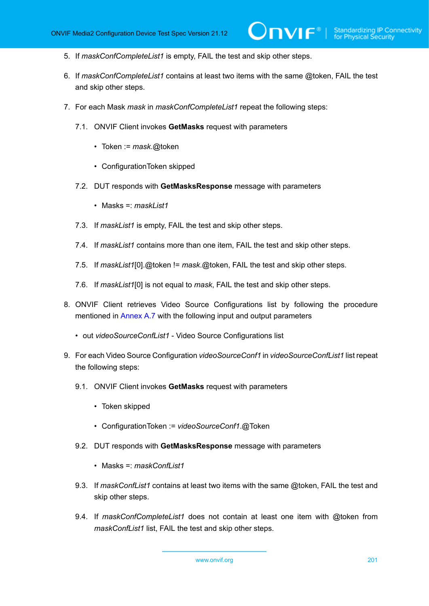- 5. If *maskConfCompleteList1* is empty, FAIL the test and skip other steps.
- 6. If *maskConfCompleteList1* contains at least two items with the same @token, FAIL the test and skip other steps.
- 7. For each Mask *mask* in *maskConfCompleteList1* repeat the following steps:
	- 7.1. ONVIF Client invokes **GetMasks** request with parameters
		- Token := *mask*.@token
		- ConfigurationToken skipped
	- 7.2. DUT responds with **GetMasksResponse** message with parameters
		- Masks =: *maskList1*
	- 7.3. If *maskList1* is empty, FAIL the test and skip other steps.
	- 7.4. If *maskList1* contains more than one item, FAIL the test and skip other steps.
	- 7.5. If *maskList1*[0].@token != *mask*.@token, FAIL the test and skip other steps.
	- 7.6. If *maskList1*[0] is not equal to *mask*, FAIL the test and skip other steps.
- <span id="page-200-0"></span>8. ONVIF Client retrieves Video Source Configurations list by following the procedure mentioned in [Annex A.7](#page-222-0) with the following input and output parameters
	- out *videoSourceConfList1* Video Source Configurations list
- 9. For each Video Source Configuration *videoSourceConf1* in *videoSourceConfList1* list repeat the following steps:
	- 9.1. ONVIF Client invokes **GetMasks** request with parameters
		- Token skipped
		- ConfigurationToken := *videoSourceConf1*.@Token
	- 9.2. DUT responds with **GetMasksResponse** message with parameters
		- Masks =: *maskConfList1*
	- 9.3. If *maskConfList1* contains at least two items with the same @token, FAIL the test and skip other steps.
	- 9.4. If *maskConfCompleteList1* does not contain at least one item with @token from *maskConfList1* list, FAIL the test and skip other steps.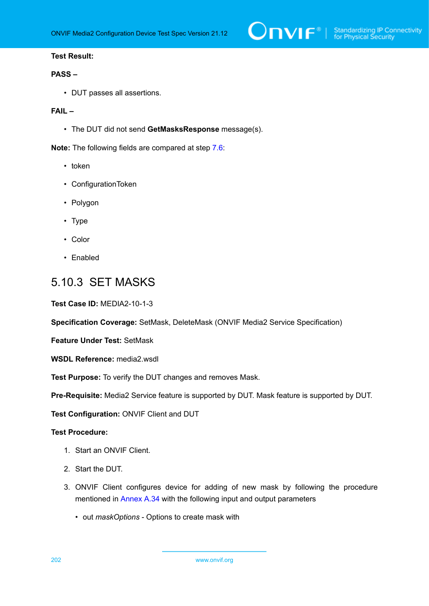### **PASS –**

• DUT passes all assertions.

### **FAIL –**

• The DUT did not send **GetMasksResponse** message(s).

**Note:** The following fields are compared at step [7.6](#page-200-0):

- token
- ConfigurationToken
- Polygon
- Type
- Color
- Enabled

### 5.10.3 SET MASKS

**Test Case ID:** MEDIA2-10-1-3

**Specification Coverage:** SetMask, DeleteMask (ONVIF Media2 Service Specification)

**Feature Under Test:** SetMask

**WSDL Reference:** media2.wsdl

**Test Purpose:** To verify the DUT changes and removes Mask.

**Pre-Requisite:** Media2 Service feature is supported by DUT. Mask feature is supported by DUT.

**Test Configuration:** ONVIF Client and DUT

- 1. Start an ONVIF Client.
- 2. Start the DUT.
- 3. ONVIF Client configures device for adding of new mask by following the procedure mentioned in [Annex A.34](#page-251-0) with the following input and output parameters
	- out *maskOptions* Options to create mask with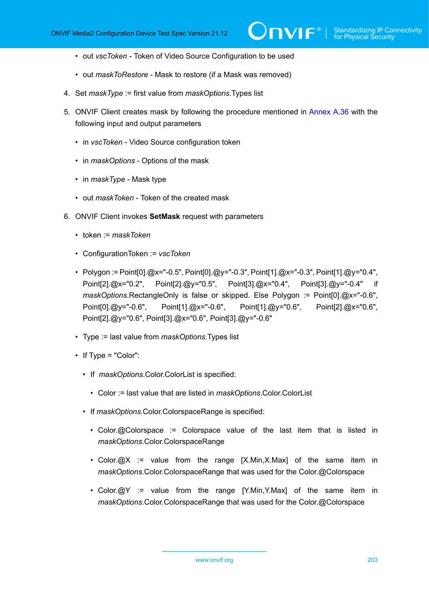- out *vscToken* Token of Video Source Configuration to be used
- out *maskToRestore* Mask to restore (if a Mask was removed)
- 4. Set *maskType* := first value from *maskOptions*.Types list
- 5. ONVIF Client creates mask by following the procedure mentioned in [Annex A.36](#page-253-0) with the following input and output parameters
	- in *vscToken* Video Source configuration token
	- in *maskOptions* Options of the mask
	- in *maskType* Mask type
	- out *maskToken* Token of the created mask
- <span id="page-202-0"></span>6. ONVIF Client invokes **SetMask** request with parameters
	- token := *maskToken*
	- ConfigurationToken := *vscToken*
	- Polygon := Point[0].@x="-0.5", Point[0].@y="-0.3", Point[1].@x="-0.3", Point[1].@y="0.4", Point[2].@x="0.2", Point[2].@y="0.5", Point[3].@x="0.4", Point[3].@y="-0.4" if *maskOptions*.RectangleOnly is false or skipped. Else Polygon := Point[0].@x="-0.6", Point[0].@y="-0.6", Point[1].@x="-0.6", Point[1].@y="0.6", Point[2].@x="0.6", Point[2].@y="0.6", Point[3].@x="0.6", Point[3].@y="-0.6"
	- Type := last value from *maskOptions*.Types list
	- If Type = "Color":
		- If *maskOptions*.Color.ColorList is specified:
			- Color := last value that are listed in *maskOptions*.Color.ColorList
		- If *maskOptions*.Color.ColorspaceRange is specified:
			- Color.@Colorspace := Colorspace value of the last item that is listed in *maskOptions*.Color.ColorspaceRange
			- Color.@X := value from the range [X.Min,X.Max] of the same item in *maskOptions*.Color.ColorspaceRange that was used for the Color.@Colorspace
			- Color.@Y := value from the range [Y.Min,Y.Max] of the same item in *maskOptions*.Color.ColorspaceRange that was used for the Color.@Colorspace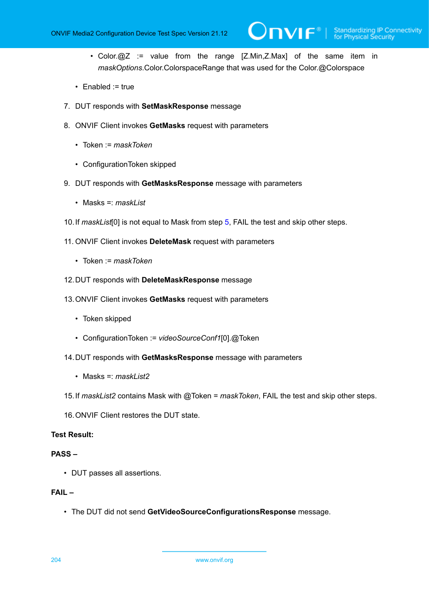• Color.@Z := value from the range [Z.Min,Z.Max] of the same item in *maskOptions*.Color.ColorspaceRange that was used for the Color.@Colorspace

 $\mathsf{D}\mathbf{N}\mathsf{I}\mathsf{F}^\ast$  .

- Enabled := true
- 7. DUT responds with **SetMaskResponse** message
- 8. ONVIF Client invokes **GetMasks** request with parameters
	- Token := *maskToken*
	- ConfigurationToken skipped
- 9. DUT responds with **GetMasksResponse** message with parameters
	- Masks =: *maskList*
- 10.If *maskList*[0] is not equal to Mask from step [5,](#page-202-0) FAIL the test and skip other steps.
- 11. ONVIF Client invokes **DeleteMask** request with parameters
	- Token := *maskToken*
- 12.DUT responds with **DeleteMaskResponse** message
- 13.ONVIF Client invokes **GetMasks** request with parameters
	- Token skipped
	- ConfigurationToken := *videoSourceConf1*[0].@Token
- 14.DUT responds with **GetMasksResponse** message with parameters
	- Masks =: *maskList2*
- 15.If *maskList2* contains Mask with @Token = *maskToken*, FAIL the test and skip other steps.
- 16.ONVIF Client restores the DUT state.

### **Test Result:**

### **PASS –**

• DUT passes all assertions.

### **FAIL –**

• The DUT did not send **GetVideoSourceConfigurationsResponse** message.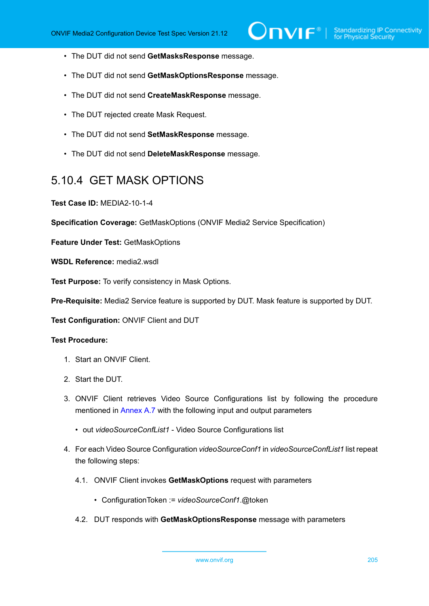- The DUT did not send **GetMasksResponse** message.
- The DUT did not send **GetMaskOptionsResponse** message.
- The DUT did not send **CreateMaskResponse** message.
- The DUT rejected create Mask Request.
- The DUT did not send **SetMaskResponse** message.
- The DUT did not send **DeleteMaskResponse** message.

# 5.10.4 GET MASK OPTIONS

**Test Case ID:** MEDIA2-10-1-4

**Specification Coverage:** GetMaskOptions (ONVIF Media2 Service Specification)

**Feature Under Test:** GetMaskOptions

**WSDL Reference:** media2.wsdl

**Test Purpose:** To verify consistency in Mask Options.

**Pre-Requisite:** Media2 Service feature is supported by DUT. Mask feature is supported by DUT.

**Test Configuration:** ONVIF Client and DUT

- 1. Start an ONVIF Client.
- 2. Start the DUT.
- 3. ONVIF Client retrieves Video Source Configurations list by following the procedure mentioned in [Annex A.7](#page-222-0) with the following input and output parameters
	- out *videoSourceConfList1* Video Source Configurations list
- 4. For each Video Source Configuration *videoSourceConf1* in *videoSourceConfList1* list repeat the following steps:
	- 4.1. ONVIF Client invokes **GetMaskOptions** request with parameters
		- ConfigurationToken := *videoSourceConf1*.@token
	- 4.2. DUT responds with **GetMaskOptionsResponse** message with parameters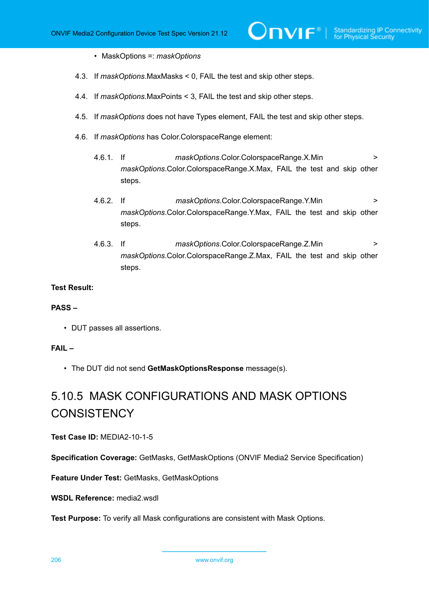- MaskOptions =: *maskOptions*
- 4.3. If *maskOptions*.MaxMasks < 0, FAIL the test and skip other steps.
- 4.4. If *maskOptions*.MaxPoints < 3, FAIL the test and skip other steps.
- 4.5. If *maskOptions* does not have Types element, FAIL the test and skip other steps.
- 4.6. If *maskOptions* has Color.ColorspaceRange element:
	- 4.6.1. If *maskOptions*.Color.ColorspaceRange.X.Min > *maskOptions*.Color.ColorspaceRange.X.Max, FAIL the test and skip other steps.
	- 4.6.2. If *maskOptions*.Color.ColorspaceRange.Y.Min > *maskOptions*.Color.ColorspaceRange.Y.Max, FAIL the test and skip other steps.
	- 4.6.3. If *maskOptions*.Color.ColorspaceRange.Z.Min > *maskOptions*.Color.ColorspaceRange.Z.Max, FAIL the test and skip other steps.

### **PASS –**

• DUT passes all assertions.

### **FAIL –**

• The DUT did not send **GetMaskOptionsResponse** message(s).

# 5.10.5 MASK CONFIGURATIONS AND MASK OPTIONS **CONSISTENCY**

### **Test Case ID:** MEDIA2-10-1-5

**Specification Coverage:** GetMasks, GetMaskOptions (ONVIF Media2 Service Specification)

**Feature Under Test:** GetMasks, GetMaskOptions

**WSDL Reference:** media2.wsdl

**Test Purpose:** To verify all Mask configurations are consistent with Mask Options.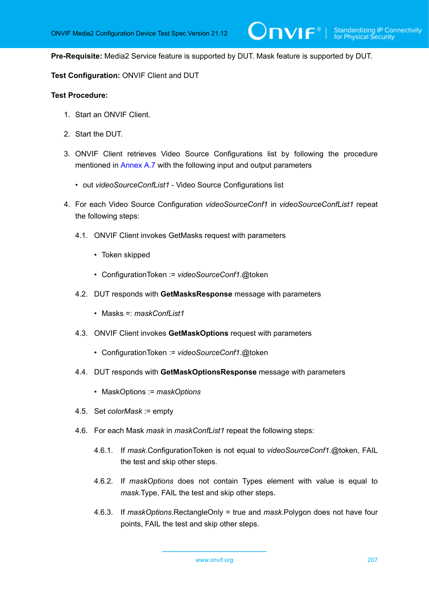**Pre-Requisite:** Media2 Service feature is supported by DUT. Mask feature is supported by DUT.

**Test Configuration:** ONVIF Client and DUT

- 1. Start an ONVIF Client.
- 2. Start the DUT.
- 3. ONVIF Client retrieves Video Source Configurations list by following the procedure mentioned in [Annex A.7](#page-222-0) with the following input and output parameters
	- out *videoSourceConfList1* Video Source Configurations list
- <span id="page-206-0"></span>4. For each Video Source Configuration *videoSourceConf1* in *videoSourceConfList1* repeat the following steps:
	- 4.1. ONVIF Client invokes GetMasks request with parameters
		- Token skipped
		- ConfigurationToken := *videoSourceConf1*.@token
	- 4.2. DUT responds with **GetMasksResponse** message with parameters
		- Masks =: *maskConfList1*
	- 4.3. ONVIF Client invokes **GetMaskOptions** request with parameters
		- ConfigurationToken := *videoSourceConf1*.@token
	- 4.4. DUT responds with **GetMaskOptionsResponse** message with parameters
		- MaskOptions := *maskOptions*
	- 4.5. Set *colorMask* := empty
	- 4.6. For each Mask *mask* in *maskConfList1* repeat the following steps:
		- 4.6.1. If *mask*.ConfigurationToken is not equal to *videoSourceConf1*.@token, FAIL the test and skip other steps.
		- 4.6.2. If *maskOptions* does not contain Types element with value is equal to *mask*.Type, FAIL the test and skip other steps.
		- 4.6.3. If *maskOptions*.RectangleOnly = true and *mask*.Polygon does not have four points, FAIL the test and skip other steps.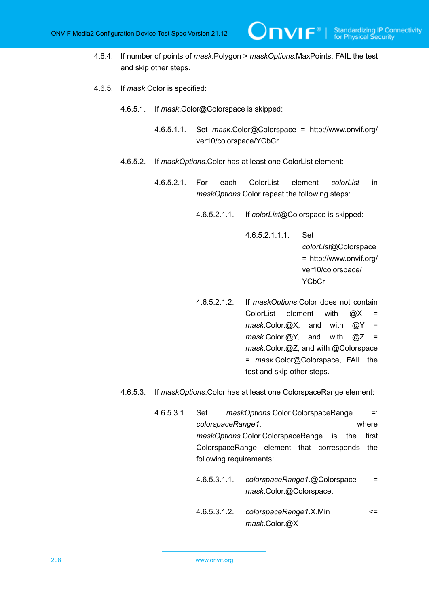- 4.6.4. If number of points of *mask*.Polygon > *maskOptions*.MaxPoints, FAIL the test and skip other steps.
- 4.6.5. If *mask*.Color is specified:
	- 4.6.5.1. If *mask*.Color@Colorspace is skipped:
		- 4.6.5.1.1. Set *mask*.Color@Colorspace = http://www.onvif.org/ ver10/colorspace/YCbCr
	- 4.6.5.2. If *maskOptions*.Color has at least one ColorList element:
		- 4.6.5.2.1. For each ColorList element *colorList* in *maskOptions*.Color repeat the following steps:
			- 4.6.5.2.1.1. If *colorList*@Colorspace is skipped:

4.6.5.2.1.1.1. Set

*colorList*@Colorspace = http://www.onvif.org/ ver10/colorspace/ **YCbCr** 

- 4.6.5.2.1.2. If *maskOptions*.Color does not contain ColorList element with  $@X =$ *mask*.Color.@X, and with @Y = *mask*.Color.@Y, and with @Z = *mask*.Color.@Z, and with @Colorspace = *mask*.Color@Colorspace, FAIL the test and skip other steps.
- 4.6.5.3. If *maskOptions*.Color has at least one ColorspaceRange element:
	- 4.6.5.3.1. Set *maskOptions*.Color.ColorspaceRange =: *colorspaceRange1*, where *maskOptions*.Color.ColorspaceRange is the first ColorspaceRange element that corresponds the following requirements:
		- 4.6.5.3.1.1. *colorspaceRange1*.@Colorspace = *mask*.Color.@Colorspace.
		- 4.6.5.3.1.2. *colorspaceRange1*.X.Min <= *mask*.Color.@X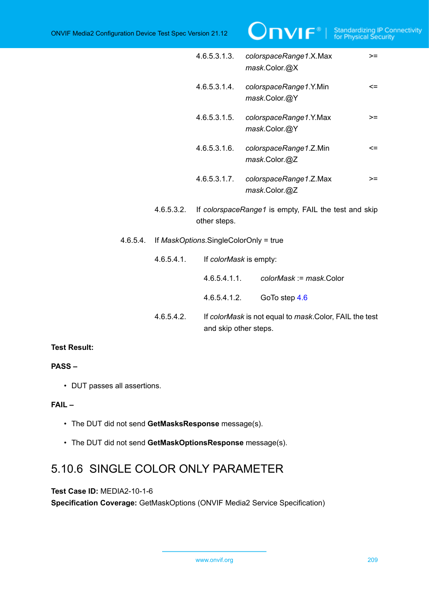|          |                                       | 4.6.5.3.1.3.           | colorspaceRange1.X.Max<br>$>=$<br>mask.Color.@X                                  |  |
|----------|---------------------------------------|------------------------|----------------------------------------------------------------------------------|--|
|          |                                       | 4.6.5.3.1.4.           | colorspaceRange1.Y.Min<br>$\leq$<br>mask.Color.@Y                                |  |
|          |                                       | 4.6.5.3.1.5.           | colorspaceRange1.Y.Max<br>>=<br>mask.Color.@Y                                    |  |
|          |                                       | 4.6.5.3.1.6.           | colorspaceRange1.Z.Min<br><=<br>mask.Color.@Z                                    |  |
|          |                                       | 4.6.5.3.1.7.           | colorspaceRange1.Z.Max<br>>=<br>mask.Color.@Z                                    |  |
|          | 4.6.5.3.2.                            | other steps.           | If colorspaceRange1 is empty, FAIL the test and skip                             |  |
| 4.6.5.4. | If MaskOptions.SingleColorOnly = true |                        |                                                                                  |  |
|          | 4.6.5.4.1.                            | If colorMask is empty: |                                                                                  |  |
|          |                                       | 4.6.5.4.1.1.           | colorMask := mask.Color                                                          |  |
|          |                                       | 4.6.5.4.1.2.           | GoTo step 4.6                                                                    |  |
|          | 4.6.5.4.2.                            |                        | If colorMask is not equal to mask. Color, FAIL the test<br>and skip other steps. |  |

### **PASS –**

• DUT passes all assertions.

### **FAIL –**

- The DUT did not send **GetMasksResponse** message(s).
- The DUT did not send **GetMaskOptionsResponse** message(s).

# 5.10.6 SINGLE COLOR ONLY PARAMETER

**Test Case ID:** MEDIA2-10-1-6

**Specification Coverage:** GetMaskOptions (ONVIF Media2 Service Specification)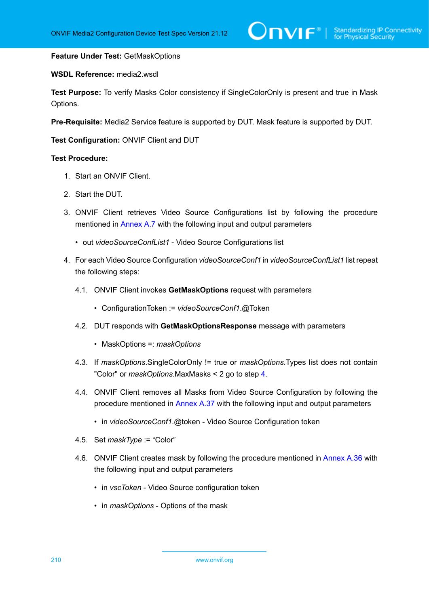### **Feature Under Test:** GetMaskOptions

### **WSDL Reference:** media2.wsdl

**Test Purpose:** To verify Masks Color consistency if SingleColorOnly is present and true in Mask Options.

**Pre-Requisite:** Media2 Service feature is supported by DUT. Mask feature is supported by DUT.

**Test Configuration:** ONVIF Client and DUT

- 1. Start an ONVIF Client.
- 2. Start the DUT.
- 3. ONVIF Client retrieves Video Source Configurations list by following the procedure mentioned in [Annex A.7](#page-222-0) with the following input and output parameters
	- out *videoSourceConfList1* Video Source Configurations list
- <span id="page-209-0"></span>4. For each Video Source Configuration *videoSourceConf1* in *videoSourceConfList1* list repeat the following steps:
	- 4.1. ONVIF Client invokes **GetMaskOptions** request with parameters
		- ConfigurationToken := *videoSourceConf1*.@Token
	- 4.2. DUT responds with **GetMaskOptionsResponse** message with parameters
		- MaskOptions =: *maskOptions*
	- 4.3. If *maskOptions*.SingleColorOnly != true or *maskOptions*.Types list does not contain "Color" or *maskOptions*.MaxMasks < 2 go to step [4](#page-209-0).
	- 4.4. ONVIF Client removes all Masks from Video Source Configuration by following the procedure mentioned in [Annex A.37](#page-255-0) with the following input and output parameters
		- in *videoSourceConf1*.@token Video Source Configuration token
	- 4.5. Set *maskType* := "Color"
	- 4.6. ONVIF Client creates mask by following the procedure mentioned in [Annex A.36](#page-253-0) with the following input and output parameters
		- in *vscToken* Video Source configuration token
		- in *maskOptions* Options of the mask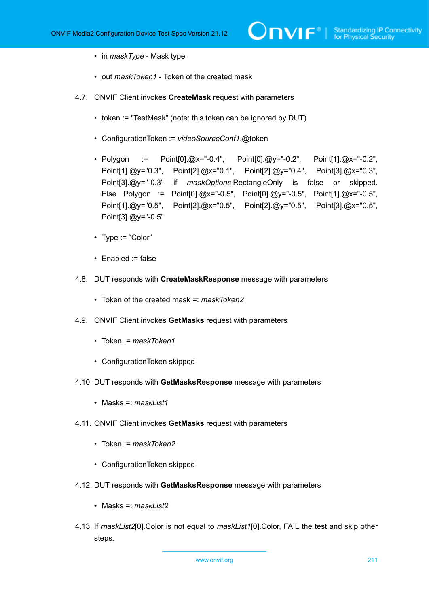- in *maskType* Mask type
- out *maskToken1* Token of the created mask
- 4.7. ONVIF Client invokes **CreateMask** request with parameters
	- token := "TestMask" (note: this token can be ignored by DUT)
	- ConfigurationToken := *videoSourceConf1*.@token
	- Polygon := Point[0].@x="-0.4", Point[0].@y="-0.2", Point[1].@x="-0.2", Point[1].@y="0.3", Point[2].@x="0.1", Point[2].@y="0.4", Point[3].@x="0.3", Point[3].@y="-0.3" if *maskOptions*.RectangleOnly is false or skipped. Else Polygon := Point[0].@x="-0.5", Point[0].@y="-0.5", Point[1].@x="-0.5", Point[1].@y="0.5", Point[2].@x="0.5", Point[2].@y="0.5", Point[3].@x="0.5", Point[3].@y="-0.5"
	- Type := "Color"
	- Enabled := false
- 4.8. DUT responds with **CreateMaskResponse** message with parameters
	- Token of the created mask =: *maskToken2*
- 4.9. ONVIF Client invokes **GetMasks** request with parameters
	- Token := *maskToken1*
	- ConfigurationToken skipped
- 4.10. DUT responds with **GetMasksResponse** message with parameters
	- Masks =: *maskList1*
- 4.11. ONVIF Client invokes **GetMasks** request with parameters
	- Token := *maskToken2*
	- ConfigurationToken skipped
- 4.12. DUT responds with **GetMasksResponse** message with parameters
	- Masks =: *maskList2*
- 4.13. If *maskList2*[0].Color is not equal to *maskList1*[0].Color, FAIL the test and skip other steps.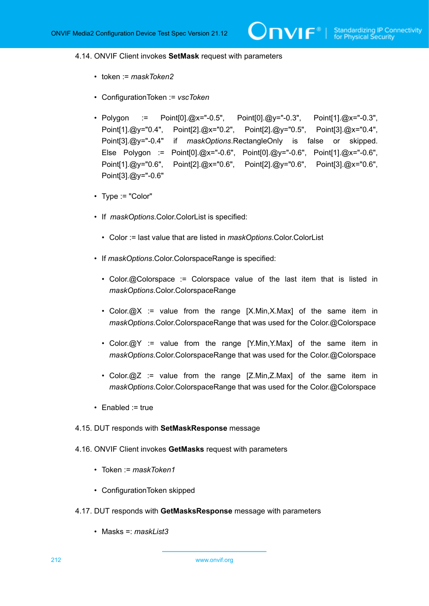### <span id="page-211-0"></span>4.14. ONVIF Client invokes **SetMask** request with parameters

- token := *maskToken2*
- ConfigurationToken := *vscToken*
- Polygon := Point[0].@x="-0.5", Point[0].@y="-0.3", Point[1].@x="-0.3", Point[1].@y="0.4", Point[2].@x="0.2", Point[2].@y="0.5", Point[3].@x="0.4", Point[3].@y="-0.4" if *maskOptions*.RectangleOnly is false or skipped. Else Polygon := Point[0].@x="-0.6", Point[0].@y="-0.6", Point[1].@x="-0.6", Point[1].@y="0.6", Point[2].@x="0.6", Point[2].@y="0.6", Point[3].@x="0.6", Point[3].@y="-0.6"
- Type := "Color"
- If *maskOptions*.Color.ColorList is specified:
	- Color := last value that are listed in *maskOptions*.Color.ColorList
- If *maskOptions*.Color.ColorspaceRange is specified:
	- Color.@Colorspace := Colorspace value of the last item that is listed in *maskOptions*.Color.ColorspaceRange
	- Color.@X := value from the range [X.Min,X.Max] of the same item in *maskOptions*.Color.ColorspaceRange that was used for the Color.@Colorspace
	- Color. $\varpi Y$  := value from the range [Y.Min, Y.Max] of the same item in *maskOptions*.Color.ColorspaceRange that was used for the Color.@Colorspace
	- Color. $@Z :=$  value from the range  $[Z.Min,Z.Max]$  of the same item in *maskOptions*.Color.ColorspaceRange that was used for the Color.@Colorspace
- Enabled := true
- 4.15. DUT responds with **SetMaskResponse** message
- 4.16. ONVIF Client invokes **GetMasks** request with parameters
	- Token := *maskToken1*
	- ConfigurationToken skipped
- 4.17. DUT responds with **GetMasksResponse** message with parameters
	- Masks =: *maskList3*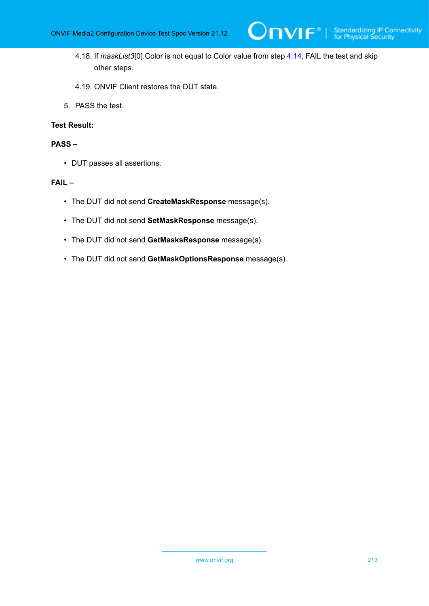4.18. If *maskList3*[0].Color is not equal to Color value from step [4.14,](#page-211-0) FAIL the test and skip other steps.

 $\mathsf{D}\mathsf{n}\mathsf{v}\mathsf{l}\mathsf{f}^\ast$ l

- 4.19. ONVIF Client restores the DUT state.
- 5. PASS the test.

### **Test Result:**

### **PASS –**

• DUT passes all assertions.

### **FAIL –**

- The DUT did not send **CreateMaskResponse** message(s).
- The DUT did not send **SetMaskResponse** message(s).
- The DUT did not send **GetMasksResponse** message(s).
- The DUT did not send **GetMaskOptionsResponse** message(s).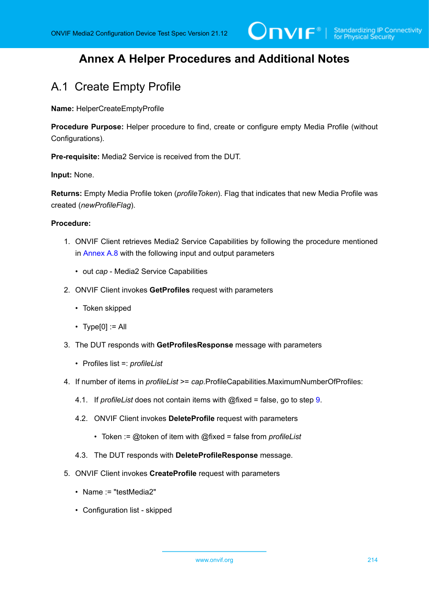# **Annex A Helper Procedures and Additional Notes**

# A.1 Create Empty Profile

**Name:** HelperCreateEmptyProfile

**Procedure Purpose:** Helper procedure to find, create or configure empty Media Profile (without Configurations).

**Pre-requisite:** Media2 Service is received from the DUT.

### **Input:** None.

**Returns:** Empty Media Profile token (*profileToken*). Flag that indicates that new Media Profile was created (*newProfileFlag*).

### **Procedure:**

- 1. ONVIF Client retrieves Media2 Service Capabilities by following the procedure mentioned in [Annex A.8](#page-223-0) with the following input and output parameters
	- out *cap* Media2 Service Capabilities
- 2. ONVIF Client invokes **GetProfiles** request with parameters
	- Token skipped
	- $\cdot$  Type[0] := All
- 3. The DUT responds with **GetProfilesResponse** message with parameters
	- Profiles list =: *profileList*
- 4. If number of items in *profileList* >= *cap*.ProfileCapabilities.MaximumNumberOfProfiles:
	- 4.1. If *profileList* does not contain items with @fixed = false, go to step [9](#page-214-0).
	- 4.2. ONVIF Client invokes **DeleteProfile** request with parameters
		- Token := @token of item with @fixed = false from *profileList*
	- 4.3. The DUT responds with **DeleteProfileResponse** message.
- 5. ONVIF Client invokes **CreateProfile** request with parameters
	- Name := "testMedia2"
	- Configuration list skipped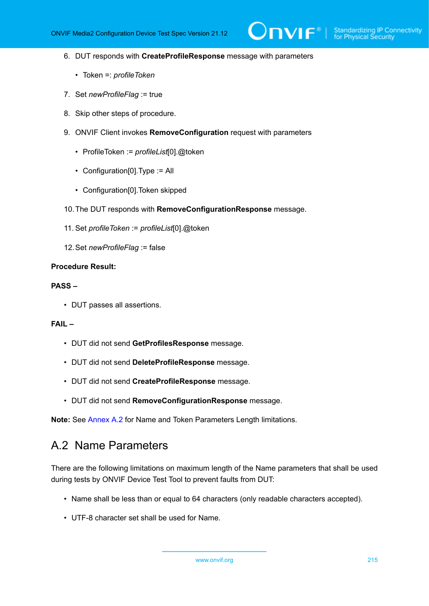- 6. DUT responds with **CreateProfileResponse** message with parameters
	- Token =: *profileToken*
- 7. Set *newProfileFlag* := true
- 8. Skip other steps of procedure.
- <span id="page-214-0"></span>9. ONVIF Client invokes **RemoveConfiguration** request with parameters
	- ProfileToken := *profileList*[0].@token
	- Configuration[0].Type := All
	- Configuration[0].Token skipped
- 10.The DUT responds with **RemoveConfigurationResponse** message.
- 11. Set *profileToken* := *profileList*[0].@token
- 12.Set *newProfileFlag* := false

### **Procedure Result:**

### **PASS –**

• DUT passes all assertions.

### **FAIL –**

- DUT did not send **GetProfilesResponse** message.
- DUT did not send **DeleteProfileResponse** message.
- DUT did not send **CreateProfileResponse** message.
- DUT did not send **RemoveConfigurationResponse** message.

<span id="page-214-1"></span>**Note:** See [Annex A.2](#page-214-1) for Name and Token Parameters Length limitations.

# A.2 Name Parameters

There are the following limitations on maximum length of the Name parameters that shall be used during tests by ONVIF Device Test Tool to prevent faults from DUT:

- Name shall be less than or equal to 64 characters (only readable characters accepted).
- UTF-8 character set shall be used for Name.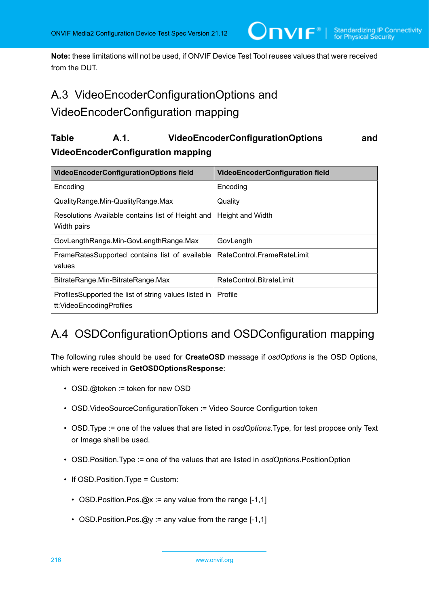**Note:** these limitations will not be used, if ONVIF Device Test Tool reuses values that were received from the DUT.

 $\mathsf{D}\mathbf{N}\mathsf{I}\mathsf{F}^*$ l

# A.3 VideoEncoderConfigurationOptions and

## VideoEncoderConfiguration mapping

## **Table A.1. VideoEncoderConfigurationOptions and VideoEncoderConfiguration mapping**

| VideoEncoderConfigurationOptions field                                            | <b>VideoEncoderConfiguration field</b> |
|-----------------------------------------------------------------------------------|----------------------------------------|
| Encoding                                                                          | Encoding                               |
| QualityRange.Min-QualityRange.Max                                                 | Quality                                |
| Resolutions Available contains list of Height and<br>Width pairs                  | Height and Width                       |
| GovLengthRange.Min-GovLengthRange.Max                                             | GovLength                              |
| FrameRatesSupported contains list of available<br>values                          | RateControl.FrameRateLimit             |
| BitrateRange.Min-BitrateRange.Max                                                 | RateControl.BitrateLimit               |
| ProfilesSupported the list of string values listed in<br>tt:VideoEncodingProfiles | Profile                                |

# A.4 OSDConfigurationOptions and OSDConfiguration mapping

The following rules should be used for **CreateOSD** message if *osdOptions* is the OSD Options, which were received in **GetOSDOptionsResponse**:

- OSD.@token := token for new OSD
- OSD.VideoSourceConfigurationToken := Video Source Configurtion token
- OSD.Type := one of the values that are listed in *osdOptions*.Type, for test propose only Text or Image shall be used.
- OSD.Position.Type := one of the values that are listed in *osdOptions*.PositionOption
- If OSD.Position.Type = Custom:
	- OSD. Position. Pos. @x := any value from the range [-1,1]
	- OSD. Position. Pos. @y := any value from the range [-1,1]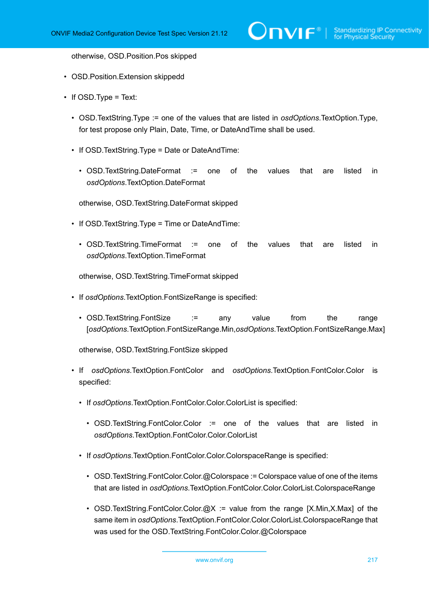otherwise, OSD.Position.Pos skipped

- OSD.Position.Extension skippedd
- If OSD. Type = Text:
	- OSD.TextString.Type := one of the values that are listed in *osdOptions*.TextOption.Type, for test propose only Plain, Date, Time, or DateAndTime shall be used.
	- If OSD.TextString.Type = Date or DateAndTime:
		- OSD.TextString.DateFormat := one of the values that are listed in *osdOptions*.TextOption.DateFormat

otherwise, OSD.TextString.DateFormat skipped

- If OSD.TextString.Type = Time or DateAndTime:
	- OSD.TextString.TimeFormat := one of the values that are listed in *osdOptions*.TextOption.TimeFormat

otherwise, OSD.TextString.TimeFormat skipped

- If *osdOptions*.TextOption.FontSizeRange is specified:
	- OSD.TextString.FontSize := any value from the range [*osdOptions*.TextOption.FontSizeRange.Min,*osdOptions*.TextOption.FontSizeRange.Max]

otherwise, OSD.TextString.FontSize skipped

- If *osdOptions*.TextOption.FontColor and *osdOptions*.TextOption.FontColor.Color is specified:
	- If *osdOptions*.TextOption.FontColor.Color.ColorList is specified:
		- OSD.TextString.FontColor.Color := one of the values that are listed in *osdOptions*.TextOption.FontColor.Color.ColorList
	- If *osdOptions*.TextOption.FontColor.Color.ColorspaceRange is specified:
		- OSD.TextString.FontColor.Color.@Colorspace := Colorspace value of one of the items that are listed in *osdOptions*.TextOption.FontColor.Color.ColorList.ColorspaceRange
		- OSD.TextString.FontColor.Color.@X := value from the range  $[X.Min,X.Max]$  of the same item in *osdOptions*.TextOption.FontColor.Color.ColorList.ColorspaceRange that was used for the OSD.TextString.FontColor.Color.@Colorspace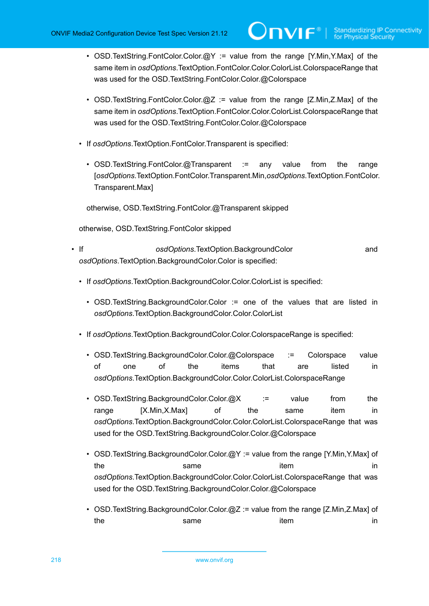• OSD. TextString. FontColor. Color.  $\omega Y =$  value from the range [Y.Min, Y.Max] of the same item in *osdOptions*.TextOption.FontColor.Color.ColorList.ColorspaceRange that was used for the OSD.TextString.FontColor.Color.@Colorspace

**TVIF**®

- OSD.TextString.FontColor.Color.@Z := value from the range [Z.Min.Z.Max] of the same item in *osdOptions*.TextOption.FontColor.Color.ColorList.ColorspaceRange that was used for the OSD.TextString.FontColor.Color.@Colorspace
- If *osdOptions*.TextOption.FontColor.Transparent is specified:
	- OSD.TextString.FontColor.@Transparent := any value from the range [*osdOptions*.TextOption.FontColor.Transparent.Min,*osdOptions*.TextOption.FontColor. Transparent.Max]

otherwise, OSD.TextString.FontColor.@Transparent skipped

otherwise, OSD.TextString.FontColor skipped

- If *osdOptions*.TextOption.BackgroundColor and *osdOptions*.TextOption.BackgroundColor.Color is specified:
	- If *osdOptions*.TextOption.BackgroundColor.Color.ColorList is specified:
		- OSD.TextString.BackgroundColor.Color := one of the values that are listed in *osdOptions*.TextOption.BackgroundColor.Color.ColorList
	- If *osdOptions*.TextOption.BackgroundColor.Color.ColorspaceRange is specified:
		- OSD.TextString.BackgroundColor.Color.@Colorspace := Colorspace value of one of the items that are listed in *osdOptions*.TextOption.BackgroundColor.Color.ColorList.ColorspaceRange
		- OSD.TextString.BackgroundColor.Color.@X := value from the range [X.Min,X.Max] of the same item in *osdOptions*.TextOption.BackgroundColor.Color.ColorList.ColorspaceRange that was used for the OSD. TextString.BackgroundColor.Color.@Colorspace
		- OSD.TextString.BackgroundColor.Color.@Y := value from the range [Y.Min, Y.Max] of the same in the same item in *osdOptions*.TextOption.BackgroundColor.Color.ColorList.ColorspaceRange that was used for the OSD.TextString.BackgroundColor.Color.@Colorspace
		- OSD.TextString.BackgroundColor.Color.@Z := value from the range [Z.Min,Z.Max] of the same in the same item in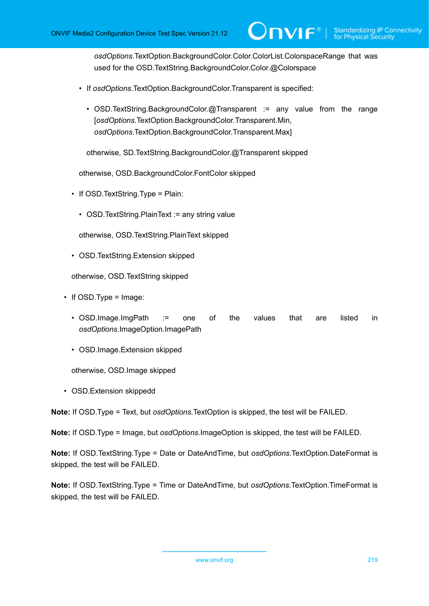*osdOptions*.TextOption.BackgroundColor.Color.ColorList.ColorspaceRange that was used for the OSD. TextString. BackgroundColor. Color.@Colorspace

 $\mathsf{D}\mathbf{n}\mathsf{V}$ lf $^{\circ}$ l

- If *osdOptions*.TextOption.BackgroundColor.Transparent is specified:
	- OSD. TextString. Background Color. @Transparent := any value from the range [*osdOptions*.TextOption.BackgroundColor.Transparent.Min, *osdOptions*.TextOption.BackgroundColor.Transparent.Max]

otherwise, SD.TextString.BackgroundColor.@Transparent skipped

otherwise, OSD.BackgroundColor.FontColor skipped

- If OSD. TextString. Type = Plain:
	- OSD. TextString. Plain Text : = any string value

otherwise, OSD.TextString.PlainText skipped

• OSD.TextString.Extension skipped

otherwise, OSD.TextString skipped

- If OSD. Type = Image:
	- OSD.Image.ImgPath := one of the values that are listed in *osdOptions*.ImageOption.ImagePath
	- OSD.Image.Extension skipped

otherwise, OSD.Image skipped

• OSD.Extension skippedd

**Note:** If OSD.Type = Text, but *osdOptions*.TextOption is skipped, the test will be FAILED.

**Note:** If OSD.Type = Image, but *osdOptions*.ImageOption is skipped, the test will be FAILED.

**Note:** If OSD.TextString.Type = Date or DateAndTime, but *osdOptions*.TextOption.DateFormat is skipped, the test will be FAILED.

**Note:** If OSD.TextString.Type = Time or DateAndTime, but *osdOptions*.TextOption.TimeFormat is skipped, the test will be FAILED.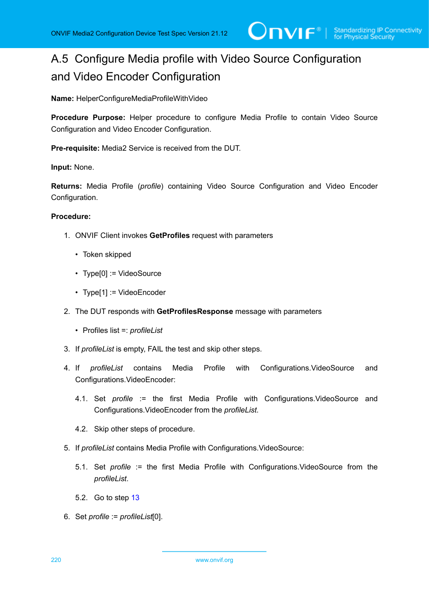# A.5 Configure Media profile with Video Source Configuration and Video Encoder Configuration

**Name:** HelperConfigureMediaProfileWithVideo

**Procedure Purpose:** Helper procedure to configure Media Profile to contain Video Source Configuration and Video Encoder Configuration.

**Pre-requisite:** Media2 Service is received from the DUT.

#### **Input:** None.

**Returns:** Media Profile (*profile*) containing Video Source Configuration and Video Encoder Configuration.

# **Procedure:**

- 1. ONVIF Client invokes **GetProfiles** request with parameters
	- Token skipped
	- Type[0] := VideoSource
	- Type[1] := VideoEncoder
- 2. The DUT responds with **GetProfilesResponse** message with parameters
	- Profiles list =: *profileList*
- 3. If *profileList* is empty, FAIL the test and skip other steps.
- 4. If *profileList* contains Media Profile with Configurations.VideoSource and Configurations.VideoEncoder:
	- 4.1. Set *profile* := the first Media Profile with Configurations.VideoSource and Configurations.VideoEncoder from the *profileList*.
	- 4.2. Skip other steps of procedure.
- 5. If *profileList* contains Media Profile with Configurations.VideoSource:
	- 5.1. Set *profile* := the first Media Profile with Configurations.VideoSource from the *profileList*.
	- 5.2. Go to step [13](#page-220-0)
- 6. Set *profile* := *profileList*[0].

220 www.onvif.org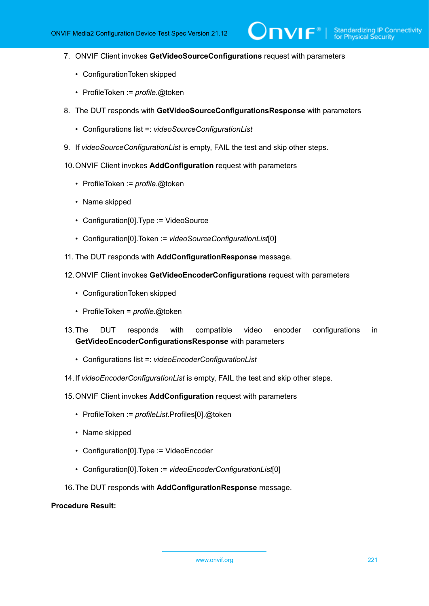$\overline{\mathsf{D}}\mathsf{VIF}^*$ 

- 7. ONVIF Client invokes **GetVideoSourceConfigurations** request with parameters
	- ConfigurationToken skipped
	- ProfileToken := *profile*.@token
- 8. The DUT responds with **GetVideoSourceConfigurationsResponse** with parameters
	- Configurations list =: *videoSourceConfigurationList*
- 9. If *videoSourceConfigurationList* is empty, FAIL the test and skip other steps.
- 10.ONVIF Client invokes **AddConfiguration** request with parameters
	- ProfileToken := *profile*.@token
	- Name skipped
	- Configuration[0].Type := VideoSource
	- Configuration[0].Token := *videoSourceConfigurationList*[0]
- 11. The DUT responds with **AddConfigurationResponse** message.
- 12.ONVIF Client invokes **GetVideoEncoderConfigurations** request with parameters
	- ConfigurationToken skipped
	- ProfileToken = *profile*.@token
- <span id="page-220-0"></span>13.The DUT responds with compatible video encoder configurations in **GetVideoEncoderConfigurationsResponse** with parameters
	- Configurations list =: *videoEncoderConfigurationList*
- 14.If *videoEncoderConfigurationList* is empty, FAIL the test and skip other steps.
- 15.ONVIF Client invokes **AddConfiguration** request with parameters
	- ProfileToken := *profileList*.Profiles[0].@token
	- Name skipped
	- Configuration[0].Type := VideoEncoder
	- Configuration[0].Token := *videoEncoderConfigurationList*[0]
- 16.The DUT responds with **AddConfigurationResponse** message.

# **Procedure Result:**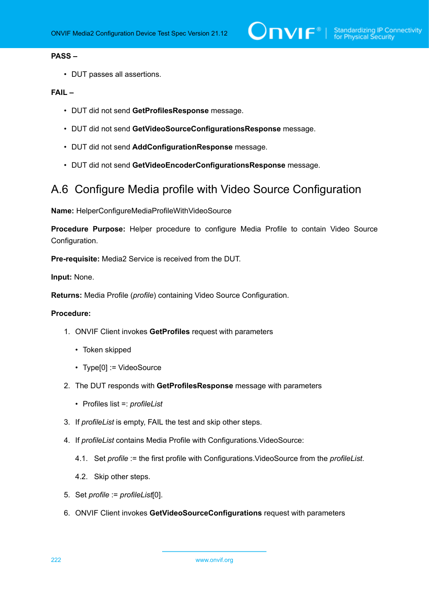# **PASS –**

• DUT passes all assertions.

# **FAIL –**

- DUT did not send **GetProfilesResponse** message.
- DUT did not send **GetVideoSourceConfigurationsResponse** message.
- DUT did not send **AddConfigurationResponse** message.
- DUT did not send **GetVideoEncoderConfigurationsResponse** message.

# A.6 Configure Media profile with Video Source Configuration

**Name:** HelperConfigureMediaProfileWithVideoSource

**Procedure Purpose:** Helper procedure to configure Media Profile to contain Video Source Configuration.

**Pre-requisite:** Media2 Service is received from the DUT.

**Input:** None.

**Returns:** Media Profile (*profile*) containing Video Source Configuration.

- 1. ONVIF Client invokes **GetProfiles** request with parameters
	- Token skipped
	- Type[0] := VideoSource
- 2. The DUT responds with **GetProfilesResponse** message with parameters
	- Profiles list =: *profileList*
- 3. If *profileList* is empty, FAIL the test and skip other steps.
- 4. If *profileList* contains Media Profile with Configurations.VideoSource:
	- 4.1. Set *profile* := the first profile with Configurations.VideoSource from the *profileList*.
	- 4.2. Skip other steps.
- 5. Set *profile* := *profileList*[0].
- 6. ONVIF Client invokes **GetVideoSourceConfigurations** request with parameters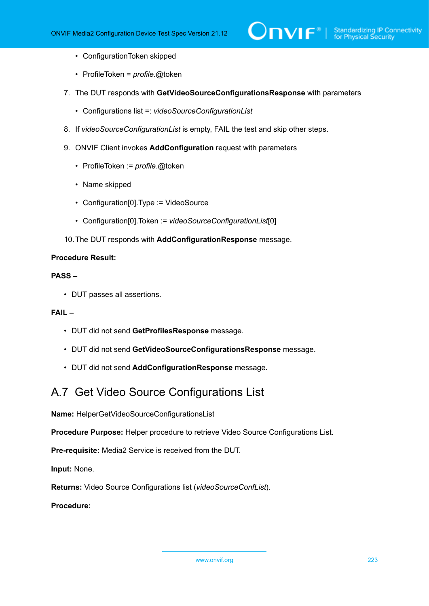- ConfigurationToken skipped
- ProfileToken = *profile*.@token
- 7. The DUT responds with **GetVideoSourceConfigurationsResponse** with parameters
	- Configurations list =: *videoSourceConfigurationList*
- 8. If *videoSourceConfigurationList* is empty, FAIL the test and skip other steps.
- 9. ONVIF Client invokes **AddConfiguration** request with parameters
	- ProfileToken := *profile*.@token
	- Name skipped
	- Configuration[0].Type := VideoSource
	- Configuration[0].Token := *videoSourceConfigurationList*[0]
- 10.The DUT responds with **AddConfigurationResponse** message.

# **PASS –**

• DUT passes all assertions.

# **FAIL –**

- DUT did not send **GetProfilesResponse** message.
- DUT did not send **GetVideoSourceConfigurationsResponse** message.
- DUT did not send **AddConfigurationResponse** message.

# <span id="page-222-0"></span>A.7 Get Video Source Configurations List

**Name:** HelperGetVideoSourceConfigurationsList

**Procedure Purpose:** Helper procedure to retrieve Video Source Configurations List.

**Pre-requisite:** Media2 Service is received from the DUT.

**Input:** None.

**Returns:** Video Source Configurations list (*videoSourceConfList*).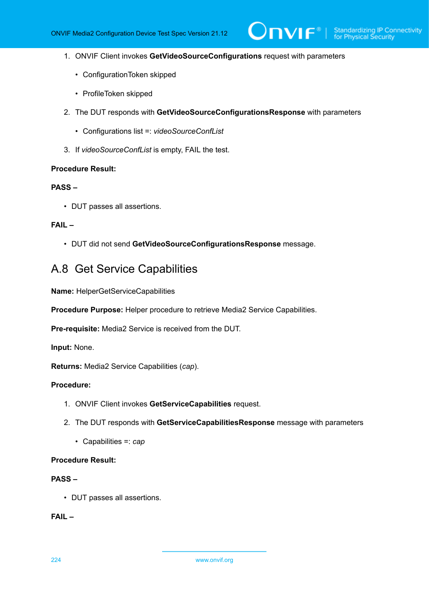$\mathsf{D}\mathbf{N}\mathsf{I}\mathsf{F}^\ast$ l

- 1. ONVIF Client invokes **GetVideoSourceConfigurations** request with parameters
	- ConfigurationToken skipped
	- ProfileToken skipped
- 2. The DUT responds with **GetVideoSourceConfigurationsResponse** with parameters
	- Configurations list =: *videoSourceConfList*
- 3. If *videoSourceConfList* is empty, FAIL the test.

#### **Procedure Result:**

# **PASS –**

• DUT passes all assertions.

## **FAIL –**

• DUT did not send **GetVideoSourceConfigurationsResponse** message.

# <span id="page-223-0"></span>A.8 Get Service Capabilities

**Name:** HelperGetServiceCapabilities

**Procedure Purpose:** Helper procedure to retrieve Media2 Service Capabilities.

**Pre-requisite:** Media2 Service is received from the DUT.

**Input:** None.

**Returns:** Media2 Service Capabilities (*cap*).

### **Procedure:**

- 1. ONVIF Client invokes **GetServiceCapabilities** request.
- 2. The DUT responds with **GetServiceCapabilitiesResponse** message with parameters
	- Capabilities =: *cap*

# **Procedure Result:**

### **PASS –**

• DUT passes all assertions.

# **FAIL –**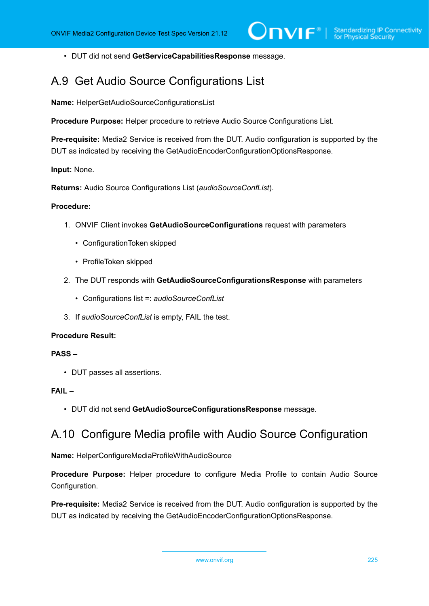• DUT did not send **GetServiceCapabilitiesResponse** message.

# A.9 Get Audio Source Configurations List

**Name:** HelperGetAudioSourceConfigurationsList

**Procedure Purpose:** Helper procedure to retrieve Audio Source Configurations List.

**Pre-requisite:** Media2 Service is received from the DUT. Audio configuration is supported by the DUT as indicated by receiving the GetAudioEncoderConfigurationOptionsResponse.

**Input:** None.

**Returns:** Audio Source Configurations List (*audioSourceConfList*).

#### **Procedure:**

- 1. ONVIF Client invokes **GetAudioSourceConfigurations** request with parameters
	- ConfigurationToken skipped
	- ProfileToken skipped
- 2. The DUT responds with **GetAudioSourceConfigurationsResponse** with parameters
	- Configurations list =: *audioSourceConfList*
- 3. If *audioSourceConfList* is empty, FAIL the test.

### **Procedure Result:**

#### **PASS –**

• DUT passes all assertions.

# **FAIL –**

• DUT did not send **GetAudioSourceConfigurationsResponse** message.

# A.10 Configure Media profile with Audio Source Configuration

**Name:** HelperConfigureMediaProfileWithAudioSource

**Procedure Purpose:** Helper procedure to configure Media Profile to contain Audio Source Configuration.

**Pre-requisite:** Media2 Service is received from the DUT. Audio configuration is supported by the DUT as indicated by receiving the GetAudioEncoderConfigurationOptionsResponse.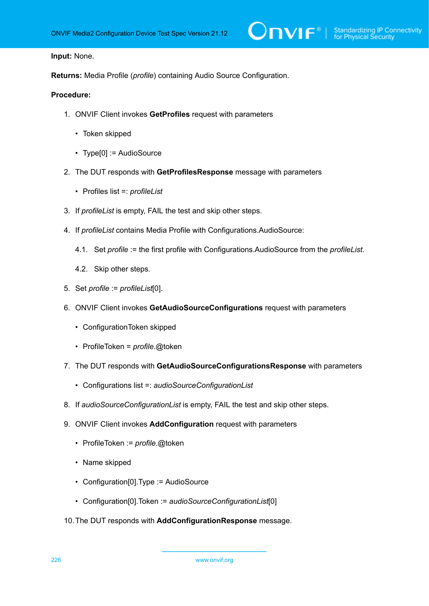#### **Input:** None.

**Returns:** Media Profile (*profile*) containing Audio Source Configuration.

- 1. ONVIF Client invokes **GetProfiles** request with parameters
	- Token skipped
	- Type[0] := AudioSource
- 2. The DUT responds with **GetProfilesResponse** message with parameters
	- Profiles list =: *profileList*
- 3. If *profileList* is empty, FAIL the test and skip other steps.
- 4. If *profileList* contains Media Profile with Configurations.AudioSource:
	- 4.1. Set *profile* := the first profile with Configurations.AudioSource from the *profileList*.
	- 4.2. Skip other steps.
- 5. Set *profile* := *profileList*[0].
- 6. ONVIF Client invokes **GetAudioSourceConfigurations** request with parameters
	- ConfigurationToken skipped
	- ProfileToken = *profile*.@token
- 7. The DUT responds with **GetAudioSourceConfigurationsResponse** with parameters
	- Configurations list =: *audioSourceConfigurationList*
- 8. If *audioSourceConfigurationList* is empty, FAIL the test and skip other steps.
- 9. ONVIF Client invokes **AddConfiguration** request with parameters
	- ProfileToken := *profile*.@token
	- Name skipped
	- Configuration[0]. Type := AudioSource
	- Configuration[0].Token := *audioSourceConfigurationList*[0]
- 10.The DUT responds with **AddConfigurationResponse** message.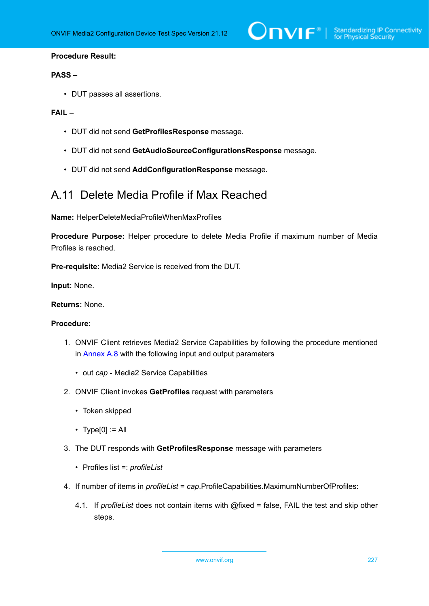### **PASS –**

• DUT passes all assertions.

# **FAIL –**

- DUT did not send **GetProfilesResponse** message.
- DUT did not send **GetAudioSourceConfigurationsResponse** message.
- DUT did not send **AddConfigurationResponse** message.

# A.11 Delete Media Profile if Max Reached

**Name:** HelperDeleteMediaProfileWhenMaxProfiles

**Procedure Purpose:** Helper procedure to delete Media Profile if maximum number of Media Profiles is reached.

**Pre-requisite:** Media2 Service is received from the DUT.

**Input:** None.

**Returns:** None.

- 1. ONVIF Client retrieves Media2 Service Capabilities by following the procedure mentioned in [Annex A.8](#page-223-0) with the following input and output parameters
	- out *cap* Media2 Service Capabilities
- 2. ONVIF Client invokes **GetProfiles** request with parameters
	- Token skipped
	- $\cdot$  Type[0] := All
- 3. The DUT responds with **GetProfilesResponse** message with parameters
	- Profiles list =: *profileList*
- 4. If number of items in *profileList* = *cap*.ProfileCapabilities.MaximumNumberOfProfiles:
	- 4.1. If *profileList* does not contain items with @fixed = false, FAIL the test and skip other steps.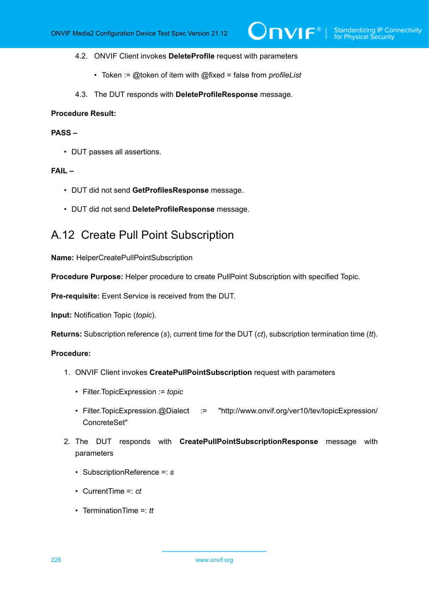- 4.2. ONVIF Client invokes **DeleteProfile** request with parameters
	- Token := @token of item with @fixed = false from *profileList*
- 4.3. The DUT responds with **DeleteProfileResponse** message.

# **PASS –**

• DUT passes all assertions.

#### **FAIL –**

- DUT did not send **GetProfilesResponse** message.
- DUT did not send **DeleteProfileResponse** message.

# A.12 Create Pull Point Subscription

**Name:** HelperCreatePullPointSubscription

**Procedure Purpose:** Helper procedure to create PullPoint Subscription with specified Topic.

**Pre-requisite:** Event Service is received from the DUT.

**Input:** Notification Topic (*topic*).

**Returns:** Subscription reference (*s*), current time for the DUT (*ct*), subscription termination time (*tt*).

- 1. ONVIF Client invokes **CreatePullPointSubscription** request with parameters
	- Filter.TopicExpression := *topic*
	- Filter.TopicExpression.@Dialect := "http://www.onvif.org/ver10/tev/topicExpression/ ConcreteSet"
- 2. The DUT responds with **CreatePullPointSubscriptionResponse** message with parameters
	- SubscriptionReference =: *s*
	- CurrentTime =: *ct*
	- TerminationTime =: *tt*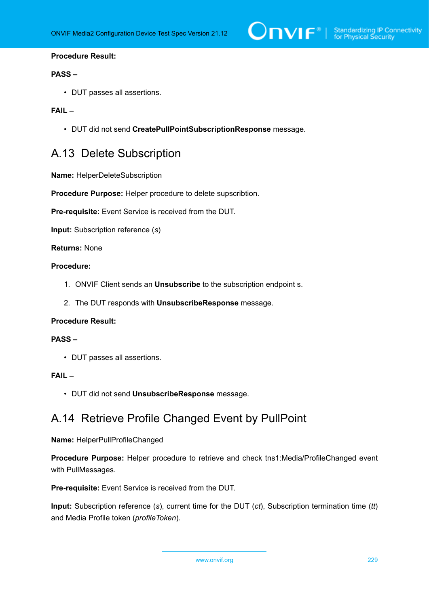

### **PASS –**

• DUT passes all assertions.

## **FAIL –**

• DUT did not send **CreatePullPointSubscriptionResponse** message.

# A.13 Delete Subscription

**Name:** HelperDeleteSubscription

**Procedure Purpose:** Helper procedure to delete supscribtion.

**Pre-requisite:** Event Service is received from the DUT.

**Input:** Subscription reference (*s*)

**Returns:** None

# **Procedure:**

- 1. ONVIF Client sends an **Unsubscribe** to the subscription endpoint s.
- 2. The DUT responds with **UnsubscribeResponse** message.

#### **Procedure Result:**

#### **PASS –**

• DUT passes all assertions.

# **FAIL –**

• DUT did not send **UnsubscribeResponse** message.

# A.14 Retrieve Profile Changed Event by PullPoint

#### **Name:** HelperPullProfileChanged

**Procedure Purpose:** Helper procedure to retrieve and check tns1:Media/ProfileChanged event with PullMessages.

**Pre-requisite:** Event Service is received from the DUT.

**Input:** Subscription reference (*s*), current time for the DUT (*ct*), Subscription termination time (*tt*) and Media Profile token (*profileToken*).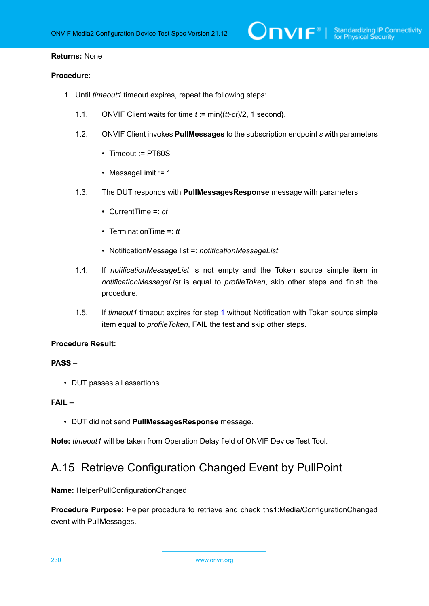### **Returns:** None

## **Procedure:**

- <span id="page-229-0"></span>1. Until *timeout1* timeout expires, repeat the following steps:
	- 1.1. ONVIF Client waits for time *t* := min{(*tt*-*ct*)/2, 1 second}.
	- 1.2. ONVIF Client invokes **PullMessages** to the subscription endpoint *s* with parameters
		- Timeout := PT60S
		- MessageLimit := 1
	- 1.3. The DUT responds with **PullMessagesResponse** message with parameters
		- CurrentTime =: *ct*
		- TerminationTime =: *tt*
		- NotificationMessage list =: *notificationMessageList*
	- 1.4. If *notificationMessageList* is not empty and the Token source simple item in *notificationMessageList* is equal to *profileToken*, skip other steps and finish the procedure.
	- 1.5. If *timeout1* timeout expires for step [1](#page-229-0) without Notification with Token source simple item equal to *profileToken*, FAIL the test and skip other steps.

#### **Procedure Result:**

#### **PASS –**

• DUT passes all assertions.

### **FAIL –**

• DUT did not send **PullMessagesResponse** message.

**Note:** *timeout1* will be taken from Operation Delay field of ONVIF Device Test Tool.

# A.15 Retrieve Configuration Changed Event by PullPoint

**Name:** HelperPullConfigurationChanged

**Procedure Purpose:** Helper procedure to retrieve and check tns1:Media/ConfigurationChanged event with PullMessages.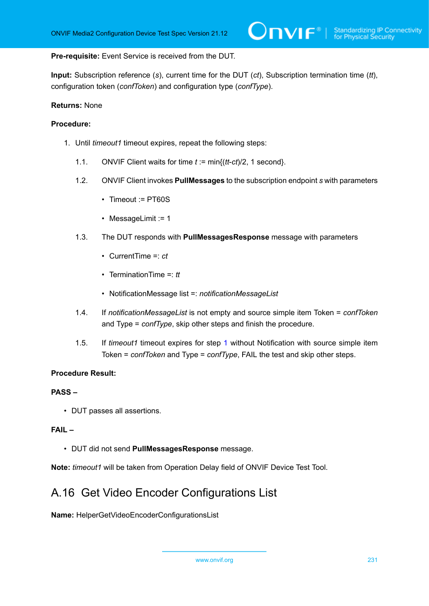**Pre-requisite:** Event Service is received from the DUT.

**Input:** Subscription reference (*s*), current time for the DUT (*ct*), Subscription termination time (*tt*), configuration token (*confToken*) and configuration type (*confType*).

#### **Returns:** None

### **Procedure:**

- <span id="page-230-0"></span>1. Until *timeout1* timeout expires, repeat the following steps:
	- 1.1. ONVIF Client waits for time *t* := min{(*tt*-*ct*)/2, 1 second}.
	- 1.2. ONVIF Client invokes **PullMessages** to the subscription endpoint *s* with parameters
		- Timeout := PT60S
		- MessageLimit := 1
	- 1.3. The DUT responds with **PullMessagesResponse** message with parameters
		- CurrentTime =: *ct*
		- TerminationTime =: *tt*
		- NotificationMessage list =: *notificationMessageList*
	- 1.4. If *notificationMessageList* is not empty and source simple item Token = *confToken* and Type = *confType*, skip other steps and finish the procedure.
	- 1.5. If *timeout1* timeout expires for step [1](#page-230-0) without Notification with source simple item Token = *confToken* and Type = *confType*, FAIL the test and skip other steps.

## **Procedure Result:**

#### **PASS –**

• DUT passes all assertions.

# **FAIL –**

• DUT did not send **PullMessagesResponse** message.

**Note:** *timeout1* will be taken from Operation Delay field of ONVIF Device Test Tool.

# A.16 Get Video Encoder Configurations List

**Name:** HelperGetVideoEncoderConfigurationsList

www.onvif.org 231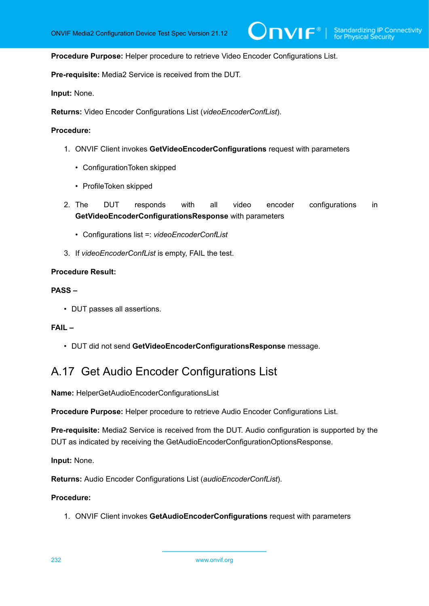$\mathsf{D}\mathbf{N}\mathsf{I}\mathsf{F}^\ast$  :

#### **Procedure Purpose:** Helper procedure to retrieve Video Encoder Configurations List.

**Pre-requisite:** Media2 Service is received from the DUT.

**Input:** None.

**Returns:** Video Encoder Configurations List (*videoEncoderConfList*).

#### **Procedure:**

- 1. ONVIF Client invokes **GetVideoEncoderConfigurations** request with parameters
	- ConfigurationToken skipped
	- ProfileToken skipped
- 2. The DUT responds with all video encoder configurations in **GetVideoEncoderConfigurationsResponse** with parameters
	- Configurations list =: *videoEncoderConfList*
- 3. If *videoEncoderConfList* is empty, FAIL the test.

#### **Procedure Result:**

#### **PASS –**

• DUT passes all assertions.

# **FAIL –**

• DUT did not send **GetVideoEncoderConfigurationsResponse** message.

# A.17 Get Audio Encoder Configurations List

**Name:** HelperGetAudioEncoderConfigurationsList

**Procedure Purpose:** Helper procedure to retrieve Audio Encoder Configurations List.

**Pre-requisite:** Media2 Service is received from the DUT. Audio configuration is supported by the DUT as indicated by receiving the GetAudioEncoderConfigurationOptionsResponse.

**Input:** None.

**Returns:** Audio Encoder Configurations List (*audioEncoderConfList*).

#### **Procedure:**

1. ONVIF Client invokes **GetAudioEncoderConfigurations** request with parameters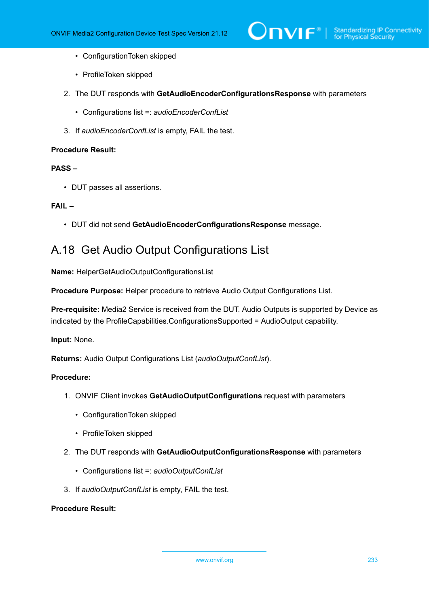- ConfigurationToken skipped
- ProfileToken skipped
- 2. The DUT responds with **GetAudioEncoderConfigurationsResponse** with parameters
	- Configurations list =: *audioEncoderConfList*
- 3. If *audioEncoderConfList* is empty, FAIL the test.

# **PASS –**

• DUT passes all assertions.

# **FAIL –**

• DUT did not send **GetAudioEncoderConfigurationsResponse** message.

# A.18 Get Audio Output Configurations List

**Name:** HelperGetAudioOutputConfigurationsList

**Procedure Purpose:** Helper procedure to retrieve Audio Output Configurations List.

**Pre-requisite:** Media2 Service is received from the DUT. Audio Outputs is supported by Device as indicated by the ProfileCapabilities.ConfigurationsSupported = AudioOutput capability.

**Input:** None.

**Returns:** Audio Output Configurations List (*audioOutputConfList*).

# **Procedure:**

- 1. ONVIF Client invokes **GetAudioOutputConfigurations** request with parameters
	- ConfigurationToken skipped
	- ProfileToken skipped
- 2. The DUT responds with **GetAudioOutputConfigurationsResponse** with parameters
	- Configurations list =: *audioOutputConfList*
- 3. If *audioOutputConfList* is empty, FAIL the test.

# **Procedure Result:**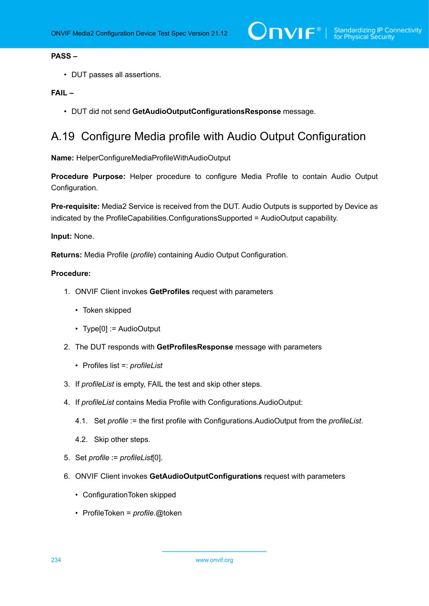# **PASS –**

• DUT passes all assertions.

# **FAIL –**

• DUT did not send **GetAudioOutputConfigurationsResponse** message.

# A.19 Configure Media profile with Audio Output Configuration

**Name:** HelperConfigureMediaProfileWithAudioOutput

**Procedure Purpose:** Helper procedure to configure Media Profile to contain Audio Output Configuration.

**Pre-requisite:** Media2 Service is received from the DUT. Audio Outputs is supported by Device as indicated by the ProfileCapabilities.ConfigurationsSupported = AudioOutput capability.

**Input:** None.

**Returns:** Media Profile (*profile*) containing Audio Output Configuration.

- 1. ONVIF Client invokes **GetProfiles** request with parameters
	- Token skipped
	- Type[0] := AudioOutput
- 2. The DUT responds with **GetProfilesResponse** message with parameters
	- Profiles list =: *profileList*
- 3. If *profileList* is empty, FAIL the test and skip other steps.
- 4. If *profileList* contains Media Profile with Configurations.AudioOutput:
	- 4.1. Set *profile* := the first profile with Configurations.AudioOutput from the *profileList*.
	- 4.2. Skip other steps.
- 5. Set *profile* := *profileList*[0].
- 6. ONVIF Client invokes **GetAudioOutputConfigurations** request with parameters
	- ConfigurationToken skipped
	- ProfileToken = *profile*.@token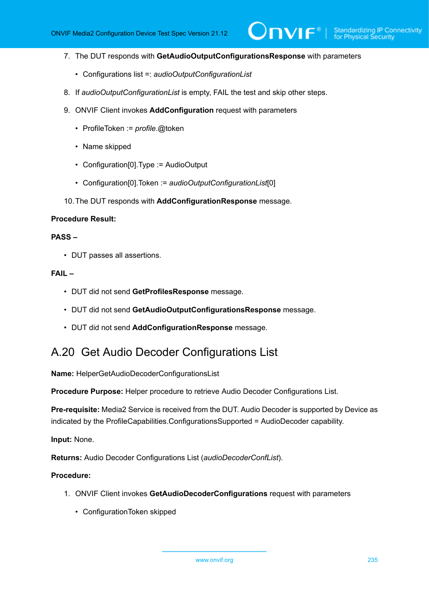7. The DUT responds with **GetAudioOutputConfigurationsResponse** with parameters

 $\mathsf{D}\mathbf{N}\mathsf{I}\mathsf{F}^\ast$ l

- Configurations list =: *audioOutputConfigurationList*
- 8. If *audioOutputConfigurationList* is empty, FAIL the test and skip other steps.
- 9. ONVIF Client invokes **AddConfiguration** request with parameters
	- ProfileToken := *profile*.@token
	- Name skipped
	- Configuration[0].Type := AudioOutput
	- Configuration[0].Token := *audioOutputConfigurationList*[0]
- 10.The DUT responds with **AddConfigurationResponse** message.

#### **Procedure Result:**

# **PASS –**

• DUT passes all assertions.

### **FAIL –**

- DUT did not send **GetProfilesResponse** message.
- DUT did not send **GetAudioOutputConfigurationsResponse** message.
- DUT did not send **AddConfigurationResponse** message.

# A.20 Get Audio Decoder Configurations List

**Name:** HelperGetAudioDecoderConfigurationsList

**Procedure Purpose:** Helper procedure to retrieve Audio Decoder Configurations List.

**Pre-requisite:** Media2 Service is received from the DUT. Audio Decoder is supported by Device as indicated by the ProfileCapabilities.ConfigurationsSupported = AudioDecoder capability.

**Input:** None.

**Returns:** Audio Decoder Configurations List (*audioDecoderConfList*).

#### **Procedure:**

- 1. ONVIF Client invokes **GetAudioDecoderConfigurations** request with parameters
	- ConfigurationToken skipped

www.onvif.org 235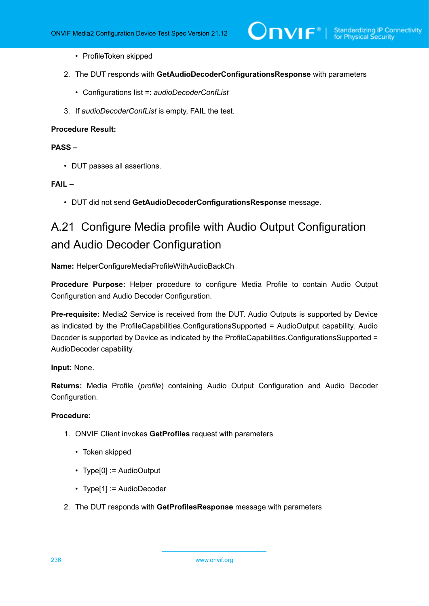- ProfileToken skipped
- 2. The DUT responds with **GetAudioDecoderConfigurationsResponse** with parameters
	- Configurations list =: *audioDecoderConfList*
- 3. If *audioDecoderConfList* is empty, FAIL the test.

# **PASS –**

• DUT passes all assertions.

#### **FAIL –**

• DUT did not send **GetAudioDecoderConfigurationsResponse** message.

# A.21 Configure Media profile with Audio Output Configuration and Audio Decoder Configuration

**Name:** HelperConfigureMediaProfileWithAudioBackCh

**Procedure Purpose:** Helper procedure to configure Media Profile to contain Audio Output Configuration and Audio Decoder Configuration.

**Pre-requisite:** Media2 Service is received from the DUT. Audio Outputs is supported by Device as indicated by the ProfileCapabilities.ConfigurationsSupported = AudioOutput capability. Audio Decoder is supported by Device as indicated by the ProfileCapabilities.ConfigurationsSupported = AudioDecoder capability.

# **Input:** None.

**Returns:** Media Profile (*profile*) containing Audio Output Configuration and Audio Decoder Configuration.

- 1. ONVIF Client invokes **GetProfiles** request with parameters
	- Token skipped
	- Type[0] := AudioOutput
	- Type[1] := AudioDecoder
- 2. The DUT responds with **GetProfilesResponse** message with parameters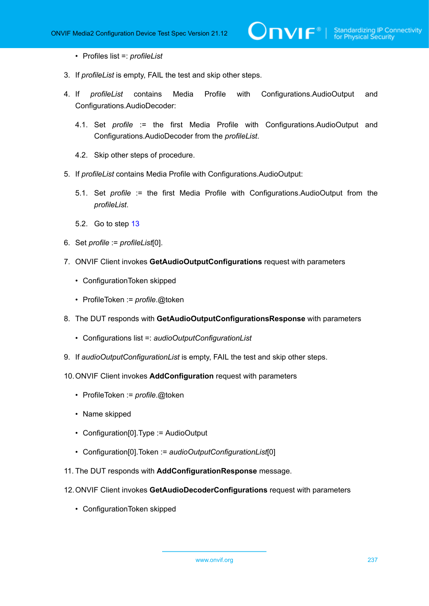- Profiles list =: *profileList*
- 3. If *profileList* is empty, FAIL the test and skip other steps.
- 4. If *profileList* contains Media Profile with Configurations.AudioOutput and Configurations.AudioDecoder:

 $\mathsf{D}\mathbf{n}\mathsf{V}$ lf $^\circ$ l

- 4.1. Set *profile* := the first Media Profile with Configurations.AudioOutput and Configurations.AudioDecoder from the *profileList*.
- 4.2. Skip other steps of procedure.
- 5. If *profileList* contains Media Profile with Configurations.AudioOutput:
	- 5.1. Set *profile* := the first Media Profile with Configurations.AudioOutput from the *profileList*.
	- 5.2. Go to step [13](#page-237-0)
- 6. Set *profile* := *profileList*[0].
- 7. ONVIF Client invokes **GetAudioOutputConfigurations** request with parameters
	- ConfigurationToken skipped
	- ProfileToken := *profile*.@token
- 8. The DUT responds with **GetAudioOutputConfigurationsResponse** with parameters
	- Configurations list =: *audioOutputConfigurationList*
- 9. If *audioOutputConfigurationList* is empty, FAIL the test and skip other steps.
- 10.ONVIF Client invokes **AddConfiguration** request with parameters
	- ProfileToken := *profile*.@token
	- Name skipped
	- Configuration[0].Type := AudioOutput
	- Configuration[0].Token := *audioOutputConfigurationList*[0]
- 11. The DUT responds with **AddConfigurationResponse** message.
- 12.ONVIF Client invokes **GetAudioDecoderConfigurations** request with parameters
	- ConfigurationToken skipped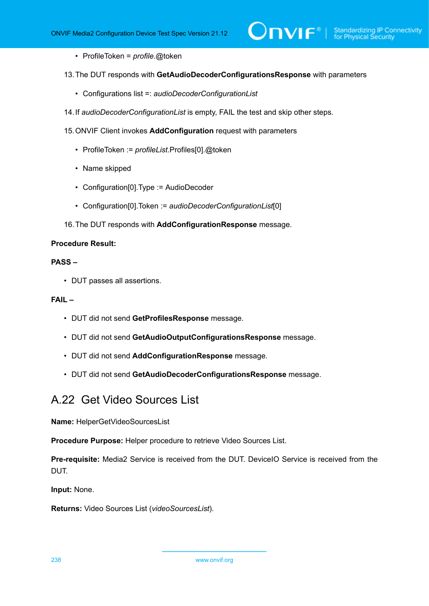- ProfileToken = *profile*.@token
- <span id="page-237-0"></span>13.The DUT responds with **GetAudioDecoderConfigurationsResponse** with parameters
	- Configurations list =: *audioDecoderConfigurationList*
- 14.If *audioDecoderConfigurationList* is empty, FAIL the test and skip other steps.
- 15.ONVIF Client invokes **AddConfiguration** request with parameters
	- ProfileToken := *profileList*.Profiles[0].@token
	- Name skipped
	- Configuration[0].Type := AudioDecoder
	- Configuration[0].Token := *audioDecoderConfigurationList*[0]
- 16.The DUT responds with **AddConfigurationResponse** message.

### **PASS –**

• DUT passes all assertions.

### **FAIL –**

- DUT did not send **GetProfilesResponse** message.
- DUT did not send **GetAudioOutputConfigurationsResponse** message.
- DUT did not send **AddConfigurationResponse** message.
- DUT did not send **GetAudioDecoderConfigurationsResponse** message.

# A.22 Get Video Sources List

**Name:** HelperGetVideoSourcesList

**Procedure Purpose:** Helper procedure to retrieve Video Sources List.

**Pre-requisite:** Media2 Service is received from the DUT. DeviceIO Service is received from the DUT.

**Input:** None.

**Returns:** Video Sources List (*videoSourcesList*).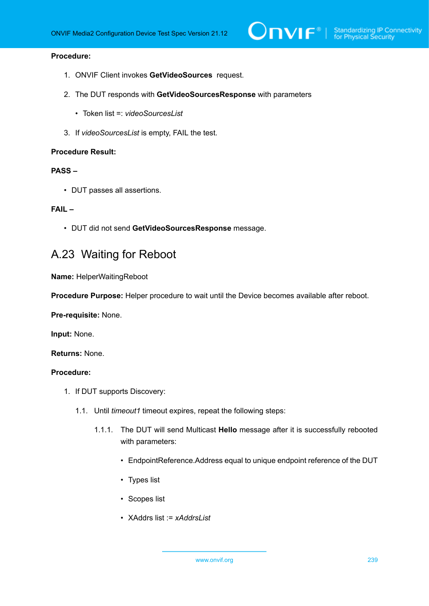# **Procedure:**

- 1. ONVIF Client invokes **GetVideoSources** request.
- 2. The DUT responds with **GetVideoSourcesResponse** with parameters
	- Token list =: *videoSourcesList*
- 3. If *videoSourcesList* is empty, FAIL the test.

#### **Procedure Result:**

# **PASS –**

• DUT passes all assertions.

#### **FAIL –**

• DUT did not send **GetVideoSourcesResponse** message.

# A.23 Waiting for Reboot

**Name:** HelperWaitingReboot

**Procedure Purpose:** Helper procedure to wait until the Device becomes available after reboot.

**Pre-requisite:** None.

**Input:** None.

**Returns:** None.

- <span id="page-238-0"></span>1. If DUT supports Discovery:
	- 1.1. Until *timeout1* timeout expires, repeat the following steps:
		- 1.1.1. The DUT will send Multicast **Hello** message after it is successfully rebooted with parameters:
			- EndpointReference.Address equal to unique endpoint reference of the DUT
			- Types list
			- Scopes list
			- XAddrs list := *xAddrsList*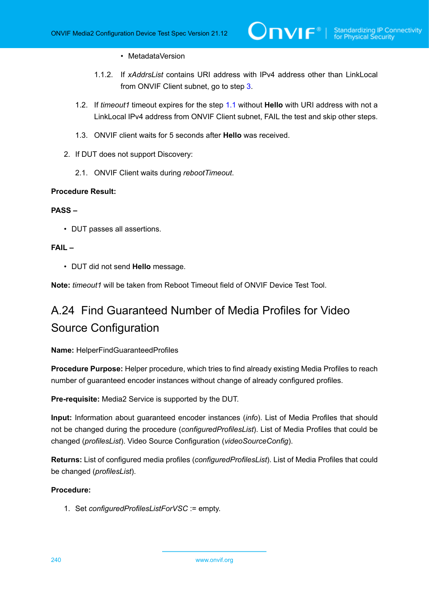## • MetadataVersion

- 1.1.2. If *xAddrsList* contains URI address with IPv4 address other than LinkLocal from ONVIF Client subnet, go to step [3](#page-239-0).
- 1.2. If *timeout1* timeout expires for the step [1.1](#page-238-0) without **Hello** with URI address with not a LinkLocal IPv4 address from ONVIF Client subnet, FAIL the test and skip other steps.
- 1.3. ONVIF client waits for 5 seconds after **Hello** was received.
- <span id="page-239-0"></span>2. If DUT does not support Discovery:
	- 2.1. ONVIF Client waits during *rebootTimeout*.

# **Procedure Result:**

# **PASS –**

• DUT passes all assertions.

# **FAIL –**

• DUT did not send **Hello** message.

**Note:** *timeout1* will be taken from Reboot Timeout field of ONVIF Device Test Tool.

# A.24 Find Guaranteed Number of Media Profiles for Video Source Configuration

**Name:** HelperFindGuaranteedProfiles

**Procedure Purpose:** Helper procedure, which tries to find already existing Media Profiles to reach number of guaranteed encoder instances without change of already configured profiles.

**Pre-requisite:** Media2 Service is supported by the DUT.

**Input:** Information about guaranteed encoder instances (*info*). List of Media Profiles that should not be changed during the procedure (*configuredProfilesList*). List of Media Profiles that could be changed (*profilesList*). Video Source Configuration (*videoSourceConfig*).

**Returns:** List of configured media profiles (*configuredProfilesList*). List of Media Profiles that could be changed (*profilesList*).

# **Procedure:**

1. Set *configuredProfilesListForVSC* := empty.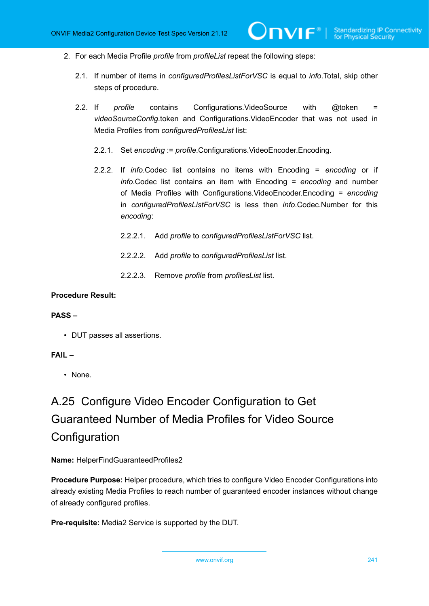- 2. For each Media Profile *profile* from *profileList* repeat the following steps:
	- 2.1. If number of items in *configuredProfilesListForVSC* is equal to *info*.Total, skip other steps of procedure.
	- 2.2. If *profile* contains Configurations.VideoSource with @token = *videoSourceConfig*.token and Configurations.VideoEncoder that was not used in Media Profiles from *configuredProfilesList* list:
		- 2.2.1. Set *encoding* := *profile*.Configurations.VideoEncoder.Encoding.
		- 2.2.2. If *info*.Codec list contains no items with Encoding = *encoding* or if *info*.Codec list contains an item with Encoding = *encoding* and number of Media Profiles with Configurations.VideoEncoder.Encoding = *encoding* in *configuredProfilesListForVSC* is less then *info*.Codec.Number for this *encoding*:
			- 2.2.2.1. Add *profile* to *configuredProfilesListForVSC* list.
			- 2.2.2.2. Add *profile* to *configuredProfilesList* list.
			- 2.2.2.3. Remove *profile* from *profilesList* list.

#### **PASS –**

• DUT passes all assertions.

#### **FAIL –**

• None.

# A.25 Configure Video Encoder Configuration to Get Guaranteed Number of Media Profiles for Video Source **Configuration**

**Name:** HelperFindGuaranteedProfiles2

**Procedure Purpose:** Helper procedure, which tries to configure Video Encoder Configurations into already existing Media Profiles to reach number of guaranteed encoder instances without change of already configured profiles.

**Pre-requisite:** Media2 Service is supported by the DUT.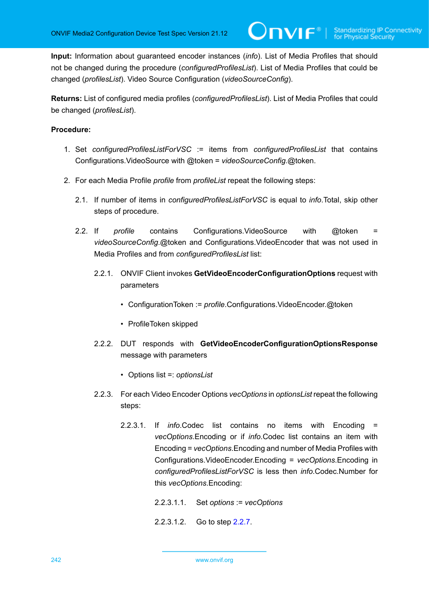**Input:** Information about guaranteed encoder instances (*info*). List of Media Profiles that should not be changed during the procedure (*configuredProfilesList*). List of Media Profiles that could be changed (*profilesList*). Video Source Configuration (*videoSourceConfig*).

**Returns:** List of configured media profiles (*configuredProfilesList*). List of Media Profiles that could be changed (*profilesList*).

- 1. Set *configuredProfilesListForVSC* := items from *configuredProfilesList* that contains Configurations.VideoSource with @token = *videoSourceConfig*.@token.
- <span id="page-241-0"></span>2. For each Media Profile *profile* from *profileList* repeat the following steps:
	- 2.1. If number of items in *configuredProfilesListForVSC* is equal to *info*.Total, skip other steps of procedure.
	- 2.2. If *profile* contains Configurations. VideoSource with @token = *videoSourceConfig*.@token and Configurations.VideoEncoder that was not used in Media Profiles and from *configuredProfilesList* list:
		- 2.2.1. ONVIF Client invokes **GetVideoEncoderConfigurationOptions** request with parameters
			- ConfigurationToken := *profile*.Configurations.VideoEncoder.@token
			- ProfileToken skipped
		- 2.2.2. DUT responds with **GetVideoEncoderConfigurationOptionsResponse** message with parameters
			- Options list =: *optionsList*
		- 2.2.3. For each Video Encoder Options *vecOptions* in *optionsList* repeat the following steps:
			- 2.2.3.1. If *info*.Codec list contains no items with Encoding = *vecOptions*.Encoding or if *info*.Codec list contains an item with Encoding = *vecOptions*.Encoding and number of Media Profiles with Configurations.VideoEncoder.Encoding = *vecOptions*.Encoding in *configuredProfilesListForVSC* is less then *info*.Codec.Number for this *vecOptions*.Encoding:
				- 2.2.3.1.1. Set *options* := *vecOptions*
				- 2.2.3.1.2. Go to step [2.2.7](#page-242-0).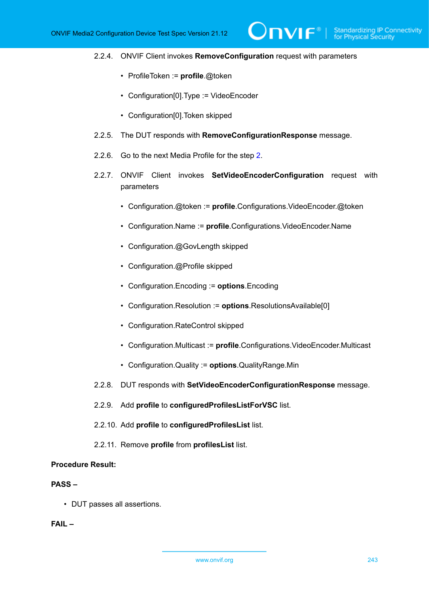# 2.2.4. ONVIF Client invokes **RemoveConfiguration** request with parameters

 $\partial$ DVIF $^{\circ}$ 

- ProfileToken := **profile**.@token
- Configuration[0].Type := VideoEncoder
- Configuration[0].Token skipped
- 2.2.5. The DUT responds with **RemoveConfigurationResponse** message.
- 2.2.6. Go to the next Media Profile for the step [2.](#page-241-0)
- <span id="page-242-0"></span>2.2.7. ONVIF Client invokes **SetVideoEncoderConfiguration** request with parameters
	- Configuration.@token := **profile**.Configurations.VideoEncoder.@token
	- Configuration.Name := **profile**.Configurations.VideoEncoder.Name
	- Configuration.@GovLength skipped
	- Configuration.@Profile skipped
	- Configuration.Encoding := **options**.Encoding
	- Configuration.Resolution := **options**.ResolutionsAvailable[0]
	- Configuration.RateControl skipped
	- Configuration.Multicast := **profile**.Configurations.VideoEncoder.Multicast
	- Configuration.Quality := **options**.QualityRange.Min
- 2.2.8. DUT responds with **SetVideoEncoderConfigurationResponse** message.
- 2.2.9. Add **profile** to **configuredProfilesListForVSC** list.
- 2.2.10. Add **profile** to **configuredProfilesList** list.
- 2.2.11. Remove **profile** from **profilesList** list.

#### **Procedure Result:**

# **PASS –**

• DUT passes all assertions.

# **FAIL –**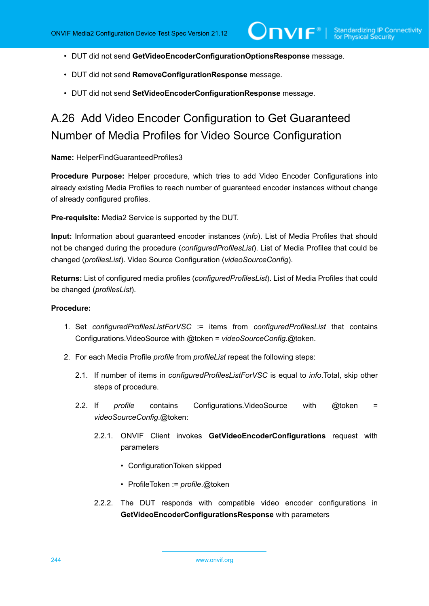$\mathsf{D}\mathsf{N}\mathsf{H}^*$ l

- DUT did not send **GetVideoEncoderConfigurationOptionsResponse** message.
- DUT did not send **RemoveConfigurationResponse** message.
- DUT did not send **SetVideoEncoderConfigurationResponse** message.

# A.26 Add Video Encoder Configuration to Get Guaranteed Number of Media Profiles for Video Source Configuration

**Name:** HelperFindGuaranteedProfiles3

**Procedure Purpose:** Helper procedure, which tries to add Video Encoder Configurations into already existing Media Profiles to reach number of guaranteed encoder instances without change of already configured profiles.

**Pre-requisite:** Media2 Service is supported by the DUT.

**Input:** Information about guaranteed encoder instances (*info*). List of Media Profiles that should not be changed during the procedure (*configuredProfilesList*). List of Media Profiles that could be changed (*profilesList*). Video Source Configuration (*videoSourceConfig*).

**Returns:** List of configured media profiles (*configuredProfilesList*). List of Media Profiles that could be changed (*profilesList*).

- 1. Set *configuredProfilesListForVSC* := items from *configuredProfilesList* that contains Configurations.VideoSource with @token = *videoSourceConfig*.@token.
- <span id="page-243-0"></span>2. For each Media Profile *profile* from *profileList* repeat the following steps:
	- 2.1. If number of items in *configuredProfilesListForVSC* is equal to *info*.Total, skip other steps of procedure.
	- 2.2. If *profile* contains Configurations.VideoSource with @token = *videoSourceConfig*.@token:
		- 2.2.1. ONVIF Client invokes **GetVideoEncoderConfigurations** request with parameters
			- ConfigurationToken skipped
			- ProfileToken := *profile*.@token
		- 2.2.2. The DUT responds with compatible video encoder configurations in **GetVideoEncoderConfigurationsResponse** with parameters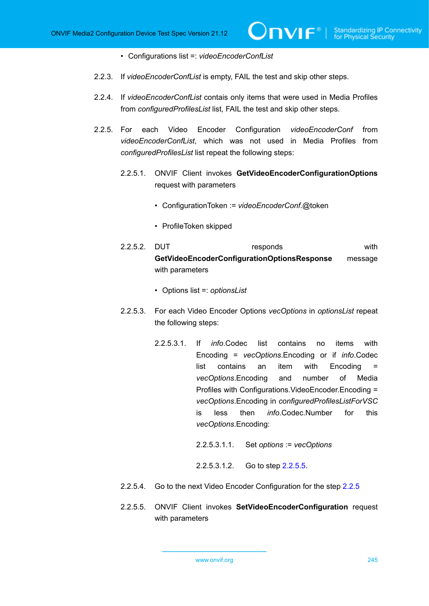- Configurations list =: *videoEncoderConfList*
- 2.2.3. If *videoEncoderConfList* is empty, FAIL the test and skip other steps.
- 2.2.4. If *videoEncoderConfList* contais only items that were used in Media Profiles from *configuredProfilesList* list, FAIL the test and skip other steps.
- <span id="page-244-1"></span>2.2.5. For each Video Encoder Configuration *videoEncoderConf* from *videoEncoderConfList*, which was not used in Media Profiles from *configuredProfilesList* list repeat the following steps:
	- 2.2.5.1. ONVIF Client invokes **GetVideoEncoderConfigurationOptions** request with parameters
		- ConfigurationToken := *videoEncoderConf*.@token
		- ProfileToken skipped
	- 2.2.5.2. DUT responds with **GetVideoEncoderConfigurationOptionsResponse** message with parameters
		- Options list =: *optionsList*
	- 2.2.5.3. For each Video Encoder Options *vecOptions* in *optionsList* repeat the following steps:
		- 2.2.5.3.1. If *info*.Codec list contains no items with Encoding = *vecOptions*.Encoding or if *info*.Codec list contains an item with Encoding = *vecOptions*.Encoding and number of Media Profiles with Configurations.VideoEncoder.Encoding = *vecOptions*.Encoding in *configuredProfilesListForVSC* is less then *info*.Codec.Number for this *vecOptions*.Encoding:
			- 2.2.5.3.1.1. Set *options* := *vecOptions*
			- 2.2.5.3.1.2. Go to step [2.2.5.5](#page-244-0).
	- [2.2.5](#page-244-1).4. Go to the next Video Encoder Configuration for the step 2.2.5
	- 2.2.5.5. ONVIF Client invokes **SetVideoEncoderConfiguration** request with parameters

<span id="page-244-0"></span>www.onvif.org 245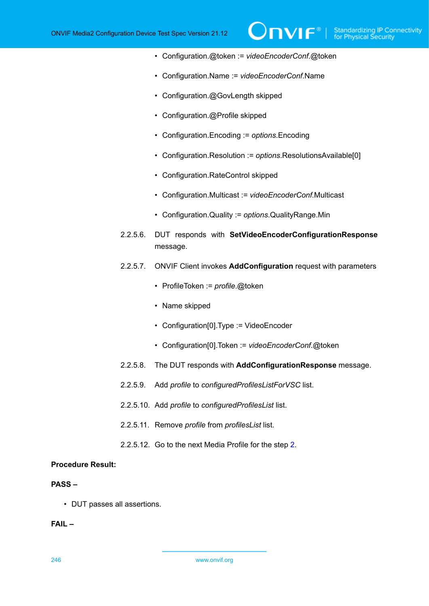• Configuration.@token := *videoEncoderConf*.@token

 $\partial$ NIF $^{\circ}$ 

- Configuration.Name := *videoEncoderConf*.Name
- Configuration.@GovLength skipped
- Configuration.@Profile skipped
- Configuration.Encoding := *options*.Encoding
- Configuration.Resolution := *options*.ResolutionsAvailable[0]
- Configuration.RateControl skipped
- Configuration.Multicast := *videoEncoderConf*.Multicast
- Configuration.Quality := *options*.QualityRange.Min
- 2.2.5.6. DUT responds with **SetVideoEncoderConfigurationResponse** message.
- 2.2.5.7. ONVIF Client invokes **AddConfiguration** request with parameters
	- ProfileToken := *profile*.@token
	- Name skipped
	- Configuration[0].Type := VideoEncoder
	- Configuration[0].Token := *videoEncoderConf*.@token
- 2.2.5.8. The DUT responds with **AddConfigurationResponse** message.
- 2.2.5.9. Add *profile* to *configuredProfilesListForVSC* list.
- 2.2.5.10. Add *profile* to *configuredProfilesList* list.
- 2.2.5.11. Remove *profile* from *profilesList* list.
- 2.2.5.12. Go to the next Media Profile for the step [2.](#page-243-0)

#### **Procedure Result:**

#### **PASS –**

• DUT passes all assertions.

# **FAIL –**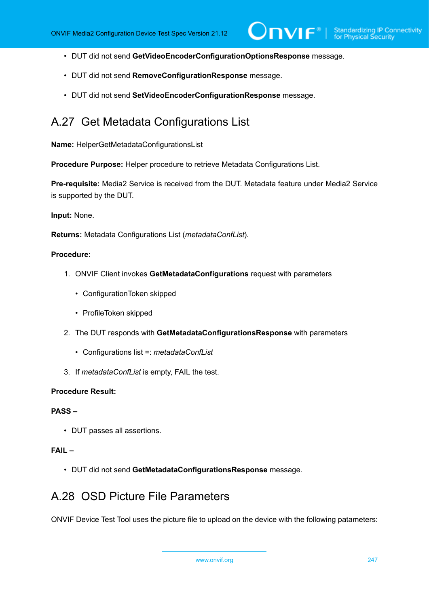$\mathsf{D}\mathbf{n}\mathsf{V}$ lf $^\circ$ l

- DUT did not send **GetVideoEncoderConfigurationOptionsResponse** message.
- DUT did not send **RemoveConfigurationResponse** message.
- DUT did not send **SetVideoEncoderConfigurationResponse** message.

# A.27 Get Metadata Configurations List

**Name:** HelperGetMetadataConfigurationsList

**Procedure Purpose:** Helper procedure to retrieve Metadata Configurations List.

**Pre-requisite:** Media2 Service is received from the DUT. Metadata feature under Media2 Service is supported by the DUT.

**Input:** None.

**Returns:** Metadata Configurations List (*metadataConfList*).

#### **Procedure:**

- 1. ONVIF Client invokes **GetMetadataConfigurations** request with parameters
	- ConfigurationToken skipped
	- ProfileToken skipped
- 2. The DUT responds with **GetMetadataConfigurationsResponse** with parameters
	- Configurations list =: *metadataConfList*
- 3. If *metadataConfList* is empty, FAIL the test.

### **Procedure Result:**

#### **PASS –**

• DUT passes all assertions.

#### **FAIL –**

• DUT did not send **GetMetadataConfigurationsResponse** message.

# A.28 OSD Picture File Parameters

ONVIF Device Test Tool uses the picture file to upload on the device with the following patameters:

www.onvif.org 247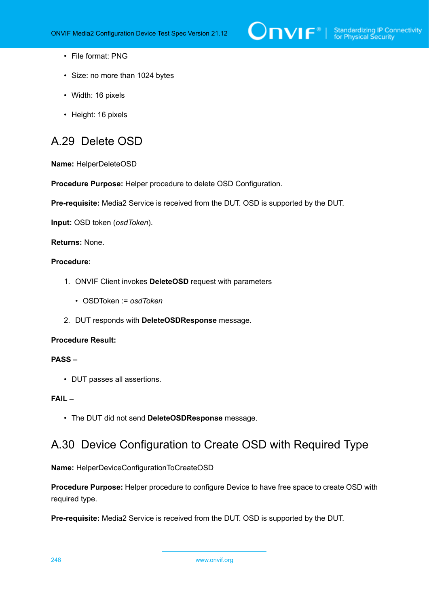- File format: PNG
- Size: no more than 1024 bytes
- Width: 16 pixels
- Height: 16 pixels

# <span id="page-247-0"></span>A.29 Delete OSD

**Name:** HelperDeleteOSD

**Procedure Purpose:** Helper procedure to delete OSD Configuration.

**Pre-requisite:** Media2 Service is received from the DUT. OSD is supported by the DUT.

**Input:** OSD token (*osdToken*).

**Returns:** None.

## **Procedure:**

- 1. ONVIF Client invokes **DeleteOSD** request with parameters
	- OSDToken := *osdToken*
- 2. DUT responds with **DeleteOSDResponse** message.

#### **Procedure Result:**

# **PASS –**

• DUT passes all assertions.

# **FAIL –**

• The DUT did not send **DeleteOSDResponse** message.

# A.30 Device Configuration to Create OSD with Required Type

**Name:** HelperDeviceConfigurationToCreateOSD

**Procedure Purpose:** Helper procedure to configure Device to have free space to create OSD with required type.

**Pre-requisite:** Media2 Service is received from the DUT. OSD is supported by the DUT.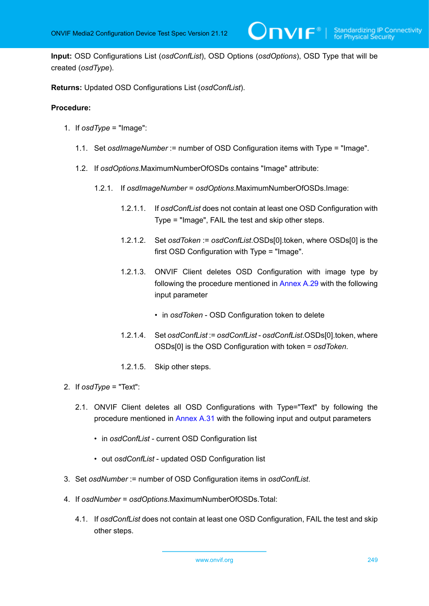**Input:** OSD Configurations List (*osdConfList*), OSD Options (*osdOptions*), OSD Type that will be created (*osdType*).

**Returns:** Updated OSD Configurations List (*osdConfList*).

## **Procedure:**

- 1. If *osdType* = "Image":
	- 1.1. Set *osdImageNumber* := number of OSD Configuration items with Type = "Image".
	- 1.2. If *osdOptions*.MaximumNumberOfOSDs contains "Image" attribute:
		- 1.2.1. If *osdImageNumber* = *osdOptions*.MaximumNumberOfOSDs.Image:
			- 1.2.1.1. If *osdConfList* does not contain at least one OSD Configuration with Type = "Image", FAIL the test and skip other steps.

 $\mathsf{J}\mathsf{N}\mathsf{N}\mathsf{F}^\ast$  i

- 1.2.1.2. Set *osdToken* := *osdConfList*.OSDs[0].token, where OSDs[0] is the first OSD Configuration with Type = "Image".
- 1.2.1.3. ONVIF Client deletes OSD Configuration with image type by following the procedure mentioned in [Annex A.29](#page-247-0) with the following input parameter
	- in *osdToken* OSD Configuration token to delete
- 1.2.1.4. Set *osdConfList* := *osdConfList osdConfList*.OSDs[0].token, where OSDs[0] is the OSD Configuration with token = *osdToken*.
- 1.2.1.5. Skip other steps.
- 2. If *osdType* = "Text":
	- 2.1. ONVIF Client deletes all OSD Configurations with Type="Text" by following the procedure mentioned in [Annex A.31](#page-249-0) with the following input and output parameters
		- in *osdConfList* current OSD Configuration list
		- out *osdConfList* updated OSD Configuration list
- 3. Set *osdNumber* := number of OSD Configuration items in *osdConfList*.
- 4. If *osdNumber* = *osdOptions*.MaximumNumberOfOSDs.Total:
	- 4.1. If *osdConfList* does not contain at least one OSD Configuration, FAIL the test and skip other steps.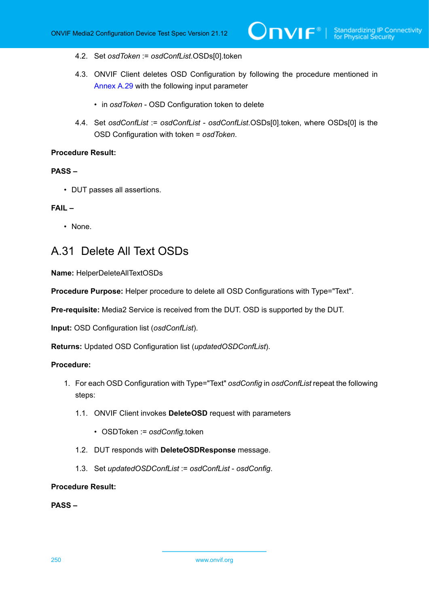- 4.2. Set *osdToken* := *osdConfList*.OSDs[0].token
- 4.3. ONVIF Client deletes OSD Configuration by following the procedure mentioned in [Annex A.29](#page-247-0) with the following input parameter
	- in *osdToken* OSD Configuration token to delete
- 4.4. Set *osdConfList* := *osdConfList osdConfList*.OSDs[0].token, where OSDs[0] is the OSD Configuration with token = *osdToken*.

# **PASS –**

• DUT passes all assertions.

#### **FAIL –**

• None.

# <span id="page-249-0"></span>A.31 Delete All Text OSDs

**Name:** HelperDeleteAllTextOSDs

**Procedure Purpose:** Helper procedure to delete all OSD Configurations with Type="Text".

**Pre-requisite:** Media2 Service is received from the DUT. OSD is supported by the DUT.

**Input:** OSD Configuration list (*osdConfList*).

**Returns:** Updated OSD Configuration list (*updatedOSDConfList*).

# **Procedure:**

- 1. For each OSD Configuration with Type="Text" *osdConfig* in *osdConfList* repeat the following steps:
	- 1.1. ONVIF Client invokes **DeleteOSD** request with parameters
		- OSDToken := *osdConfig*.token
	- 1.2. DUT responds with **DeleteOSDResponse** message.
	- 1.3. Set *updatedOSDConfList* := *osdConfList osdConfig*.

## **Procedure Result:**

**PASS –**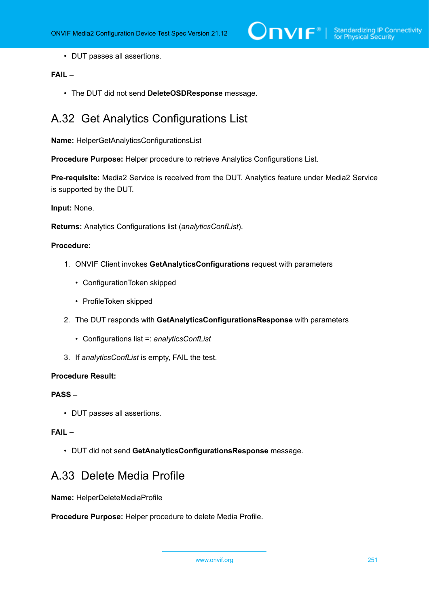• DUT passes all assertions.

# **FAIL –**

• The DUT did not send **DeleteOSDResponse** message.

# A.32 Get Analytics Configurations List

**Name:** HelperGetAnalyticsConfigurationsList

**Procedure Purpose:** Helper procedure to retrieve Analytics Configurations List.

**Pre-requisite:** Media2 Service is received from the DUT. Analytics feature under Media2 Service is supported by the DUT.

**Input:** None.

**Returns:** Analytics Configurations list (*analyticsConfList*).

# **Procedure:**

- 1. ONVIF Client invokes **GetAnalyticsConfigurations** request with parameters
	- ConfigurationToken skipped
	- ProfileToken skipped
- 2. The DUT responds with **GetAnalyticsConfigurationsResponse** with parameters
	- Configurations list =: *analyticsConfList*
- 3. If *analyticsConfList* is empty, FAIL the test.

#### **Procedure Result:**

#### **PASS –**

• DUT passes all assertions.

# **FAIL –**

• DUT did not send **GetAnalyticsConfigurationsResponse** message.

# A.33 Delete Media Profile

**Name:** HelperDeleteMediaProfile

**Procedure Purpose:** Helper procedure to delete Media Profile.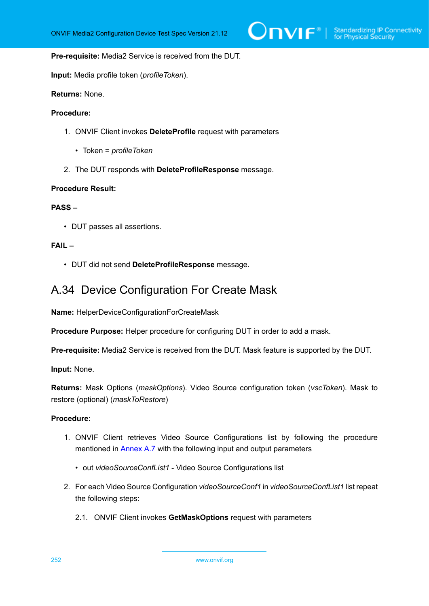**Pre-requisite:** Media2 Service is received from the DUT.

**Input:** Media profile token (*profileToken*).

**Returns:** None.

#### **Procedure:**

- 1. ONVIF Client invokes **DeleteProfile** request with parameters
	- Token = *profileToken*
- 2. The DUT responds with **DeleteProfileResponse** message.

### **Procedure Result:**

# **PASS –**

• DUT passes all assertions.

# **FAIL –**

• DUT did not send **DeleteProfileResponse** message.

# A.34 Device Configuration For Create Mask

**Name:** HelperDeviceConfigurationForCreateMask

**Procedure Purpose:** Helper procedure for configuring DUT in order to add a mask.

**Pre-requisite:** Media2 Service is received from the DUT. Mask feature is supported by the DUT.

**Input:** None.

**Returns:** Mask Options (*maskOptions*). Video Source configuration token (*vscToken*). Mask to restore (optional) (*maskToRestore*)

- 1. ONVIF Client retrieves Video Source Configurations list by following the procedure mentioned in [Annex A.7](#page-222-0) with the following input and output parameters
	- out *videoSourceConfList1* Video Source Configurations list
- 2. For each Video Source Configuration *videoSourceConf1* in *videoSourceConfList1* list repeat the following steps:
	- 2.1. ONVIF Client invokes **GetMaskOptions** request with parameters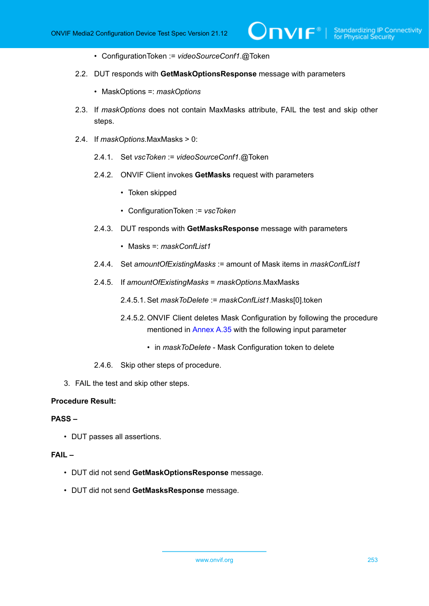- ConfigurationToken := *videoSourceConf1*.@Token
- 2.2. DUT responds with **GetMaskOptionsResponse** message with parameters
	- MaskOptions =: *maskOptions*
- 2.3. If *maskOptions* does not contain MaxMasks attribute, FAIL the test and skip other steps.

 $\mathsf{D}\mathbf{n}\mathsf{V}$ lf $^\circ$ l

- 2.4. If *maskOptions*.MaxMasks > 0:
	- 2.4.1. Set *vscToken* := *videoSourceConf1*.@Token
	- 2.4.2. ONVIF Client invokes **GetMasks** request with parameters
		- Token skipped
		- ConfigurationToken := *vscToken*
	- 2.4.3. DUT responds with **GetMasksResponse** message with parameters
		- Masks =: *maskConfList1*
	- 2.4.4. Set *amountOfExistingMasks* := amount of Mask items in *maskConfList1*
	- 2.4.5. If *amountOfExistingMasks* = *maskOptions*.MaxMasks
		- 2.4.5.1. Set *maskToDelete* := *maskConfList1*.Masks[0].token
		- 2.4.5.2. ONVIF Client deletes Mask Configuration by following the procedure mentioned in [Annex A.35](#page-253-0) with the following input parameter
			- in *maskToDelete* Mask Configuration token to delete
	- 2.4.6. Skip other steps of procedure.
- 3. FAIL the test and skip other steps.

#### **Procedure Result:**

#### **PASS –**

• DUT passes all assertions.

#### **FAIL –**

- DUT did not send **GetMaskOptionsResponse** message.
- DUT did not send **GetMasksResponse** message.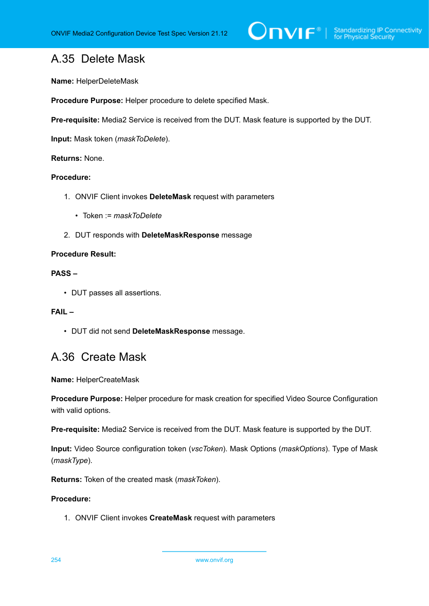## <span id="page-253-0"></span>A.35 Delete Mask

**Name:** HelperDeleteMask

**Procedure Purpose:** Helper procedure to delete specified Mask.

**Pre-requisite:** Media2 Service is received from the DUT. Mask feature is supported by the DUT.

**Input:** Mask token (*maskToDelete*).

#### **Returns:** None.

#### **Procedure:**

- 1. ONVIF Client invokes **DeleteMask** request with parameters
	- Token := *maskToDelete*
- 2. DUT responds with **DeleteMaskResponse** message

#### **Procedure Result:**

## **PASS –**

• DUT passes all assertions.

## **FAIL –**

• DUT did not send **DeleteMaskResponse** message.

## A.36 Create Mask

**Name:** HelperCreateMask

**Procedure Purpose:** Helper procedure for mask creation for specified Video Source Configuration with valid options.

**Pre-requisite:** Media2 Service is received from the DUT. Mask feature is supported by the DUT.

**Input:** Video Source configuration token (*vscToken*). Mask Options (*maskOptions*). Type of Mask (*maskType*).

**Returns:** Token of the created mask (*maskToken*).

#### **Procedure:**

1. ONVIF Client invokes **CreateMask** request with parameters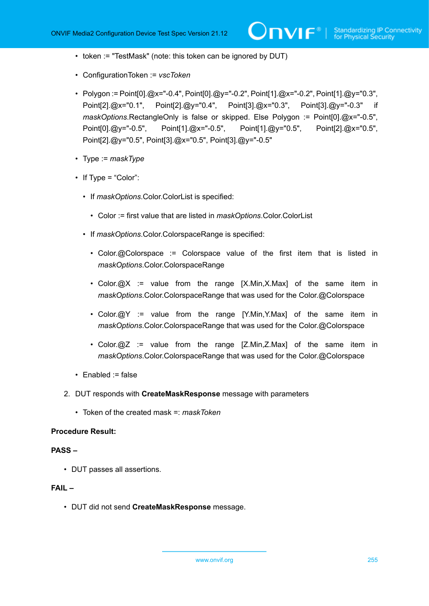- token := "TestMask" (note: this token can be ignored by DUT)
- ConfigurationToken := *vscToken*
- Polygon := Point[0].@x="-0.4", Point[0].@y="-0.2", Point[1].@x="-0.2", Point[1].@y="0.3", Point[2].@x="0.1", Point[2].@y="0.4", Point[3].@x="0.3", Point[3].@y="-0.3" if *maskOptions*.RectangleOnly is false or skipped. Else Polygon := Point[0].@x="-0.5", Point[0].@y="-0.5", Point[1].@x="-0.5", Point[1].@y="0.5", Point[2].@x="0.5", Point[2].@y="0.5", Point[3].@x="0.5", Point[3].@y="-0.5"
- Type := *maskType*
- If Type = "Color":
	- If *maskOptions*.Color.ColorList is specified:
		- Color := first value that are listed in *maskOptions*.Color.ColorList
	- If *maskOptions*.Color.ColorspaceRange is specified:
		- Color.@Colorspace := Colorspace value of the first item that is listed in *maskOptions*.Color.ColorspaceRange
		- Color.@X := value from the range [X.Min,X.Max] of the same item in *maskOptions*.Color.ColorspaceRange that was used for the Color.@Colorspace
		- Color.@Y := value from the range [Y.Min, Y.Max] of the same item in *maskOptions*.Color.ColorspaceRange that was used for the Color.@Colorspace
		- Color.@Z := value from the range [Z.Min,Z.Max] of the same item in *maskOptions*.Color.ColorspaceRange that was used for the Color.@Colorspace
- Enabled := false
- 2. DUT responds with **CreateMaskResponse** message with parameters
	- Token of the created mask =: *maskToken*

#### **Procedure Result:**

#### **PASS –**

• DUT passes all assertions.

## **FAIL –**

• DUT did not send **CreateMaskResponse** message.